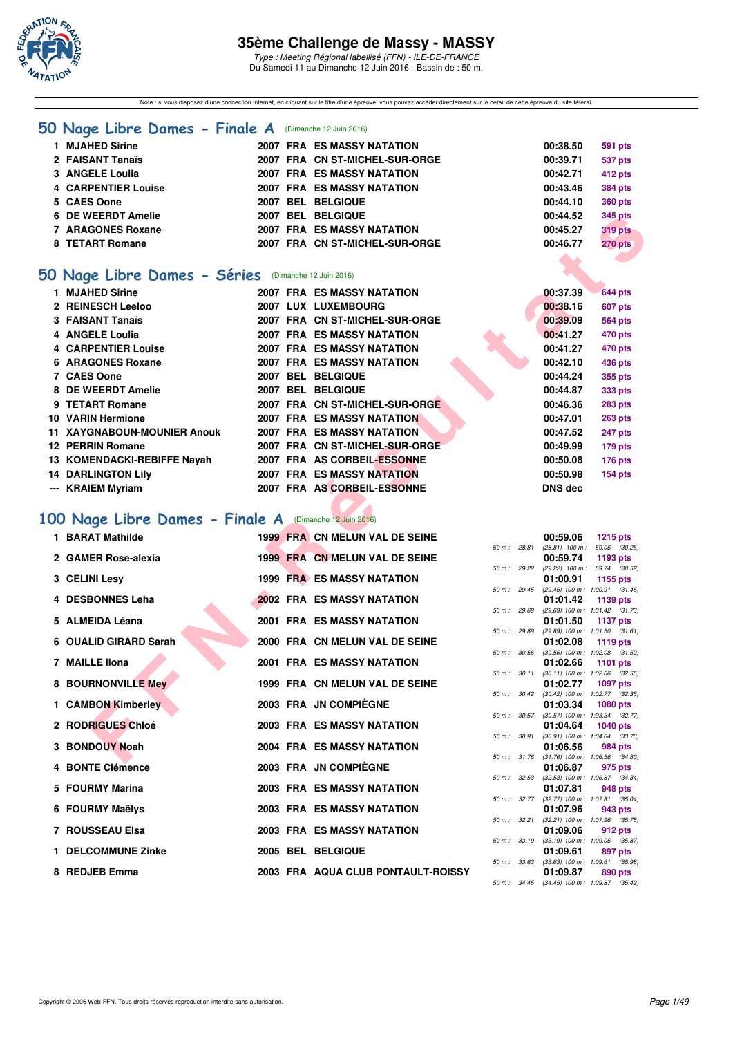

Type : Meeting Régional labellisé (FFN) - ILE-DE-FRANCE Du Samedi 11 au Dimanche 12 Juin 2016 - Bassin de : 50 m.

Note : si vous disposez d'une connection internet, en cliquant sur le titre d'une épreuve, vous pouvez accéder directement sur le détail de cette épreuve du site féféral.

### **[50 Nage Libre Dames - Finale A](http://www.ffnatation.fr/webffn/resultats.php?idact=nat&go=epr&idcpt=38069&idepr=1)** (Dimanche 12 Juin 2016)

| 1 MJAHED Sirine            | 2007 FRA ES MASSY NATATION        | 00:38.50 | 591 pts        |
|----------------------------|-----------------------------------|----------|----------------|
| 2 FAISANT Tanaïs           | 2007 FRA CN ST-MICHEL-SUR-ORGE    | 00:39.71 | <b>537 pts</b> |
| 3 ANGELE Loulia            | 2007 FRA ES MASSY NATATION        | 00:42.71 | 412 pts        |
| <b>4 CARPENTIER Louise</b> | <b>2007 FRA ES MASSY NATATION</b> | 00:43.46 | <b>384 pts</b> |
| 5 CAES Oone                | 2007 BEL BELGIQUE                 | 00:44.10 | <b>360 pts</b> |
| 6 DE WEERDT Amelie         | 2007 BEL BELGIQUE                 | 00:44.52 | 345 pts        |
| 7 ARAGONES Roxane          | <b>2007 FRA ES MASSY NATATION</b> | 00:45.27 | <b>319 pts</b> |
| 8 TETART Romane            | 2007 FRA CN ST-MICHEL-SUR-ORGE    | 00:46.77 | 270 pts        |
|                            |                                   |          |                |

# **[50 Nage Libre Dames - Séries](http://www.ffnatation.fr/webffn/resultats.php?idact=nat&go=epr&idcpt=38069&idepr=1)** (Dimanche 12 Juin 2016)

| 6 DE WEERDT Amelie                                     |  | <b>2007 BEL BELGIQUE</b>          |                  |              | 00:44.52       | 345 pts                                                |
|--------------------------------------------------------|--|-----------------------------------|------------------|--------------|----------------|--------------------------------------------------------|
| <b>7 ARAGONES Roxane</b>                               |  | <b>2007 FRA ES MASSY NATATION</b> |                  |              | 00:45.27       | <b>319 pts</b>                                         |
| 8 TETART Romane                                        |  | 2007 FRA CN ST-MICHEL-SUR-ORGE    |                  |              | 00:46.77       | 270 pts                                                |
|                                                        |  |                                   |                  |              |                |                                                        |
| 50 Nage Libre Dames - Séries                           |  | (Dimanche 12 Juin 2016)           |                  |              |                |                                                        |
| 1 MJAHED Sirine                                        |  | <b>2007 FRA ES MASSY NATATION</b> |                  |              | 00:37.39       | <b>644 pts</b>                                         |
| 2 REINESCH Leeloo                                      |  | 2007 LUX LUXEMBOURG               |                  |              | 00:38.16       | <b>607 pts</b>                                         |
| 3 FAISANT Tanaïs                                       |  | 2007 FRA CN ST-MICHEL-SUR-ORGE    |                  |              | 00:39.09       | <b>564 pts</b>                                         |
| 4 ANGELE Loulia                                        |  | <b>2007 FRA ES MASSY NATATION</b> |                  |              | 00:41.27       | <b>470 pts</b>                                         |
| <b>4 CARPENTIER Louise</b>                             |  | <b>2007 FRA ES MASSY NATATION</b> |                  |              | 00:41.27       | <b>470 pts</b>                                         |
| 6 ARAGONES Roxane                                      |  | <b>2007 FRA ES MASSY NATATION</b> |                  |              | 00:42.10       | 436 pts                                                |
| 7 CAES Oone                                            |  | 2007 BEL BELGIQUE                 |                  |              | 00:44.24       | 355 pts                                                |
| 8 DE WEERDT Amelie                                     |  | 2007 BEL BELGIQUE                 |                  |              | 00:44.87       | 333 pts                                                |
| 9 TETART Romane                                        |  | 2007 FRA CN ST-MICHEL-SUR-ORGE    |                  |              | 00:46.36       | 283 pts                                                |
| 10 VARIN Hermione                                      |  | <b>2007 FRA ES MASSY NATATION</b> |                  |              | 00:47.01       | <b>263 pts</b>                                         |
| <b>11 XAYGNABOUN-MOUNIER Anouk</b>                     |  | <b>2007 FRA ES MASSY NATATION</b> |                  |              | 00:47.52       | <b>247 pts</b>                                         |
| 12 PERRIN Romane                                       |  | 2007 FRA CN ST-MICHEL-SUR-ORGE    |                  |              | 00:49.99       | 179 pts                                                |
| 13 KOMENDACKI-REBIFFE Nayah                            |  | 2007 FRA AS CORBEIL-ESSONNE       |                  |              | 00:50.08       | 176 pts                                                |
| <b>14 DARLINGTON Lily</b>                              |  | <b>2007 FRA ES MASSY NATATION</b> |                  |              | 00:50.98       | <b>154 pts</b>                                         |
| --- KRAIEM Myriam                                      |  | 2007 FRA AS CORBEIL-ESSONNE       |                  |              | <b>DNS dec</b> |                                                        |
|                                                        |  |                                   |                  |              |                |                                                        |
| 00 Nage Libre Dames - Finale A (Dimanche 12 Juin 2016) |  |                                   |                  |              |                |                                                        |
|                                                        |  |                                   |                  |              |                |                                                        |
| 1 BARAT Mathilde                                       |  | 1999 FRA CN MELUN VAL DE SEINE    |                  | 50 m : 28.81 | 00:59.06       | <b>1215 pts</b><br>$(28.81)$ 100 m : 59.06 $(30.25)$   |
| 2 GAMER Rose-alexia                                    |  | 1999 FRA CN MELUN VAL DE SEINE    |                  |              | 00:59.74       | 1193 pts                                               |
|                                                        |  |                                   |                  |              |                | 50 m: 29.22 (29.22) 100 m: 59.74 (30.52)               |
| 3 CELINI Lesy                                          |  | <b>1999 FRA ES MASSY NATATION</b> |                  |              | 01:00.91       | 1155 pts<br>50 m: 29.45 (29.45) 100 m: 1:00.91 (31.46) |
| 4 DESBONNES Leha                                       |  | <b>2002 FRA ES MASSY NATATION</b> |                  |              | 01:01.42       | 1139 pts                                               |
|                                                        |  |                                   | 50 m: 29.69      |              |                | (29.69) 100 m: 1:01.42 (31.73)                         |
| 5 ALMEIDA Léana                                        |  | <b>2001 FRA ES MASSY NATATION</b> | 50 m : 29.89     |              | 01:01.50       | <b>1137 pts</b><br>$(29.89)$ 100 m : 1:01.50 $(31.61)$ |
| 6 OUALID GIRARD Sarah                                  |  | 2000 FRA CN MELUN VAL DE SEINE    |                  |              | 01:02.08       | 1119 pts                                               |
|                                                        |  |                                   | $50 m$ : $30.56$ |              |                | $(30.56)$ 100 m : 1:02.08 $(31.52)$                    |
| 7 MAILLE IIona                                         |  | <b>2001 FRA ES MASSY NATATION</b> |                  | 50 m : 30.11 | 01:02.66       | 1101 pts<br>$(30.11)$ 100 m : 1:02.66 $(32.55)$        |
| 8 BOURNONVILLE Mey                                     |  | 1999 FRA CN MELUN VAL DE SEINE    |                  |              | 01:02.77       | 1097 pts                                               |
|                                                        |  |                                   |                  |              |                | 50 m: 30.42 (30.42) 100 m: 1:02.77 (32.35)             |
| 1 CAMBON Kimberley                                     |  | 2003 FRA JN COMPIEGNE             |                  |              | 01:03.34       | <b>1080 pts</b>                                        |
| 2 RODRIGUES Chloé                                      |  | <b>2003 FRA ES MASSY NATATION</b> |                  |              | 01:04.64       | 50 m: 30.57 (30.57) 100 m: 1:03.34 (32.77)<br>1040 pts |
|                                                        |  |                                   |                  |              |                | 50 m: 30.91 (30.91) 100 m: 1:04.64 (33.73)             |
| 3 BONDOUY Noah                                         |  | <b>2004 FRA ES MASSY NATATION</b> |                  |              | 01:06.56       | 984 pts                                                |
|                                                        |  |                                   |                  |              |                | 50 m: 31.76 (31.76) 100 m: 1:06.56 (34.80)             |

## **[100 Nage Libre Dames - Finale A](http://www.ffnatation.fr/webffn/resultats.php?idact=nat&go=epr&idcpt=38069&idepr=2)** (Dimanche 12 Juin 2016)

| 1 BARAT Mathilde      |  | 1999 FRA CN MELUN VAL DE SEINE     |              | 00:59.06                                                     | 1215 pts |  |
|-----------------------|--|------------------------------------|--------------|--------------------------------------------------------------|----------|--|
| 2 GAMER Rose-alexia   |  | 1999 FRA CN MELUN VAL DE SEINE     |              | 50 m: 28.81 (28.81) 100 m: 59.06 (30.<br>00:59.74            | 1193 pts |  |
| 3 CELINI Lesy         |  | <b>1999 FRA ES MASSY NATATION</b>  | 50 m: 29.22  | (29.22) 100 m: 59.74 (30.<br>01:00.91                        | 1155 pts |  |
| 4 DESBONNES Leha      |  | <b>2002 FRA ES MASSY NATATION</b>  |              | 50 m: 29.45 (29.45) 100 m: 1:00.91 (31.<br>01:01.42          | 1139 pts |  |
|                       |  |                                    | 50 m: 29.69  | (29.69) 100 m: 1:01.42 (31.                                  |          |  |
| 5 ALMEIDA Léana       |  | <b>2001 FRA ES MASSY NATATION</b>  |              | 01:01.50<br>50 m: 29.89 (29.89) 100 m: 1:01.50 (31.          | 1137 pts |  |
| 6 OUALID GIRARD Sarah |  | 2000 FRA CN MELUN VAL DE SEINE     |              | 01:02.08 1119 pts                                            |          |  |
| 7 MAILLE IIona        |  | <b>2001 FRA ES MASSY NATATION</b>  | 50 m : 30.56 | $(30.56)$ 100 m : 1:02.08 (31.<br>01:02.66 1101 pts          |          |  |
| 8 BOURNONVILLE Mey    |  | 1999 FRA CN MELUN VAL DE SEINE     |              | 50 m: 30.11 (30.11) 100 m: 1:02.66 (32.<br>01:02.77 1097 pts |          |  |
|                       |  |                                    |              | 50 m: 30.42 (30.42) 100 m: 1:02.77 (32.                      |          |  |
| 1 CAMBON Kimberley    |  | 2003 FRA JN COMPIÈGNE              |              | 01:03.34<br>50 m: 30.57 (30.57) 100 m: 1:03.34 (32.          | 1080 pts |  |
| 2 RODRIGUES Chloé     |  | <b>2003 FRA ES MASSY NATATION</b>  |              | 01:04.64 1040 pts                                            |          |  |
| 3 BONDOUY Noah        |  | 2004 FRA ES MASSY NATATION         |              | 50 m: 30.91 (30.91) 100 m: 1:04.64 (33.<br>01:06.56          | 984 pts  |  |
| 4 BONTE Clémence      |  | 2003 FRA JN COMPIÈGNE              |              | 50 m: 31.76 (31.76) 100 m: 1:06.56 (34.                      |          |  |
|                       |  |                                    |              | 01:06.87<br>50 m: 32.53 (32.53) 100 m: 1:06.87 (34.          | 975 pts  |  |
| 5 FOURMY Marina       |  | <b>2003 FRA ES MASSY NATATION</b>  |              | 01:07.81                                                     | 948 pts  |  |
| 6 FOURMY Maëlys       |  | 2003 FRA ES MASSY NATATION         |              | 50 m: 32.77 (32.77) 100 m: 1:07.81 (35.<br>01:07.96          | 943 pts  |  |
|                       |  |                                    |              | 50 m: 32.21 (32.21) 100 m: 1:07.96 (35.                      |          |  |
| 7 ROUSSEAU Elsa       |  | 2003 FRA ES MASSY NATATION         |              | 01:09.06                                                     | 912 pts  |  |
| 1 DELCOMMUNE Zinke    |  | 2005 BEL BELGIQUE                  | 50 m : 33.19 | $(33.19)$ 100 m : 1:09.06 (35.<br>01:09.61                   | 897 pts  |  |
|                       |  |                                    |              | 50 m : 33.63 (33.63) 100 m : 1:09.61 (35.                    |          |  |
| 8 REDJEB Emma         |  | 2003 FRA AQUA CLUB PONTAULT-ROISSY |              | 01:09.87<br>المحامد المحامد والمحامد المداري المحامدة        | 890 pts  |  |
|                       |  |                                    |              |                                                              |          |  |

|                |       | 00:59.06          | 1215 pts            |         |
|----------------|-------|-------------------|---------------------|---------|
| $50 m$ : 28.81 |       | $(28.81)$ 100 m : | 59.06 (30.25)       |         |
|                |       | 00:59.74          | 1193 pts            |         |
| $50 m$ :       | 29.22 | $(29.22)$ 100 m : | 59.74 (30.52)       |         |
|                |       | 01:00.91          | 1155 pts            |         |
| $50 m$ :       | 29.45 | $(29.45)$ 100 m : | $1:00.91$ $(31.46)$ |         |
|                |       | 01:01.42          | 1139 pts            |         |
| $50 m$ :       | 29.69 | $(29.69)$ 100 m : | $1:01.42$ $(31.73)$ |         |
|                |       | 01:01.50          | <b>1137 pts</b>     |         |
| $50 m$ :       | 29.89 | $(29.89)$ 100 m : | $1:01.50$ $(31.61)$ |         |
|                |       | 01:02.08          | 1119 pts            |         |
| $50 m$ :       | 30.56 | $(30.56)$ 100 m : | 1:02.08 (31.52)     |         |
|                |       | 01:02.66          | 1101 pts            |         |
| $50 m$ :       | 30.11 | $(30.11)$ 100 m : | 1:02.66 (32.55)     |         |
|                |       | 01:02.77          | 1097 pts            |         |
| $50 m$ :       | 30.42 | $(30.42)$ 100 m : | 1:02.77 (32.35)     |         |
|                |       | 01:03.34          | 1080 pts            |         |
| $50 m$ :       | 30.57 | $(30.57)$ 100 m : | 1:03.34 (32.77)     |         |
|                |       | 01:04.64          | <b>1040 pts</b>     |         |
| $50 m$ :       | 30.91 | $(30.91)$ 100 m : | $1:04.64$ $(33.73)$ |         |
|                |       | 01:06.56          | <b>984 pts</b>      |         |
| $50 m$ :       | 31.76 | $(31.76)$ 100 m : | 1:06.56 (34.80)     |         |
|                |       | 01:06.87          |                     | 975 pts |
| $50 m$ :       | 32.53 | $(32.53)$ 100 m : | 1:06.87 (34.34)     |         |
|                |       | 01:07.81          | 948 pts             |         |
| $50 m$ :       | 32.77 | $(32.77)$ 100 m : | 1:07.81             | (35.04) |
|                |       | 01:07.96          | 943 pts             |         |
| $50 m$ :       | 32.21 | $(32.21)$ 100 m : | 1:07.96 (35.75)     |         |
|                |       | 01:09.06          | 912 pts             |         |
| $50 m$ :       | 33.19 | $(33.19) 100 m$ : | 1:09.06 (35.87)     |         |
|                |       | 01:09.61          | <b>897 pts</b>      |         |
| $50 m$ :       | 33.63 | $(33.63) 100 m$ : | 1:09.61             | (35.98) |
|                |       | 01:09.87          |                     | 890 pts |
| $50 m$ :       | 34.45 | $(34.45)$ 100 m : | 1:09.87 (35.42)     |         |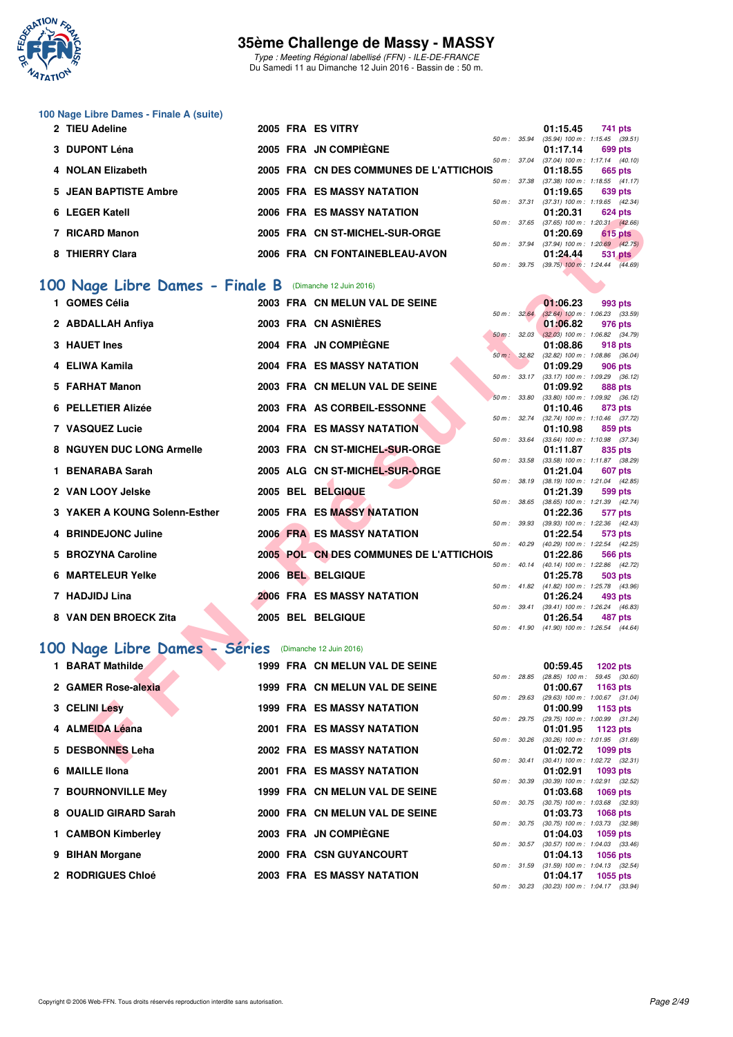

Type : Meeting Régional labellisé (FFN) - ILE-DE-FRANCE Du Samedi 11 au Dimanche 12 Juin 2016 - Bassin de : 50 m.

#### **100 Nage Libre Dames - Finale A (suite)**

| 2 TIEU Adeline        |  | 2005 FRA ES VITRY                       |                        | 01:15.45                                     | 741 pts |                |
|-----------------------|--|-----------------------------------------|------------------------|----------------------------------------------|---------|----------------|
|                       |  |                                         | 50 m: 35.94            | $(35.94)$ 100 m : 1:15.45 $(39.51)$          |         |                |
| 3 DUPONT Léna         |  | 2005 FRA JN COMPIÈGNE                   |                        | 01:17.14                                     | 699 pts |                |
|                       |  |                                         | 50 m: 37.04            | $(37.04)$ 100 m : 1:17.14 $(40.10)$          |         |                |
| 4 NOLAN Elizabeth     |  | 2005 FRA CN DES COMMUNES DE L'ATTICHOIS |                        | 01:18.55                                     | 665 pts |                |
|                       |  |                                         | $50 \text{ m}$ : 37.38 | $(37.38)$ 100 m : 1:18.55 $(41.17)$          |         |                |
| 5 JEAN BAPTISTE Ambre |  | <b>2005 FRA ES MASSY NATATION</b>       |                        | 01:19.65                                     | 639 pts |                |
|                       |  |                                         | 50 m: 37.31            | $(37.31)$ 100 m : 1:19.65 $(42.34)$          |         |                |
| 6 LEGER Katell        |  | <b>2006 FRA ES MASSY NATATION</b>       |                        | 01:20.31                                     | 624 pts |                |
|                       |  |                                         | 50 m: 37.65            | $(37.65)$ 100 m : 1:20.31 $(42.66)$          |         |                |
| 7 RICARD Manon        |  | 2005 FRA CN ST-MICHEL-SUR-ORGE          |                        | 01:20.69                                     |         | <b>615 pts</b> |
|                       |  |                                         | 50 m: 37.94            | $(37.94)$ 100 m : 1:20.69 $(42.75)$          |         |                |
| 8 THIERRY Clara       |  | 2006 FRA CN FONTAINEBLEAU-AVON          |                        | 01:24.44                                     |         | 531 pts        |
|                       |  |                                         |                        | 50 m : 39.75 (39.75) 100 m : 1:24.44 (44.69) |         |                |

# **100 Nage Libre Dames - Finale B** (Dimanche 12 Juin 2016)

| LEUEN NAICH                                            |  | EJ MAJJI NATATIVN                       |                  |              | <u>uissusi</u>                                         | <b>U44 PM</b>   |         |  |
|--------------------------------------------------------|--|-----------------------------------------|------------------|--------------|--------------------------------------------------------|-----------------|---------|--|
| 7 RICARD Manon                                         |  | 2005 FRA CN ST-MICHEL-SUR-ORGE          |                  |              | 50 m: 37.65 (37.65) 100 m: 1:20.31 (42.66)<br>01:20.69 | 615 pts         |         |  |
|                                                        |  |                                         |                  |              | 50 m: 37.94 (37.94) 100 m: 1:20.69 (42.75)             |                 |         |  |
| 8 THIERRY Clara                                        |  | 2006 FRA CN FONTAINEBLEAU-AVON          |                  |              | 01:24.44<br>50 m: 39.75 (39.75) 100 m: 1:24.44 (44.69) |                 | 531 pts |  |
|                                                        |  |                                         |                  |              |                                                        |                 |         |  |
| 00 Nage Libre Dames - Finale B (Dimanche 12 Juin 2016) |  |                                         |                  |              |                                                        |                 |         |  |
| 1 GOMES Célia                                          |  | 2003 FRA CN MELUN VAL DE SEINE          |                  |              | 01:06.23                                               | 993 pts         |         |  |
|                                                        |  | 2003 FRA CN ASNIERES                    | $50 m$ : $32.64$ |              | $(32.64)$ 100 m : 1:06.23 $(33.59)$                    |                 |         |  |
| 2 ABDALLAH Anfiya                                      |  |                                         |                  | 50 m: 32.03  | 01:06.82<br>$(32.03)$ 100 m : 1:06.82 $(34.79)$        | 976 pts         |         |  |
| 3 HAUET Ines                                           |  | 2004 FRA JN COMPIÈGNE                   |                  |              | 01:08.86                                               | 918 pts         |         |  |
|                                                        |  |                                         |                  | 50 m : 32.82 | $(32.82)$ 100 m : 1:08.86 $(36.04)$                    |                 |         |  |
| 4 ELIWA Kamila                                         |  | 2004 FRA ES MASSY NATATION              |                  |              | 01:09.29                                               | 906 pts         |         |  |
| 5 FARHAT Manon                                         |  | 2003 FRA CN MELUN VAL DE SEINE          |                  | 50 m : 33.17 | $(33.17)$ 100 m : 1:09.29 $(36.12)$<br>01:09.92        | 888 pts         |         |  |
|                                                        |  |                                         | 50 m: 33.80      |              | $(33.80)$ 100 m : 1:09.92 $(36.12)$                    |                 |         |  |
| 6 PELLETIER Alizée                                     |  | 2003 FRA AS CORBEIL-ESSONNE             |                  |              | 01:10.46                                               | 873 pts         |         |  |
|                                                        |  |                                         | 50 m: 32.74      |              | (32.74) 100 m: 1:10.46 (37.72)                         |                 |         |  |
| 7 VASQUEZ Lucie                                        |  | <b>2004 FRA ES MASSY NATATION</b>       |                  | 50 m : 33.64 | 01:10.98<br>$(33.64)$ 100 m : 1:10.98 $(37.34)$        | 859 pts         |         |  |
| 8 NGUYEN DUC LONG Armelle                              |  | 2003 FRA CN ST-MICHEL-SUR-ORGE          |                  |              | 01:11.87                                               | 835 pts         |         |  |
|                                                        |  |                                         | 50 m : 33.58     |              | $(33.58)$ 100 m : 1:11.87 $(38.29)$                    |                 |         |  |
| 1 BENARABA Sarah                                       |  | 2005 ALG CN ST-MICHEL-SUR-ORGE          |                  |              | 01:21.04                                               | 607 pts         |         |  |
|                                                        |  |                                         |                  | 50 m : 38.19 | $(38.19)$ 100 m : 1:21.04 $(42.85)$                    |                 |         |  |
| 2 VAN LOOY Jelske                                      |  | 2005 BEL BELGIQUE                       |                  | 50 m : 38.65 | 01:21.39<br>$(38.65)$ 100 m : 1:21.39 $(42.74)$        | 599 pts         |         |  |
| 3 YAKER A KOUNG Solenn-Esther                          |  | <b>2005 FRA ES MASSY NATATION</b>       |                  |              | 01:22.36                                               | 577 pts         |         |  |
|                                                        |  |                                         |                  | 50 m : 39.93 | $(39.93)$ 100 m : 1:22.36 $(42.43)$                    |                 |         |  |
| 4 BRINDEJONC Juline                                    |  | <b>2006 FRA ES MASSY NATATION</b>       |                  |              | 01:22.54                                               | 573 pts         |         |  |
| 5 BROZYNA Caroline                                     |  | 2005 POL CN DES COMMUNES DE L'ATTICHOIS |                  |              | 50 m: 40.29 (40.29) 100 m: 1:22.54 (42.25)<br>01:22.86 | 566 pts         |         |  |
|                                                        |  |                                         |                  | 50 m : 40.14 | (40.14) 100 m: 1:22.86 (42.72)                         |                 |         |  |
| <b>6 MARTELEUR Yelke</b>                               |  | 2006 BEL BELGIQUE                       |                  |              | 01:25.78                                               | 503 pts         |         |  |
|                                                        |  |                                         |                  |              | 50 m: 41.82 (41.82) 100 m: 1:25.78 (43.96)             |                 |         |  |
| 7 HADJIDJ Lina                                         |  | <b>2006 FRA ES MASSY NATATION</b>       |                  | 50 m : 39.41 | 01:26.24<br>$(39.41)$ 100 m : 1:26.24 $(46.83)$        | 493 pts         |         |  |
| 8 VAN DEN BROECK Zita                                  |  | 2005 BEL BELGIQUE                       |                  |              | 01:26.54                                               | 487 pts         |         |  |
|                                                        |  |                                         |                  | 50 m : 41.90 | $(41.90)$ 100 m : 1:26.54 $(44.64)$                    |                 |         |  |
|                                                        |  |                                         |                  |              |                                                        |                 |         |  |
| 00 Nage Libre Dames - Séries                           |  | (Dimanche 12 Juin 2016)                 |                  |              |                                                        |                 |         |  |
| 1 BARAT Mathilde                                       |  | 1999 FRA CN MELUN VAL DE SEINE          |                  |              | 00:59.45                                               | <b>1202 pts</b> |         |  |
|                                                        |  |                                         |                  |              | 50 m: 28.85 (28.85) 100 m: 59.45 (30.60)               |                 |         |  |
| 2 GAMER Rose-alexia                                    |  | 1999 FRA CN MELUN VAL DE SEINE          | 50 m: 29.63      |              | 01:00.67<br>(29.63) 100 m: 1:00.67 (31.04)             | 1163 pts        |         |  |
| 3 CELINI Lesy                                          |  | <b>1999 FRA ES MASSY NATATION</b>       |                  |              | 01:00.99                                               | 1153 pts        |         |  |
|                                                        |  |                                         |                  | 50 m : 29.75 | (29.75) 100 m: 1:00.99 (31.24)                         |                 |         |  |
| 4 ALMEIDA Léana                                        |  | <b>2001 FRA ES MASSY NATATION</b>       |                  |              | 01:01.95                                               | 1123 pts        |         |  |
| 5 DESBONNES Leha                                       |  | 2002 FRA ES MASSY NATATION              |                  |              | 50 m: 30.26 (30.26) 100 m: 1:01.95 (31.69)<br>01:02.72 | 1099 pts        |         |  |
|                                                        |  |                                         |                  |              | 50 m: 30.41 (30.41) 100 m: 1:02.72 (32.31)             |                 |         |  |

### **[100 Nage Libre Dames - Séries](http://www.ffnatation.fr/webffn/resultats.php?idact=nat&go=epr&idcpt=38069&idepr=2)** (Dimanche 12 Juin 2016)

| 1 BARAT Mathilde      |  | 1999 FRA CN MELUN VAL DE SEINE    |                  | 00:59.45                                              | 1202 pts |  |
|-----------------------|--|-----------------------------------|------------------|-------------------------------------------------------|----------|--|
|                       |  |                                   | 50 m: 28.85      | $(28.85)$ 100 m : 59.45 (30.                          |          |  |
| 2 GAMER Rose-alexia   |  | 1999 FRA CN MELUN VAL DE SEINE    |                  | 01:00.67                                              | 1163 pts |  |
|                       |  |                                   | 50 m : 29.63     | $(29.63)$ 100 m : 1:00.67 (31.                        |          |  |
| 3 CELINI Lesy         |  | <b>1999 FRA ES MASSY NATATION</b> |                  | 01:00.99                                              | 1153 pts |  |
|                       |  |                                   | 50 m: 29.75      | (29.75) 100 m: 1:00.99 (31.                           |          |  |
| 4 ALMEIDA Léana       |  | <b>2001 FRA ES MASSY NATATION</b> |                  | 01:01.95 1123 pts                                     |          |  |
| 5 DESBONNES Leha      |  | <b>2002 FRA ES MASSY NATATION</b> | 50 m : 30.26     | $(30.26)$ 100 m : 1:01.95 $(31.$<br>01:02.72 1099 pts |          |  |
|                       |  |                                   | 50 m: 30.41      | $(30.41)$ 100 m : 1:02.72 (32.                        |          |  |
| 6 MAILLE IIona        |  | <b>2001 FRA ES MASSY NATATION</b> |                  | 01:02.91 1093 pts                                     |          |  |
|                       |  |                                   | 50 m : 30.39     | $(30.39)$ 100 m : 1:02.91 (32.                        |          |  |
| 7 BOURNONVILLE Mey    |  | 1999 FRA CN MELUN VAL DE SEINE    |                  | 01:03.68                                              | 1069 pts |  |
|                       |  |                                   | 50 m : 30.75     | $(30.75)$ 100 m : 1:03.68 (32.                        |          |  |
| 8 OUALID GIRARD Sarah |  | 2000 FRA CN MELUN VAL DE SEINE    |                  | 01:03.73 1068 pts                                     |          |  |
|                       |  |                                   | $50 m$ : $30.75$ | $(30.75)$ 100 m : 1:03.73 (32.                        |          |  |
| 1 CAMBON Kimberley    |  | 2003 FRA JN COMPIÈGNE             |                  | 01:04.03                                              | 1059 pts |  |
|                       |  |                                   | 50 m: 30.57      | $(30.57)$ 100 m : 1:04.03 (33.                        |          |  |
| 9 BIHAN Morgane       |  | 2000 FRA CSN GUYANCOURT           |                  | 01:04.13 1056 pts                                     |          |  |
|                       |  |                                   | 50 m : 31.59     | $(31.59)$ 100 m : 1:04.13 (32.                        |          |  |
| 2 RODRIGUES Chloé     |  | <b>2003 FRA ES MASSY NATATION</b> |                  | 01:04.17                                              | 1055 pts |  |

|              | 00:59.45 1202 pts                          |                     |  |
|--------------|--------------------------------------------|---------------------|--|
| 50 m : 28.85 | $(28.85)$ 100 m : 59.45 $(30.60)$          |                     |  |
|              | 01:00.67 1163 pts                          |                     |  |
| 50 m : 29.63 | $(29.63)$ 100 m :                          | 1:00.67 (31.04)     |  |
|              | 01:00.99 1153 pts                          |                     |  |
| 50 m : 29.75 | $(29.75)$ 100 m :                          | 1:00.99 (31.24)     |  |
|              | 01:01.95                                   | 1123 pts            |  |
| 50 m : 30.26 | $(30.26)$ 100 m :                          | 1:01.95 (31.69)     |  |
|              | 01:02.72 1099 pts                          |                     |  |
| 50 m : 30.41 | $(30.41)$ 100 m :                          | $1:02.72$ $(32.31)$ |  |
|              | 01:02.91 1093 pts                          |                     |  |
| 50 m : 30.39 | $(30.39)$ 100 m :                          | 1:02.91 (32.52)     |  |
|              | 01:03.68 1069 pts                          |                     |  |
| 50 m : 30.75 | $(30.75)$ 100 m : 1:03.68 $(32.93)$        |                     |  |
|              | 01:03.73 1068 pts                          |                     |  |
| 50 m : 30.75 | $(30.75)$ 100 m :                          | 1:03.73 (32.98)     |  |
|              | 01:04.03 1059 pts                          |                     |  |
| 50 m : 30.57 | $(30.57)$ 100 m :                          | $1:04.03$ $(33.46)$ |  |
|              | 01:04.13 1056 pts                          |                     |  |
|              | 50 m: 31.59 (31.59) 100 m: 1:04.13 (32.54) |                     |  |
|              | 01:04.17 1055 pts                          |                     |  |
| 50 m: 30.23  | $(30.23)$ 100 m : 1:04.17 $(33.94)$        |                     |  |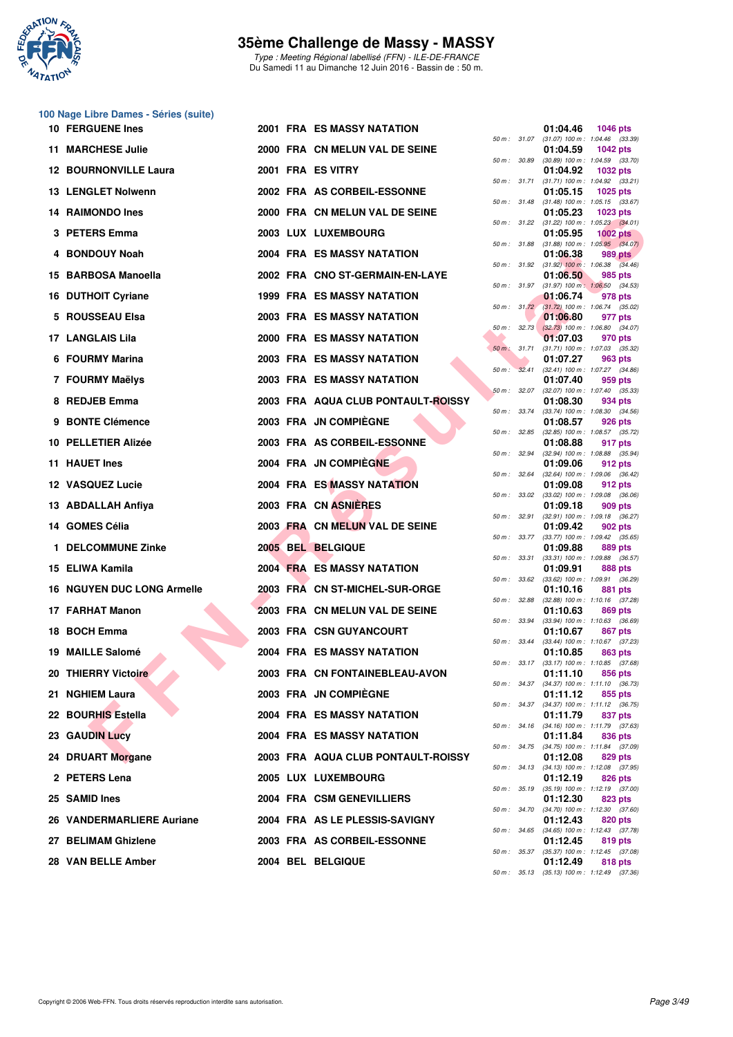

Type : Meeting Régional labellisé (FFN) - ILE-DE-FRANCE Du Samedi 11 au Dimanche 12 Juin 2016 - Bassin de : 50 m.

| <b>10 FERGUENE Ines</b>           |  | 2001 FRA ES MASSY NATATION         |              |              | 01:04.46 | <b>1046 pts</b>                                                                                |
|-----------------------------------|--|------------------------------------|--------------|--------------|----------|------------------------------------------------------------------------------------------------|
| <b>11 MARCHESE Julie</b>          |  | 2000 FRA CN MELUN VAL DE SEINE     |              | 50 m : 31.07 | 01:04.59 | $(31.07)$ 100 m : 1:04.46 $(33.39)$<br><b>1042 pts</b>                                         |
| <b>12 BOURNONVILLE Laura</b>      |  | 2001 FRA ES VITRY                  |              | 50 m : 30.89 | 01:04.92 | $(30.89)$ 100 m : 1:04.59 $(33.70)$<br><b>1032 pts</b>                                         |
| 13 LENGLET Nolwenn                |  | 2002 FRA AS CORBEIL-ESSONNE        |              | 50 m : 31.71 | 01:05.15 | $(31.71)$ 100 m : 1:04.92 $(33.21)$<br>1025 pts                                                |
| <b>14 RAIMONDO Ines</b>           |  | 2000 FRA CN MELUN VAL DE SEINE     |              |              | 01:05.23 | 50 m: 31.48 (31.48) 100 m: 1:05.15 (33.67)<br>$1023$ pts                                       |
| 3 PETERS Emma                     |  | 2003 LUX LUXEMBOURG                |              |              | 01:05.95 | 50 m: 31.22 (31.22) 100 m: 1:05.23 (34.01)<br>1002 $pts$                                       |
| 4 BONDOUY Noah                    |  | 2004 FRA ES MASSY NATATION         | 50 m : 31.88 |              | 01:06.38 | $(31.88)$ 100 m : 1:05.95 $(34.07)$<br>989 pts                                                 |
| 15 BARBOSA Manoella               |  | 2002 FRA CNO ST-GERMAIN-EN-LAYE    |              |              | 01:06.50 | 50 m: 31.92 (31.92) 100 m: 1:06.38 (34.46)<br>985 pts                                          |
| 16 DUTHOIT Cyriane                |  | 1999 FRA ES MASSY NATATION         |              |              | 01:06.74 | 50 m: 31.97 (31.97) 100 m: 1:06.50 (34.53)<br>978 pts                                          |
| 5 ROUSSEAU Elsa                   |  | 2003 FRA ES MASSY NATATION         |              |              | 01:06.80 | 50 m: 31.72 (31.72) 100 m: 1:06.74 (35.02)<br>977 pts                                          |
| <b>17 LANGLAIS Lila</b>           |  | <b>2000 FRA ES MASSY NATATION</b>  |              |              | 01:07.03 | 50 m : 32.73 (32.73) 100 m : 1:06.80 (34.07)<br>970 pts                                        |
| 6 FOURMY Marina                   |  | 2003 FRA ES MASSY NATATION         |              | 50 m : 31.71 | 01:07.27 | (31.71) 100 m: 1:07.03 (35.32)<br>963 pts                                                      |
| 7 FOURMY Maëlys                   |  | 2003 FRA ES MASSY NATATION         |              | 50 m: 32.41  | 01:07.40 | $(32.41)$ 100 m : 1:07.27 $(34.86)$<br>959 pts                                                 |
| 8 REDJEB Emma                     |  | 2003 FRA AQUA CLUB PONTAULT-ROISSY | 50 m: 32.07  |              | 01:08.30 | $(32.07)$ 100 m : 1:07.40 $(35.33)$<br>934 pts                                                 |
| 9 BONTE Clémence                  |  | 2003 FRA JN COMPIEGNE              |              | 50 m : 33.74 | 01:08.57 | $(33.74)$ 100 m : 1:08.30 $(34.56)$<br>926 pts                                                 |
| 10 PELLETIER Alizée               |  | 2003 FRA AS CORBEIL-ESSONNE        |              | 50 m : 32.85 | 01:08.88 | $(32.85)$ 100 m : 1:08.57 $(35.72)$<br>917 pts                                                 |
| 11 HAUET Ines                     |  | 2004 FRA JN COMPIEGNE              |              | 50 m : 32.94 | 01:09.06 | (32.94) 100 m: 1:08.88 (35.94)<br>912 pts                                                      |
| 12 VASQUEZ Lucie                  |  | 2004 FRA ES MASSY NATATION         |              | 50 m : 32.64 | 01:09.08 | $(32.64)$ 100 m : 1:09.06 $(36.42)$<br>912 pts                                                 |
| 13 ABDALLAH Anfiya                |  | 2003 FRA CN ASNIERES               |              |              | 01:09.18 | 50 m : 33.02 (33.02) 100 m : 1:09.08 (36.06)<br>909 pts                                        |
| 14 GOMES Célia                    |  | 2003 FRA CN MELUN VAL DE SEINE     |              | 50 m : 32.91 | 01:09.42 | $(32.91)$ 100 m : 1:09.18 $(36.27)$<br>902 pts                                                 |
| 1 DELCOMMUNE Zinke                |  | 2005 BEL BELGIQUE                  | 50 m : 33.77 | 50 m : 33.31 | 01:09.88 | $(33.77)$ 100 m : 1:09.42 $(35.65)$<br>889 pts                                                 |
| 15 ELIWA Kamila                   |  | <b>2004 FRA ES MASSY NATATION</b>  |              |              | 01:09.91 | $(33.31)$ 100 m : 1:09.88 $(36.57)$<br>888 pts<br>50 m : 33.62 (33.62) 100 m : 1:09.91 (36.29) |
| <b>16 NGUYEN DUC LONG Armelle</b> |  | 2003 FRA CN ST-MICHEL-SUR-ORGE     |              | 50 m : 32.88 | 01:10.16 | 881 pts<br>$(32.88)$ 100 m : 1:10.16 $(37.28)$                                                 |
| 17 FARHAT Manon                   |  | 2003 FRA CN MELUN VAL DE SEINE     |              |              | 01:10.63 | 869 pts<br>50 m: 33.94 (33.94) 100 m: 1:10.63 (36.69)                                          |
| 18 BOCH Emma                      |  | <b>2003 FRA CSN GUYANCOURT</b>     | 50 m: 33.44  |              | 01:10.67 | 867 pts<br>$(33.44)$ 100 m : 1:10.67 $(37.23)$                                                 |
| 19 MAILLE Salomé                  |  | <b>2004 FRA ES MASSY NATATION</b>  |              | 50 m : 33.17 | 01:10.85 | 863 pts<br>$(33.17)$ 100 m : 1:10.85 $(37.68)$                                                 |
| 20 THIERRY Victoire               |  | 2003 FRA CN FONTAINEBLEAU-AVON     |              |              | 01:11.10 | 856 pts<br>50 m: 34.37 (34.37) 100 m: 1:11.10 (36.73)                                          |
| 21 NGHIEM Laura                   |  | 2003 FRA JN COMPIEGNE              |              |              | 01:11.12 | 855 pts<br>50 m: 34.37 (34.37) 100 m: 1:11.12 (36.75)                                          |
| 22 BOURHIS Estella                |  | <b>2004 FRA ES MASSY NATATION</b>  |              |              | 01:11.79 | 837 pts<br>50 m : 34.16 (34.16) 100 m : 1:11.79 (37.63)                                        |
| <b>23 GAUDIN Lucy</b>             |  | 2004 FRA ES MASSY NATATION         |              |              | 01:11.84 | 836 pts<br>50 m: 34.75 (34.75) 100 m: 1:11.84 (37.09)                                          |
| 24 DRUART Morgane                 |  | 2003 FRA AQUA CLUB PONTAULT-ROISSY |              |              | 01:12.08 | 829 pts<br>50 m: 34.13 (34.13) 100 m: 1:12.08 (37.95)                                          |
| 2 PETERS Lena                     |  | 2005 LUX LUXEMBOURG                |              | 50 m : 35.19 | 01:12.19 | 826 pts<br>$(35.19)$ 100 m : 1:12.19 $(37.00)$                                                 |
| 25 SAMID Ines                     |  | 2004 FRA CSM GENEVILLIERS          |              |              | 01:12.30 | 823 pts<br>50 m : 34.70 (34.70) 100 m : 1:12.30 (37.60)                                        |
| 26 VANDERMARLIERE Auriane         |  | 2004 FRA AS LE PLESSIS-SAVIGNY     |              |              | 01:12.43 | 820 pts<br>50 m: 34.65 (34.65) 100 m: 1:12.43 (37.78)                                          |
| 27 BELIMAM Ghizlene               |  | 2003 FRA AS CORBEIL-ESSONNE        |              |              | 01:12.45 | 819 pts<br>50 m : 35.37 (35.37) 100 m : 1:12.45 (37.08)                                        |
| 28 VAN BELLE Amber                |  | 2004 BEL BELGIQUE                  |              | 2512         | 01:12.49 | 818 pts<br>$(95,19)$ 100 m $: 1,19$ 10 $(97,90)$                                               |

| $50 m$ : | 31.07 | 01:04.46<br>$(31.07) 100 m$ : | 1046 pts<br>1:04.46<br>(33.39)        |
|----------|-------|-------------------------------|---------------------------------------|
|          |       | 01:04.59                      | 1042 pts                              |
| $50 m$ : | 30.89 | $(30.89) 100 m$ :<br>01:04.92 | 1:04.59<br>(33.70)<br>1032 pts        |
| $50 m$ : | 31.71 | $(31.71) 100 m$ :             | 1:04.92<br>(33.21)                    |
| $50 m$ : | 31.48 | 01:05.15<br>$(31.48) 100 m$ : | 1025 pts<br>1:05.15<br>(33.67)        |
|          |       | 01:05.23                      | 1023 pts                              |
| $50 m$ : | 31.22 | $(31.22)$ 100 m :<br>01:05.95 | 1:05.23<br>(34.01)<br><b>1002 pts</b> |
| 50 m :   | 31.88 | $(31.88) 100 m$ :<br>01:06.38 | 1:05.95<br>(34.07)<br><b>989 pts</b>  |
| $50 m$ : | 31.92 | $(31.92)$ 100 m :             | 1:06.38<br>(34.46)                    |
| $50 m$ : | 31.97 | 01:06.50<br>$(31.97) 100 m$ : | 985 pts<br>1:06.50<br>(34.53)         |
|          |       | 01:06.74                      | 978 pts                               |
| 50 m :   | 31.72 | $(31.72) 100 m$ :<br>01:06.80 | 1:06.74<br>(35.02)<br>977 pts         |
| $50 m$ : | 32.73 | $(32.73)$ 100 m :             | 1:06.80<br>(34.07)                    |
| $50 m$ : | 31.71 | 01:07.03<br>$(31.71) 100 m$ : | 970 pts<br>1:07.03<br>(35.32)         |
|          |       | 01:07.27                      | 963 pts                               |
| $50 m$ : | 32.41 | $(32.41)$ 100 m :<br>01:07.40 | 1:07.27<br>(34.86)<br>959 pts         |
| $50 m$ : | 32.07 | $(32.07)$ 100 m :             | 1:07.40<br>(35.33)                    |
| $50 m$ : | 33.74 | 01:08.30<br>$(33.74) 100 m$ : | 934 pts<br>1:08.30<br>(34.56)         |
|          |       | 01:08.57                      | <b>926 pts</b>                        |
| $50 m$ : | 32.85 | $(32.85)$ 100 m :<br>01:08.88 | 1:08.57<br>(35.72)<br>917 pts         |
| $50 m$ : | 32.94 | $(32.94) 100 m$ :<br>01:09.06 | 1:08.88<br>(35.94)<br>912 pts         |
| $50 m$ : | 32.64 | $(32.64)$ 100 m :             | 1:09.06<br>(36.42)                    |
| 50 m :   | 33.02 | 01:09.08<br>$(33.02)$ 100 m : | 912 pts<br>1:09.08<br>(36.06)         |
|          |       | 01:09.18                      | 909 pts                               |
| $50 m$ : | 32.91 | $(32.91)$ 100 m :<br>01:09.42 | 1:09.18<br>(36.27)<br>902 pts         |
| 50 m :   | 33.77 | $(33.77) 100 m$ :             | 1:09.42<br>(35.65)                    |
| 50 m :   | 33.31 | 01:09.88<br>$(33.31)$ 100 m : | 889 pts<br>1:09.88<br>(36.57)         |
|          |       | 01:09.91                      | 888 pts                               |
| $50 m$ : | 33.62 | $(33.62)$ 100 m :<br>01:10.16 | 1:09.91<br>(36.29)<br>881 pts         |
| 50 m :   | 32.88 | $(32.88) 100 m$ :<br>01:10.63 | 1:10.16<br>(37.28)<br><b>869 pts</b>  |
| 50 m :   | 33.94 | (33.94) 100 m :               | 1:10.63<br>(36.69)                    |
| $50 m$ : | 33.44 | 01:10.67<br>(33.44) 100 m :   | <b>867 pts</b><br>1:10.67<br>(37.23)  |
|          |       | 01:10.85                      | 863 pts                               |
| 50 m :   | 33.17 | (33.17) 100 m :<br>01:11.10   | 1:10.85<br>(37.68)<br>856 pts         |
| 50 m :   | 34.37 | $(34.37) 100 m$ :             | 1:11.10<br>(36.73)                    |
| $50 m$ : | 34.37 | 01:11.12<br>$(34.37) 100 m$ : | 855 pts<br>1:11.12<br>(36.75)         |
|          |       | 01:11.79                      | 837 pts                               |
| $50 m$ : | 34.16 | (34.16) 100 m :<br>01:11.84   | 1:11.79<br>(37.63)<br><b>836 pts</b>  |
| 50 m :   | 34.75 | $(34.75) 100 m$ :<br>01:12.08 | 1:11.84<br>(37.09)                    |
| $50 m$ : | 34.13 | $(34.13) 100 m$ :             | <b>829 pts</b><br>1:12.08<br>(37.95)  |
| $50 m$ : | 35.19 | 01:12.19<br>$(35.19) 100 m$ : | <b>826 pts</b><br>1:12.19<br>(37.00)  |
|          |       | 01:12.30                      | 823 pts                               |
| $50 m$ : | 34.70 | (34.70) 100 m :<br>01:12.43   | 1:12.30<br>(37.60)<br>820 pts         |
| $50 m$ : | 34.65 | $(34.65) 100 m$ :             | 1:12.43<br>(37.78)                    |
| $50 m$ : | 35.37 | 01:12.45<br>$(35.37) 100 m$ : | 819 pts<br>1:12.45<br>(37.08)         |
|          |       | 01:12.49                      | <b>818 pts</b>                        |
| $50 m$ : | 35.13 | $(35.13) 100 m$ :             | 1:12.49<br>(37.36)                    |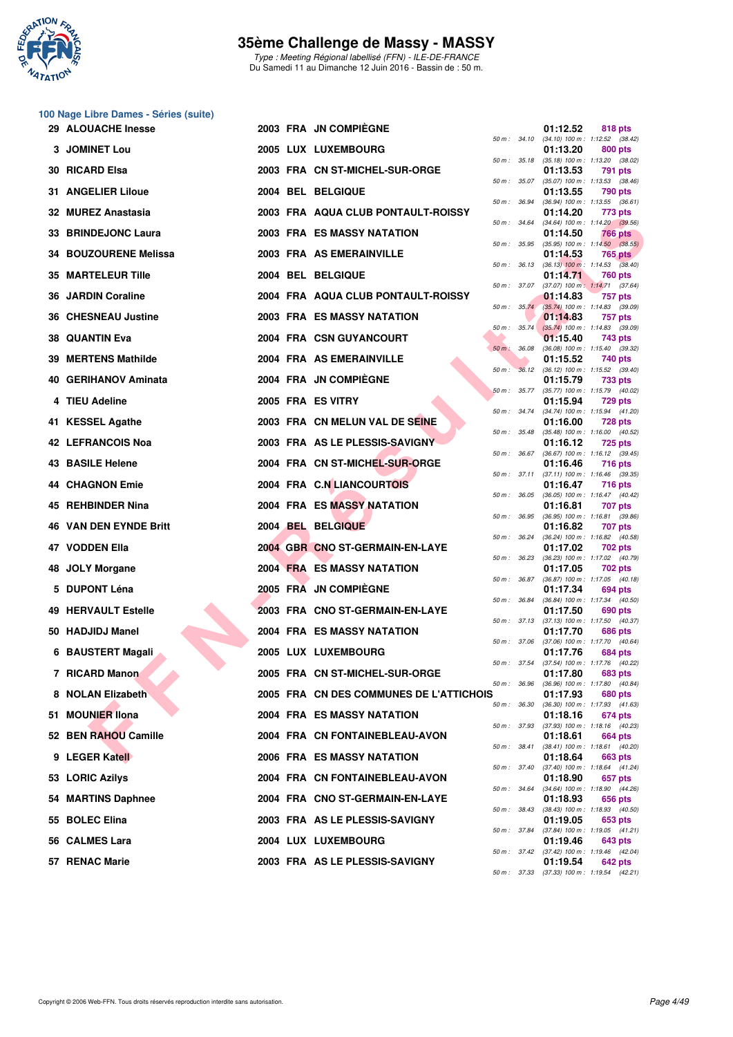

Type : Meeting Régional labellisé (FFN) - ILE-DE-FRANCE Du Samedi 11 au Dimanche 12 Juin 2016 - Bassin de : 50 m.

| <b>29 ALOUACHE Inesse</b>     |  | 2003 FRA JN COMPIEGNE                   |              |                  | 01:12.52 | 818 pts                                                        |
|-------------------------------|--|-----------------------------------------|--------------|------------------|----------|----------------------------------------------------------------|
| <b>3 JOMINET Lou</b>          |  | 2005 LUX LUXEMBOURG                     |              |                  | 01:13.20 | 50 m: 34.10 (34.10) 100 m: 1:12.52 (38.42)<br>800 pts          |
| 30 RICARD Elsa                |  | 2003 FRA CN ST-MICHEL-SUR-ORGE          |              |                  | 01:13.53 | 50 m: 35.18 (35.18) 100 m: 1:13.20 (38.02)<br>791 pts          |
| <b>31 ANGELIER Liloue</b>     |  | 2004 BEL BELGIQUE                       |              | 50 m : 35.07     | 01:13.55 | $(35.07)$ 100 m : 1:13.53 $(38.46)$<br>790 pts                 |
| 32 MUREZ Anastasia            |  | 2003 FRA AQUA CLUB PONTAULT-ROISSY      |              | 50 m : 36.94     | 01:14.20 | $(36.94)$ 100 m : 1:13.55 $(36.61)$<br>773 pts                 |
| 33 BRINDEJONC Laura           |  | 2003 FRA ES MASSY NATATION              |              |                  | 01:14.50 | 50 m: 34.64 (34.64) 100 m: 1:14.20 (39.56)<br><b>766 pts</b>   |
| 34 BOUZOURENE Melissa         |  | 2003 FRA AS EMERAINVILLE                |              |                  | 01:14.53 | 50 m : 35.95 (35.95) 100 m : 1:14.50 (38.55)<br><b>765 pts</b> |
| 35 MARTELEUR Tille            |  | 2004 BEL BELGIQUE                       |              |                  | 01:14.71 | 50 m : 36.13 (36.13) 100 m : 1:14.53 (38.40)<br>760 pts        |
| 36 JARDIN Coraline            |  | 2004 FRA AQUA CLUB PONTAULT-ROISSY      |              | 50 m : 37.07     | 01:14.83 | $(37.07)$ 100 m : 1:14.71 $(37.64)$<br>757 pts                 |
| 36 CHESNEAU Justine           |  | <b>2003 FRA ES MASSY NATATION</b>       |              |                  | 01:14.83 | 50 m : 35.74 (35.74) 100 m : 1:14.83 (39.09)<br>757 pts        |
| 38   QUANTIN Eva              |  | 2004 FRA CSN GUYANCOURT                 |              | $50 m$ : $35.74$ | 01:15.40 | $(35.74)$ 100 m : 1:14.83 $(39.09)$<br>743 pts                 |
| 39 MERTENS Mathilde           |  | 2004 FRA AS EMERAINVILLE                | 50 m : 36.08 |                  | 01:15.52 | $(36.08)$ 100 m : 1:15.40 $(39.32)$<br>740 pts                 |
| 40 GERIHANOV Aminata          |  | 2004 FRA JN COMPIEGNE                   |              |                  |          | 50 m: 36.12 (36.12) 100 m: 1:15.52 (39.40)                     |
|                               |  | 2005 FRA ES VITRY                       |              |                  | 01:15.79 | <b>733 pts</b><br>50 m: 35.77 (35.77) 100 m: 1:15.79 (40.02)   |
| 4 TIEU Adeline                |  |                                         |              |                  | 01:15.94 | <b>729 pts</b><br>50 m: 34.74 (34.74) 100 m: 1:15.94 (41.20)   |
| 41 KESSEL Agathe              |  | 2003 FRA CN MELUN VAL DE SEINE          |              |                  | 01:16.00 | <b>728 pts</b><br>50 m: 35.48 (35.48) 100 m: 1:16.00 (40.52)   |
| 42   LEFRANCOIS Noa           |  | 2003 FRA AS LE PLESSIS-SAVIGNY          |              |                  | 01:16.12 | <b>725 pts</b><br>50 m: 36.67 (36.67) 100 m: 1:16.12 (39.45)   |
| <b>43 BASILE Helene</b>       |  | 2004 FRA CN ST-MICHEL-SUR-ORGE          |              |                  | 01:16.46 | <b>716 pts</b><br>50 m: 37.11 (37.11) 100 m: 1:16.46 (39.35)   |
| 44 CHAGNON Emie               |  | 2004 FRA C.N LIANCOURTOIS               |              |                  | 01:16.47 | 716 pts<br>50 m: 36.05 (36.05) 100 m: 1:16.47 (40.42)          |
| 45   REHBINDER Nina           |  | 2004 FRA ES MASSY NATATION              |              |                  | 01:16.81 | 707 pts<br>50 m: 36.95 (36.95) 100 m: 1:16.81 (39.86)          |
| <b>46 VAN DEN EYNDE Britt</b> |  | 2004 BEL BELGIQUE                       |              | 50 m : 36.24     | 01:16.82 | 707 pts<br>$(36.24)$ 100 m : 1:16.82 $(40.58)$                 |
| 47   VODDEN Ella              |  | 2004 GBR CNO ST-GERMAIN-EN-LAYE         |              |                  | 01:17.02 | 702 pts<br>50 m: 36.23 (36.23) 100 m: 1:17.02 (40.79)          |
| 48 JOLY Morgane               |  | <b>2004 FRA ES MASSY NATATION</b>       |              |                  | 01:17.05 | 702 pts<br>50 m: 36.87 (36.87) 100 m: 1:17.05 (40.18)          |
| 5 DUPONT Léna                 |  | 2005 FRA JN COMPIEGNE                   |              | 50 m : 36.84     | 01:17.34 | 694 pts<br>$(36.84)$ 100 m : 1:17.34 $(40.50)$                 |
| <b>49 HERVAULT Estelle</b>    |  | 2003 FRA CNO ST-GERMAIN-EN-LAYE         |              |                  | 01:17.50 | 690 pts                                                        |
| 50 HADJIDJ Manel              |  | <b>2004 FRA ES MASSY NATATION</b>       |              |                  | 01:17.70 | 50 m: 37.13 (37.13) 100 m: 1:17.50 (40.37)<br>686 pts          |
| 6 BAUSTERT Magali             |  | 2005 LUX LUXEMBOURG                     |              |                  | 01:17.76 | 50 m: 37.06 (37.06) 100 m: 1:17.70 (40.64)<br>684 pts          |
| 7 RICARD Manon                |  | 2005 FRA CN ST-MICHEL-SUR-ORGE          |              |                  | 01:17.80 | 50 m: 37.54 (37.54) 100 m: 1:17.76 (40.22)<br>683 pts          |
| 8 NOLAN Elizabeth             |  | 2005 FRA CN DES COMMUNES DE L'ATTICHOIS |              | 50 m : 36.96     | 01:17.93 | (36.96) 100 m : 1:17.80 (40.84)<br>680 pts                     |
| 51 MOUNIER IIona              |  | 2004 FRA ES MASSY NATATION              | 50 m : 36.30 |                  | 01:18.16 | $(36.30)$ 100 m : 1:17.93 $(41.63)$<br>674 pts                 |
| 52 BEN RAHOU Camille          |  | 2004 FRA CN FONTAINEBLEAU-AVON          |              |                  | 01:18.61 | 50 m : 37.93 (37.93) 100 m : 1:18.16 (40.23)<br>664 pts        |
| 9 LEGER Katell                |  | <b>2006 FRA ES MASSY NATATION</b>       |              | $50 m$ : $38.41$ | 01:18.64 | $(38.41)$ 100 m : 1:18.61 $(40.20)$<br>663 pts                 |
| 53 LORIC Azilys               |  | 2004 FRA CN FONTAINEBLEAU-AVON          |              |                  | 01:18.90 | 50 m: 37.40 (37.40) 100 m: 1:18.64 (41.24)<br>657 pts          |
| 54 MARTINS Daphnee            |  | 2004 FRA CNO ST-GERMAIN-EN-LAYE         | 50 m : 34.64 |                  | 01:18.93 | (34.64) 100 m: 1:18.90 (44.26)<br>656 pts                      |
| 55 BOLEC Elina                |  | 2003 FRA AS LE PLESSIS-SAVIGNY          |              | 50 m : 38.43     | 01:19.05 | $(38.43)$ 100 m : 1:18.93 $(40.50)$<br>653 pts                 |
| 56   CALMES Lara              |  | 2004 LUX LUXEMBOURG                     |              | 50 m : 37.84     | 01:19.46 | $(37.84)$ 100 m : 1:19.05 $(41.21)$<br>643 pts                 |
| 57 RENAC Marie                |  | 2003 FRA AS LE PLESSIS-SAVIGNY          |              |                  | 01:19.54 | 50 m : 37.42 (37.42) 100 m : 1:19.46 (42.04)<br>642 pts        |
|                               |  |                                         |              |                  |          |                                                                |

|   |          |       | 01:12.52                      | 818 pts                              |
|---|----------|-------|-------------------------------|--------------------------------------|
|   | $50 m$ : | 34.10 | $(34.10) 100 m$ :             | 1:12.52<br>(38.42)                   |
|   | $50 m$ : | 35.18 | 01:13.20<br>$(35.18) 100 m$ : | 800 pts<br>1:13.20<br>(38.02)        |
|   |          |       | 01:13.53                      | 791<br>pts                           |
|   | $50 m$ : | 35.07 | $(35.07) 100 m$ :             | 1:13.53<br>(38.46)                   |
|   |          |       | 01:13.55                      | 790<br>pts                           |
|   | $50 m$ : | 36.94 | $(36.94) 100 m$ :             | 1:13.55<br>(36.61)                   |
|   |          |       | 01:14.20                      | 773 pts                              |
|   | $50 m$ : | 34.64 | $(34.64) 100 m$ :             | 1:14.20<br>(39.56)                   |
|   |          |       | 01:14.50                      | 766<br>pts                           |
|   | 50 m :   | 35.95 | $(35.95)$ 100 m :<br>01:14.53 | 1:14.50<br>(38.55)<br>765            |
|   | $50 m$ : | 36.13 | $(36.13)$ 100 m :             | pts<br>1:14.53<br>(38.40)            |
|   |          |       | 01:14.71                      | <b>760 pts</b>                       |
|   | $50 m$ : | 37.07 | $(37.07)$ 100 m :             | 1:14.71<br>(37.64)                   |
|   |          |       | 01:14.83                      | 757<br>pts                           |
|   | 50 m :   | 35.74 | $(35.74)$ 100 m :             | 1:14.83<br>(39.09)                   |
|   |          |       | 01:14.83                      | 757<br>pts                           |
|   | $50 m$ : | 35.74 | $(35.74) 100 m$ :             | 1:14.83<br>(39.09)                   |
|   |          |       | 01:15.40                      | 743<br>pts                           |
|   | $50 m$ : | 36.08 | $(36.08) 100 m$ :<br>01:15.52 | 1:15.40<br>(39.32)<br>740 pts        |
|   | $50 m$ : | 36.12 | $(36.12) 100 m$ :             | 1:15.52<br>(39.40)                   |
|   |          |       | 01:15.79                      | 733 pts                              |
|   | $50 m$ : | 35.77 | $(35.77) 100 m$ :             | 1:15.79<br>(40.02)                   |
|   |          |       | 01:15.94                      | <b>729 pts</b>                       |
|   | $50 m$ : | 34.74 | $(34.74) 100 m$ :             | 1:15.94<br>(41.20)                   |
|   |          |       | 01:16.00                      | <b>728 pts</b>                       |
|   | $50 m$ : | 35.48 | $(35.48) 100 m$ :             | 1:16.00<br>(40.52)                   |
|   | $50 m$ : | 36.67 | 01:16.12<br>$(36.67)$ 100 m : | <b>725 pts</b><br>1:16.12<br>(39.45) |
|   |          |       | 01:16.46                      | <b>716 pts</b>                       |
|   | $50 m$ : | 37.11 | $(37.11)$ 100 m :             | 1:16.46<br>(39.35)                   |
|   |          |       | 01:16.47                      | <b>716 pts</b>                       |
|   | $50 m$ : | 36.05 | $(36.05)$ 100 m :             | 1:16.47<br>(40.42)                   |
|   |          |       | 01:16.81                      | 707<br>pts                           |
|   | $50 m$ : | 36.95 | $(36.95)$ 100 m :             | 1:16.81<br>(39.86)                   |
|   |          |       | 01:16.82                      | 707.<br>pts                          |
|   | 50 m :   | 36.24 | $(36.24)$ 100 m :<br>01:17.02 | 1:16.82<br>(40.58)<br>702 pts        |
|   | 50 m :   | 36.23 | $(36.23) 100 m$ :             | 1:17.02<br>(40.79)                   |
|   |          |       | 01:17.05                      | 702 pts                              |
|   | $50 m$ : | 36.87 | $(36.87) 100 m$ :             | 1:17.05<br>(40.18)                   |
|   |          |       | 01:17.34                      | 694 pts                              |
|   | 50 m :   | 36.84 | $(36.84) 100 m$ :             | 1:17.34<br>(40.50)                   |
|   |          |       | 01:17.50                      | 690 pts                              |
|   | 50 m :   | 37.13 | $(37.13) 100 m$ :<br>01:17.70 | 1:17.50<br>(40.37)<br>686 pts        |
|   | $50 m$ : | 37.06 | $(37.06)$ 100 m :             | 1:17.70<br>(40.64)                   |
|   |          |       | 01:17.76                      | 684 pts                              |
|   | 50 m :   | 37.54 | $(37.54) 100 m$ :             | 1:17.76<br>(40.22)                   |
|   |          |       | 01:17.80                      | 683 pts                              |
|   | 50 m :   | 36.96 | $(36.96)$ 100 m :             | 1:17.80<br>(40.84)                   |
| s |          |       | 01:17.93                      | <b>680 pts</b>                       |
|   | $50 m$ : | 36.30 | $(36.30)$ 100 m :<br>01:18.16 | 1:17.93<br>(41.63)<br>674 pts        |
|   | $50 m$ : | 37.93 | $(37.93) 100 m$ :             | 1:18.16<br>(40.23)                   |
|   |          |       | 01:18.61                      | <b>664 pts</b>                       |
|   | $50 m$ : | 38.41 | (38.41) 100 m :               | 1:18.61<br>(40.20)                   |
|   |          |       | 01:18.64                      | <b>663 pts</b>                       |
|   | $50 m$ : | 37.40 | $(37.40) 100 m$ :             | 1:18.64<br>(41.24)                   |
|   |          |       | 01:18.90                      | 657 pts                              |
|   | $50 m$ : | 34.64 | $(34.64) 100 m$ :<br>01:18.93 | 1:18.90<br>(44.26)<br>656 pts        |
|   | $50 m$ : | 38.43 | (38.43) 100 m :               | 1:18.93<br>(40.50)                   |
|   |          |       | 01:19.05                      | 653 pts                              |
|   | $50 m$ : | 37.84 | (37.84) 100 m :               | 1:19.05<br>(41.21)                   |
|   |          |       | 01:19.46                      | <b>643 pts</b>                       |
|   | $50 m$ : | 37.42 | $(37.42) 100 m$ :             | 1:19.46<br>(42.04)                   |
|   |          |       | 01:19.54                      | <b>642 pts</b>                       |
|   | 50 m :   | 37.33 |                               | $(37.33)$ 100 m : 1:19.54 $(42.21)$  |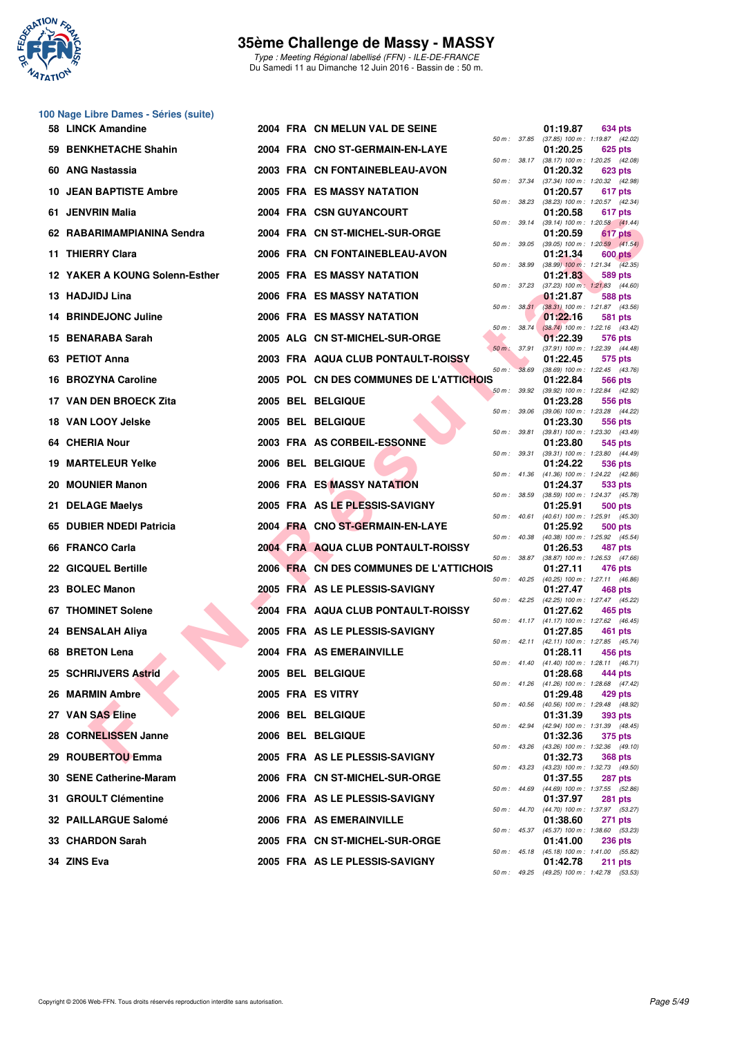

Type : Meeting Régional labellisé (FFN) - ILE-DE-FRANCE Du Samedi 11 au Dimanche 12 Juin 2016 - Bassin de : 50 m.

|     | 58 LINCK Amandine              |  | 2004 FRA CN MELUN VAL DE SEINE          |                  |              | 01:19.87 | 634 pts                                                 |
|-----|--------------------------------|--|-----------------------------------------|------------------|--------------|----------|---------------------------------------------------------|
|     | 59 BENKHETACHE Shahin          |  | 2004 FRA CNO ST-GERMAIN-EN-LAYE         | 50 m : 37.85     |              | 01:20.25 | $(37.85)$ 100 m : 1:19.87 $(42.02)$<br>625 pts          |
|     | 60 ANG Nastassia               |  | 2003 FRA CN FONTAINEBLEAU-AVON          |                  | 50 m : 38.17 | 01:20.32 | $(38.17)$ 100 m : 1:20.25 $(42.08)$<br>623 pts          |
|     | <b>10 JEAN BAPTISTE Ambre</b>  |  | <b>2005 FRA ES MASSY NATATION</b>       | 50 m: 37.34      |              | 01:20.57 | (37.34) 100 m: 1:20.32 (42.98)<br>617 pts               |
|     | 61 JENVRIN Malia               |  | 2004 FRA CSN GUYANCOURT                 | 50 m: 38.23      |              | 01:20.58 | (38.23) 100 m : 1:20.57 (42.34)<br>617 pts              |
|     | 62 RABARIMAMPIANINA Sendra     |  | 2004 FRA CN ST-MICHEL-SUR-ORGE          |                  | 50 m : 39.14 | 01:20.59 | $(39.14)$ 100 m : 1:20.58 $(41.44)$<br>617 pts          |
|     | 11 THIERRY Clara               |  | 2006 FRA CN FONTAINEBLEAU-AVON          | 50 m : 39.05     |              | 01:21.34 | $(39.05)$ 100 m : 1:20.59 $(41.54)$<br><b>600 pts</b>   |
|     | 12 YAKER A KOUNG Solenn-Esther |  | 2005 FRA ES MASSY NATATION              | 50 m : 38.99     |              | 01:21.83 | $(38.99)$ 100 m : 1:21.34 $(42.35)$<br>589 pts          |
|     | 13 HADJIDJ Lina                |  | 2006 FRA ES MASSY NATATION              | $50 m$ : $37.23$ |              | 01:21.87 | $(37.23)$ 100 m : 1:21.83 $(44.60)$<br>588 pts          |
|     | 14 BRINDEJONC Juline           |  | 2006 FRA ES MASSY NATATION              |                  | 50 m: 38.31  | 01:22.16 | (38.31) 100 m: 1:21.87 (43.56)<br>581 pts               |
|     | 15 BENARABA Sarah              |  | 2005 ALG CN ST-MICHEL-SUR-ORGE          |                  | 50 m: 38.74  | 01:22.39 | (38.74) 100 m : 1:22.16 (43.42)<br>576 pts              |
|     | 63 PETIOT Anna                 |  | 2003 FRA AQUA CLUB PONTAULT-ROISSY      | 50 m : 37.91     |              | 01:22.45 | (37.91) 100 m: 1:22.39 (44.48)<br>575 pts               |
|     | 16 BROZYNA Caroline            |  | 2005 POL CN DES COMMUNES DE L'ATTICHOIS | $50 m$ :         | 38.69        | 01:22.84 | $(38.69)$ 100 m : 1:22.45 $(43.76)$<br><b>566 pts</b>   |
|     | 17 VAN DEN BROECK Zita         |  | 2005 BEL BELGIQUE                       | 50 m: 39.92      |              | 01:23.28 | (39.92) 100 m : 1:22.84 (42.92)<br>556 pts              |
|     | 18 VAN LOOY Jelske             |  | 2005 BEL BELGIQUE                       | 50 m : 39.06     |              | 01:23.30 | (39.06) 100 m: 1:23.28 (44.22)<br>556 pts               |
|     | 64 CHERIA Nour                 |  | 2003 FRA AS CORBEIL-ESSONNE             | 50 m: 39.81      |              | 01:23.80 | (39.81) 100 m: 1:23.30 (43.49)<br>545 pts               |
| 19. | <b>MARTELEUR Yelke</b>         |  | 2006 BEL BELGIQUE                       | 50 m : 39.31     |              | 01:24.22 | (39.31) 100 m: 1:23.80 (44.49)<br>536 pts               |
|     | 20 MOUNIER Manon               |  | 2006 FRA ES MASSY NATATION              |                  | 50 m : 41.36 | 01:24.37 | $(41.36)$ 100 m : 1:24.22 $(42.86)$<br>533 pts          |
| 21. | <b>DELAGE Maelys</b>           |  | 2005 FRA AS LE PLESSIS-SAVIGNY          | 50 m : 38.59     |              | 01:25.91 | (38.59) 100 m: 1:24.37 (45.78)<br>500 pts               |
| 65  | <b>DUBIER NDEDI Patricia</b>   |  | 2004 FRA CNO ST-GERMAIN-EN-LAYE         | 50 m: 40.61      |              | 01:25.92 | $(40.61)$ 100 m : 1:25.91 $(45.30)$<br>500 pts          |
|     | 66 FRANCO Carla                |  | 2004 FRA AQUA CLUB PONTAULT-ROISSY      | 50 m: 40.38      |              | 01:26.53 | (40.38) 100 m: 1:25.92 (45.54)<br>487 pts               |
|     | 22 GICQUEL Bertille            |  | 2006 FRA CN DES COMMUNES DE L'ATTICHOIS | 50 m : 38.87     |              | 01:27.11 | (38.87) 100 m: 1:26.53 (47.66)<br>476 pts               |
|     | 23 BOLEC Manon                 |  | 2005 FRA AS LE PLESSIS-SAVIGNY          |                  | 50 m : 40.25 | 01:27.47 | $(40.25)$ 100 m : 1:27.11 $(46.86)$<br>468 pts          |
|     | <b>67 THOMINET Solene</b>      |  | 2004 FRA AQUA CLUB PONTAULT-ROISSY      | 50 m : 42.25     |              | 01:27.62 | (42.25) 100 m: 1:27.47 (45.22)<br>465 pts               |
|     | 24 BENSALAH Aliya              |  | 2005 FRA AS LE PLESSIS-SAVIGNY          |                  |              | 01:27.85 | 50 m: 41.17 (41.17) 100 m: 1:27.62 (46.45)<br>461 pts   |
|     | 68 BRETON Lena                 |  | 2004 FRA AS EMERAINVILLE                |                  |              | 01:28.11 | 50 m: 42.11 (42.11) 100 m: 1:27.85 (45.74)<br>456 pts   |
|     | 25 SCHRIJVERS Astrid           |  | 2005 BEL BELGIQUE                       | 50 m: 41.40      |              | 01:28.68 | $(41.40)$ 100 m : 1:28.11 $(46.71)$<br>444 pts          |
|     | 26 MARMIN Ambre                |  | 2005 FRA ES VITRY                       |                  |              | 01:29.48 | 50 m : 41.26 (41.26) 100 m : 1:28.68 (47.42)<br>429 pts |
|     | 27 VAN SAS Eline               |  | 2006 BEL BELGIQUE                       | 50 m: 40.56      |              | 01:31.39 | (40.56) 100 m: 1:29.48 (48.92)<br>393 pts               |
|     | 28 CORNELISSEN Janne           |  | 2006 BEL BELGIQUE                       | 50 m: 42.94      |              | 01:32.36 | (42.94) 100 m : 1:31.39 (48.45)<br>375 pts              |
|     | 29 ROUBERTOU Emma              |  | 2005 FRA AS LE PLESSIS-SAVIGNY          | 50 m: 43.26      |              | 01:32.73 | (43.26) 100 m: 1:32.36 (49.10)                          |
|     | 30 SENE Catherine-Maram        |  | 2006 FRA CN ST-MICHEL-SUR-ORGE          | 50 m: 43.23      |              |          | <b>368 pts</b><br>(43.23) 100 m : 1:32.73 (49.50)       |
|     |                                |  |                                         | 50 m: 44.69      |              | 01:37.55 | 287 pts<br>(44.69) 100 m : 1:37.55 (52.86)              |
|     | 31 GROULT Clémentine           |  | 2006 FRA AS LE PLESSIS-SAVIGNY          | 50 m: 44.70      |              | 01:37.97 | 281 pts<br>(44.70) 100 m : 1:37.97 (53.27)              |
|     | 32 PAILLARGUE Salomé           |  | 2006 FRA AS EMERAINVILLE                | 50 m : 45.37     |              | 01:38.60 | 271 pts<br>(45.37) 100 m: 1:38.60 (53.23)               |
|     | 33 CHARDON Sarah               |  | 2005 FRA CN ST-MICHEL-SUR-ORGE          |                  | 50 m : 45.18 | 01:41.00 | <b>236 pts</b><br>$(45.18)$ 100 m : 1:41.00 $(55.82)$   |
|     | 34 ZINS Eva                    |  | 2005 FRA AS LE PLESSIS-SAVIGNY          |                  |              | 01:42.78 | 211 pts<br>50 m: 49.25 (49.25) 100 m: 1:42.78 (53.53)   |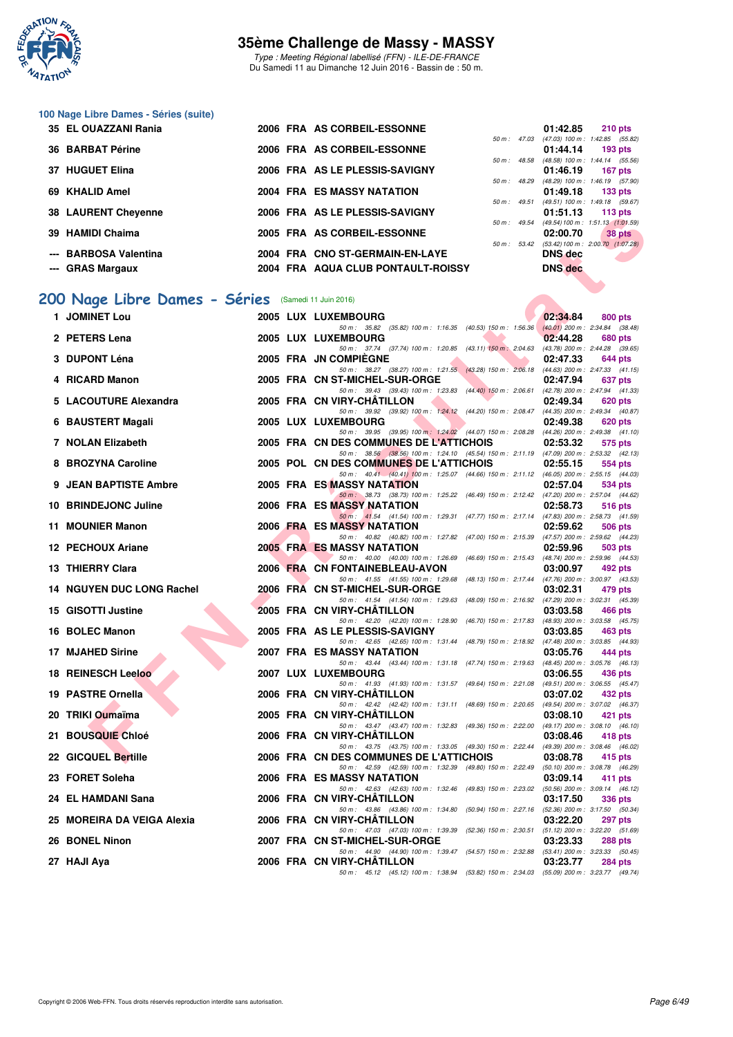

Type : Meeting Régional labellisé (FFN) - ILE-DE-FRANCE Du Samedi 11 au Dimanche 12 Juin 2016 - Bassin de : 50 m.

### **100 Nage Libre Dames - Séries (suite)**

| 35 EL OUAZZANI Rania       |  | 2006 FRA AS CORBEIL-ESSONNE        |                          |                | 01:42.85                                      | $210$ pts |
|----------------------------|--|------------------------------------|--------------------------|----------------|-----------------------------------------------|-----------|
|                            |  |                                    | $50 m$ : 47.03           |                | $(47.03)$ 100 m : 1:42.85 $(55.82)$           |           |
| 36 BARBAT Périne           |  | 2006 FRA AS CORBEIL-ESSONNE        |                          |                | 01:44.14                                      | 193 pts   |
|                            |  |                                    | $50 \text{ m}$ : 48.58   |                | $(48.58)$ 100 m : 1:44.14 $(55.56)$           |           |
| 37 HUGUET Elina            |  | 2006 FRA AS LE PLESSIS-SAVIGNY     |                          |                | 01:46.19                                      | 167 pts   |
|                            |  |                                    | $50 \text{ m}$ : 48.29   |                | $(48.29)$ 100 m : 1:46.19 $(57.90)$           |           |
| 69 KHALID Amel             |  | 2004 FRA ES MASSY NATATION         |                          |                | $01:49.18$ 133 pts                            |           |
|                            |  |                                    |                          | $50 m$ : 49.51 | (49.51) 100 m: 1:49.18 (59.67)                |           |
| <b>38 LAURENT Chevenne</b> |  | 2006 FRA AS LE PLESSIS-SAVIGNY     |                          |                | 01:51.13                                      | 113 $pts$ |
|                            |  |                                    | $50 \text{ m}$ : 49.54   |                | $(49.54) 100 \text{ m}$ : 1:51.13 $(1:01.59)$ |           |
| 39 HAMIDI Chaima           |  | 2005 FRA AS CORBEIL-ESSONNE        |                          |                | 02:00.70                                      | 38 pts    |
|                            |  |                                    | $50 \text{ m}$ : $53.42$ |                | $(53.42) 100 \text{ m}$ : 2:00.70 $(1:07.28)$ |           |
| --- BARBOSA Valentina      |  | 2004 FRA CNO ST-GERMAIN-EN-LAYE    |                          |                | <b>DNS</b> dec                                |           |
| --- GRAS Margaux           |  | 2004 FRA AQUA CLUB PONTAULT-ROISSY |                          |                | <b>DNS</b> dec                                |           |

# **[200 Nage Libre Dames - Séries](http://www.ffnatation.fr/webffn/resultats.php?idact=nat&go=epr&idcpt=38069&idepr=3)** (Samedi 11 Juin 2016)

| JO LAUNENT URTURING                                |  | ZUUU THA AS LE FLESSIS-SAVIUIVI<br>i id pis                                                                                                                        |
|----------------------------------------------------|--|--------------------------------------------------------------------------------------------------------------------------------------------------------------------|
| 39 HAMIDI Chaima                                   |  | $(49.54) 100 \text{ m}$ : 1:51.13 $(1:01.59)$<br>50 m : 49.54<br>2005 FRA AS CORBEIL-ESSONNE<br>02:00.70<br>38 pts<br>50 m: 53.42 (53.42) 100 m: 2:00.70 (1:07.28) |
| --- BARBOSA Valentina                              |  | 2004 FRA CNO ST-GERMAIN-EN-LAYE<br><b>DNS</b> dec                                                                                                                  |
| --- GRAS Margaux                                   |  | <b>DNS</b> dec<br>2004 FRA AQUA CLUB PONTAULT-ROISSY                                                                                                               |
|                                                    |  |                                                                                                                                                                    |
| 00 Nage Libre Dames - Séries (Samedi 11 Juin 2016) |  |                                                                                                                                                                    |
| 1 JOMINET Lou                                      |  | 2005 LUX LUXEMBOURG<br>02:34.84<br>800 pts                                                                                                                         |
| 2 PETERS Lena                                      |  | 50 m: 35.82 (35.82) 100 m: 1:16.35 (40.53) 150 m: 1:56.36 (40.01) 200 m: 2:34.84 (38.48)<br>2005 LUX LUXEMBOURG<br>02:44.28<br>680 pts                             |
| 3 DUPONT Léna                                      |  | 50 m: 37.74 (37.74) 100 m: 1:20.85 (43.11) 150 m: 2:04.63 (43.78) 200 m: 2:44.28 (39.65)<br>2005 FRA JN COMPIEGNE<br>02:47.33<br>644 pts                           |
| 4 RICARD Manon                                     |  | 50 m: 38.27 (38.27) 100 m: 1:21.55 (43.28) 150 m: 2:06.18 (44.63) 200 m: 2:47.33 (41.15)<br>2005 FRA CN ST-MICHEL-SUR-ORGE<br>02:47.94<br>637 pts                  |
| 5 LACOUTURE Alexandra                              |  | 50 m: 39.43 (39.43) 100 m: 1:23.83 (44.40) 150 m: 2:06.61 (42.78) 200 m: 2:47.94 (41.33)<br>2005 FRA CN VIRY-CHATILLON<br>02:49.34<br>620 pts                      |
| 6 BAUSTERT Magali                                  |  | 50 m: 39.92 (39.92) 100 m: 1:24.12 (44.20) 150 m: 2:08.47 (44.35) 200 m: 2:49.34 (40.87)<br>2005 LUX LUXEMBOURG<br>02:49.38<br>620 pts                             |
|                                                    |  | 50 m: 39.95 (39.95) 100 m: 1:24.02 (44.07) 150 m: 2:08.28 (44.26) 200 m: 2:49.38 (41.10)                                                                           |
| 7 NOLAN Elizabeth                                  |  | 2005 FRA CN DES COMMUNES DE L'ATTICHOIS<br>02:53.32<br>575 pts<br>50 m: 38.56 (38.56) 100 m: 1:24.10 (45.54) 150 m: 2:11.19 (47.09) 200 m: 2:53.32 (42.13)         |
| 8 BROZYNA Caroline                                 |  | 2005 POL CN DES COMMUNES DE L'ATTICHOIS<br>02:55.15<br>554 pts                                                                                                     |
|                                                    |  | 50 m: 40.41 (40.41) 100 m: 1:25.07 (44.66) 150 m: 2:11.12 (46.05) 200 m: 2:55.15 (44.03)                                                                           |
| 9 JEAN BAPTISTE Ambre                              |  | 2005 FRA ES MASSY NATATION<br>02:57.04<br>534 pts<br>50 m: 38.73 (38.73) 100 m: 1:25.22 (46.49) 150 m: 2:12.42 (47.20) 200 m: 2:57.04 (44.62)                      |
| 10 BRINDEJONC Juline                               |  | 2006 FRA ES MASSY NATATION<br>02:58.73<br>516 pts<br>50 m: 41.54 (41.54) 100 m: 1:29.31 (47.77) 150 m: 2:17.14 (47.83) 200 m: 2:58.73 (41.59)                      |
| 11 MOUNIER Manon                                   |  | 2006 FRA ES MASSY NATATION<br>02:59.62<br>506 pts                                                                                                                  |
|                                                    |  | 50 m: 40.82 (40.82) 100 m: 1:27.82 (47.00) 150 m: 2:15.39 (47.57) 200 m: 2:59.62 (44.23)                                                                           |
| 12 PECHOUX Ariane                                  |  | <b>2005 FRA ES MASSY NATATION</b><br>02:59.96<br>503 pts<br>50 m: 40.00 (40.00) 100 m: 1:26.69 (46.69) 150 m: 2:15.43 (48.74) 200 m: 2:59.96 (44.53)               |
| 13 THIERRY Clara                                   |  | 2006 FRA CN FONTAINEBLEAU-AVON<br>03:00.97<br>492 pts                                                                                                              |
|                                                    |  | 50 m: 41.55 (41.55) 100 m: 1:29.68 (48.13) 150 m: 2:17.44 (47.76) 200 m: 3:00.97 (43.53)                                                                           |
| 14 NGUYEN DUC LONG Rachel                          |  | 2006 FRA CN ST-MICHEL-SUR-ORGE<br>03:02.31<br>479 pts<br>50 m: 41.54 (41.54) 100 m: 1:29.63 (48.09) 150 m: 2:16.92 (47.29) 200 m: 3:02.31 (45.39)                  |
| 15 GISOTTI Justine                                 |  | 2005 FRA CN VIRY-CHATILLON<br>03:03.58<br>466 pts<br>50 m: 42.20 (42.20) 100 m: 1:28.90 (46.70) 150 m: 2:17.83 (48.93) 200 m: 3:03.58 (45.75)                      |
| 16 BOLEC Manon                                     |  | 2005 FRA AS LE PLESSIS-SAVIGNY<br>03:03.85<br>463 pts                                                                                                              |
|                                                    |  | 50 m: 42.65 (42.65) 100 m: 1:31.44 (48.79) 150 m: 2:18.92 (47.48) 200 m: 3:03.85 (44.93)                                                                           |
| 17 MJAHED Sirine                                   |  | <b>2007 FRA ES MASSY NATATION</b><br>03:05.76<br>444 pts<br>50 m: 43.44 (43.44) 100 m: 1:31.18 (47.74) 150 m: 2:19.63 (48.45) 200 m: 3:05.76 (46.13)               |
| <b>18 REINESCH Leeloo</b>                          |  | 2007 LUX LUXEMBOURG<br>03:06.55<br>436 pts                                                                                                                         |
|                                                    |  | 50 m: 41.93 (41.93) 100 m: 1:31.57 (49.64) 150 m: 2:21.08 (49.51) 200 m: 3:06.55 (45.47)                                                                           |
| 19 PASTRE Ornella                                  |  | 2006 FRA CN VIRY-CHATILLON<br>03:07.02<br>432 pts<br>50 m: 42.42 (42.42) 100 m: 1:31.11 (48.69) 150 m: 2:20.65 (49.54) 200 m: 3:07.02 (46.37)                      |
| 20 TRIKI Oumaïma                                   |  | 2005 FRA CN VIRY-CHATILLON<br>03:08.10<br>421 pts<br>50 m: 43.47 (43.47) 100 m: 1:32.83 (49.36) 150 m: 2:22.00 (49.17) 200 m: 3:08.10 (46.10)                      |
| 21 BOUSQUIE Chloé                                  |  | 2006 FRA CN VIRY-CHATILLON<br>03:08.46<br>418 pts                                                                                                                  |
| 22 GICQUEL Bertille                                |  | 50 m: 43.75 (43.75) 100 m: 1:33.05 (49.30) 150 m: 2:22.44 (49.39) 200 m: 3:08.46 (46.02)<br>2006 FRA CN DES COMMUNES DE L'ATTICHOIS<br>03:08.78<br>415 pts         |
| 23 FORET Soleha                                    |  | 50 m: 42.59 (42.59) 100 m: 1:32.39 (49.80) 150 m: 2:22.49<br>$(50.10)$ 200 m : 3:08.78 $(46.29)$<br>2006 FRA ES MASSY NATATION<br>03:09.14<br>411 pts              |
| 24 EL HAMDANI Sana                                 |  | 50 m : 42.63 (42.63) 100 m : 1:32.46 (49.83) 150 m : 2:23.02<br>(50.56) 200 m : 3:09.14 (46.12)<br>2006 FRA CN VIRY-CHATILLON<br>03:17.50<br>336 pts               |
| 25 MOREIRA DA VEIGA Alexia                         |  | 50 m: 43.86 (43.86) 100 m: 1:34.80<br>$(50.94)$ 150 m : 2:27.16<br>(52.36) 200 m : 3:17.50 (50.34)<br>2006 FRA CN VIRY-CHATILLON<br>03:22.20<br>297 pts            |
| 26 BONEL Ninon                                     |  | 50 m: 47.03 (47.03) 100 m: 1:39.39<br>(52.36) 150 m : 2:30.51<br>$(51.12)$ 200 m : 3:22.20 $(51.69)$<br>2007 FRA CN ST-MICHEL-SUR-ORGE<br>03:23.33<br>288 pts      |
|                                                    |  | 50 m : 44.90 (44.90) 100 m : 1:39.47 (54.57) 150 m : 2:32.88<br>$(53.41)$ 200 m : 3:23.33 $(50.45)$                                                                |
| 27 HAJI Aya                                        |  | 2006 FRA CN VIRY-CHATILLON<br>03:23.77<br>284 pts                                                                                                                  |
|                                                    |  | 50 m: 45.12 (45.12) 100 m: 1:38.94 (53.82) 150 m: 2:34.03 (55.09) 200 m: 3:23.77 (49.74)                                                                           |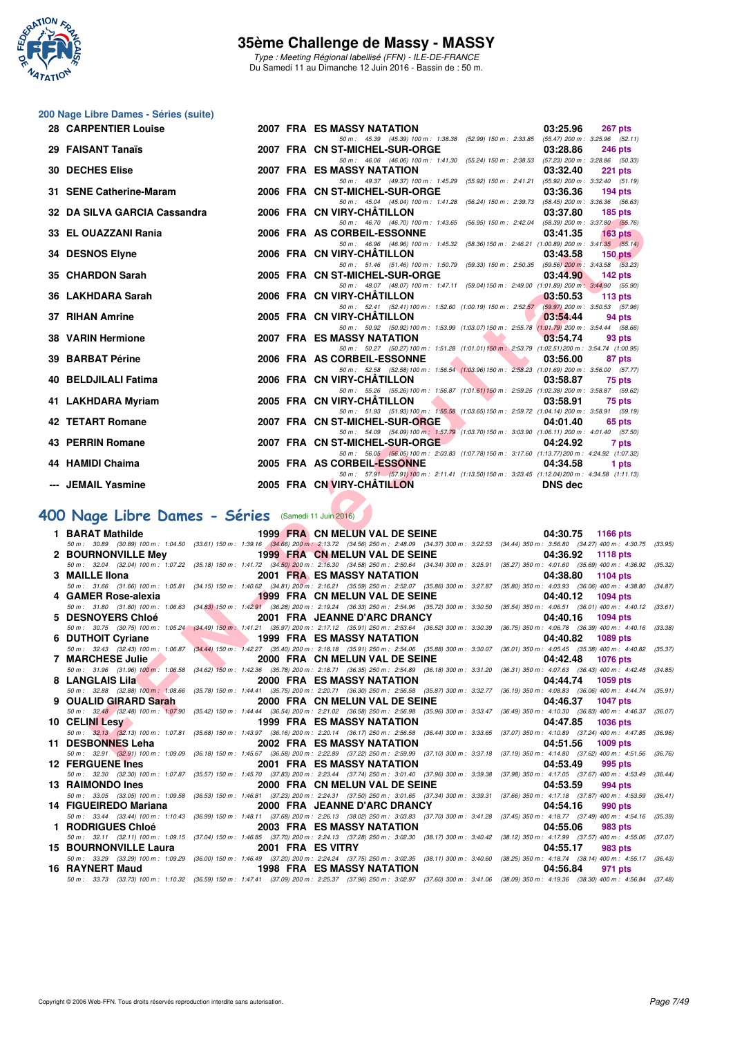

Type : Meeting Régional labellisé (FFN) - ILE-DE-FRANCE Du Samedi 11 au Dimanche 12 Juin 2016 - Bassin de : 50 m.

# **200 Nage Libre Dames - Séries (suite)**

| <b>28 CARPENTIER Louise</b>                                                                                                                                                                                                                                                                                                                                                                                                             |  | <b>2007 FRA ES MASSY NATATION</b> |  |                                                                                                | 03:25.96       | 267 pts         |       |  |
|-----------------------------------------------------------------------------------------------------------------------------------------------------------------------------------------------------------------------------------------------------------------------------------------------------------------------------------------------------------------------------------------------------------------------------------------|--|-----------------------------------|--|------------------------------------------------------------------------------------------------|----------------|-----------------|-------|--|
| 29 FAISANT Tanaïs                                                                                                                                                                                                                                                                                                                                                                                                                       |  | 2007 FRA CN ST-MICHEL-SUR-ORGE    |  | 50 m: 45.39 (45.39) 100 m: 1:38.38 (52.99) 150 m: 2:33.85 (55.47) 200 m: 3:25.96 (52.11)       | 03:28.86       | <b>246 pts</b>  |       |  |
| <b>30 DECHES Elise</b>                                                                                                                                                                                                                                                                                                                                                                                                                  |  | <b>2007 FRA ES MASSY NATATION</b> |  | 50 m: 46.06 (46.06) 100 m: 1:41.30 (55.24) 150 m: 2:38.53 (57.23) 200 m: 3:28.86 (50.33)       |                |                 |       |  |
|                                                                                                                                                                                                                                                                                                                                                                                                                                         |  |                                   |  | 50 m: 49.37 (49.37) 100 m: 1:45.29 (55.92) 150 m: 2:41.21 (55.92) 200 m: 3:32.40 (51.19)       | 03:32.40       | <b>221 pts</b>  |       |  |
| 31 SENE Catherine-Maram                                                                                                                                                                                                                                                                                                                                                                                                                 |  | 2006 FRA CN ST-MICHEL-SUR-ORGE    |  | 50 m: 45.04 (45.04) 100 m: 1:41.28 (56.24) 150 m: 2:39.73 (58.45) 200 m: 3:36.36 (56.63)       | 03:36.36       | $194$ pts       |       |  |
| 32 DA SILVA GARCIA Cassandra                                                                                                                                                                                                                                                                                                                                                                                                            |  | 2006 FRA CN VIRY-CHÂTILLON        |  |                                                                                                | 03:37.80       | $185$ pts       |       |  |
| 33 EL OUAZZANI Rania                                                                                                                                                                                                                                                                                                                                                                                                                    |  | 2006 FRA AS CORBEIL-ESSONNE       |  | 50 m: 46.70 (46.70) 100 m: 1:43.65 (56.95) 150 m: 2:42.04 (58.39) 200 m: 3:37.80 (55.76)       | 03:41.35       | $163$ pts       |       |  |
| 34 DESNOS Elyne                                                                                                                                                                                                                                                                                                                                                                                                                         |  | 2006 FRA CN VIRY-CHATILLON        |  | 50 m: 46.96 (46.96) 100 m: 1:45.32 (58.36) 150 m: 2:46.21 (1:00.89) 200 m: 3:41.35 (55.14)     | 03:43.58       | $150$ pts       |       |  |
|                                                                                                                                                                                                                                                                                                                                                                                                                                         |  |                                   |  | 50 m: 51.46 (51.46) 100 m: 1:50.79 (59.33) 150 m: 2:50.35 (59.56) 200 m: 3:43.58 (53.23)       |                |                 |       |  |
| 35 CHARDON Sarah                                                                                                                                                                                                                                                                                                                                                                                                                        |  | 2005 FRA CN ST-MICHEL-SUR-ORGE    |  | 50 m: 48.07 (48.07) 100 m: 1:47.11 (59.04) 150 m: 2:49.00 (1:01.89) 200 m: 3:44.90 (55.90)     | 03:44.90       | $142$ pts       |       |  |
| 36 LAKHDARA Sarah                                                                                                                                                                                                                                                                                                                                                                                                                       |  | 2006 FRA CN VIRY-CHATILLON        |  | 50 m: 52.41 (52.41) 100 m: 1:52.60 (1:00.19) 150 m: 2:52.57 (59.97) 200 m: 3:50.53 (57.96)     | 03:50.53       | 113 $pts$       |       |  |
| 37 RIHAN Amrine                                                                                                                                                                                                                                                                                                                                                                                                                         |  | 2005 FRA CN VIRY-CHATILLON        |  |                                                                                                | 03:54.44       | 94 pts          |       |  |
| 38 VARIN Hermione                                                                                                                                                                                                                                                                                                                                                                                                                       |  | <b>2007 FRA ES MASSY NATATION</b> |  | 50 m: 50.92 (50.92) 100 m: 1:53.99 (1:03.07) 150 m: 2:55.78 (1:01.79) 200 m: 3:54.44 (58.66)   | 03:54.74       | 93 pts          |       |  |
| 39 BARBAT Périne                                                                                                                                                                                                                                                                                                                                                                                                                        |  | 2006 FRA AS CORBEIL-ESSONNE       |  | 50 m: 50.27 (50.27) 100 m: 1:51.28 (1:01.01) 150 m: 2:53.79 (1:02.51) 200 m: 3:54.74 (1:00.95) | 03:56.00       | 87 pts          |       |  |
|                                                                                                                                                                                                                                                                                                                                                                                                                                         |  |                                   |  | 50 m: 52.58 (52.58) 100 m: 1:56.54 (1:03.96) 150 m: 2:58.23 (1:01.69) 200 m: 3:56.00 (57.77)   |                |                 |       |  |
| <b>40 BELDJILALI Fatima</b>                                                                                                                                                                                                                                                                                                                                                                                                             |  | 2006 FRA CN VIRY-CHATILLON        |  | 50 m: 55.26 (55.26) 100 m: 1:56.87 (1:01.61) 150 m: 2:59.25 (1:02.38) 200 m: 3:58.87 (59.62)   | 03:58.87       | 75 pts          |       |  |
| 41 LAKHDARA Myriam                                                                                                                                                                                                                                                                                                                                                                                                                      |  | 2005 FRA CN VIRY-CHATILLON        |  | 50 m: 51.93 (51.93) 100 m: 1:55.58 (1:03.65) 150 m: 2:59.72 (1:04.14) 200 m: 3:58.91 (59.19)   | 03:58.91       | 75 pts          |       |  |
| 42 TETART Romane                                                                                                                                                                                                                                                                                                                                                                                                                        |  | 2007 FRA CN ST-MICHEL-SUR-ORGE    |  | <b>The Common Service</b>                                                                      | 04:01.40       | 65 pts          |       |  |
| 43 PERRIN Romane                                                                                                                                                                                                                                                                                                                                                                                                                        |  | 2007 FRA CN ST-MICHEL-SUR-ORGE    |  | 50 m: 54.09 (54.09) 100 m: 1:57.79 (1:03.70) 150 m: 3:03.90 (1:06.11) 200 m: 4:01.40 (57.50)   | 04:24.92       |                 | 7 pts |  |
| 44 HAMIDI Chaima                                                                                                                                                                                                                                                                                                                                                                                                                        |  | 2005 FRA AS CORBEIL-ESSONNE       |  | 50 m: 56.05 (56.05) 100 m: 2:03.83 (1:07.78) 150 m: 3:17.60 (1:13.77) 200 m: 4:24.92 (1:07.32) | 04:34.58       |                 |       |  |
|                                                                                                                                                                                                                                                                                                                                                                                                                                         |  |                                   |  | 50 m: 57.91 (57.91) 100 m: 2:11.41 (1:13.50) 150 m: 3:23.45 (1:12.04) 200 m: 4:34.58 (1:11.13) |                |                 | 1 pts |  |
| --- JEMAIL Yasmine                                                                                                                                                                                                                                                                                                                                                                                                                      |  | 2005 FRA CN VIRY-CHÂTILLON        |  |                                                                                                | <b>DNS</b> dec |                 |       |  |
|                                                                                                                                                                                                                                                                                                                                                                                                                                         |  |                                   |  |                                                                                                |                |                 |       |  |
| <b>00 Nage Libre Dames - Séries</b> (Samedi 11 Juin 2016)<br>1 BARAT Mathilde                                                                                                                                                                                                                                                                                                                                                           |  | 1999 FRA CN MELUN VAL DE SEINE    |  |                                                                                                | 04:30.75       |                 |       |  |
| 50 m: 30.89 (30.89) 100 m: 1:04.50 (33.61) 150 m: 1:39.16 (34.66) 200 m: 2:13.72 (34.56) 250 m: 2:48.09 (34.37) 300 m: 3:22.53 (34.44) 350 m: 3:56.80 (34.27) 400 m: 4:30.75 (3:                                                                                                                                                                                                                                                        |  |                                   |  |                                                                                                |                | <b>1166 pts</b> |       |  |
| <b>2 BOURNONVILLE Mev</b><br>50 m: 32.04 (32.04) 100 m: 1:07.22 (35.18) 150 m: 1:41.72 (34.50) 200 m: 2:16.30 (34.58) 250 m: 2:50.64 (34.34) 300 m: 3:25.91 (35.27) 350 m: 4:01.60 (35.69) 400 m: 4:36.92 (3.                                                                                                                                                                                                                           |  | 1999 FRA CN MELUN VAL DE SEINE    |  |                                                                                                | 04:36.92       | <b>1118 pts</b> |       |  |
| 3 MAILLE Ilona                                                                                                                                                                                                                                                                                                                                                                                                                          |  | 2001 FRA ES MASSY NATATION        |  |                                                                                                | 04:38.80       | 1104 pts        |       |  |
| 50 m: 31.66 (31.66) 100 m: 1:05.81 (34.15) 150 m: 1:40.62 (34.81) 200 m: 2:16.21 (35.59) 250 m: 2:52.07 (35.86) 300 m: 3:27.87 (35.80) 350 m: 4:03.93 (36.06) 400 m: 4:38.80 (3-<br>4 GAMER Rose-alexia                                                                                                                                                                                                                                 |  | 1999 FRA CN MELUN VAL DE SEINE    |  |                                                                                                | 04:40.12       | <b>1094 pts</b> |       |  |
| 50 m: 31.80 (31.80) 100 m: 1:06.63 (34.83) 150 m: 1:42.91 (36.28) 200 m: 2:19.24 (36.33) 250 m: 2:54.96 (35.72) 300 m: 3:30.50 (35.54) 350 m: 4:06.51 (36.01) 400 m: 4:40.12 (3:<br><b>5 DESNOYERS Chloé</b>                                                                                                                                                                                                                            |  | 2001 FRA JEANNE D'ARC DRANCY      |  |                                                                                                | 04:40.16       | <b>1094 pts</b> |       |  |
| 50 m: 30.75 (30.75) 100 m: 1:05.24 (34.49) 150 m: 1:41.21 (35.97) 200 m: 2:17.12 (35.91) 250 m: 2:53.64 (36.52) 300 m: 3:30.39 (36.75) 350 m: 4:06.78 (36.39) 400 m: 4:40.16 (3:                                                                                                                                                                                                                                                        |  |                                   |  |                                                                                                |                |                 |       |  |
| and the second second second second second second second second second second second second second second second second second second second second second second second second second second second second second second seco<br>6 DUTHOIT Cyriane<br>50 m: 32.43 (32.43) 100 m: 1:06.87 (34.44) 150 m: 1:42.27 (35.40) 200 m: 2:18.18 (35.31) 250 m: 2:54.06 (35.88) 300 m: 3:30.07 (36.01) 350 m: 4:05.45 (35.38) 400 m: 4:40.82 (3. |  | 1999 FRA ES MASSY NATATION        |  |                                                                                                | 04:40.82       | <b>1089 pts</b> |       |  |
| <b>7 MARCHESE Julie</b>                                                                                                                                                                                                                                                                                                                                                                                                                 |  | 2000 FRA CN MELUN VAL DE SEINE    |  |                                                                                                | 04:42.48       | <b>1076 pts</b> |       |  |
| 50 m : 31.96 (31.96) 100 m : 1:06.58 (34.62) 150 m : 1:42.36 (35.78) 200 m : 2:18.71 (36.35) 250 m : 2:54.89 (36.18) 300 m : 3:31.20 (36.31) 350 m : 4:07.63 (36.43) 400 m : 4:42.48 (3.<br>8 LANGLAIS Lila                                                                                                                                                                                                                             |  | 2000 FRA ES MASSY NATATION        |  |                                                                                                | 04:44.74       | 1059 pts        |       |  |
| 50 m : 32.88 (32.88) 100 m : 1:08.66 (35.78) 150 m : 1:44.41 (35.75) 200 m : 2:20.71 (36.30) 250 m : 2:56.58 (35.87) 300 m : 3:32.77 (36.19) 350 m : 4:08.83 (36.06) 400 m : 4:44.74 (3:                                                                                                                                                                                                                                                |  |                                   |  |                                                                                                |                |                 |       |  |
| 9 OUALID GIRARD Sarah<br>50 m: 32,48 (32.48) 100 m: 1:07.90 (35.42) 150 m: 1:44.44 (36.54) 200 m: 2:21.02 (36.58) 250 m: 2:56.98 (35.96) 300 m: 3:33.47 (36.49) 350 m: 4:10.30 (36.83) 400 m: 4:46.37 (36                                                                                                                                                                                                                               |  | 2000 FRA CN MELUN VAL DE SEINE    |  |                                                                                                | 04:46.37       | <b>1047 pts</b> |       |  |
| 10 CELINI Lesy                                                                                                                                                                                                                                                                                                                                                                                                                          |  | 1999 FRA ES MASSY NATATION        |  |                                                                                                | 04:47.85       | 1036 pts        |       |  |
| 50 m: 32.13 (32.13) 100 m: 1:07.81 (35.68) 150 m: 1:43.97 (36.16) 200 m: 2:20.14 (36.17) 250 m: 2:56.58 (36.44) 300 m: 3:33.65 (37.07) 350 m: 4:10.89 (37.24) 400 m: 4:47.85 (3<br>11 DESBONNES Leha                                                                                                                                                                                                                                    |  | 2002 FRA ES MASSY NATATION        |  |                                                                                                | 04:51.56       | 1009 pts        |       |  |
| 50 m: 32.91 (32.91) 100 m: 1:09.09 (36.18) 150 m: 1:45.67 (36.58) 200 m: 2:22.89 (37.22) 250 m: 2:59.99 (37.10) 300 m: 3:37.18 (37.19) 350 m: 4:14.80 (37.62) 400 m: 4:51.56 (3<br>COOL FRA FO MACCV NATATION<br>40 FEBOURNE Les                                                                                                                                                                                                        |  |                                   |  |                                                                                                | 0.4.50.40      |                 |       |  |
|                                                                                                                                                                                                                                                                                                                                                                                                                                         |  |                                   |  |                                                                                                |                | $0.05 - 1.5$    |       |  |

# **[400 Nage Libre Dames - Séries](http://www.ffnatation.fr/webffn/resultats.php?idact=nat&go=epr&idcpt=38069&idepr=4)** (Samedi 11 Juin 2016)

| 1 BARAT Mathilde             | 1999 FRA CN MELUN VAL DE SEINE    |                                                                                                                                                                                              | 04:30.75          | 1166 pts        |
|------------------------------|-----------------------------------|----------------------------------------------------------------------------------------------------------------------------------------------------------------------------------------------|-------------------|-----------------|
|                              |                                   | 50 m : 30.89 (30.89) 100 m : 1:04.50 (33.61) 150 m : 1:39.16 (34.66) 200 m : 2:13.72 (34.56) 250 m : 2:48.09 (34.37) 300 m : 3:22.53 (34.44) 350 m : 3:56.80 (34.27) 400 m : 4:30.75         |                   | (33.95)         |
| 2 BOURNONVILLE Mev           | 1999 FRA CN MELUN VAL DE SEINE    |                                                                                                                                                                                              | 04:36.92          | <b>1118 pts</b> |
|                              |                                   | 50 m: 32.04 (32.04) 100 m: 1:07.22 (35.18) 150 m: 1:41.72 (34.50) 200 m: 2:16.30 (34.58) 250 m: 2:50.64 (34.34) 300 m: 3:25.91 (35.27) 350 m: 4:01.60 (35.69) 400 m: 4:36.92                 |                   | (35.32)         |
| 3 MAILLE IIona               | <b>2001 FRA ES MASSY NATATION</b> |                                                                                                                                                                                              | 04:38.80          | 1104 pts        |
|                              |                                   | 50 m : 31.66 (31.66) 100 m : 1:05.81 (34.15) 150 m : 1:40.62 (34.81) 200 m : 2:16.21 (35.59) 250 m : 2:52.07 (35.86) 300 m : 3:27.87 (35.80) 350 m : 4:03.93 (36.06) 400 m : 4:38.80         |                   | (34.87)         |
| 4 GAMER Rose-alexia          | 1999 FRA CN MELUN VAL DE SEINE    |                                                                                                                                                                                              | 04:40.12          | 1094 pts        |
|                              |                                   | 50 m: 31.80 (31.80) 100 m: 1:06.63 (34.83) 150 m: 1:42.91 (36.28) 200 m: 2:19.24 (36.33) 250 m: 2:54.96 (35.72) 300 m: 3:30.50 (35.54) 350 m: 4:06.51 (36.01) 400 m: 4:40.12                 |                   | (33.61)         |
| 5 DESNOYERS Chloé            | 2001 FRA JEANNE D'ARC DRANCY      |                                                                                                                                                                                              | 04:40.16          | <b>1094 pts</b> |
|                              |                                   | 50 m: 30.75 (30.75) 100 m: 1:05.24 (34.49) 150 m: 1:41.21 (35.97) 200 m: 2:17.12 (35.91) 250 m: 2:53.64 (36.52) 300 m: 3:30.39 (36.75) 350 m: 4:06.78 (36.39) 400 m: 4:40.16                 |                   | (33.38)         |
| 6 DUTHOIT Cyriane            | <b>1999 FRA ES MASSY NATATION</b> |                                                                                                                                                                                              | 04:40.82 1089 pts |                 |
|                              |                                   | 50 m : 32.43 (32.43) 100 m : 1:06.87 (34.44) 150 m : 1:42.27 (35.40) 200 m : 2:18.18 (35.91) 250 m : 2:54.06 (35.88) 300 m : 3:30.07 (36.01) 350 m : 4:05.45 (35.38) 400 m : 4:40.82         |                   | (35.37)         |
| <b>7 MARCHESE Julie</b>      | 2000 FRA CN MELUN VAL DE SEINE    |                                                                                                                                                                                              | 04:42.48          | <b>1076 pts</b> |
|                              |                                   | 50 m : 31.96 (31.96) 100 m : 1:06.58 (34.62) 150 m : 1:42.36 (35.78) 200 m : 2:18.71 (36.35) 250 m : 2:54.89 (36.18) 300 m : 3:31.20 (36.31) 350 m : 4:07.63 (36.43) 400 m : 4:42.48         |                   | (34.85)         |
| 8 LANGLAIS Lila              | <b>2000 FRA ES MASSY NATATION</b> |                                                                                                                                                                                              | 04:44.74          | 1059 pts        |
|                              |                                   | 50 m : 32.88 (32.88) 100 m : 1:08.66 (35.78) 150 m : 1:44.41 (35.75) 200 m : 2:20.71 (36.30) 250 m : 2:56.58 (35.87) 300 m : 3:32.77 (36.19) 350 m : 4:08.83 (36.06) 400 m : 4:44.74         |                   | (35.91)         |
| 9 OUALID GIRARD Sarah        | 2000 FRA CN MELUN VAL DE SEINE    |                                                                                                                                                                                              | 04:46.37          | 1047 pts        |
|                              |                                   | 50 m : 32.48 (32.48) 100 m : 1:07.90 (35.42) 150 m : 1:44.44 (36.54) 200 m : 2:21.02 (36.58) 250 m : 2:56.98 (35.96) 300 m : 3:33.47 (36.49) 350 m : 4:10.30 (36.83) 400 m : 4:46.37         |                   | (36.07)         |
| <b>10 CELINI Lesy</b>        | <b>1999 FRA ES MASSY NATATION</b> |                                                                                                                                                                                              | 04:47.85          | <b>1036 pts</b> |
|                              |                                   | 50 m: 32.13 (32.13) 100 m: 1:07.81 (35.68) 150 m: 1:43.97 (36.16) 200 m: 2:20.14 (36.17) 250 m: 2:56.58 (36.44) 300 m: 3:33.65 (37.07) 350 m: 4:10.89 (37.24) 400 m: 4:47.85                 |                   | (36.96)         |
| 11 DESBONNES Leha            | <b>2002 FRA ES MASSY NATATION</b> |                                                                                                                                                                                              | 04:51.56          | 1009 pts        |
|                              |                                   | 50 m: 32.91 (32.91) 100 m: 1:09.09 (36.18) 150 m: 1:45.67 (36.58) 200 m: 2:22.89 (37.22) 250 m: 2:59.99 (37.10) 300 m: 3:37.18 (37.19) 350 m: 4:14.80 (37.62) 400 m: 4:51.56                 |                   | (36.76)         |
| <b>12 FERGUENE Ines</b>      | <b>2001 FRA ES MASSY NATATION</b> |                                                                                                                                                                                              | 04:53.49          | 995 pts         |
|                              |                                   | 50 m : 32.30 (32.30) 100 m : 1:07.87 (35.57) 150 m : 1:45.70 (37.83) 200 m : 2:23.44 (37.74) 250 m : 3:01.40 (37.96) 300 m : 3:39.38 (37.98) 350 m : 4:17.05 (37.67) 400 m : 4:53.49         |                   | (36.44)         |
| 13 RAIMONDO Ines             | 2000 FRA CN MELUN VAL DE SEINE    |                                                                                                                                                                                              | 04:53.59          | 994 pts         |
|                              |                                   | 50 m: 33.05 (33.05) 100 m: 1:09.58 (36.53) 150 m: 1:46.81 (37.23) 200 m: 2:24.31 (37.50) 250 m: 3:01.65 (37.34) 300 m: 3:39.31 (37.66) 350 m: 4:17.18 (37.87) 400 m: 4:53.59                 |                   | (36.41)         |
| 14 FIGUEIREDO Mariana        | 2000 FRA JEANNE D'ARC DRANCY      |                                                                                                                                                                                              | 04:54.16          | 990 pts         |
|                              |                                   | 50 m: 33.44 (33.44) 100 m: 1:10.43 (36.99) 150 m: 1:48.11 (37.68) 200 m: 2:26.13 (38.02) 250 m: 3:03.83 (37.70) 300 m: 3:41.28 (37.45) 350 m: 4:18.77 (37.49) 400 m: 4:54.16                 |                   | (35.39)         |
| 1 RODRIGUES Chloé            | 2003 FRA ES MASSY NATATION        |                                                                                                                                                                                              | 04:55.06          | 983 pts         |
|                              |                                   | 50 m: 32.11 (32.11) 100 m: 1:09.15 (37.04) 150 m: 1:46.85 (37.70) 200 m: 2:24.13 (37.28) 250 m: 3:02.30 (38.17) 300 m: 3:40.42 (38.12) 350 m: 4:17.99 (37.57) 400 m: 4:55.06                 |                   | (37.07)         |
| <b>15 BOURNONVILLE Laura</b> | 2001 FRA ES VITRY                 |                                                                                                                                                                                              | 04:55.17          | 983 pts         |
|                              |                                   | 50 m : 33.29 (33.29) 100 m : 1:09.29 (36.00) 150 m : 1:46.49 (37.20) 200 m : 2:24.24 (37.75) 250 m : 3:02.35 (38.11) 300 m : 3:40.60 (38.25) 350 m : 4:18.74 (38.14) 400 m : 4:55.17 (36.43) |                   |                 |
| 16 RAYNERT Maud              | <b>1998 FRA ES MASSY NATATION</b> |                                                                                                                                                                                              | 04:56.84          | 971 pts         |
|                              |                                   | 50 m: 33.73 (33.73) 100 m: 1:10.32 (36.59) 150 m: 1:47.41 (37.09) 200 m: 2:25.37 (37.96) 250 m: 3:02.97 (37.60) 300 m: 3:41.06 (38.09) 350 m: 4:19.36 (38.30) 400 m: 4:56.84 (37.48)         |                   |                 |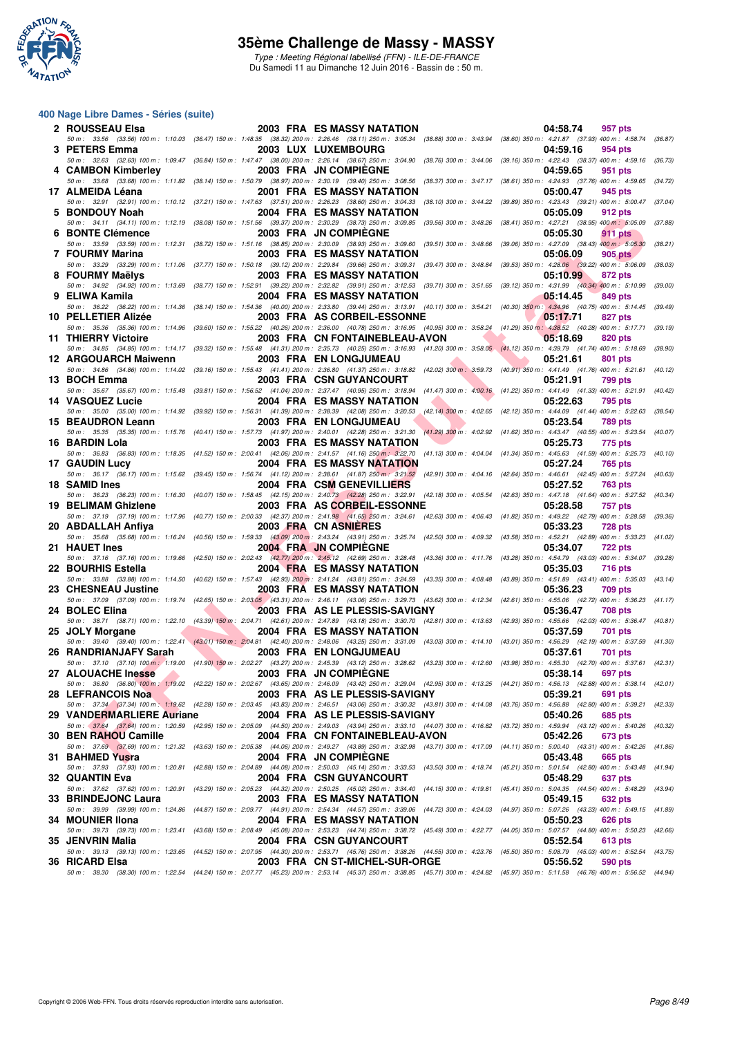

Type : Meeting Régional labellisé (FFN) - ILE-DE-FRANCE Du Samedi 11 au Dimanche 12 Juin 2016 - Bassin de : 50 m.

| 2 ROUSSEAU Elsa                                                                                                                                                                                                     |  | <b>2003 FRA ES MASSY NATATION</b> | 04:58.74         | 957 pts        |         |
|---------------------------------------------------------------------------------------------------------------------------------------------------------------------------------------------------------------------|--|-----------------------------------|------------------|----------------|---------|
| 50 m: 33.56 (33.56) 100 m: 1:10.03 (36.47) 150 m: 1:48.35 (38.32) 200 m: 2:26.46 (38.11) 250 m: 3:05.34 (38.88) 300 m: 3:43.94 (38.60) 350 m: 4:21.87 (37.93) 400 m: 4:58.74 (36.87)<br>3 PETERS Emma               |  | 2003 LUX LUXEMBOURG               | 04:59.16         | 954 pts        |         |
| 50 m: 32.63 (32.63) 100 m: 1:09.47 (36.84) 150 m: 1:47.47 (38.00) 200 m: 2:26.14 (38.67) 250 m: 3:04.90 (38.76) 300 m: 3:44.06 (39.16) 350 m: 4:22.43 (38.37) 400 m: 4:59.16 (36.73)<br>4 CAMBON Kimberley          |  | 2003 FRA JN COMPIEGNE             | 04:59.65         | 951 pts        |         |
| 50 m: 33.68 (33.68) 100 m: 1:11.82 (38.14) 150 m: 1:50.79 (38.97) 200 m: 2:30.19 (39.40) 250 m: 3:08.56 (38.37) 300 m: 3:47.17 (38.61) 350 m: 4:24.93 (37.76) 400 m: 4:59.65<br>17 ALMEIDA Léana                    |  | <b>2001 FRA ES MASSY NATATION</b> | 05:00.47         | 945 pts        | (34.72) |
| 50 m: 32.91 (32.91) 100 m: 1:10.12 (37.21) 150 m: 1:47.63 (37.51) 200 m: 2:26.23 (38.60) 250 m: 3:04.33 (38.10) 300 m: 3:44.22 (39.89) 350 m: 4:23.43 (39.21) 400 m: 5:00.47 (37.04)                                |  |                                   |                  |                |         |
| 5 BONDOUY Noah<br>50 m: 34.11 (34.11) 100 m: 1:12.19 (38.08) 150 m: 1:51.56 (39.37) 200 m: 2:30.29 (38.73) 250 m: 3:09.85 (39.56) 300 m: 3:48.26 (38.41) 350 m: 4:27.21 (38.95) 400 m: 5:05.09                      |  | <b>2004 FRA ES MASSY NATATION</b> | 05:05.09         | 912 pts        | (37.88) |
| 6 BONTE Clémence<br>50 m: 33.59 (33.59) 100 m: 1:12.31 (38.72) 150 m: 1:51.16 (38.85) 200 m: 2:30.09 (38.93) 250 m: 3:09.60 (39.51) 300 m: 3:48.66 (39.06) 350 m: 4:27.09 (38.43) 400 m: 5:05.30                    |  | 2003 FRA JN COMPIEGNE             | 05:05.30         | 911 pts        | (38.21) |
| 7 FOURMY Marina                                                                                                                                                                                                     |  | <b>2003 FRA ES MASSY NATATION</b> | 05:06.09         | 905 pts        |         |
| 50 m : 33.29 (33.29) 100 m : 1:11.06 (37.77) 150 m : 1:50.18 (39.12) 200 m : 2:29.84 (39.66) 250 m : 3:09.31 (39.47) 300 m : 3:48.84 (39.53) 350 m : 4:28.06 (39.22) 400 m : 5:06.09 (38.03)<br>8 FOURMY Maëlvs     |  | <b>2003 FRA ES MASSY NATATION</b> | 05:10.99         | 872 pts        |         |
| 50 m: 34.92 (34.92) 100 m: 1:13.69 (38.77) 150 m: 1:52.91 (39.22) 200 m: 2:32.82 (39.91) 250 m: 3:12.53 (39.71) 300 m: 3:51.65 (39.12) 350 m: 4:31.99 (40.34) 400 m: 5:10.99<br>9 ELIWA Kamila                      |  | 2004 FRA ES MASSY NATATION        | 05:14.45         | 849 pts        | (39.00) |
| 50 m : 36.22 (36.22) 100 m : 1:14.36 (38.14) 150 m : 1:54.36 (40.00) 200 m : 2:33.80 (39.44) 250 m : 3:13.91 (40.11) 300 m : 3:54.21 (40.30) 350 m : 4:34.96 (40.75) 400 m : 5:14.45 (39.49)                        |  |                                   |                  |                |         |
| 10 PELLETIER Alizée<br>50 m: 35.36 (35.36) 100 m: 1:14.96 (39.60) 150 m: 1:55.22 (40.26) 200 m: 2:36.00 (40.78) 250 m: 3:16.95 (40.95) 300 m: 3:58.24 (41.29) 350 m: 4:38.52 (40.28) 400 m: 5:17.71                 |  | 2003 FRA AS CORBEIL-ESSONNE       | 05:17.71         | 827 pts        | (39.19) |
| 11 THIERRY Victoire<br>50 m: 34.85 (34.85) 100 m: 1:14.17 (39.32) 150 m: 1:55.48 (41.31) 200 m: 2:35.73 (40.25) 250 m: 3:16.93 (41.20) 300 m: 3:58.05 (41.12) 350 m: 4:39.79 (41.74) 400 m: 5:18.69                 |  | 2003 FRA CN FONTAINEBLEAU-AVON    | 05:18.69         | 820 pts        | (38.90) |
| 12 ARGOUARCH Maiwenn                                                                                                                                                                                                |  | 2003 FRA EN LONGJUMEAU            | 05:21.61         | 801 pts        |         |
| 50 m: 34.86 (34.86) 100 m: 1:14.02 (39.16) 150 m: 1:55.43 (41.41) 200 m: 2:36.80 (41.37) 250 m: 3:18.82 (42.02) 300 m: 3:59.73 (40.91) 350 m: 4:41.49 (41.76) 400 m: 5:21.61<br>13 BOCH Emma                        |  | <b>2003 FRA CSN GUYANCOURT</b>    | 05:21.91         | 799 pts        | (40.12) |
| 50 m: 35.67 (35.67) 100 m: 1:15.48 (39.81) 150 m: 1:56.52 (41.04) 200 m: 2:37.47 (40.95) 250 m: 3:18.94 (41.47) 300 m: 4:00.16 (41.22) 350 m: 4:41.49 (41.33) 400 m: 5:21.91 (40.42)<br>14 VASQUEZ Lucie            |  | <b>2004 FRA ES MASSY NATATION</b> | 05:22.63         | 795 pts        |         |
| 50 m: 35.00 (35.00) 100 m: 1:14.92 (39.92) 150 m: 1:56.31 (41.39) 200 m: 2:38.39 (42.08) 250 m: 3:20.53 (42.14) 300 m: 4:02.65 (42.12) 350 m: 4:44.09 (41.44) 400 m: 5:22.63 (38.54)                                |  |                                   |                  |                |         |
| 15 BEAUDRON Leann<br>50 m: 35.35 (35.35) 100 m: 1:15.76 (40.41) 150 m: 1:57.73 (41.97) 200 m: 2:40.01 (42.28) 250 m: 3:21.30 (41.29) 300 m: 4:02.92 (41.62) 350 m: 4:43.47 (40.55) 400 m: 5:23.54                   |  | 2003 FRA EN LONGJUMEAU            | 05:23.54         | 789 pts        | (40.07) |
| 16 BARDIN Lola<br>50 m: 36.83 (36.83) 100 m: 1:18.35 (41.52) 150 m: 2:00.41 (42.06) 200 m: 2:41.57 (41.16) 250 m: 3:22.70 (41.13) 300 m: 4:04.04 (41.34) 350 m: 4:45.63 (41.59) 400 m: 5:25.73 (40.10)              |  | <b>2003 FRA ES MASSY NATATION</b> | 05:25.73         | 775 pts        |         |
| 17 GAUDIN Lucy                                                                                                                                                                                                      |  | <b>2004 FRA ES MASSY NATATION</b> | 05:27.24         | 765 pts        |         |
| 50 m: 36.17 (36.17) 100 m: 1:15.62 (39.45) 150 m: 1:56.74 (41.12) 200 m: 2:38.61 (41.87) 250 m: 3:21.52 (42.91) 300 m: 4:04.16 (42.64) 350 m: 4:46.61 (42.45) 400 m: 5:27.24<br>18 SAMID Ines                       |  | 2004 FRA CSM GENEVILLIERS         | 05:27.52         | 763 pts        | (40.63) |
| 50 m: 36.23 (36.23) 100 m: 1:16.30 (40.07) 150 m: 1:58.45 (42.15) 200 m: 2:40.73 (42.28) 250 m: 3:22.91 (42.18) 300 m: 4:05.54 (42.63) 350 m: 4:47.18 (41.64) 400 m: 5:27.52<br>19 BELIMAM Ghizlene                 |  | 2003 FRA AS CORBEIL-ESSONNE       | 05:28.58         | 757 pts        | (40.34) |
| 50 m: 37.19 (37.19) 100 m: 1:17.96 (40.77) 150 m: 2:00.33 (42.37) 200 m: 2:41.98 (41.65) 250 m: 3:24.61 (42.63) 300 m: 4:06.43 (41.82) 350 m: 4:49.22 (42.79) 400 m: 5:28.58 (39.36)                                |  |                                   |                  |                |         |
| 20 ABDALLAH Anfiya<br>50 m: 35.68 (35.68) 100 m: 1:16.24 (40.56) 150 m: 1:59.33 (43.09) 200 m: 2:43.24 (43.91) 250 m: 3:25.74 (42.50) 300 m: 4:09.32 (43.58) 350 m: 4:52.21 (42.89) 400 m: 5:33.23                  |  | 2003 FRA CN ASNIERES              | 05:33.23         | <b>728 pts</b> | (41.02) |
| 21 HAUET Ines<br>50 m: 37.16 (37.16) 100 m: 1:19.66 (42.50) 150 m: 2:02.43 (42.77) 200 m: 2:45.12 (42.69) 250 m: 3:28.48 (43.36) 300 m: 4:11.76 (43.28) 350 m: 4:54.79 (43.03) 400 m: 5:34.07 (39.28)               |  | 2004 FRA JN COMPIEGNE             | 05:34.07         | <b>722 pts</b> |         |
| 22 BOURHIS Estella                                                                                                                                                                                                  |  | <b>2004 FRA ES MASSY NATATION</b> | 05:35.03         | 716 pts        |         |
| 50 m: 33.88 (33.88) 100 m: 1:14.50 (40.62) 150 m: 1:57.43 (42.93) 200 m: 2:41.24 (43.81) 250 m: 3:24.59 (43.35) 300 m: 4:08.48 (43.89) 350 m: 4:51.89 (43.41) 400 m: 5:35.03<br>23 CHESNEAU Justine                 |  | <b>2003 FRA ES MASSY NATATION</b> | 05:36.23         | <b>709 pts</b> | (43.14) |
| 50 m: 37.09 (37.09) 100 m: 1:19.74 (42.65) 150 m: 2:03.05 (43.31) 200 m: 2:46.11 (43.06) 250 m: 3:29.73 (43.62) 300 m: 4:12.34 (42.61) 350 m: 4:55.06 (42.72) 400 m: 5:36.23<br>24 BOLEC Elina                      |  | 2003 FRA AS LE PLESSIS-SAVIGNY    | 05:36.47         | 708 pts        | (41.17) |
| 50 m: 38.71 (38.71) 100 m: 1:22.10 (43.39) 150 m: 2:04.71 (42.61) 200 m: 2:47.89 (43.18) 250 m: 3:30.70 (42.81) 300 m: 4:13.63 (42.83) 350 m: 4:55.66 (42.03) 400 m: 5:36.47 (40.81)                                |  |                                   |                  |                |         |
| 25 JOLY Morgane<br>50 m: 39.40 (39.40) 100 m: 1:22.41 (43.01) 150 m: 2:04.81 (42.40) 200 m: 2:48.06 (43.25) 250 m: 3:31.09 (43.03) 300 m: 4:14.10 (43.01) 350 m: 4:56.29 (42.19) 400 m: 5:37.59 (41.30)             |  | <b>2004 FRA ES MASSY NATATION</b> | 05:37.59         | 701 pts        |         |
| 26 RANDRIANJAFY Sarah<br>50 m: 37.10 (37.10) 100 m: 1:19.00 (41.90) 150 m: 2:02.27 (43.27) 200 m: 2:45.39 (43.12) 250 m: 3:28.62 (43.23) 300 m: 4:12.60 (43.98) 350 m: 4:55.30 (42.70) 400 m: 5:37.61 (42.31)       |  | 2003 FRA EN LONGJUMEAU            | 05:37.61         | 701 pts        |         |
| 27 ALOUACHE Inesse                                                                                                                                                                                                  |  | 2003 FRA JN COMPIÈGNE             | 05:38.14 697 pts |                |         |
| 50 m: 36.80 (36.80) 100 m: 1:19.02 (42.22) 150 m: 2:02.67 (43.65) 200 m: 2:46.09 (43.42) 250 m: 3:29.04 (42.95) 300 m: 4:13.25 (44.21) 350 m: 4:56.13 (42.88) 400 m: 5:38.14 (42.01)<br><b>28 LEFRANCOIS Noa</b>    |  | 2003 FRA AS LE PLESSIS-SAVIGNY    | 05:39.21         | 691 pts        |         |
| 50 m: 37.34 (37.34) 100 m: 1:19.62 (42.28) 150 m: 2:03.45 (43.83) 200 m: 2:46.51 (43.06) 250 m: 3:30.32 (43.81) 300 m: 4:14.08 (43.76) 350 m: 4:56.88 (42.80) 400 m: 5:39.21 (42.33)<br>29 VANDERMARLIERE Auriane   |  | 2004 FRA AS LE PLESSIS-SAVIGNY    | 05:40.26         | 685 pts        |         |
| 50 m: 37.64 (37.64) 100 m: 1:20.59 (42.95) 150 m: 2:05.09 (44.50) 200 m: 2:49.03 (43.94) 250 m: 3:33.10 (44.07) 300 m: 4:16.82 (43.72) 350 m: 4:59.94 (43.12) 400 m: 5:40.26                                        |  |                                   |                  |                | (40.32) |
| 30 BEN RAHOU Camille<br>50 m: 37.69 (37.69) 100 m: 1:21.32 (43.63) 150 m: 2:05.38 (44.06) 200 m: 2:49.27 (43.89) 250 m: 3:32.98 (43.71) 300 m: 4:17.09 (44.11) 350 m: 5:00.40 (43.31) 400 m: 5:42.26 (41.86)        |  | 2004 FRA CN FONTAINEBLEAU-AVON    | 05:42.26         | 673 pts        |         |
| 31 BAHMED Yusra<br>50 m: 37.93 (37.93) 100 m: 1:20.81 (42.88) 150 m: 2:04.89 (44.08) 200 m: 2:50.03 (45.14) 250 m: 3:33.53 (43.50) 300 m: 4:18.74 (45.21) 350 m: 5:01.54 (42.80) 400 m: 5:43.48 (41.94)             |  | 2004 FRA JN COMPIEGNE             | 05:43.48         | 665 pts        |         |
| 32 QUANTIN Eva                                                                                                                                                                                                      |  | 2004 FRA CSN GUYANCOURT           | 05:48.29         | 637 pts        |         |
| 50 m : 37.62 (37.62) 100 m : 1:20.91 (43.29) 150 m : 2:05.23 (44.32) 200 m : 2:50.25 (45.02) 250 m : 3:34.40 (44.15) 300 m : 4:19.81 (45.41) 350 m : 5:04.35 (44.54) 400 m : 5:48.29 (43.94)<br>33 BRINDEJONC Laura |  | 2003 FRA ES MASSY NATATION        | 05:49.15         | 632 pts        |         |
| 50 m : 39.99 (39.99) 100 m : 1:24.86 (44.87) 150 m : 2:09.77 (44.91) 200 m : 2:54.34 (44.57) 250 m : 3:39.06 (44.72) 300 m : 4:24.03 (44.97) 350 m : 5:07.26 (43.23) 400 m : 5:49.15 (41.89)<br>34 MOUNIER IIona    |  | 2004 FRA ES MASSY NATATION        | 05:50.23         | 626 pts        |         |
| 50 m: 39.73 (39.73) 100 m: 1:23.41 (43.68) 150 m: 2:08.49 (45.08) 200 m: 2:53.23 (44.74) 250 m: 3:38.72 (45.49) 300 m: 4:22.77 (44.05) 350 m: 5:07.57 (44.80) 400 m: 5:50.23 (42.66)                                |  |                                   |                  |                |         |
| 35 JENVRIN Malia<br>50 m: 39.13 (39.13) 100 m: 1:23.65 (44.52) 150 m: 2:07.95 (44.30) 200 m: 2:53.71 (45.76) 250 m: 3:38.26 (44.55) 300 m: 4:23.76 (45.50) 350 m: 5:08.79 (45.03) 400 m: 5:52.54 (43.75)            |  | 2004 FRA CSN GUYANCOURT           | 05:52.54         | 613 pts        |         |
| 36 RICARD Elsa<br>50 m: 38.30 (38.30) 100 m: 1:22.54 (44.24) 150 m: 2:07.77 (45.23) 200 m: 2:53.14 (45.37) 250 m: 3:38.85 (45.71) 300 m: 4:24.82 (45.97) 350 m: 5:11.58 (46.76) 400 m: 5:56.52 (44.94)              |  | 2003 FRA CN ST-MICHEL-SUR-ORGE    | 05:56.52         | 590 pts        |         |
|                                                                                                                                                                                                                     |  |                                   |                  |                |         |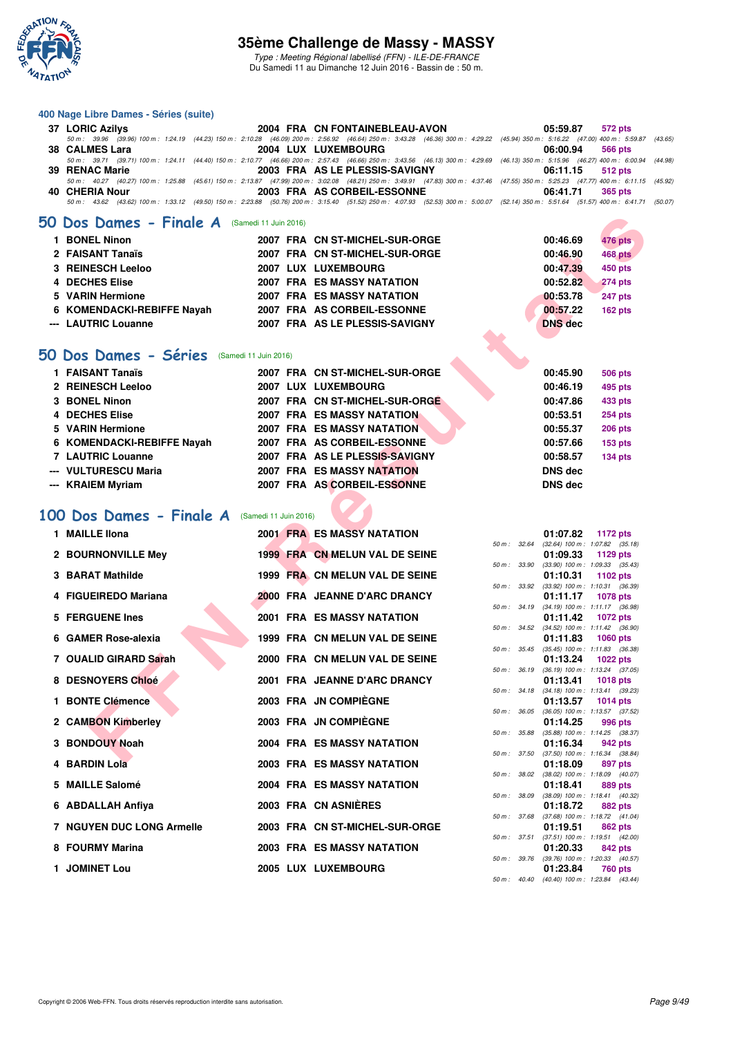

Type : Meeting Régional labellisé (FFN) - ILE-DE-FRANCE Du Samedi 11 au Dimanche 12 Juin 2016 - Bassin de : 50 m.

#### **400 Nage Libre Dames - Séries (suite)**

| 37 LORIC Azilys | 2004 FRA CN FONTAINEBLEAU-AVON                                                                                                                                                               | 05:59.87 572 pts |
|-----------------|----------------------------------------------------------------------------------------------------------------------------------------------------------------------------------------------|------------------|
|                 | 50 m : 39.96 (39.96) 100 m : 1:24.19 (44.23) 150 m : 2:10.28 (46.09) 200 m : 2:56.92 (46.64) 250 m : 3:43.28 (46.36) 300 m : 4:29.22 (45.94) 350 m : 5:16.22 (47.00) 400 m : 5:59.87 (43.65) |                  |
| 38 CALMES Lara  | <b>2004 LUX LUXEMBOURG</b>                                                                                                                                                                   | 06:00.94 566 pts |
|                 | 50 m: 39.71 (39.71) 100 m: 1:24.11 (44.40) 150 m: 2:10.77 (46.66) 200 m: 2:57.43 (46.66) 250 m: 3:43.56 (46.13) 300 m: 4:29.69 (46.13) 350 m: 5:15.96 (46.27) 400 m: 6:00.94 (44.98)         |                  |
| 39 RENAC Marie  | 2003 FRA AS LE PLESSIS-SAVIGNY                                                                                                                                                               | 06:11.15 512 pts |
|                 | 50 m: 40.27 (40.27) 100 m: 1:25.88 (45.61) 150 m: 2:13.87 (47.99) 200 m: 3:02.08 (48.21) 250 m: 3:49.91 (47.83) 300 m: 4:37.46 (47.55) 350 m: 5:25.23 (47.77) 400 m: 6:11.15 (45.92)         |                  |
| 40 CHERIA Nour  | 2003 FRA AS CORBEIL-ESSONNE                                                                                                                                                                  | 06:41.71 365 pts |
|                 | 50 m: 43.62 (43.62) 100 m: 1:33.12 (49.50) 150 m: 2:23.88 (50.76) 200 m: 3:15.40 (51.52) 250 m: 4:07.93 (52.53) 300 m: 5:00.07 (52.14) 350 m: 5:51.64 (51.57) 400 m: 6:41.71 (50.07)         |                  |
|                 |                                                                                                                                                                                              |                  |

### **[50 Dos Dames - Finale A](http://www.ffnatation.fr/webffn/resultats.php?idact=nat&go=epr&idcpt=38069&idepr=11)** (Samedi 11 Juin 2016)

| <b>BONEL Ninon</b>         | 2007 FRA CN ST-MICHEL-SUR-ORGE    | 00:46.69<br>476 pts        |
|----------------------------|-----------------------------------|----------------------------|
| 2 FAISANT Tanaïs           | 2007 FRA CN ST-MICHEL-SUR-ORGE    | <b>468 pts</b><br>00:46.90 |
| 3 REINESCH Leeloo          | 2007 LUX LUXEMBOURG               | 00:47.39<br>450 pts        |
| 4 DECHES Elise             | <b>2007 FRA ES MASSY NATATION</b> | 00:52.82<br><b>274 pts</b> |
| 5 VARIN Hermione           | <b>2007 FRA ES MASSY NATATION</b> | <b>247 pts</b><br>00:53.78 |
| 6 KOMENDACKI-REBIFFE Nayah | 2007 FRA AS CORBEIL-ESSONNE       | 00:57.22<br><b>162 pts</b> |
| --- LAUTRIC Louanne        | 2007 FRA AS LE PLESSIS-SAVIGNY    | <b>DNS</b> dec             |

# **[50 Dos Dames - Séries](http://www.ffnatation.fr/webffn/resultats.php?idact=nat&go=epr&idcpt=38069&idepr=11)** (Samedi 11 Juin 2016)

| 1 FAISANT Tanaïs           |  | 2007 FRA CN ST-MICHEL-SUR-ORGE    | 00:45.90       | <b>506 pts</b> |
|----------------------------|--|-----------------------------------|----------------|----------------|
| 2 REINESCH Leeloo          |  | 2007 LUX LUXEMBOURG               | 00:46.19       | 495 pts        |
| 3 BONEL Ninon              |  | 2007 FRA CN ST-MICHEL-SUR-ORGE    | 00:47.86       | 433 pts        |
| 4 DECHES Elise             |  | <b>2007 FRA ES MASSY NATATION</b> | 00:53.51       | <b>254 pts</b> |
| 5 VARIN Hermione           |  | <b>2007 FRA ES MASSY NATATION</b> | 00:55.37       | <b>206 pts</b> |
| 6 KOMENDACKI-REBIFFE Nayah |  | 2007 FRA AS CORBEIL-ESSONNE       | 00:57.66       | 153 pts        |
| 7 LAUTRIC Louanne          |  | 2007 FRA AS LE PLESSIS-SAVIGNY    | 00:58.57       | $134$ pts      |
| --- VULTURESCU Maria       |  | <b>2007 FRA ES MASSY NATATION</b> | <b>DNS dec</b> |                |
| --- KRAIEM Myriam          |  | 2007 FRA AS CORBEIL-ESSONNE       | <b>DNS dec</b> |                |

# **[100 Dos Dames - Finale A](http://www.ffnatation.fr/webffn/resultats.php?idact=nat&go=epr&idcpt=38069&idepr=12)** (Samedi 11 Juin 2016)

| Dos Dames - Finale A (Samedi 11 Juin 2016)             |                       |                                                                     |              |                            |                                                               |
|--------------------------------------------------------|-----------------------|---------------------------------------------------------------------|--------------|----------------------------|---------------------------------------------------------------|
| 1 BONEL Ninon                                          |                       | 2007 FRA CN ST-MICHEL-SUR-ORGE                                      |              | 00:46.69                   | <b>476 pts</b>                                                |
| 2 FAISANT Tanaïs                                       |                       | 2007 FRA CN ST-MICHEL-SUR-ORGE                                      |              | 00:46.90                   | 468 pts                                                       |
| <b>3 REINESCH Leeloo</b>                               |                       | 2007 LUX LUXEMBOURG                                                 |              | 00:47.39                   | 450 pts                                                       |
| 4 DECHES Elise                                         |                       | <b>2007 FRA ES MASSY NATATION</b>                                   |              | 00:52.82                   | <b>274 pts</b>                                                |
| 5 VARIN Hermione                                       |                       | 2007 FRA ES MASSY NATATION                                          |              | 00:53.78                   | 247 pts                                                       |
| 6 KOMENDACKI-REBIFFE Nayah                             |                       | 2007 FRA AS CORBEIL-ESSONNE                                         |              | 00:57.22                   | 162 pts                                                       |
| --- LAUTRIC Louanne                                    |                       | 2007 FRA AS LE PLESSIS-SAVIGNY                                      |              | <b>DNS</b> dec             |                                                               |
|                                                        |                       |                                                                     |              |                            |                                                               |
| <b>J Dos Dames - Séries</b><br>(Samedi 11 Juin 2016)   |                       |                                                                     |              |                            |                                                               |
| 1 FAISANT Tanaïs                                       |                       | 2007 FRA CN ST-MICHEL-SUR-ORGE                                      |              | 00:45.90                   | 506 pts                                                       |
| 2 REINESCH Leeloo                                      |                       | 2007 LUX LUXEMBOURG                                                 |              | 00:46.19                   | 495 pts                                                       |
| 3 BONEL Ninon                                          |                       | 2007 FRA CN ST-MICHEL-SUR-ORGE                                      |              | 00:47.86                   | 433 pts                                                       |
| 4 DECHES Elise                                         |                       | <b>2007 FRA ES MASSY NATATION</b>                                   |              | 00:53.51                   | 254 pts                                                       |
| 5 VARIN Hermione                                       |                       | 2007 FRA ES MASSY NATATION                                          |              | 00:55.37                   | <b>206 pts</b>                                                |
| 6 KOMENDACKI-REBIFFE Nayah<br><b>7 LAUTRIC Louanne</b> |                       | 2007 FRA AS CORBEIL-ESSONNE                                         |              | 00:57.66                   | <b>153 pts</b>                                                |
| --- VULTURESCU Maria                                   |                       | 2007 FRA AS LE PLESSIS-SAVIGNY<br><b>2007 FRA ES MASSY NATATION</b> |              | 00:58.57<br><b>DNS</b> dec | <b>134 pts</b>                                                |
| --- KRAIEM Myriam                                      |                       | 2007 FRA AS CORBEIL-ESSONNE                                         |              | <b>DNS</b> dec             |                                                               |
|                                                        |                       |                                                                     |              |                            |                                                               |
| 00 Dos Dames - Finale A                                | (Samedi 11 Juin 2016) |                                                                     |              |                            |                                                               |
| 1 MAILLE IIona                                         |                       | <b>2001 FRA ES MASSY NATATION</b>                                   |              | 01:07.82                   | 1172 pts                                                      |
| 2 BOURNONVILLE Mey                                     |                       | 1999 FRA CN MELUN VAL DE SEINE                                      | 50 m : 32.64 | 01:09.33                   | $(32.64)$ 100 m : 1:07.82 $(35.18)$<br>1129 pts               |
|                                                        |                       |                                                                     | 50 m : 33.90 |                            | $(33.90)$ 100 m : 1:09.33 $(35.43)$                           |
| 3 BARAT Mathilde                                       |                       | 1999 FRA CN MELUN VAL DE SEINE                                      |              | 01:10.31                   | 1102 $pts$                                                    |
| 4 FIGUEIREDO Mariana                                   |                       | 2000 FRA JEANNE D'ARC DRANCY                                        | 50 m : 33.92 | 01:11.17                   | $(33.92)$ 100 m : 1:10.31 $(36.39)$<br><b>1078 pts</b>        |
|                                                        |                       |                                                                     |              |                            | 50 m: 34.19 (34.19) 100 m: 1:11.17 (36.98)                    |
| 5 FERGUENE Ines                                        |                       | <b>2001 FRA ES MASSY NATATION</b>                                   |              | 01:11.42                   | <b>1072 pts</b><br>50 m: 34.52 (34.52) 100 m: 1:11.42 (36.90) |
| 6 GAMER Rose-alexia                                    |                       | 1999 FRA CN MELUN VAL DE SEINE                                      |              | 01:11.83                   | 1060 pts                                                      |
|                                                        |                       |                                                                     |              |                            | 50 m: 35.45 (35.45) 100 m: 1:11.83 (36.38)                    |
| 7 OUALID GIRARD Sarah                                  |                       | 2000 FRA CN MELUN VAL DE SEINE                                      | 50 m : 36.19 | 01:13.24                   | <b>1022 pts</b><br>$(36.19)$ 100 m : 1:13.24 $(37.05)$        |
| 8 DESNOYERS Chloé                                      |                       | 2001 FRA JEANNE D'ARC DRANCY                                        |              | 01:13.41                   | <b>1018 pts</b>                                               |
| 1 BONTE Clémence                                       |                       | 2003 FRA JN COMPIÈGNE                                               |              | 01:13.57                   | 50 m: 34.18 (34.18) 100 m: 1:13.41 (39.23)<br><b>1014 pts</b> |
|                                                        |                       |                                                                     | 50 m : 36.05 |                            | $(36.05)$ 100 m : 1:13.57 $(37.52)$                           |
| 2 CAMBON Kimberley                                     |                       | 2003 FRA JN COMPIEGNE                                               |              | 01:14.25                   | 996 pts                                                       |
| 3 BONDOUY Noah                                         |                       | 2004 FRA ES MASSY NATATION                                          | 50 m : 35.88 | 01:16.34                   | $(35.88)$ 100 m : 1:14.25 $(38.37)$<br>942 pts                |
|                                                        |                       |                                                                     |              |                            | 50 m: 37.50 (37.50) 100 m: 1:16.34 (38.84)                    |
| 4 BARDIN Lola                                          |                       | <b>2003 FRA ES MASSY NATATION</b>                                   |              | 01:18.09                   | 897 pts<br>50 m: 38.02 (38.02) 100 m: 1:18.09 (40.07)         |
| 5 MAILLE Salomé                                        |                       | 2004 FRA ES MASSY NATATION                                          |              | 01:18.41                   | 889 pts                                                       |
|                                                        |                       | 2003 FRA CN ASNIÈRES                                                |              |                            | 50 m: 38.09 (38.09) 100 m: 1:18.41 (40.32)                    |
| 6 ABDALLAH Anfiya                                      |                       |                                                                     |              | 01:18.72                   | 882 pts<br>50 m: 37.68 (37.68) 100 m: 1:18.72 (41.04)         |
| <b>7 NGUYEN DUC LONG Armelle</b>                       |                       | 2003 FRA CN ST-MICHEL-SUR-ORGE                                      |              | 01:19.51                   | 862 pts                                                       |
| 8 FOURMY Marina                                        |                       | <b>2003 FRA ES MASSY NATATION</b>                                   |              | 01:20.33                   | 50 m: 37.51 (37.51) 100 m: 1:19.51 (42.00)<br><b>842 pts</b>  |
|                                                        |                       |                                                                     |              |                            | 50 m: 39.76 (39.76) 100 m: 1:20.33 (40.57)                    |
| 1 JOMINET Lou                                          |                       | <b>2005 LUX LUXEMBOURG</b>                                          |              | 01:23.84                   | <b>760 pts</b>                                                |

|              |       | 01:07.82          | 1172 pts            |         |
|--------------|-------|-------------------|---------------------|---------|
| 50 m : 32.64 |       | $(32.64)$ 100 m : | 1:07.82 (35.18)     |         |
|              |       | 01:09.33          | 1129 pts            |         |
| 50 m: 33.90  |       | $(33.90)$ 100 m : | 1:09.33 (35.43)     |         |
|              |       | 01:10.31          | 1102 pts            |         |
| $50 m$ :     | 33.92 | $(33.92)$ 100 m : | 1:10.31 (36.39)     |         |
|              |       | 01:11.17          | <b>1078 pts</b>     |         |
| $50 m$ :     | 34.19 | $(34.19) 100 m$ : | $1:11.17$ (36.98)   |         |
|              |       | 01:11.42          | 1072 pts            |         |
| $50 m$ :     | 34.52 | $(34.52)$ 100 m : | $1:11.42$ (36.90)   |         |
|              |       | 01:11.83          | 1060 pts            |         |
| $50 m$ :     | 35.45 | $(35.45)$ 100 m : | 1:11.83 (36.38)     |         |
|              |       | 01:13.24          | 1022 pts            |         |
| 50 m: 36.19  |       | $(36.19) 100 m$ : | $1:13.24$ (37.05)   |         |
|              |       | 01:13.41          | 1018 pts            |         |
| $50 m$ :     | 34.18 | $(34.18) 100 m$ : | $1:13.41$ (39.23)   |         |
|              |       | 01:13.57          | 1014 pts            |         |
| $50 m$ :     | 36.05 | $(36.05)$ 100 m : | $1:13.57$ $(37.52)$ |         |
|              |       | 01:14.25          | 996 pts             |         |
| $50 m$ :     | 35.88 | $(35.88) 100 m$ : | 1:14.25 (38.37)     |         |
|              |       | 01:16.34          | 942 pts             |         |
| 50 m:        | 37.50 | $(37.50)$ 100 m : | $1:16.34$ (38.84)   |         |
|              |       | 01:18.09          | <b>897 pts</b>      |         |
| $50 m$ :     | 38.02 | $(38.02)$ 100 m : | 1:18.09 (40.07)     |         |
|              |       | 01:18.41          | 889 pts             |         |
| $50 m$ :     | 38.09 | $(38.09)$ 100 m : | $1:18.41$ (40.32)   |         |
|              |       | 01:18.72          | 882 pts             |         |
| $50 m$ :     | 37.68 | $(37.68) 100 m$ : | 1:18.72             | (41.04) |
|              |       | 01:19.51          | <b>862 pts</b>      |         |
| $50 m$ :     | 37.51 | $(37.51)$ 100 m : | $1:19.51$ $(42.00)$ |         |
|              |       | 01:20.33          | <b>842 pts</b>      |         |
| 50 m:        | 39.76 | $(39.76) 100 m$ : | 1:20.33 (40.57)     |         |
|              |       | 01:23.84          | <b>760 pts</b>      |         |
| 50 m: 40.40  |       | $(40.40)$ 100 m : | 1:23.84             | (43.44) |
|              |       |                   |                     |         |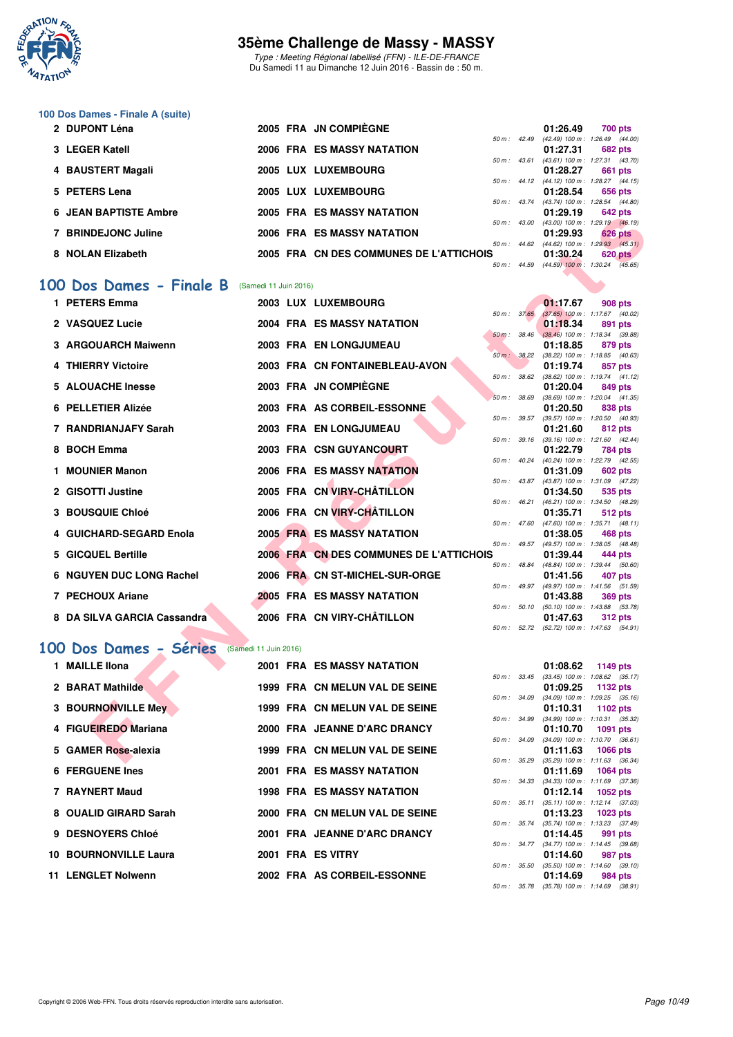

Type : Meeting Régional labellisé (FFN) - ILE-DE-FRANCE Du Samedi 11 au Dimanche 12 Juin 2016 - Bassin de : 50 m.

# **100 Dos Dames - Finale A (suite)**

| 2 DUPONT Léna                |                       | 2005 FRA JN COMPIÈGNE                   |                        | 01:26.49                                   | 700 pts        |         |
|------------------------------|-----------------------|-----------------------------------------|------------------------|--------------------------------------------|----------------|---------|
|                              |                       |                                         | 50 m : 42.49           | $(42.49)$ 100 m : 1:26.49 $(44.00)$        |                |         |
| 3 LEGER Katell               |                       | 2006 FRA ES MASSY NATATION              |                        | 01:27.31                                   | <b>682 pts</b> |         |
|                              |                       |                                         | $50 m$ : $43.61$       | $(43.61)$ 100 m : 1:27.31 $(43.70)$        |                |         |
| 4 BAUSTERT Magali            |                       | 2005 LUX LUXEMBOURG                     |                        | 01:28.27                                   | 661 pts        |         |
|                              |                       |                                         |                        | 50 m: 44.12 (44.12) 100 m: 1:28.27 (44.15) |                |         |
| 5 PETERS Lena                |                       | 2005 LUX LUXEMBOURG                     |                        | 01:28.54                                   | 656 pts        |         |
|                              |                       |                                         |                        | 50 m: 43.74 (43.74) 100 m: 1:28.54 (44.80) |                |         |
| <b>6 JEAN BAPTISTE Ambre</b> |                       | <b>2005 FRA ES MASSY NATATION</b>       |                        | 01:29.19                                   | 642 pts        |         |
|                              |                       |                                         | 50 m: 43.00            | $(43.00)$ 100 m : 1:29.19 $(46.19)$        |                |         |
| 7 BRINDEJONC Juline          |                       | <b>2006 FRA ES MASSY NATATION</b>       |                        | 01:29.93                                   | <b>626 pts</b> |         |
|                              |                       |                                         | $50 \text{ m}$ : 44.62 | $(44.62)$ 100 m : 1:29.93 $(45.31)$        |                |         |
| 8 NOLAN Elizabeth            |                       | 2005 FRA CN DES COMMUNES DE L'ATTICHOIS |                        | 01:30.24                                   |                | 620 pts |
|                              |                       |                                         | 50 m : 44.59           | $(44.59)$ 100 m : 1:30.24 $(45.65)$        |                |         |
|                              |                       |                                         |                        |                                            |                |         |
| 00 Dos Dames - Finale B      | (Samedi 11 Juin 2016) |                                         |                        |                                            |                |         |
|                              |                       |                                         |                        |                                            |                |         |

#### **[100 Dos Dames - Finale B](http://www.ffnatation.fr/webffn/resultats.php?idact=nat&go=epr&idcpt=38069&idepr=12)** (Samedi 11 Juin 2016)

| JEAN DAFTIJLE AIIIDIG                         |                       | EJ MAJJI NATATIVI                       |              |                | U I . 29. I J                                          | <b>U44 PIS</b>  |         |  |
|-----------------------------------------------|-----------------------|-----------------------------------------|--------------|----------------|--------------------------------------------------------|-----------------|---------|--|
| 7 BRINDEJONC Juline                           |                       | <b>2006 FRA ES MASSY NATATION</b>       |              | 50 m : 43.00   | $(43.00)$ 100 m : 1:29.19 $(46.19)$<br>01:29.93        | <b>626 pts</b>  |         |  |
|                                               |                       |                                         |              |                | 50 m: 44.62 (44.62) 100 m: 1:29.93 (45.31)             |                 |         |  |
| 8 NOLAN Elizabeth                             |                       | 2005 FRA CN DES COMMUNES DE L'ATTICHOIS | 50 m: 44.59  |                | 01:30.24<br>$(44.59)$ 100 m : 1:30.24 $(45.65)$        |                 | 620 pts |  |
| 00 Dos Dames - Finale B (Samedi 11 Juin 2016) |                       |                                         |              |                |                                                        |                 |         |  |
|                                               |                       |                                         |              |                |                                                        |                 |         |  |
| 1 PETERS Emma                                 |                       | 2003 LUX LUXEMBOURG                     | 50 m: 37.65  |                | 01:17.67<br>$(37.65)$ 100 m : 1:17.67 $(40.02)$        | 908 pts         |         |  |
| 2 VASQUEZ Lucie                               |                       | 2004 FRA ES MASSY NATATION              |              |                | 01:18.34                                               | 891 pts         |         |  |
|                                               |                       |                                         | 50 m : 38.46 |                | $(38.46)$ 100 m : 1:18.34 $(39.88)$                    |                 |         |  |
| 3 ARGOUARCH Maiwenn                           |                       | 2003 FRA EN LONGJUMEAU                  |              | 50 m: 38.22    | 01:18.85<br>$(38.22)$ 100 m : 1:18.85 $(40.63)$        | 879 pts         |         |  |
| 4 THIERRY Victoire                            |                       | 2003 FRA CN FONTAINEBLEAU-AVON          |              |                | 01:19.74                                               | 857 pts         |         |  |
|                                               |                       |                                         |              | 50 m : 38.62   | $(38.62)$ 100 m : 1:19.74 $(41.12)$                    |                 |         |  |
| 5 ALOUACHE Inesse                             |                       | 2003 FRA JN COMPIEGNE                   |              |                | 01:20.04                                               | 849 pts         |         |  |
|                                               |                       |                                         | 50 m: 38.69  |                | $(38.69)$ 100 m : 1:20.04 $(41.35)$                    |                 |         |  |
| 6 PELLETIER Alizée                            |                       | 2003 FRA AS CORBEIL-ESSONNE             | 50 m: 39.57  |                | 01:20.50<br>$(39.57)$ 100 m : 1:20.50 $(40.93)$        | 838 pts         |         |  |
| 7 RANDRIANJAFY Sarah                          |                       | 2003 FRA EN LONGJUMEAU                  |              |                | 01:21.60                                               | 812 pts         |         |  |
|                                               |                       |                                         | 50 m : 39.16 |                | $(39.16)$ 100 m : 1:21.60 $(42.44)$                    |                 |         |  |
| 8 BOCH Emma                                   |                       | 2003 FRA CSN GUYANCOURT                 |              |                | 01:22.79                                               | 784 pts         |         |  |
|                                               |                       |                                         |              | 50 m: 40.24    | (40.24) 100 m: 1:22.79 (42.55)                         |                 |         |  |
| 1 MOUNIER Manon                               |                       | <b>2006 FRA ES MASSY NATATION</b>       |              |                | 01:31.09                                               | <b>602 pts</b>  |         |  |
| 2 GISOTTI Justine                             |                       | 2005 FRA CN VIRY-CHÂTILLON              |              | 50 m : 43.87   | (43.87) 100 m: 1:31.09 (47.22)<br>01:34.50             | 535 pts         |         |  |
|                                               |                       |                                         |              | $50 m$ : 46.21 | (46.21) 100 m: 1:34.50 (48.29)                         |                 |         |  |
| <b>3 BOUSQUIE Chloé</b>                       |                       | 2006 FRA CN VIRY-CHÂTILLON              |              |                | 01:35.71                                               | 512 pts         |         |  |
|                                               |                       |                                         |              | 50 m : 47.60   | $(47.60)$ 100 m : 1:35.71 $(48.11)$                    |                 |         |  |
| 4 GUICHARD-SEGARD Enola                       |                       | <b>2005 FRA ES MASSY NATATION</b>       |              |                | 01:38.05                                               | 468 pts         |         |  |
| 5 GICQUEL Bertille                            |                       | 2006 FRA CN DES COMMUNES DE L'ATTICHOIS |              |                | 50 m: 49.57 (49.57) 100 m: 1:38.05 (48.48)<br>01:39.44 | 444 pts         |         |  |
|                                               |                       |                                         | 50 m : 48.84 |                | (48.84) 100 m : 1:39.44 (50.60)                        |                 |         |  |
| 6 NGUYEN DUC LONG Rachel                      |                       | 2006 FRA CN ST-MICHEL-SUR-ORGE          |              |                | 01:41.56                                               | 407 pts         |         |  |
|                                               |                       |                                         |              | $50 m$ : 49.97 | (49.97) 100 m: 1:41.56 (51.59)                         |                 |         |  |
| 7 PECHOUX Ariane                              |                       | 2005 FRA ES MASSY NATATION              |              | 50 m: 50.10    | 01:43.88<br>$(50.10)$ 100 m : 1:43.88 $(53.78)$        | 369 pts         |         |  |
| 8 DA SILVA GARCIA Cassandra                   |                       | 2006 FRA CN VIRY-CHÂTILLON              |              |                | 01:47.63                                               | <b>312 pts</b>  |         |  |
|                                               |                       |                                         |              | 50 m: 52.72    | $(52.72)$ 100 m : 1:47.63 $(54.91)$                    |                 |         |  |
|                                               |                       |                                         |              |                |                                                        |                 |         |  |
| 00 Dos Dames - Séries                         | (Samedi 11 Juin 2016) |                                         |              |                |                                                        |                 |         |  |
| 1 MAILLE IIona                                |                       | <b>2001 FRA ES MASSY NATATION</b>       |              |                | 01:08.62                                               | 1149 pts        |         |  |
|                                               |                       |                                         |              |                | 50 m: 33.45 (33.45) 100 m: 1:08.62 (35.17)             |                 |         |  |
| 2 BARAT Mathilde                              |                       | 1999 FRA CN MELUN VAL DE SEINE          |              |                | 01:09.25                                               | 1132 pts        |         |  |
|                                               |                       | 1999 FRA CN MELUN VAL DE SEINE          | 50 m: 34.09  |                | $(34.09)$ 100 m : 1:09.25 $(35.16)$                    |                 |         |  |
| 3 BOURNONVILLE Mey                            |                       |                                         | 50 m : 34.99 |                | 01:10.31<br>$(34.99)$ 100 m : 1:10.31 $(35.32)$        | 1102 pts        |         |  |
| 4 FIGUEIREDO Mariana                          |                       | 2000 FRA JEANNE D'ARC DRANCY            |              |                | 01:10.70                                               | <b>1091 pts</b> |         |  |
|                                               |                       |                                         |              | 50 m : 34.09   | $(34.09)$ 100 m : 1:10.70 $(36.61)$                    |                 |         |  |
| 5 GAMER Rose-alexia                           |                       | 1999 FRA CN MELUN VAL DE SEINE          |              |                | 01:11.63                                               | <b>1066 pts</b> |         |  |
|                                               |                       |                                         |              |                | 50 m: 35.29 (35.29) 100 m: 1:11.63 (36.34)             |                 |         |  |

# **[100 Dos Dames - Séries](http://www.ffnatation.fr/webffn/resultats.php?idact=nat&go=epr&idcpt=38069&idepr=12)** (Samedi 11 Juin 2016)

| 1 MAILLE IIona               |  | 2001 FRA ES MASSY NATATION        |                  | 01:08.62                                   | 1149 pts |         |
|------------------------------|--|-----------------------------------|------------------|--------------------------------------------|----------|---------|
|                              |  |                                   | $50 m$ : $33.45$ | $(33.45)$ 100 m : 1:08.62 $(35.17)$        |          |         |
| 2 BARAT Mathilde             |  | 1999 FRA CN MELUN VAL DE SEINE    |                  | 01:09.25 1132 pts                          |          |         |
|                              |  |                                   | 50 m : 34.09     | $(34.09)$ 100 m : 1:09.25 $(35.16)$        |          |         |
| 3 BOURNONVILLE Mey           |  | 1999 FRA CN MELUN VAL DE SEINE    |                  | $01:10.31$ 1102 pts                        |          |         |
|                              |  |                                   | 50 m : 34.99     | $(34.99)$ 100 m : 1:10.31 $(35.32)$        |          |         |
| 4 FIGUEIREDO Mariana         |  | 2000 FRA JEANNE D'ARC DRANCY      |                  | $01:10.70$ 1091 pts                        |          |         |
|                              |  |                                   | 50 m : 34.09     | $(34.09)$ 100 m : 1:10.70 $(36.61)$        |          |         |
| 5 GAMER Rose-alexia          |  | 1999 FRA CN MELUN VAL DE SEINE    |                  | $01:11.63$ 1066 pts                        |          |         |
|                              |  |                                   | 50 m : 35.29     | $(35.29)$ 100 m : 1:11.63 $(36.34)$        |          |         |
| <b>6 FERGUENE Ines</b>       |  | <b>2001 FRA ES MASSY NATATION</b> |                  | $01:11.69$ 1064 pts                        |          |         |
|                              |  |                                   | 50 m : 34.33     | $(34.33)$ 100 m : 1:11.69 $(37.36)$        |          |         |
| 7 RAYNERT Maud               |  | <b>1998 FRA ES MASSY NATATION</b> |                  | $01:12.14$ 1052 pts                        |          |         |
|                              |  |                                   | 50 m: 35.11      | $(35.11)$ 100 m : 1:12.14 $(37.03)$        |          |         |
| 8 OUALID GIRARD Sarah        |  | 2000 FRA CN MELUN VAL DE SEINE    |                  | $01:13.23$ 1023 pts                        |          |         |
|                              |  |                                   | 50 m : 35.74     | $(35.74)$ 100 m : 1:13.23 $(37.49)$        |          |         |
| 9 DESNOYERS Chloé            |  | 2001 FRA JEANNE D'ARC DRANCY      |                  | 01:14.45                                   |          | 991 pts |
|                              |  |                                   | 50 m : 34.77     | $(34.77)$ 100 m : 1:14.45 $(39.68)$        |          |         |
| <b>10 BOURNONVILLE Laura</b> |  | 2001 FRA ES VITRY                 |                  | 01:14.60                                   |          | 987 pts |
|                              |  |                                   | 50 m: 35.50      | $(35.50)$ 100 m : 1:14.60 $(39.10)$        |          |         |
| 11 LENGLET Nolwenn           |  | 2002 FRA AS CORBEIL-ESSONNE       |                  | 01:14.69                                   |          | 984 pts |
|                              |  |                                   |                  | 50 m: 35.78 (35.78) 100 m: 1:14.69 (38.91) |          |         |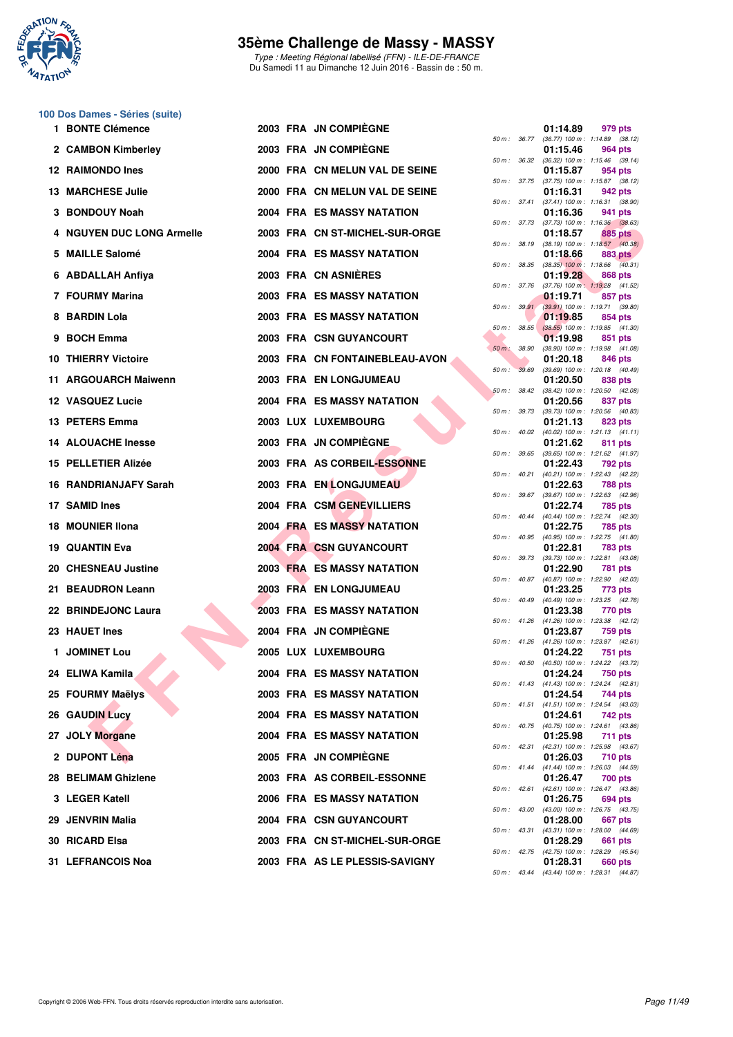

Type : Meeting Régional labellisé (FFN) - ILE-DE-FRANCE Du Samedi 11 au Dimanche 12 Juin 2016 - Bassin de : 50 m.

# **100 Dos Dames - Séries (suite)**

| 1 BONTE Clémence           |  | 2003 FRA JN COMPIEGNE             |              |                  | 01:14.89 | 979 pts                                                      |
|----------------------------|--|-----------------------------------|--------------|------------------|----------|--------------------------------------------------------------|
| 2 CAMBON Kimberley         |  | 2003 FRA JN COMPIÈGNE             |              |                  | 01:15.46 | 50 m: 36.77 (36.77) 100 m: 1:14.89 (38.12)<br>964 pts        |
| 12 RAIMONDO Ines           |  | 2000 FRA CN MELUN VAL DE SEINE    |              |                  | 01:15.87 | 50 m: 36.32 (36.32) 100 m: 1:15.46 (39.14)<br>954 pts        |
| <b>13 MARCHESE Julie</b>   |  | 2000 FRA CN MELUN VAL DE SEINE    |              |                  | 01:16.31 | 50 m: 37.75 (37.75) 100 m: 1:15.87 (38.12)<br>942 pts        |
| 3 BONDOUY Noah             |  | 2004 FRA ES MASSY NATATION        |              |                  | 01:16.36 | 50 m: 37.41 (37.41) 100 m: 1:16.31 (38.90)<br>941 pts        |
| 4 NGUYEN DUC LONG Armelle  |  | 2003 FRA CN ST-MICHEL-SUR-ORGE    |              |                  | 01:18.57 | 50 m: 37.73 (37.73) 100 m: 1:16.36 (38.63)<br>885 pts        |
| 5 MAILLE Salomé            |  | <b>2004 FRA ES MASSY NATATION</b> |              | 50 m: 38.19      | 01:18.66 | $(38.19)$ 100 m : 1:18.57 $(40.38)$<br>883 pts               |
| 6 ABDALLAH Anfiya          |  | 2003 FRA CN ASNIERES              | 50 m : 38.35 |                  | 01:19.28 | $(38.35)$ 100 m : 1:18.66 $(40.31)$<br>868 pts               |
| 7 FOURMY Marina            |  | 2003 FRA ES MASSY NATATION        | 50 m : 37.76 |                  | 01:19.71 | $(37.76)$ 100 m : 1:19.28 $(41.52)$<br>857 pts               |
| 8 BARDIN Lola              |  | <b>2003 FRA ES MASSY NATATION</b> |              |                  | 01:19.85 | 50 m : 39.91 (39.91) 100 m : 1:19.71 (39.80)<br>854 pts      |
|                            |  |                                   |              | $50 m$ : $38.55$ |          | $(38.55)$ 100 m : 1:19.85 $(41.30)$                          |
| 9 BOCH Emma                |  | <b>2003 FRA CSN GUYANCOURT</b>    | 50 m: 38.90  |                  | 01:19.98 | 851 pts<br>$(38.90)$ 100 m : 1:19.98 $(41.08)$               |
| <b>10 THIERRY Victoire</b> |  | 2003 FRA CN FONTAINEBLEAU-AVON    | 50 m : 39.69 |                  | 01:20.18 | 846 pts<br>$(39.69)$ 100 m : 1:20.18 $(40.49)$               |
| 11 ARGOUARCH Maiwenn       |  | 2003 FRA EN LONGJUMEAU            |              | 50 m: 38.42      | 01:20.50 | 838 pts<br>$(38.42)$ 100 m : 1:20.50 $(42.08)$               |
| 12 VASQUEZ Lucie           |  | 2004 FRA ES MASSY NATATION        | 50 m : 39.73 |                  | 01:20.56 | 837 pts<br>$(39.73)$ 100 m : 1:20.56 $(40.83)$               |
| 13 PETERS Emma             |  | 2003 LUX LUXEMBOURG               |              |                  | 01:21.13 | 823 pts<br>50 m: 40.02 (40.02) 100 m: 1:21.13 (41.11)        |
| <b>14 ALOUACHE Inesse</b>  |  | 2003 FRA JN COMPIÈGNE             |              |                  | 01:21.62 | 811 pts<br>50 m: 39.65 (39.65) 100 m: 1:21.62 (41.97)        |
| 15 PELLETIER Alizée        |  | 2003 FRA AS CORBEIL-ESSONNE       |              |                  | 01:22.43 | 792 pts                                                      |
| 16 RANDRIANJAFY Sarah      |  | 2003 FRA EN LONGJUMEAU            |              | 50 m : 40.21     | 01:22.63 | (40.21) 100 m: 1:22.43 (42.22)<br>788 pts                    |
| 17 SAMID Ines              |  | 2004 FRA CSM GENEVILLIERS         |              |                  | 01:22.74 | 50 m: 39.67 (39.67) 100 m: 1:22.63 (42.96)<br>785 pts        |
| 18 MOUNIER IIona           |  | 2004 FRA ES MASSY NATATION        | 50 m: 40.44  |                  | 01:22.75 | (40.44) 100 m : 1:22.74 (42.30)<br>785 pts                   |
| <b>19 QUANTIN Eva</b>      |  | <b>2004 FRA CSN GUYANCOURT</b>    |              |                  | 01:22.81 | 50 m: 40.95 (40.95) 100 m: 1:22.75 (41.80)<br>783 pts        |
| 20 CHESNEAU Justine        |  | <b>2003 FRA ES MASSY NATATION</b> |              |                  | 01:22.90 | 50 m: 39.73 (39.73) 100 m: 1:22.81 (43.08)<br>781 pts        |
| 21 BEAUDRON Leann          |  | 2003 FRA EN LONGJUMEAU            |              | 50 m : 40.87     | 01:23.25 | (40.87) 100 m : 1:22.90 (42.03)<br>773 pts                   |
| 22 BRINDEJONC Laura        |  | <b>2003 FRA ES MASSY NATATION</b> |              |                  | 01:23.38 | 50 m: 40.49 (40.49) 100 m: 1:23.25 (42.76)<br>770 pts        |
| 23 HAUET Ines              |  | 2004 FRA JN COMPIEGNE             |              |                  | 01:23.87 | 50 m: 41.26 (41.26) 100 m: 1:23.38 (42.12)<br><b>759 pts</b> |
| 1 JOMINET Lou              |  | <b>2005 LUX LUXEMBOURG</b>        |              |                  | 01:24.22 | 50 m: 41.26 (41.26) 100 m: 1:23.87 (42.61)<br>751 pts        |
| 24 ELIWA Kamila            |  | 2004 FRA ES MASSY NATATION        |              |                  | 01:24.24 | 50 m: 40.50 (40.50) 100 m: 1:24.22 (43.72)<br><b>750 pts</b> |
|                            |  |                                   |              |                  |          | 50 m: 41.43 (41.43) 100 m: 1:24.24 (42.81)                   |
| 25 FOURMY Maëlys           |  | 2003 FRA ES MASSY NATATION        |              |                  | 01:24.54 | 744 pts<br>50 m: 41.51 (41.51) 100 m: 1:24.54 (43.03)        |
| 26 GAUDIN Lucy             |  | <b>2004 FRA ES MASSY NATATION</b> |              |                  | 01:24.61 | 742 pts<br>50 m : 40.75 (40.75) 100 m : 1:24.61 (43.86)      |
| 27 JOLY Morgane            |  | <b>2004 FRA ES MASSY NATATION</b> |              |                  | 01:25.98 | <b>711 pts</b><br>50 m: 42.31 (42.31) 100 m: 1:25.98 (43.67) |
| 2 DUPONT Léna              |  | 2005 FRA JN COMPIEGNE             |              |                  | 01:26.03 | 710 pts<br>50 m: 41.44 (41.44) 100 m: 1:26.03 (44.59)        |
| 28 BELIMAM Ghizlene        |  | 2003 FRA AS CORBEIL-ESSONNE       |              | 50 m: 42.61      | 01:26.47 | 700 pts<br>$(42.61)$ 100 m : 1:26.47 $(43.86)$               |
| 3 LEGER Katell             |  | <b>2006 FRA ES MASSY NATATION</b> |              |                  | 01:26.75 | 694 pts<br>50 m: 43.00 (43.00) 100 m: 1:26.75 (43.75)        |
| 29 JENVRIN Malia           |  | 2004 FRA CSN GUYANCOURT           |              |                  | 01:28.00 | 667 pts                                                      |
| 30 RICARD Elsa             |  | 2003 FRA CN ST-MICHEL-SUR-ORGE    |              | 50 m : 43.31     | 01:28.29 | $(43.31)$ 100 m : 1:28.00 $(44.69)$<br>661 pts               |
| 31 LEFRANCOIS Noa          |  | 2003 FRA AS LE PLESSIS-SAVIGNY    |              |                  | 01:28.31 | 50 m: 42.75 (42.75) 100 m: 1:28.29 (45.54)<br>660 pts        |

|          | 36.77 | 01:14.89                      | 979 pts                              |
|----------|-------|-------------------------------|--------------------------------------|
| 50 m :   |       | $(36.77) 100 m$ :<br>01:15.46 | 1:14.89<br>(38.12)<br><b>964 pts</b> |
| 50 m :   | 36.32 | (36.32) 100 m :               | 1:15.46<br>(39.14)                   |
| $50 m$ : | 37.75 | 01:15.87<br>(37.75) 100 m :   | 954 pts<br>1:15.87<br>(38.12)        |
|          |       | 01:16.31                      | 942 pts                              |
| $50 m$ : | 37.41 | $(37.41) 100 m$ :             | 1:16.31<br>(38.90)                   |
| $50 m$ : | 37.73 | 01:16.36<br>$(37.73) 100 m$ : | 941 pts<br>1:16.36<br>(38.63)        |
|          |       | 01:18.57                      | 885 pts                              |
| $50 m$ : | 38.19 | $(38.19) 100 m$ :             | 1:18.57<br>(40.38)                   |
| 50 m :   | 38.35 | 01:18.66<br>$(38.35)$ 100 m : | 883 pts<br>1:18.66<br>(40.31)        |
|          |       | 01:19.28                      | 868 pts                              |
| $50 m$ : | 37.76 | $(37.76) 100 m$ :<br>01:19.71 | 1:19.28<br>(41.52)<br>857 pts        |
| $50 m$ : | 39.91 | $(39.91)$ 100 m :             | 1:19.71<br>(39.80)                   |
|          |       | 01:19.85                      | 854 pts                              |
| 50 m :   | 38.55 | $(38.55)$ 100 m :<br>01:19.98 | 1:19.85<br>(41.30)<br>851 pts        |
| $50 m$ : | 38.90 | (38.90) 100 m :               | 1:19.98<br>(41.08)                   |
|          |       | 01:20.18                      | 846 pts                              |
| $50 m$ : | 39.69 | $(39.69) 100 m$ :<br>01:20.50 | 1:20.18<br>(40.49)<br>838 pts        |
| $50 m$ : | 38.42 | $(38.42) 100 m$ :             | 1:20.50<br>(42.08)                   |
| $50 m$ : | 39.73 | 01:20.56<br>(39.73) 100 m :   | 837 pts<br>(40.83)<br>1:20.56        |
|          |       | 01:21.13                      | 823 pts                              |
| $50 m$ : | 40.02 | $(40.02)$ 100 m :             | 1:21.13<br>(41.11)                   |
| 50 m :   | 39.65 | 01:21.62<br>$(39.65) 100 m$ : | 811 pts<br>1:21.62<br>(41.97)        |
|          |       | 01:22.43                      | 792 pts                              |
| $50 m$ : | 40.21 | $(40.21)$ 100 m :             | 1:22.43<br>(42.22)                   |
| $50 m$ : | 39.67 | 01:22.63<br>$(39.67) 100 m$ : | <b>788 pts</b><br>1:22.63<br>(42.96) |
|          |       | 01:22.74                      | 785 pts                              |
| 50 m :   | 40.44 | $(40.44)$ 100 m :<br>01:22.75 | 1:22.74<br>(42.30)<br><b>785 pts</b> |
| $50 m$ : | 40.95 | (40.95) 100 m :               | 1:22.75<br>(41.80)                   |
|          |       | 01:22.81                      | <b>783 pts</b>                       |
| $50 m$ : | 39.73 | $(39.73) 100 m$ :<br>01:22.90 | 1:22.81<br>(43.08)<br>781<br>pts     |
| 50 m :   | 40.87 | $(40.87) 100 m$ :             | (42.03)<br>1:22.90                   |
| $50 m$ : | 40.49 | 01:23.25<br>$(40.49) 100 m$ : | 773 pts<br>1:23.25<br>(42.76)        |
|          |       | 01:23.38                      | 770 pts                              |
| $50 m$ : | 41.26 | $(41.26) 100 m$ :             | 1:23.38<br>(42.12)                   |
| $50 m$ : | 41.26 | 01:23.87<br>$(41.26) 100 m$ : | <b>759 pts</b><br>1:23.87<br>(42.61) |
|          |       | 01:24.22                      | <b>751 pts</b>                       |
| 50 m :   | 40.50 | (40.50) 100 m :<br>01:24.24   | 1:24.22 (43.72)<br>750 pts           |
| 50 m :   | 41.43 | $(41.43) 100 m$ :             | 1:24.24<br>(42.81)                   |
|          |       | 01:24.54                      | 744 pts                              |
| $50 m$ : | 41.51 | $(41.51) 100 m$ :<br>01:24.61 | (43.03)<br>1:24.54<br>742 pts        |
| $50 m$ : | 40.75 | (40.75) 100 m :               | 1:24.61<br>(43.86)                   |
| $50 m$ : | 42.31 | 01:25.98<br>(42.31) 100 m :   | 711<br>pts<br>1:25.98                |
|          |       | 01:26.03                      | (43.67)<br><b>710 pts</b>            |
| 50 m :   | 41.44 | $(41.44) 100 m$ :             | 1:26.03<br>(44.59)                   |
| $50 m$ : | 42.61 | 01:26.47<br>$(42.61)$ 100 m : | <b>700 pts</b><br>1:26.47<br>(43.86) |
|          |       | 01:26.75                      | 694 pts                              |
| $50 m$ : | 43.00 | $(43.00)$ 100 m :             | 1:26.75<br>(43.75)                   |
| 50 m :   | 43.31 | 01:28.00<br>(43.31) 100 m :   | <b>667 pts</b><br>1:28.00<br>(44.69) |
|          |       | 01:28.29                      | 661<br>pts                           |
| $50 m$ : | 42.75 | (42.75) 100 m :<br>01:28.31   | 1:28.29<br>(45.54)<br>660 pts        |
| 50 m :   | 43.44 | $(43.44) 100 m$ :             | 1:28.31<br>(44.87)                   |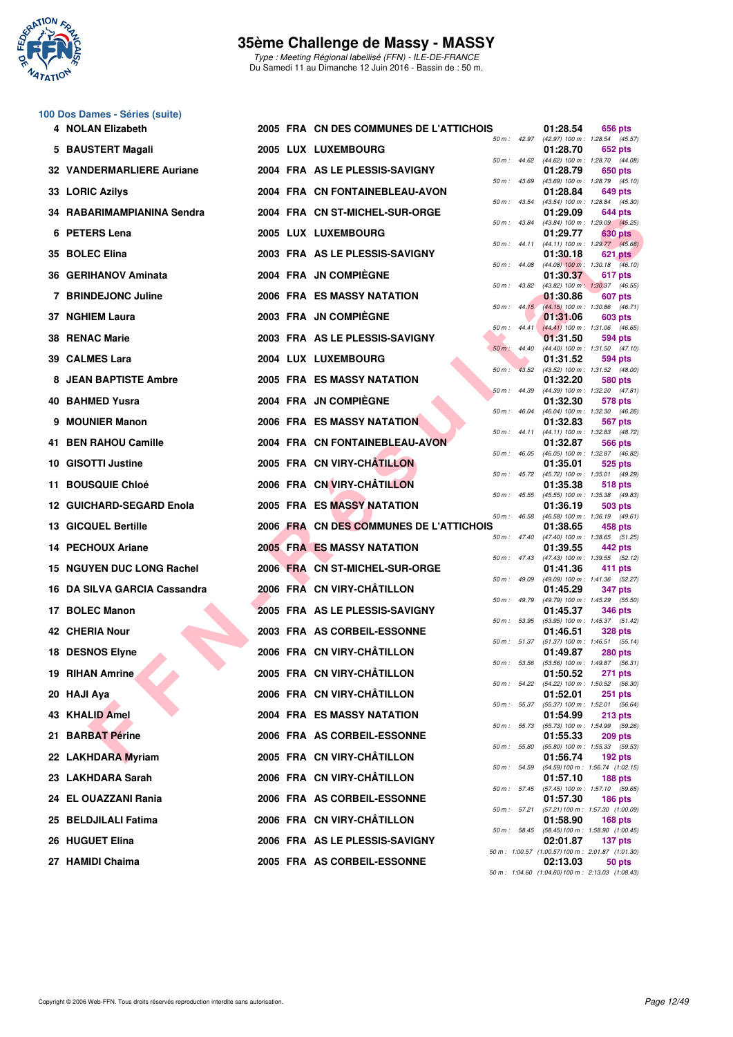

Type : Meeting Régional labellisé (FFN) - ILE-DE-FRANCE Du Samedi 11 au Dimanche 12 Juin 2016 - Bassin de : 50 m.

#### **100 Dos Dames - Séries (suite)**

|     | 4 NOLAN Elizabeth            |  | 2005 FRA CN DES COMMUNES DE L'ATTICHOIS |       |                | 01:28.54 | 656 pts                                                        |
|-----|------------------------------|--|-----------------------------------------|-------|----------------|----------|----------------------------------------------------------------|
|     | 5 BAUSTERT Magali            |  | 2005 LUX LUXEMBOURG                     |       | 50 m: 42.97    | 01:28.70 | (42.97) 100 m: 1:28.54 (45.57)<br>652 pts                      |
|     | 32 VANDERMARLIERE Auriane    |  | 2004 FRA AS LE PLESSIS-SAVIGNY          |       | 50 m: 44.62    | 01:28.79 | (44.62) 100 m: 1:28.70 (44.08)<br>650 pts                      |
|     | 33 LORIC Azilys              |  | 2004 FRA CN FONTAINEBLEAU-AVON          |       | 50 m: 43.69    | 01:28.84 | (43.69) 100 m: 1:28.79 (45.10)<br>649 pts                      |
|     | 34 RABARIMAMPIANINA Sendra   |  | 2004 FRA CN ST-MICHEL-SUR-ORGE          |       | 50 m : 43.54   | 01:29.09 | (43.54) 100 m: 1:28.84 (45.30)<br>644 pts                      |
|     | 6 PETERS Lena                |  | 2005 LUX LUXEMBOURG                     |       |                | 01:29.77 | 50 m: 43.84 (43.84) 100 m: 1:29.09 (45.25)<br><b>630 pts</b>   |
|     | 35 BOLEC Elina               |  | 2003 FRA AS LE PLESSIS-SAVIGNY          |       | 50 m : 44.11   | 01:30.18 | $(44.11)$ 100 m : 1:29.77 $(45.66)$<br><b>621 pts</b>          |
|     | 36 GERIHANOV Aminata         |  | 2004 FRA JN COMPIEGNE                   |       |                | 01:30.37 | 50 m : 44.08 (44.08) 100 m : 1:30.18 (46.10)<br>617 pts        |
|     | 7 BRINDEJONC Juline          |  | <b>2006 FRA ES MASSY NATATION</b>       |       | 50 m: 43.82    | 01:30.86 | $(43.82)$ 100 m : 1:30.37 $(46.55)$<br>607 pts                 |
|     | 37 NGHIEM Laura              |  | 2003 FRA JN COMPIEGNE                   |       |                | 01:31.06 | 50 m: 44.15 (44.15) 100 m: 1:30.86 (46.71)<br>603 pts          |
|     | <b>38 RENAC Marie</b>        |  | 2003 FRA AS LE PLESSIS-SAVIGNY          |       | $50 m$ : 44.41 | 01:31.50 | $(44.41)$ 100 m : 1:31.06 $(46.65)$<br>594 pts                 |
|     | 39 CALMES Lara               |  | 2004 LUX LUXEMBOURG                     |       | 50 m: 44.40    | 01:31.52 | $(44.40)$ 100 m : 1:31.50 $(47.10)$<br>594 pts                 |
|     | <b>8 JEAN BAPTISTE Ambre</b> |  | <b>2005 FRA ES MASSY NATATION</b>       | 50 m: |                | 01:32.20 | 43.52 (43.52) 100 m : 1:31.52 (48.00)<br>580 pts               |
|     | 40 BAHMED Yusra              |  | 2004 FRA JN COMPIEGNE                   |       | 50 m: 44.39    | 01:32.30 | $(44.39)$ 100 m : 1:32.20 $(47.81)$<br>578 pts                 |
| 9   | <b>MOUNIER Manon</b>         |  | 2006 FRA ES MASSY NATATION              |       | 50 m : 46.04   | 01:32.83 | $(46.04)$ 100 m : 1:32.30 $(46.26)$<br>567 pts                 |
|     | 41 BEN RAHOU Camille         |  | 2004 FRA CN FONTAINEBLEAU-AVON          |       | 50 m: 44.11    | 01:32.87 | $(44.11)$ 100 m : 1:32.83 $(48.72)$<br>566 pts                 |
|     | 10 GISOTTI Justine           |  | 2005 FRA CN VIRY-CHÂTILLON              |       |                | 01:35.01 | 50 m: 46.05 (46.05) 100 m: 1:32.87 (46.82)<br>525 pts          |
|     | 11 BOUSQUIE Chloé            |  | 2006 FRA CN VIRY-CHÂTILLON              |       |                | 01:35.38 | 50 m: 45.72 (45.72) 100 m: 1:35.01 (49.29)<br><b>518 pts</b>   |
|     | 12 GUICHARD-SEGARD Enola     |  | <b>2005 FRA ES MASSY NATATION</b>       |       |                | 01:36.19 | 50 m: 45.55 (45.55) 100 m: 1:35.38 (49.83)<br>503 pts          |
|     | <b>13 GICQUEL Bertille</b>   |  | 2006 FRA CN DES COMMUNES DE L'ATTICHOIS |       | 50 m: 46.58    | 01:38.65 | $(46.58)$ 100 m : 1:36.19 $(49.61)$<br>458 pts                 |
|     | 14 PECHOUX Ariane            |  | <b>2005 FRA ES MASSY NATATION</b>       |       | 50 m: 47.40    |          | $(47.40)$ 100 m : 1:38.65 $(51.25)$                            |
|     | 15 NGUYEN DUC LONG Rachel    |  | 2006 FRA CN ST-MICHEL-SUR-ORGE          |       |                | 01:39.55 | 442 pts<br>50 m: 47.43 (47.43) 100 m: 1:39.55 (52.12)          |
|     | 16 DA SILVA GARCIA Cassandra |  | 2006 FRA CN VIRY-CHÂTILLON              |       | 50 m : 49.09   | 01:41.36 | 411 pts<br>(49.09) 100 m: 1:41.36 (52.27)                      |
|     |                              |  |                                         |       | 50 m : 49.79   | 01:45.29 | 347 pts<br>(49.79) 100 m: 1:45.29 (55.50)                      |
|     | 17 BOLEC Manon               |  | 2005 FRA AS LE PLESSIS-SAVIGNY          |       |                | 01:45.37 | <b>346 pts</b><br>50 m: 53.95 (53.95) 100 m: 1:45.37 (51.42)   |
|     | 42 CHERIA Nour               |  | 2003 FRA AS CORBEIL-ESSONNE             |       | 50 m: 51.37    | 01:46.51 | <b>328 pts</b><br>$(51.37)$ 100 m : 1:46.51 $(55.14)$          |
|     | 18 DESNOS Elyne              |  | 2006 FRA CN VIRY-CHÂTILLON              |       | 50 m: 53.56    | 01:49.87 | <b>280 pts</b><br>(53.56) 100 m: 1:49.87 (56.31)               |
|     | 19 RIHAN Amrine              |  | 2005 FRA CN VIRY-CHÂTILLON              |       |                | 01:50.52 | <b>271 pts</b><br>50 m : 54.22 (54.22) 100 m : 1:50.52 (56.30) |
|     | 20 HAJI Aya                  |  | 2006 FRA CN VIRY-CHÂTILLON              |       | 50 m: 55.37    | 01:52.01 | 251 pts<br>(55.37) 100 m: 1:52.01 (56.64)                      |
|     | 43 KHALID Amel               |  | <b>2004 FRA ES MASSY NATATION</b>       |       | 50 m: 55.73    | 01:54.99 | $213$ pts<br>(55.73) 100 m : 1:54.99 (59.26)                   |
|     | 21 BARBAT Périne             |  | 2006 FRA AS CORBEIL-ESSONNE             |       | 50 m : 55.80   | 01:55.33 | $209$ pts<br>(55.80) 100 m: 1:55.33 (59.53)                    |
|     | 22 LAKHDARA Myriam           |  | 2005 FRA CN VIRY-CHÂTILLON              |       | 50 m: 54.59    | 01:56.74 | 192 pts<br>(54.59) 100 m: 1:56.74 (1:02.15)                    |
|     | 23 LAKHDARA Sarah            |  | 2006 FRA CN VIRY-CHÂTILLON              |       | 50 m: 57.45    | 01:57.10 | 188 pts<br>(57.45) 100 m: 1:57.10 (59.65)                      |
|     | 24 EL OUAZZANI Rania         |  | 2006 FRA AS CORBEIL-ESSONNE             |       | 50 m : 57.21   | 01:57.30 | $186$ pts<br>(57.21) 100 m: 1:57.30 (1:00.09)                  |
| 25. | <b>BELDJILALI Fatima</b>     |  | 2006 FRA CN VIRY-CHÂTILLON              |       |                | 01:58.90 | 168 pts<br>50 m: 58.45 (58.45) 100 m: 1:58.90 (1:00.45)        |
|     | 26 HUGUET Elina              |  | 2006 FRA AS LE PLESSIS-SAVIGNY          |       |                | 02:01.87 | 137 pts<br>50 m: 1:00.57 (1:00.57) 100 m: 2:01.87 (1:01.30)    |
|     | 27 HAMIDI Chaima             |  | 2005 FRA AS CORBEIL-ESSONNE             |       |                | 02:13.03 | 50 pts<br>50 m: 1:04.60 (1:04.60) 100 m: 2:13.03 (1:08.43)     |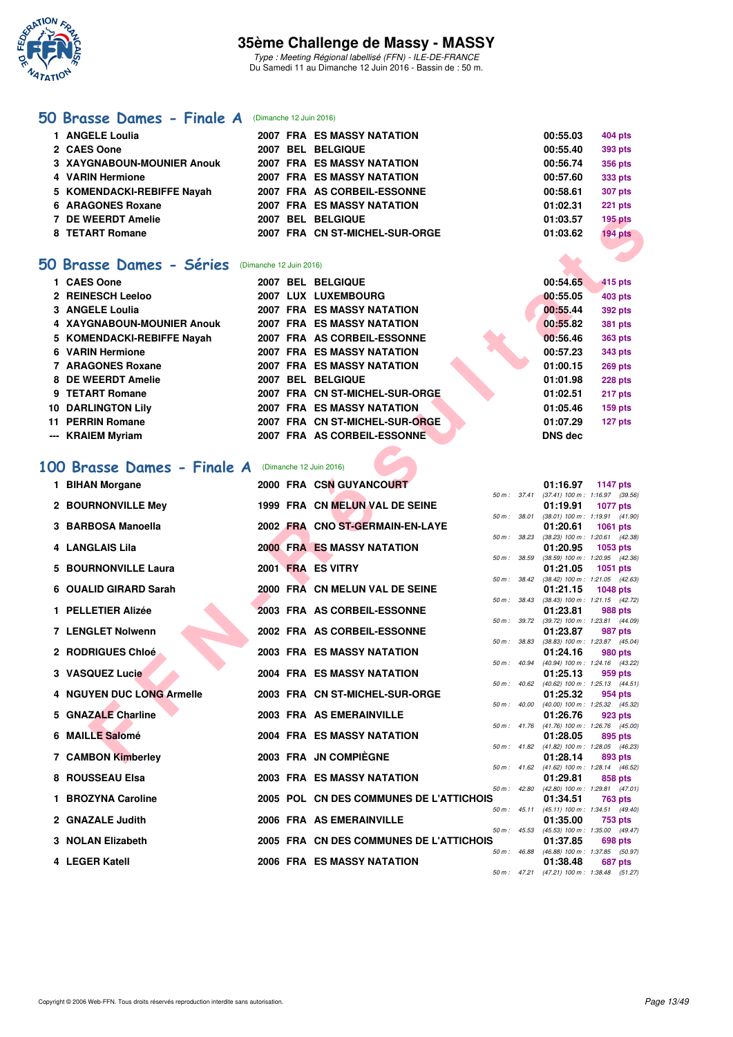

Type : Meeting Régional labellisé (FFN) - ILE-DE-FRANCE Du Samedi 11 au Dimanche 12 Juin 2016 - Bassin de : 50 m.

### **[50 Brasse Dames - Finale A](http://www.ffnatation.fr/webffn/resultats.php?idact=nat&go=epr&idcpt=38069&idepr=21)** (Dimanche 12 Juin 2016)

| 1 ANGELE Loulia                   |  | 2007 FRA ES MASSY NATATION        | 00:55.03 | 404 pts        |
|-----------------------------------|--|-----------------------------------|----------|----------------|
| 2 CAES Oone                       |  | 2007 BEL BELGIQUE                 | 00:55.40 | <b>393 pts</b> |
| <b>3 XAYGNABOUN-MOUNIER Anouk</b> |  | <b>2007 FRA ES MASSY NATATION</b> | 00:56.74 | 356 pts        |
| 4 VARIN Hermione                  |  | <b>2007 FRA ES MASSY NATATION</b> | 00:57.60 | 333 pts        |
| 5 KOMENDACKI-REBIFFE Nayah        |  | 2007 FRA AS CORBEIL-ESSONNE       | 00:58.61 | <b>307 pts</b> |
| 6 ARAGONES Roxane                 |  | <b>2007 FRA ES MASSY NATATION</b> | 01:02.31 | 221 pts        |
| 7 DE WEERDT Amelie                |  | 2007 BEL BELGIQUE                 | 01:03.57 | $195$ pts      |
| 8 TETART Romane                   |  | 2007 FRA CN ST-MICHEL-SUR-ORGE    | 01:03.62 | 194 pts        |
|                                   |  |                                   |          |                |

## **[50 Brasse Dames - Séries](http://www.ffnatation.fr/webffn/resultats.php?idact=nat&go=epr&idcpt=38069&idepr=21)** (Dimanche 12 Juin 2016)

| 1 CAES Oone                |  | 2007 BEL BELGIQUE                 |                | 00:54.65 | 415 pts        |
|----------------------------|--|-----------------------------------|----------------|----------|----------------|
| 2 REINESCH Leeloo          |  | 2007 LUX LUXEMBOURG               |                | 00:55.05 | 403 pts        |
| 3 ANGELE Loulia            |  | 2007 FRA ES MASSY NATATION        |                | 00:55.44 | 392 pts        |
| 4 XAYGNABOUN-MOUNIER Anouk |  | <b>2007 FRA ES MASSY NATATION</b> |                | 00:55.82 | <b>381 pts</b> |
| 5 KOMENDACKI-REBIFFE Navah |  | 2007 FRA AS CORBEIL-ESSONNE       |                | 00:56.46 | 363 pts        |
| 6 VARIN Hermione           |  | 2007 FRA ES MASSY NATATION        |                | 00:57.23 | 343 pts        |
| 7 ARAGONES Roxane          |  | 2007 FRA ES MASSY NATATION        |                | 01:00.15 | 269 pts        |
| 8 DE WEERDT Amelie         |  | 2007 BEL BELGIQUE                 |                | 01:01.98 | <b>228 pts</b> |
| 9 TETART Romane            |  | 2007 FRA CN ST-MICHEL-SUR-ORGE    | 01:02.51       |          | 217 pts        |
| <b>10 DARLINGTON Lily</b>  |  | <b>2007 FRA ES MASSY NATATION</b> |                | 01:05.46 | 159 pts        |
| 11 PERRIN Romane           |  | 2007 FRA CN ST-MICHEL-SUR-ORGE    |                | 01:07.29 | 127 pts        |
| --- KRAIEM Myriam          |  | 2007 FRA AS CORBEIL-ESSONNE       | <b>DNS</b> dec |          |                |

# **[100 Brasse Dames - Finale A](http://www.ffnatation.fr/webffn/resultats.php?idact=nat&go=epr&idcpt=38069&idepr=22)** (Dimanche 12 Juin 2016)

| 7 DE WEERDT Amelie                                        |                         | 2007 BEL BELGIQUE                                               |              |              | 01:03.57             | <b>195 pts</b>                                                |  |
|-----------------------------------------------------------|-------------------------|-----------------------------------------------------------------|--------------|--------------|----------------------|---------------------------------------------------------------|--|
| 8 TETART Romane                                           |                         | 2007 FRA CN ST-MICHEL-SUR-ORGE                                  |              |              | 01:03.62             | $194$ pts                                                     |  |
|                                                           |                         |                                                                 |              |              |                      |                                                               |  |
| <b>0 Brasse Dames - Séries</b>                            | (Dimanche 12 Juin 2016) |                                                                 |              |              |                      |                                                               |  |
| 1 CAES Oone                                               |                         | <b>2007 BEL BELGIQUE</b>                                        |              |              | 00:54.65             | 415 pts                                                       |  |
| 2 REINESCH Leeloo                                         |                         | 2007 LUX LUXEMBOURG                                             |              |              | 00:55.05             | 403 pts                                                       |  |
| 3 ANGELE Loulia<br>4 XAYGNABOUN-MOUNIER Anouk             |                         | 2007 FRA ES MASSY NATATION<br><b>2007 FRA ES MASSY NATATION</b> |              |              | 00:55.44<br>00:55.82 | 392 pts                                                       |  |
| 5 KOMENDACKI-REBIFFE Nayah                                |                         | 2007 FRA AS CORBEIL-ESSONNE                                     |              |              | 00:56.46             | 381 pts<br>363 pts                                            |  |
| 6 VARIN Hermione                                          |                         | <b>2007 FRA ES MASSY NATATION</b>                               |              |              | 00:57.23             | 343 pts                                                       |  |
| <b>7 ARAGONES Roxane</b>                                  |                         | <b>2007 FRA ES MASSY NATATION</b>                               |              |              | 01:00.15             | 269 pts                                                       |  |
| 8 DE WEERDT Amelie                                        |                         | 2007 BEL BELGIQUE                                               |              |              | 01:01.98             | <b>228 pts</b>                                                |  |
| 9 TETART Romane                                           |                         | 2007 FRA CN ST-MICHEL-SUR-ORGE                                  |              |              | 01:02.51             | 217 pts                                                       |  |
| <b>10 DARLINGTON Lily</b>                                 |                         | 2007 FRA ES MASSY NATATION                                      |              |              | 01:05.46             | 159 pts                                                       |  |
| 11 PERRIN Romane                                          |                         | 2007 FRA CN ST-MICHEL-SUR-ORGE                                  |              |              | 01:07.29             | 127 pts                                                       |  |
| --- KRAIEM Myriam                                         |                         | 2007 FRA AS CORBEIL-ESSONNE                                     |              |              | <b>DNS dec</b>       |                                                               |  |
| <b>00 Brasse Dames - Finale A</b> (Dimanche 12 Juin 2016) |                         |                                                                 |              |              |                      |                                                               |  |
| 1 BIHAN Morgane                                           |                         | 2000 FRA CSN GUYANCOURT                                         |              |              | 01:16.97             | 1147 pts                                                      |  |
| 2 BOURNONVILLE Mey                                        |                         | 1999 FRA CN MELUN VAL DE SEINE                                  |              |              | 01:19.91             | 50 m: 37.41 (37.41) 100 m: 1:16.97 (39.56)<br><b>1077 pts</b> |  |
|                                                           |                         |                                                                 |              | 50 m : 38.01 |                      | $(38.01)$ 100 m : 1:19.91 $(41.90)$                           |  |
| 3 BARBOSA Manoella                                        |                         | 2002 FRA CNO ST-GERMAIN-EN-LAYE                                 | 50 m: 38.23  |              | 01:20.61             | <b>1061 pts</b><br>$(38.23)$ 100 m : 1:20.61 $(42.38)$        |  |
| 4 LANGLAIS Lila                                           |                         | <b>2000 FRA ES MASSY NATATION</b>                               |              |              | 01:20.95             | 1053 pts                                                      |  |
| 5 BOURNONVILLE Laura                                      |                         | 2001 FRA ES VITRY                                               | 50 m : 38.59 |              | 01:21.05             | $(38.59)$ 100 m : 1:20.95 $(42.36)$<br>1051 pts               |  |
|                                                           |                         |                                                                 |              |              |                      | 50 m: 38.42 (38.42) 100 m: 1:21.05 (42.63)                    |  |
| 6 OUALID GIRARD Sarah                                     |                         | 2000 FRA CN MELUN VAL DE SEINE                                  |              | 50 m : 38.43 | 01:21.15             | <b>1048 pts</b><br>$(38.43)$ 100 m : 1:21.15 $(42.72)$        |  |
| 1 PELLETIER Alizée                                        |                         | 2003 FRA AS CORBEIL-ESSONNE                                     |              |              | 01:23.81             | 988 pts                                                       |  |
| <b>7 LENGLET Nolwenn</b>                                  |                         | 2002 FRA AS CORBEIL-ESSONNE                                     |              |              | 01:23.87             | 50 m: 39.72 (39.72) 100 m: 1:23.81 (44.09)<br>987 pts         |  |
|                                                           |                         |                                                                 | 50 m : 38.83 |              |                      | $(38.83)$ 100 m : 1:23.87 $(45.04)$                           |  |
| 2 RODRIGUES Chloé                                         |                         | <b>2003 FRA ES MASSY NATATION</b>                               | 50 m: 40.94  |              | 01:24.16             | 980 pts<br>(40.94) 100 m: 1:24.16 (43.22)                     |  |
| 3 VASQUEZ Lucie                                           |                         | 2004 FRA ES MASSY NATATION                                      |              |              | 01:25.13             | 959 pts                                                       |  |
| <b>4 NGUYEN DUC LONG Armelle</b>                          |                         | 2003 FRA CN ST-MICHEL-SUR-ORGE                                  |              |              | 01:25.32             | 50 m: 40.62 (40.62) 100 m: 1:25.13 (44.51)<br>954 pts         |  |
|                                                           |                         |                                                                 |              |              |                      | 50 m : 40.00 (40.00) 100 m : 1:25.32 (45.32)                  |  |
| 5 GNAZALE Charline                                        |                         | 2003 FRA AS EMERAINVILLE                                        |              |              | 01:26.76             | 923 pts<br>50 m: 41.76 (41.76) 100 m: 1:26.76 (45.00)         |  |
| 6 MAILLE Salomé                                           |                         | <b>2004 FRA ES MASSY NATATION</b>                               |              |              | 01:28.05             | 895 pts                                                       |  |
| 7 CAMBON Kimberley                                        |                         | 2003 FRA JN COMPIÈGNE                                           |              |              | 01:28.14             | 50 m: 41.82 (41.82) 100 m: 1:28.05 (46.23)<br>893 pts         |  |
|                                                           |                         |                                                                 | 50 m: 41.62  |              |                      | (41.62) 100 m : 1:28.14 (46.52)                               |  |
| 8 ROUSSEAU Elsa                                           |                         | 2003 FRA ES MASSY NATATION                                      | 50 m: 42.80  |              | 01:29.81             | 858 pts<br>(42.80) 100 m: 1:29.81 (47.01)                     |  |
| 1 BROZYNA Caroline                                        |                         | 2005 POL CN DES COMMUNES DE L'ATTICHOIS                         |              |              | 01:34.51             | 763 pts                                                       |  |
| 2 GNAZALE Judith                                          |                         | 2006 FRA AS EMERAINVILLE                                        | 50 m: 45.11  |              | 01:35.00             | (45.11) 100 m: 1:34.51 (49.40)                                |  |
|                                                           |                         |                                                                 | 50 m: 45.53  |              |                      | 753 pts<br>(45.53) 100 m: 1:35.00 (49.47)                     |  |
| 3 NOLAN Elizabeth                                         |                         | 2005 FRA CN DES COMMUNES DE L'ATTICHOIS                         | 50 m : 46.88 |              | 01:37.85             | 698 pts                                                       |  |
| 4 LEGER Katell                                            |                         | <b>2006 FRA ES MASSY NATATION</b>                               |              |              | 01:38.48             | $(46.88)$ 100 m : 1:37.85 $(50.97)$<br>687 pts                |  |
|                                                           |                         |                                                                 |              | 50 m : 47.21 |                      | (47.21) 100 m: 1:38.48 (51.27)                                |  |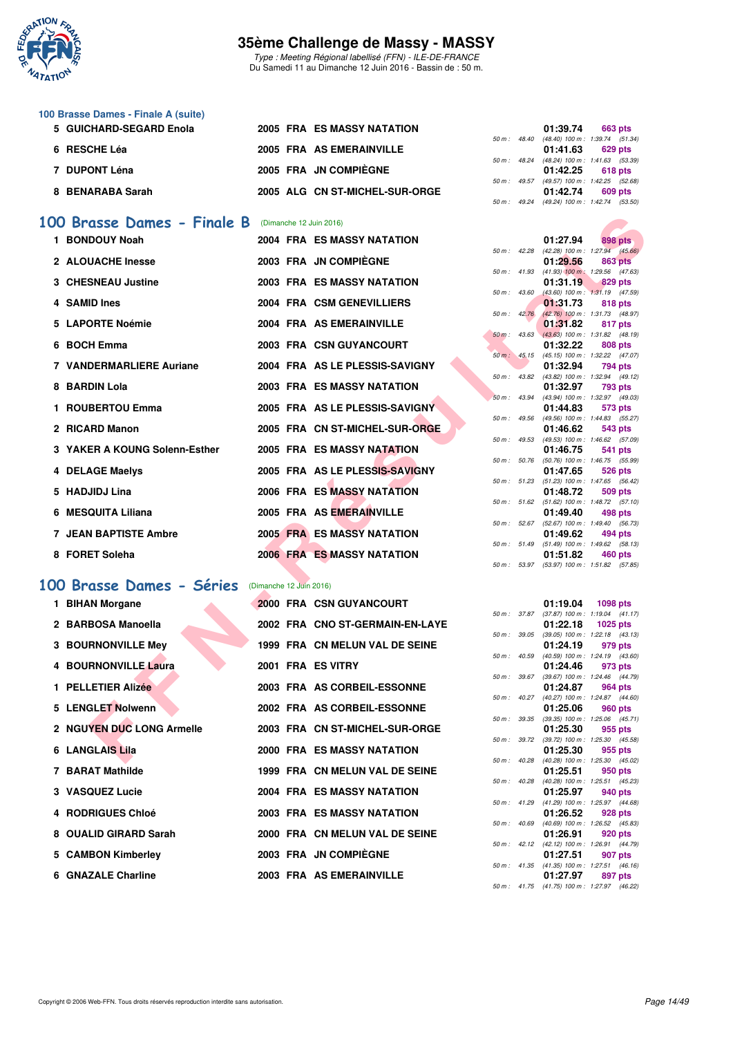

Type : Meeting Régional labellisé (FFN) - ILE-DE-FRANCE Du Samedi 11 au Dimanche 12 Juin 2016 - Bassin de : 50 m.

| 100 Brasse Dames - Finale A (suite) |                                |                                          |
|-------------------------------------|--------------------------------|------------------------------------------|
| 5 GUICHARD-SEGARD Enola             | 2005 FRA ES MASSY NATATION     | 01:39.74<br><b>663 pts</b>               |
|                                     |                                | 50 m: 48.40 (48.40) 100 m: 1:39.74 (51.3 |
| 6 RESCHE Léa                        | 2005 FRA AS EMERAINVILLE       | 01:41.63<br>629 pts                      |
|                                     |                                | 50 m: 48.24 (48.24) 100 m: 1:41.63 (53.3 |
| 7 DUPONT Léna                       | 2005 FRA JN COMPIÈGNE          | 01:42.25<br>618 pts                      |
|                                     |                                | 50 m: 49.57 (49.57) 100 m: 1:42.25 (52.6 |
| 8 BENARABA Sarah                    | 2005 ALG CN ST-MICHEL-SUR-ORGE | 01:42.74<br>609 pts                      |
|                                     |                                |                                          |

### **[100 Brasse Dames - Finale B](http://www.ffnatation.fr/webffn/resultats.php?idact=nat&go=epr&idcpt=38069&idepr=22)** (Dimanche 12 Juin 2016)

| 00 Brasse Dames - Finale B      |                         | (Dimanche 12 Juin 2016)           |             |                  |                                                        |                 |  |
|---------------------------------|-------------------------|-----------------------------------|-------------|------------------|--------------------------------------------------------|-----------------|--|
| 1 BONDOUY Noah                  |                         | <b>2004 FRA ES MASSY NATATION</b> |             |                  | 01:27.94                                               | <b>898 pts</b>  |  |
| 2 ALOUACHE Inesse               |                         | 2003 FRA JN COMPIEGNE             |             | 50 m : 42.28     | $(42.28)$ 100 m : 1:27.94 $(45.66)$<br>01:29.56        | <b>863 pts</b>  |  |
| 3 CHESNEAU Justine              |                         | <b>2003 FRA ES MASSY NATATION</b> |             | 50 m: 41.93      | $(41.93)$ 100 m : 1:29.56 $(47.63)$<br>01:31.19        | 829 pts         |  |
|                                 |                         |                                   | 50 m: 43.60 |                  | $(43.60)$ 100 m : 1:31.19 $(47.59)$                    |                 |  |
| 4 SAMID Ines                    |                         | 2004 FRA CSM GENEVILLIERS         |             |                  | 01:31.73                                               | 818 pts         |  |
|                                 |                         |                                   |             | $50 m$ : $42.76$ | $(42.76)$ 100 m : 1:31.73 $(48.97)$                    |                 |  |
| 5 LAPORTE Noémie                |                         | 2004 FRA AS EMERAINVILLE          |             | 50 m: 43.63      | 01:31.82<br>$(43.63)$ 100 m : 1:31.82 $(48.19)$        | 817 pts         |  |
| 6 BOCH Emma                     |                         | 2003 FRA CSN GUYANCOURT           |             |                  | 01:32.22                                               | 808 pts         |  |
|                                 |                         |                                   |             | $50 m$ : $45.15$ | (45.15) 100 m: 1:32.22 (47.07)                         |                 |  |
| <b>7 VANDERMARLIERE Auriane</b> |                         | 2004 FRA AS LE PLESSIS-SAVIGNY    |             |                  | 01:32.94                                               | 794 pts         |  |
|                                 |                         |                                   |             | 50 m : 43.82     | (43.82) 100 m : 1:32.94 (49.12)                        |                 |  |
| 8 BARDIN Lola                   |                         | <b>2003 FRA ES MASSY NATATION</b> |             |                  | 01:32.97<br>(43.94) 100 m: 1:32.97 (49.03)             | 793 pts         |  |
| 1 ROUBERTOU Emma                |                         | 2005 FRA AS LE PLESSIS-SAVIGNY    |             | 50 m: 43.94      | 01:44.83                                               | 573 pts         |  |
|                                 |                         |                                   |             | 50 m: 49.56      | (49.56) 100 m: 1:44.83 (55.27)                         |                 |  |
| 2 RICARD Manon                  |                         | 2005 FRA CN ST-MICHEL-SUR-ORGE    |             |                  | 01:46.62                                               | 543 pts         |  |
|                                 |                         |                                   |             | 50 m: 49.53      | (49.53) 100 m: 1:46.62 (57.09)                         |                 |  |
| 3 YAKER A KOUNG Solenn-Esther   |                         | 2005 FRA ES MASSY NATATION        |             |                  | 01:46.75                                               | 541 pts         |  |
|                                 |                         | 2005 FRA AS LE PLESSIS-SAVIGNY    |             | 50 m : 50.76     | (50.76) 100 m : 1:46.75 (55.99)                        |                 |  |
| 4 DELAGE Maelys                 |                         |                                   |             | 50 m: 51.23      | 01:47.65<br>$(51.23)$ 100 m : 1:47.65 $(56.42)$        | 526 pts         |  |
| 5 HADJIDJ Lina                  |                         | <b>2006 FRA ES MASSY NATATION</b> |             |                  | 01:48.72                                               | 509 pts         |  |
|                                 |                         |                                   |             |                  | 50 m: 51.62 (51.62) 100 m: 1:48.72 (57.10)             |                 |  |
| 6 MESQUITA Liliana              |                         | 2005 FRA AS EMERAINVILLE          |             |                  | 01:49.40                                               | 498 pts         |  |
|                                 |                         |                                   |             |                  | 50 m: 52.67 (52.67) 100 m: 1:49.40 (56.73)             |                 |  |
| <b>7 JEAN BAPTISTE Ambre</b>    |                         | <b>2005 FRA ES MASSY NATATION</b> |             |                  | 01:49.62                                               | 494 pts         |  |
| 8 FORET Soleha                  |                         | <b>2006 FRAMES MASSY NATATION</b> |             |                  | 50 m: 51.49 (51.49) 100 m: 1:49.62 (58.13)<br>01:51.82 | 460 pts         |  |
|                                 |                         |                                   |             | 50 m: 53.97      | (53.97) 100 m: 1:51.82 (57.85)                         |                 |  |
|                                 |                         |                                   |             |                  |                                                        |                 |  |
| <b>00 Brasse Dames - Séries</b> | (Dimanche 12 Juin 2016) |                                   |             |                  |                                                        |                 |  |
| 1 BIHAN Morgane                 |                         | 2000 FRA CSN GUYANCOURT           |             |                  | 01:19.04                                               | <b>1098 pts</b> |  |
|                                 |                         |                                   |             |                  | 50 m: 37.87 (37.87) 100 m: 1:19.04 (41.17)             |                 |  |
| 2 BARBOSA Manoella              |                         | 2002 FRA CNO ST-GERMAIN-EN-LAYE   |             |                  | 01:22.18                                               | <b>1025 pts</b> |  |
|                                 |                         |                                   |             | 50 m : 39.05     | $(39.05)$ 100 m : 1:22.18 $(43.13)$                    |                 |  |
| <b>3 BOURNONVILLE Mey</b>       |                         | 1999 FRA CN MELUN VAL DE SEINE    |             |                  | 01:24.19                                               | 979 pts         |  |
| 4 BOURNONVILLE Laura            |                         | 2001 FRA ES VITRY                 |             | 50 m : 40.59     | $(40.59)$ 100 m : 1:24.19 $(43.60)$                    |                 |  |
|                                 |                         |                                   |             | 50 m: 39.67      | 01:24.46<br>$(39.67)$ 100 m : 1:24.46 $(44.79)$        | 973 pts         |  |
| 1 PELLETIER Alizée              |                         | 2003 FRA AS CORBEIL-ESSONNE       |             |                  | 01:24.87                                               | 964 pts         |  |
|                                 |                         |                                   |             | 50 m: 40.27      | (40.27) 100 m: 1:24.87 (44.60)                         |                 |  |
| 5 LENGLET Nolwenn               |                         | 2002 FRA AS CORBEIL-ESSONNE       |             |                  | 01:25.06                                               | 960 pts         |  |
|                                 |                         |                                   |             | 50 m : 39.35     | $(39.35)$ 100 m : 1:25.06 $(45.71)$                    |                 |  |
| 2 NGUYEN DUC LONG Armelle       |                         | 2003 FRA CN ST-MICHEL-SUR-ORGE    |             |                  | 01:25.30                                               | 955 pts         |  |
| 6 LANGLAIS Lila                 |                         | <b>2000 FRA ES MASSY NATATION</b> |             |                  | 50 m: 39.72 (39.72) 100 m: 1:25.30 (45.58)<br>01:25.30 | 955 pts         |  |
|                                 |                         |                                   |             |                  | 50 m: 40.28 (40.28) 100 m: 1:25.30 (45.02)             |                 |  |

## **[100 Brasse Dames - Séries](http://www.ffnatation.fr/webffn/resultats.php?idact=nat&go=epr&idcpt=38069&idepr=22)** (Dimanche 12 Juin 2016)

| 1 BIHAN Morgane           |  | 2000 FRA CSN GUYANCOURT           |  | 01:19.04 1098 pts                                            |         |  |
|---------------------------|--|-----------------------------------|--|--------------------------------------------------------------|---------|--|
| 2 BARBOSA Manoella        |  | 2002 FRA CNO ST-GERMAIN-EN-LAYE   |  | 50 m: 37.87 (37.87) 100 m: 1:19.04 (41.<br>01:22.18 1025 pts |         |  |
|                           |  |                                   |  | 50 m: 39.05 (39.05) 100 m: 1:22.18 (43.                      |         |  |
| 3 BOURNONVILLE Mey        |  | 1999 FRA CN MELUN VAL DE SEINE    |  | 01:24.19 979 pts                                             |         |  |
|                           |  |                                   |  | 50 m: 40.59 (40.59) 100 m: 1:24.19 (43.                      |         |  |
| 4 BOURNONVILLE Laura      |  | 2001 FRA ES VITRY                 |  | 01:24.46                                                     | 973 pts |  |
| 1 PELLETIER Alizée        |  | 2003 FRA AS CORBEIL-ESSONNE       |  | 50 m: 39.67 (39.67) 100 m: 1:24.46 (44.<br>01:24.87 964 pts  |         |  |
|                           |  |                                   |  | 50 m: 40.27 (40.27) 100 m: 1:24.87 (44.                      |         |  |
| 5 LENGLET Nolwenn         |  | 2002 FRA AS CORBEIL-ESSONNE       |  | 01:25.06                                                     | 960 pts |  |
| 2 NGUYEN DUC LONG Armelle |  | 2003 FRA CN ST-MICHEL-SUR-ORGE    |  | 50 m: 39.35 (39.35) 100 m: 1:25.06 (45.<br>01:25.30 955 pts  |         |  |
|                           |  |                                   |  | 50 m : 39.72 (39.72) 100 m : 1:25.30 (45.                    |         |  |
| 6 LANGLAIS Lila           |  | <b>2000 FRA ES MASSY NATATION</b> |  | 01:25.30                                                     | 955 pts |  |
|                           |  |                                   |  | 50 m: 40.28 (40.28) 100 m: 1:25.30 (45.                      |         |  |
| 7 BARAT Mathilde          |  | 1999 FRA CN MELUN VAL DE SEINE    |  | 01:25.51                                                     | 950 pts |  |
| 3 VASQUEZ Lucie           |  | 2004 FRA ES MASSY NATATION        |  | 50 m: 40.28 (40.28) 100 m: 1:25.51 (45.<br>01:25.97          | 940 pts |  |
|                           |  |                                   |  | 50 m: 41.29 (41.29) 100 m: 1:25.97 (44.                      |         |  |
| 4 RODRIGUES Chloé         |  | <b>2003 FRA ES MASSY NATATION</b> |  | 01:26.52 928 pts                                             |         |  |
|                           |  |                                   |  | 50 m : 40.69 (40.69) 100 m : 1:26.52 (45.                    |         |  |
| 8 OUALID GIRARD Sarah     |  | 2000 FRA CN MELUN VAL DE SEINE    |  | 01:26.91                                                     | 920 pts |  |
|                           |  |                                   |  | 50 m: 42.12 (42.12) 100 m: 1:26.91 (44.                      |         |  |
| 5 CAMBON Kimberley        |  | 2003 FRA JN COMPIÈGNE             |  | 01:27.51 907 pts                                             |         |  |
|                           |  | 2003 FRA AS EMERAINVILLE          |  | 50 m: 41.35 (41.35) 100 m: 1:27.51 (46.                      |         |  |
| 6 GNAZALE Charline        |  |                                   |  | 01:27.97                                                     | 897 pts |  |

|              |              | 01:39.74         | 663 pts                         |
|--------------|--------------|------------------|---------------------------------|
|              | 50 m : 48.40 |                  | (48.40) 100 m : 1:39.74 (51.34) |
|              |              | 01:41.63 629 pts |                                 |
| 50 m : 48.24 |              |                  | (48.24) 100 m : 1:41.63 (53.39) |
|              |              | 01:42.25         | 618 pts                         |
|              | 50 m: 49.57  |                  | (49.57) 100 m : 1:42.25 (52.68) |
|              |              |                  | 01:42.74 609 pts                |
|              | 50 m : 49.24 |                  | (49.24) 100 m: 1:42.74 (53.50)  |
|              |              |                  |                                 |
|              |              |                  |                                 |
|              |              |                  |                                 |
|              |              | 01:27.94         | 898 pts                         |

|                  |       | 01:27.94                    | 898 pts                    |
|------------------|-------|-----------------------------|----------------------------|
| 50 m: 42.28      |       | (42.28) 100 m :             | 1:27.94 (45.66)            |
|                  |       | 01:29.56                    | <b>863 pts</b>             |
| 50 m: 41.93      |       | $(41.93) 100 m$ :           | 1:29.56 (47.63)            |
|                  |       | 01:31.19                    | <b>829 pts</b>             |
| $50 m$ : 43.60   |       | $(43.60)$ 100 m :           | $1:31.19$ $(47.59)$        |
|                  |       | 01:31.73                    | 818 pts                    |
| 50 m: 42.76      |       | $(42.76) 100 m$ :           | 1:31.73 (48.97)            |
|                  |       | 01:31.82                    | 817 pts                    |
| $50 m$ :         | 43.63 | $(43.63) 100 m$ :           | 1:31.82 (48.19)            |
|                  |       | 01:32.22                    | <b>808 pts</b>             |
| $50 m$ :         | 45.15 | $(45.15) 100 m$ :           | 1:32.22 (47.07)            |
|                  |       | 01:32.94                    | 794 pts                    |
| 50 m: 43.82      |       | $(43.82)$ 100 m :           | 1:32.94 (49.12)            |
|                  |       | 01:32.97                    | 793 pts                    |
| $50 m$ :         | 43.94 | $(43.94) 100 m$ :           | 1:32.97 (49.03)            |
|                  |       |                             |                            |
|                  |       | 01:44.83                    | 573 pts                    |
| 50 m: 49.56      |       | $(49.56) 100 m$ :           | 1:44.83 (55.27)            |
|                  |       | 01:46.62                    | 543 pts                    |
| $50 m$ : 49.53   |       | $(49.53) 100 m$ :           | 1:46.62 (57.09)            |
|                  |       | 01:46.75                    | 541 pts                    |
| 50 m :           | 50.76 | $(50.76) 100 m$ :           | 1:46.75 (55.99)            |
|                  |       | 01:47.65                    | <b>526 pts</b>             |
| 50 m :           | 51.23 | $(51.23) 100 m$ :           | 1:47.65 (56.42)            |
|                  |       | 01:48.72                    | <b>509 pts</b>             |
| $50 m$ : $51.62$ |       | $(51.62) 100 m$ :           | $1:48.72$ $(57.10)$        |
|                  |       | 01:49.40                    | 498 pts                    |
| $50 m$ :         | 52.67 | $(52.67)$ 100 m :           | 1:49.40 (56.73)            |
|                  |       | 01:49.62                    | 494 pts                    |
| 50 m: 51.49      |       | (51.49) 100 m:              | 1:49.62 (58.13)            |
| $50 m$ : $53.97$ |       | 01:51.82<br>(53.97) 100 m : | 460 pts<br>1:51.82 (57.85) |

|                  |              | 01:19.04                            | 1098 pts            |         |
|------------------|--------------|-------------------------------------|---------------------|---------|
|                  | 50 m : 37.87 | $(37.87) 100 m$ :                   | $1:19.04$ $(41.17)$ |         |
|                  |              | 01:22.18                            | 1025 pts            |         |
| 50 m: 39.05      |              | $(39.05)$ 100 m :                   | $1:22.18$ $(43.13)$ |         |
|                  |              | 01:24.19                            | 979 pts             |         |
| $50 m$ : $40.59$ |              | $(40.59)$ 100 m :                   | 1:24.19 (43.60)     |         |
|                  |              | 01:24.46                            | 973 pts             |         |
| 50 m: 39.67      |              | $(39.67) 100 m$ :                   | 1:24.46 (44.79)     |         |
|                  |              | 01:24.87                            | 964 pts             |         |
| $50 m$ : $40.27$ |              | $(40.27)$ 100 m :                   | 1:24.87 (44.60)     |         |
|                  |              | 01:25.06                            | 960 pts             |         |
| 50 m: 39.35      |              | $(39.35)$ 100 m :                   | $1:25.06$ $(45.71)$ |         |
|                  |              | 01:25.30                            |                     | 955 pts |
| 50 m : 39.72     |              | $(39.72)$ 100 m :                   | 1:25.30 (45.58)     |         |
|                  |              | 01:25.30                            | 955 pts             |         |
| $50 m$ : $40.28$ |              | $(40.28)$ 100 m :                   | 1:25.30 (45.02)     |         |
|                  |              | 01:25.51                            | 950 pts             |         |
| $50 m$ : $40.28$ |              | $(40.28) 100 m$ :                   | 1:25.51 (45.23)     |         |
|                  |              | 01:25.97                            | 940 pts             |         |
| 50 m: 41.29      |              | $(41.29) 100 m$ :                   | 1:25.97 (44.68)     |         |
|                  |              | 01:26.52                            | 928 pts             |         |
| $50 m$ : $40.69$ |              | $(40.69)$ 100 m :                   | 1:26.52 (45.83)     |         |
|                  |              | 01:26.91                            | 920 pts             |         |
| $50 m$ : 42.12   |              | $(42.12)$ 100 m :                   | 1:26.91 (44.79)     |         |
|                  |              | 01:27.51                            | 907 pts             |         |
|                  | 50 m : 41.35 | $(41.35)$ 100 m : 1:27.51 $(46.16)$ |                     |         |
|                  |              | 01:27.97 897 pts                    |                     |         |
| $50 m$ :         | 41.75        | (41.75) 100 m:                      | 1:27.97 (46.22)     |         |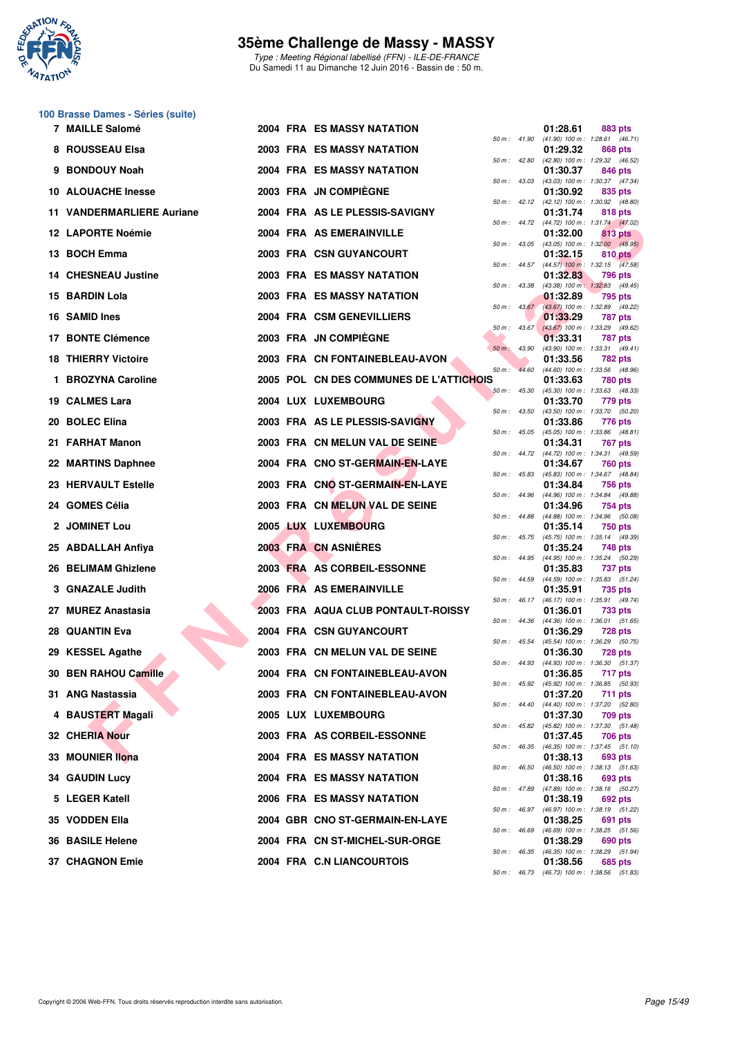

Type : Meeting Régional labellisé (FFN) - ILE-DE-FRANCE Du Samedi 11 au Dimanche 12 Juin 2016 - Bassin de : 50 m.

### **100 Brasse Dames - Séries (suite)**

|     | 7 MAILLE Salomé                  |  | <b>2004 FRA ES MASSY NATATION</b>       |              |                  | 01:28.61 | 883 pts                                                      |
|-----|----------------------------------|--|-----------------------------------------|--------------|------------------|----------|--------------------------------------------------------------|
|     | 8 ROUSSEAU Elsa                  |  | <b>2003 FRA ES MASSY NATATION</b>       |              | 50 m : 41.90     | 01:29.32 | $(41.90)$ 100 m : 1:28.61 $(46.71)$<br>868 pts               |
|     | <b>BONDOUY Noah</b>              |  | 2004 FRA ES MASSY NATATION              | 50 m: 42.80  |                  | 01:30.37 | (42.80) 100 m: 1:29.32 (46.52)<br>846 pts                    |
|     | 10 ALOUACHE Inesse               |  | 2003 FRA JN COMPIEGNE                   |              | 50 m: 43.03      | 01:30.92 | (43.03) 100 m: 1:30.37 (47.34)<br>835 pts                    |
|     | <b>11 VANDERMARLIERE Auriane</b> |  | 2004 FRA AS LE PLESSIS-SAVIGNY          |              |                  | 01:31.74 | 50 m: 42.12 (42.12) 100 m: 1:30.92 (48.80)<br>818 pts        |
|     | <b>12 LAPORTE Noémie</b>         |  | 2004 FRA AS EMERAINVILLE                |              |                  | 01:32.00 | 50 m: 44.72 (44.72) 100 m: 1:31.74 (47.02)<br>813 pts        |
|     | 13 BOCH Emma                     |  | 2003 FRA CSN GUYANCOURT                 | 50 m: 43.05  |                  | 01:32.15 | $(43.05)$ 100 m : 1:32.00 $(48.95)$<br>810 pts               |
|     | <b>14 CHESNEAU Justine</b>       |  | 2003 FRA ES MASSY NATATION              |              |                  | 01:32.83 | 50 m: 44.57 (44.57) 100 m: 1:32.15 (47.58)<br><b>796 pts</b> |
|     | 15 BARDIN Lola                   |  | <b>2003 FRA ES MASSY NATATION</b>       | 50 m: 43.38  |                  | 01:32.89 | (43.38) 100 m: 1:32.83 (49.45)<br>795 pts                    |
| 16. | <b>SAMID Ines</b>                |  | 2004 FRA CSM GENEVILLIERS               |              | $50 m$ : $43.67$ | 01:33.29 | (43.67) 100 m : 1:32.89 (49.22)<br>787 pts                   |
|     | 17 BONTE Clémence                |  | 2003 FRA JN COMPIÈGNE                   |              | $50 m$ : 43.67   | 01:33.31 | (43.67) 100 m : 1:33.29 (49.62)<br>787 pts                   |
|     | <b>18 THIERRY Victoire</b>       |  | 2003 FRA CN FONTAINEBLEAU-AVON          | 50 m : 43.90 |                  | 01:33.56 | (43.90) 100 m: 1:33.31 (49.41)<br>782 pts                    |
|     | 1 BROZYNA Caroline               |  | 2005 POL CN DES COMMUNES DE L'ATTICHOIS | $50 m$ :     | 44.60            | 01:33.63 | (44.60) 100 m: 1:33.56 (48.96)<br><b>780 pts</b>             |
|     | 19 CALMES Lara                   |  | 2004 LUX LUXEMBOURG                     | 50 m: 45.30  |                  | 01:33.70 | (45.30) 100 m: 1:33.63 (48.33)<br>779 pts                    |
| 20  | <b>BOLEC Elina</b>               |  | 2003 FRA AS LE PLESSIS-SAVIGNY          | 50 m: 43.50  |                  | 01:33.86 | (43.50) 100 m: 1:33.70 (50.20)<br>776 pts                    |
|     | 21 FARHAT Manon                  |  | 2003 FRA CN MELUN VAL DE SEINE          | 50 m: 45.05  |                  | 01:34.31 | (45.05) 100 m: 1:33.86 (48.81)<br>767 pts                    |
|     | 22 MARTINS Daphnee               |  | 2004 FRA CNO ST-GERMAIN-EN-LAYE         |              |                  | 01:34.67 | 50 m: 44.72 (44.72) 100 m: 1:34.31 (49.59)<br>760 pts        |
|     | 23 HERVAULT Estelle              |  | 2003 FRA CNO ST-GERMAIN-EN-LAYE         |              | 50 m : 45.83     | 01:34.84 | (45.83) 100 m: 1:34.67 (48.84)<br><b>756 pts</b>             |
|     | 24 GOMES Célia                   |  | 2003 FRA CN MELUN VAL DE SEINE          | 50 m: 44.96  |                  | 01:34.96 | (44.96) 100 m: 1:34.84 (49.88)<br>754 pts                    |
|     | <b>JOMINET Lou</b>               |  | 2005 LUX LUXEMBOURG                     |              | 50 m : 44.88     | 01:35.14 | $(44.88)$ 100 m : 1:34.96 $(50.08)$                          |
|     |                                  |  | 2003 FRA CN ASNIERES                    | 50 m: 45.75  |                  |          | 750 pts<br>(45.75) 100 m: 1:35.14 (49.39)                    |
|     | 25 ABDALLAH Anfiya               |  | 2003 FRA AS CORBEIL-ESSONNE             | 50 m: 44.95  |                  | 01:35.24 | 748 pts<br>(44.95) 100 m: 1:35.24 (50.29)                    |
|     | 26 BELIMAM Ghizlene              |  |                                         |              | 50 m : 44.59     | 01:35.83 | 737 pts<br>$(44.59)$ 100 m : 1:35.83 (51.24)                 |
|     | 3 GNAZALE Judith                 |  | 2006 FRA AS EMERAINVILLE                |              | 50 m : 46.17     | 01:35.91 | 735 pts<br>(46.17) 100 m: 1:35.91 (49.74)                    |
|     | 27 MUREZ Anastasia               |  | 2003 FRA AQUA CLUB PONTAULT-ROISSY      |              |                  | 01:36.01 | 733 pts<br>50 m: 44.36 (44.36) 100 m: 1:36.01 (51.65)        |
|     | <b>28 QUANTIN Eva</b>            |  | <b>2004 FRA CSN GUYANCOURT</b>          |              | 50 m : 45.54     | 01:36.29 | 728 pts<br>$(45.54)$ 100 m : 1:36.29 (50.75)                 |
|     | 29 KESSEL Agathe                 |  | 2003 FRA CN MELUN VAL DE SEINE          | 50 m: 44.93  |                  | 01:36.30 | <b>728 pts</b><br>(44.93) 100 m: 1:36.30 (51.37)             |
|     | 30 BEN RAHOU Camille             |  | 2004 FRA CN FONTAINEBLEAU-AVON          | 50 m: 45.92  |                  | 01:36.85 | 717 pts<br>(45.92) 100 m : 1:36.85 (50.93)                   |
|     | 31 ANG Nastassia                 |  | 2003 FRA CN FONTAINEBLEAU-AVON          | 50 m : 44.40 |                  | 01:37.20 | 711 pts<br>(44.40) 100 m: 1:37.20 (52.80)                    |
|     | 4 BAUSTERT Magali                |  | 2005 LUX LUXEMBOURG                     | 50 m: 45.82  |                  | 01:37.30 | 709 pts<br>(45.82) 100 m : 1:37.30 (51.48)                   |
|     | 32 CHERIA Nour                   |  | 2003 FRA AS CORBEIL-ESSONNE             | 50 m: 46.35  |                  | 01:37.45 | 706 pts<br>(46.35) 100 m: 1:37.45 (51.10)                    |
|     | 33 MOUNIER llona                 |  | <b>2004 FRA ES MASSY NATATION</b>       | 50 m: 46.50  |                  | 01:38.13 | 693 pts<br>(46.50) 100 m: 1:38.13 (51.63)                    |
|     | <b>34 GAUDIN Lucy</b>            |  | <b>2004 FRA ES MASSY NATATION</b>       | 50 m: 47.89  |                  | 01:38.16 | 693 pts<br>(47.89) 100 m: 1:38.16 (50.27)                    |
|     | 5 LEGER Katell                   |  | 2006 FRA ES MASSY NATATION              | 50 m: 46.97  |                  | 01:38.19 | 692 pts<br>(46.97) 100 m: 1:38.19 (51.22)                    |
|     | 35 VODDEN Ella                   |  | 2004 GBR CNO ST-GERMAIN-EN-LAYE         | 50 m: 46.69  |                  | 01:38.25 | 691 pts<br>(46.69) 100 m: 1:38.25 (51.56)                    |
|     | 36 BASILE Helene                 |  | 2004 FRA CN ST-MICHEL-SUR-ORGE          | 50 m: 46.35  |                  | 01:38.29 | 690 pts<br>(46.35) 100 m: 1:38.29 (51.94)                    |
|     | <b>37 CHAGNON Emie</b>           |  | 2004 FRA C.N LIANCOURTOIS               | 50 m : 46.73 |                  | 01:38.56 | 685 pts<br>(46.73) 100 m : 1:38.56 (51.83)                   |
|     |                                  |  |                                         |              |                  |          |                                                              |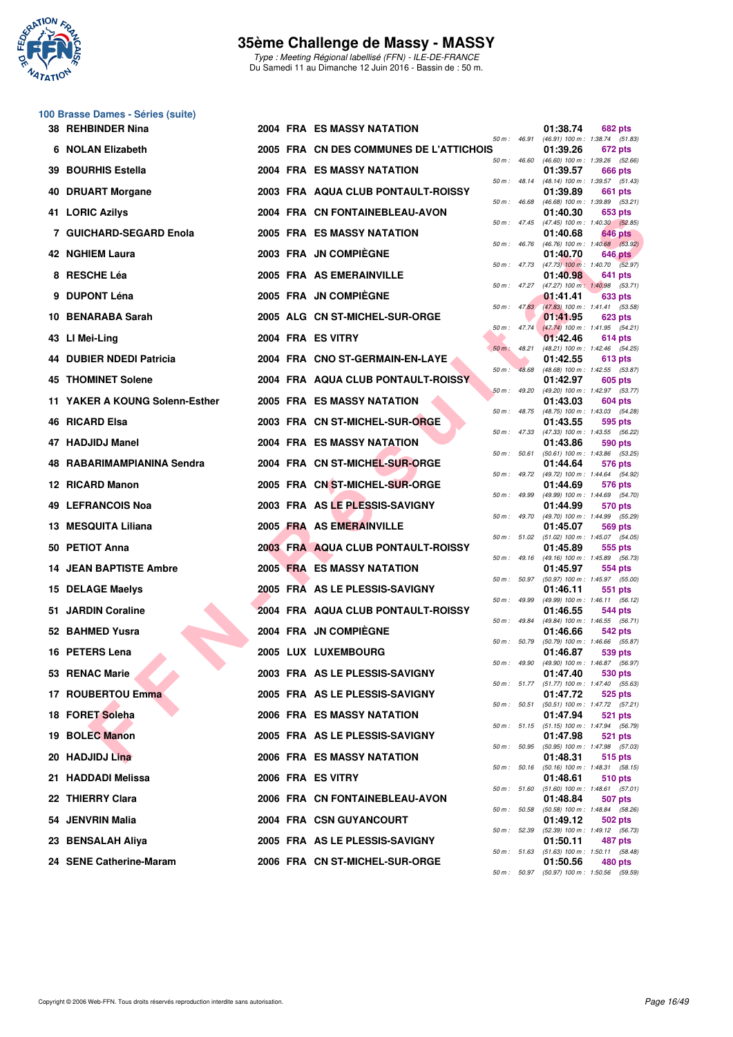

Type : Meeting Régional labellisé (FFN) - ILE-DE-FRANCE Du Samedi 11 au Dimanche 12 Juin 2016 - Bassin de : 50 m.

### **100 Brasse Dames - Séries (suite)**

|     | 38 REHBINDER Nina              |  | <b>2004 FRA ES MASSY NATATION</b>       |                |                        | 01:38.74 | 682 pts                                                      |
|-----|--------------------------------|--|-----------------------------------------|----------------|------------------------|----------|--------------------------------------------------------------|
|     | 6 NOLAN Elizabeth              |  | 2005 FRA CN DES COMMUNES DE L'ATTICHOIS | 50 m : 46.91   |                        | 01:39.26 | (46.91) 100 m: 1:38.74 (51.83)<br>672 pts                    |
|     | 39 BOURHIS Estella             |  | <b>2004 FRA ES MASSY NATATION</b>       | 50 m: 46.60    |                        | 01:39.57 | (46.60) 100 m: 1:39.26 (52.66)<br>666 pts                    |
| 40  | <b>DRUART Morgane</b>          |  | 2003 FRA AQUA CLUB PONTAULT-ROISSY      | 50 m: 48.14    |                        | 01:39.89 | (48.14) 100 m: 1:39.57 (51.43)<br>661 pts                    |
|     | 41 LORIC Azilys                |  | 2004 FRA CN FONTAINEBLEAU-AVON          | 50 m: 46.68    |                        | 01:40.30 | (46.68) 100 m: 1:39.89 (53.21)<br>653 pts                    |
|     | 7 GUICHARD-SEGARD Enola        |  | <b>2005 FRA ES MASSY NATATION</b>       |                | 50 m: 47.45            | 01:40.68 | $(47.45)$ 100 m : 1:40.30 (52.85)<br>646 pts                 |
|     | 42 NGHIEM Laura                |  | 2003 FRA JN COMPIÈGNE                   | 50 m: 46.76    |                        | 01:40.70 | $(46.76)$ 100 m : 1:40.68 $(53.92)$<br>646 pts               |
|     | 8 RESCHE Léa                   |  | 2005 FRA AS EMERAINVILLE                |                |                        | 01:40.98 | 50 m : 47.73 (47.73) 100 m : 1:40.70 (52.97)<br>641 pts      |
|     | 9 DUPONT Léna                  |  | 2005 FRA JN COMPIEGNE                   | 50 m: 47.27    |                        | 01:41.41 | (47.27) 100 m: 1:40.98 (53.71)<br>633 pts                    |
| 10. | <b>BENARABA Sarah</b>          |  | 2005 ALG CN ST-MICHEL-SUR-ORGE          |                | 50 m: 47.83            | 01:41.95 | (47.83) 100 m: 1:41.41 (53.58)<br>623 pts                    |
|     | 43 LI Mei-Ling                 |  | 2004 FRA ES VITRY                       |                | 50 m: 47.74            | 01:42.46 | (47.74) 100 m: 1:41.95 (54.21)<br>614 pts                    |
|     | 44 DUBIER NDEDI Patricia       |  | 2004 FRA CNO ST-GERMAIN-EN-LAYE         | $50 m$ : 48.21 |                        | 01:42.55 | (48.21) 100 m: 1:42.46 (54.25)<br>613 pts                    |
|     | <b>45 THOMINET Solene</b>      |  | 2004 FRA AQUA CLUB PONTAULT-ROISSY      | $50 m$ :       | 48.68                  | 01:42.97 | (48.68) 100 m: 1:42.55 (53.87)<br>605 pts                    |
|     | 11 YAKER A KOUNG Solenn-Esther |  | <b>2005 FRA ES MASSY NATATION</b>       | $50 m$ : 49.20 |                        | 01:43.03 | (49.20) 100 m: 1:42.97 (53.77)<br>604 pts                    |
|     | 46 RICARD Elsa                 |  | 2003 FRA CN ST-MICHEL-SUR-ORGE          | $50 m$ : 48.75 |                        | 01:43.55 | (48.75) 100 m: 1:43.03 (54.28)<br>595 pts                    |
|     | 47 HADJIDJ Manel               |  | <b>2004 FRA ES MASSY NATATION</b>       | 50 m: 47.33    |                        | 01:43.86 | (47.33) 100 m: 1:43.55 (56.22)<br>590 pts                    |
|     | 48 RABARIMAMPIANINA Sendra     |  | 2004 FRA CN ST-MICHEL-SUR-ORGE          | 50 m : 50.61   |                        | 01:44.64 | $(50.61)$ 100 m : 1:43.86 $(53.25)$<br>576 pts               |
|     | 12 RICARD Manon                |  | 2005 FRA CN ST-MICHEL-SUR-ORGE          |                | $50 \text{ m}$ : 49.72 | 01:44.69 | (49.72) 100 m : 1:44.64 (54.92)<br>576 pts                   |
|     | <b>49 LEFRANCOIS Noa</b>       |  | 2003 FRA AS LE PLESSIS-SAVIGNY          | 50 m: 49.99    |                        | 01:44.99 | (49.99) 100 m: 1:44.69 (54.70)<br>570 pts                    |
|     | 13 MESQUITA Liliana            |  | 2005 FRA AS EMERAINVILLE                |                |                        | 01:45.07 | 50 m: 49.70 (49.70) 100 m: 1:44.99 (55.29)<br><b>569 pts</b> |
|     | 50 PETIOT Anna                 |  | 2003 FRA AQUA CLUB PONTAULT-ROISSY      |                |                        | 01:45.89 | 50 m: 51.02 (51.02) 100 m: 1:45.07 (54.05)<br>555 pts        |
| 14. | <b>JEAN BAPTISTE Ambre</b>     |  | 2005 FRA ES MASSY NATATION              |                |                        | 01:45.97 | 50 m: 49.16 (49.16) 100 m: 1:45.89 (56.73)<br>554 pts        |
|     | 15 DELAGE Maelys               |  | 2005 FRA AS LE PLESSIS-SAVIGNY          |                | 50 m: 50.97            | 01:46.11 | (50.97) 100 m: 1:45.97 (55.00)<br>551 pts                    |
| 51. | <b>JARDIN Coraline</b>         |  | 2004 FRA AQUA CLUB PONTAULT-ROISSY      | 50 m: 49.99    |                        | 01:46.55 | (49.99) 100 m: 1:46.11 (56.12)<br>544 pts                    |
|     | 52 BAHMED Yusra                |  | 2004 FRA JN COMPIÈGNE                   |                | 50 m : 49.84           | 01:46.66 | (49.84) 100 m: 1:46.55 (56.71)<br>542 pts                    |
|     | 16 PETERS Lena                 |  | <b>2005 LUX LUXEMBOURG</b>              | 50 m: 50.79    |                        | 01:46.87 | (50.79) 100 m : 1:46.66 (55.87)<br>539 pts                   |
|     | 53 RENAC Marie                 |  | 2003 FRA AS LE PLESSIS-SAVIGNY          | 50 m : 49.90   |                        | 01:47.40 | (49.90) 100 m: 1:46.87 (56.97)<br>530 pts                    |
|     | 17 ROUBERTOU Emma              |  | 2005 FRA AS LE PLESSIS-SAVIGNY          |                |                        | 01:47.72 | 50 m : 51.77 (51.77) 100 m : 1:47.40 (55.63)<br>525 pts      |
|     | 18 FORET Soleha                |  | 2006 FRA ES MASSY NATATION              | 50 m : 50.51   |                        | 01:47.94 | (50.51) 100 m: 1:47.72 (57.21)<br>521 pts                    |
|     | 19 BOLEC Manon                 |  | 2005 FRA AS LE PLESSIS-SAVIGNY          |                |                        | 01:47.98 | 50 m: 51.15 (51.15) 100 m: 1:47.94 (56.79)<br>521 pts        |
|     | 20 HADJIDJ Lina                |  | 2006 FRA ES MASSY NATATION              | 50 m: 50.95    |                        | 01:48.31 | (50.95) 100 m: 1:47.98 (57.03)<br>515 pts                    |
|     | 21 HADDADI Melissa             |  | 2006 FRA ES VITRY                       |                | 50 m : 50.16           | 01:48.61 | $(50.16)$ 100 m : 1:48.31 $(58.15)$<br>510 pts               |
|     | 22 THIERRY Clara               |  | 2006 FRA CN FONTAINEBLEAU-AVON          | 50 m: 51.60    |                        | 01:48.84 | (51.60) 100 m: 1:48.61 (57.01)<br><b>507 pts</b>             |
|     | 54 JENVRIN Malia               |  | 2004 FRA CSN GUYANCOURT                 | 50 m: 50.58    |                        | 01:49.12 | (50.58) 100 m: 1:48.84 (58.26)<br>502 pts                    |
|     | 23 BENSALAH Aliya              |  | 2005 FRA AS LE PLESSIS-SAVIGNY          | 50 m: 52.39    |                        | 01:50.11 | (52.39) 100 m: 1:49.12 (56.73)<br>487 pts                    |
|     | 24 SENE Catherine-Maram        |  | 2006 FRA CN ST-MICHEL-SUR-ORGE          |                | 50 m : 51.63           | 01:50.56 | $(51.63)$ 100 m : 1:50.11 $(58.48)$<br><b>480 pts</b>        |
|     |                                |  |                                         |                |                        |          | 50 m : 50.97 (50.97) 100 m : 1:50.56 (59.59)                 |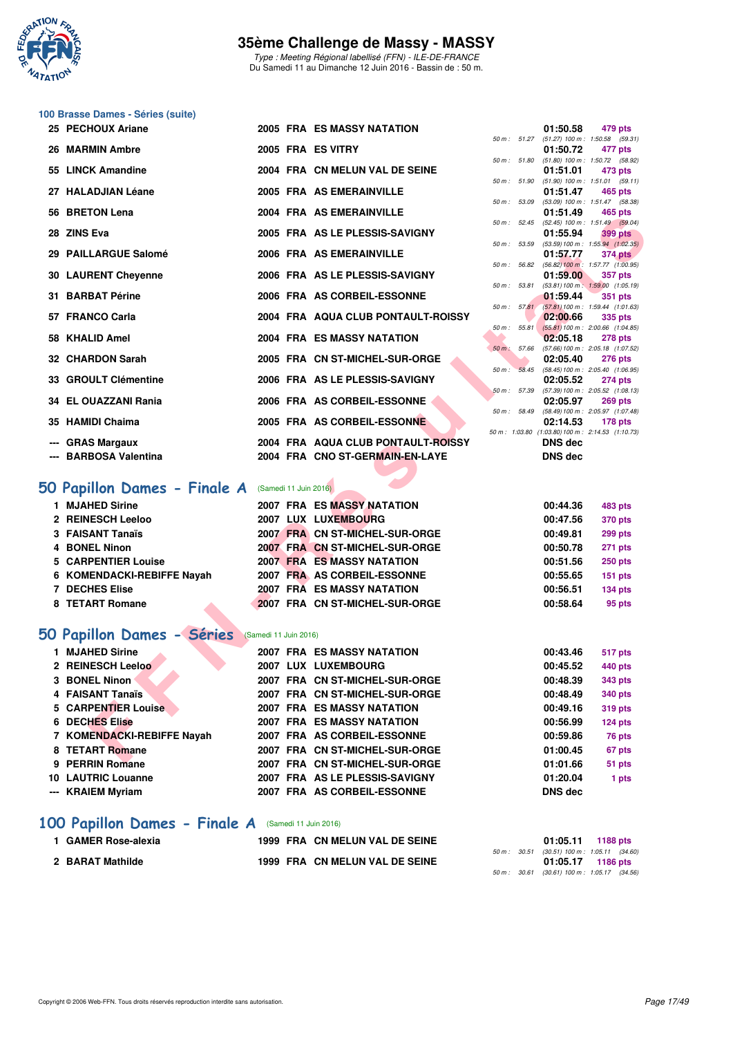

Type : Meeting Régional labellisé (FFN) - ILE-DE-FRANCE Du Samedi 11 au Dimanche 12 Juin 2016 - Bassin de : 50 m.

# **100 Brasse Dames - Séries (suite)**

| 25 PECHOUX Ariane                                 |                       | 2005 FRA ES MASSY NATATION                                    |              | 01:50.58             | 479 pts                                                         |
|---------------------------------------------------|-----------------------|---------------------------------------------------------------|--------------|----------------------|-----------------------------------------------------------------|
| 26 MARMIN Ambre                                   |                       | 2005 FRA ES VITRY                                             |              | 01:50.72             | 50 m: 51.27 (51.27) 100 m: 1:50.58 (59.31)<br>477 pts           |
|                                                   |                       |                                                               |              |                      | 50 m: 51.80 (51.80) 100 m: 1:50.72 (58.92)                      |
| 55 LINCK Amandine                                 |                       | 2004 FRA CN MELUN VAL DE SEINE                                |              | 01:51.01             | 473 pts<br>50 m: 51.90 (51.90) 100 m: 1:51.01 (59.11)           |
| 27 HALADJIAN Léane                                |                       | 2005 FRA AS EMERAINVILLE                                      |              | 01:51.47             | 465 pts                                                         |
| 56 BRETON Lena                                    |                       | 2004 FRA AS EMERAINVILLE                                      |              | 01:51.49             | 50 m: 53.09 (53.09) 100 m: 1:51.47 (58.38)<br>465 pts           |
|                                                   |                       |                                                               |              |                      | 50 m: 52.45 (52.45) 100 m: 1:51.49 (59.04)                      |
| 28 ZINS Eva                                       |                       | 2005 FRA AS LE PLESSIS-SAVIGNY                                |              | 01:55.94             | <b>399 pts</b><br>50 m: 53.59 (53.59) 100 m: 1:55.94 (1:02.35)  |
| 29 PAILLARGUE Salomé                              |                       | 2006 FRA AS EMERAINVILLE                                      |              | 01:57.77             | 374 pts                                                         |
| <b>30 LAURENT Cheyenne</b>                        |                       | 2006 FRA AS LE PLESSIS-SAVIGNY                                | 50 m: 56.82  | 01:59.00             | $(56.82)$ 100 m : 1:57.77 $(1:00.95)$<br><b>357 pts</b>         |
|                                                   |                       |                                                               |              |                      | 50 m: 53.81 (53.81) 100 m: 1:59.00 (1:05.19)                    |
| 31 BARBAT Périne                                  |                       | 2006 FRA AS CORBEIL-ESSONNE                                   | 50 m: 57.81  | 01:59.44             | <b>351 pts</b><br>$(57.81) 100 \text{ m}$ : 1:59.44 $(1:01.63)$ |
| 57 FRANCO Carla                                   |                       | 2004 FRA AQUA CLUB PONTAULT-ROISSY                            |              | 02:00.66             | 335 pts                                                         |
| 58 KHALID Amel                                    |                       | 2004 FRA ES MASSY NATATION                                    | 50 m: 55.81  | 02:05.18             | $(55.81)$ 100 m : 2:00.66 (1:04.85)<br><b>278 pts</b>           |
|                                                   |                       |                                                               | 50 m: 57.66  |                      | (57.66) 100 m : 2:05.18 (1:07.52)                               |
| 32 CHARDON Sarah                                  |                       | 2005 FRA CN ST-MICHEL-SUR-ORGE                                |              | 02:05.40             | <b>276 pts</b><br>50 m: 58.45 (58.45) 100 m: 2:05.40 (1:06.95)  |
| 33 GROULT Clémentine                              |                       | 2006 FRA AS LE PLESSIS-SAVIGNY                                |              | 02:05.52             | <b>274 pts</b>                                                  |
| 34 EL OUAZZANI Rania                              |                       | 2006 FRA AS CORBEIL-ESSONNE                                   | 50 m: 57.39  | 02:05.97             | $(57.39)$ 100 m : 2:05.52 $(1:08.13)$                           |
|                                                   |                       |                                                               | 50 m : 58.49 |                      | <b>269 pts</b><br>(58.49) 100 m : 2:05.97 (1:07.48)             |
| 35 HAMIDI Chaima                                  |                       | 2005 FRA AS CORBEIL-ESSONNE                                   |              | 02:14.53             | $178$ pts<br>50 m: 1:03.80 (1:03.80) 100 m: 2:14.53 (1:10.73)   |
| --- GRAS Margaux                                  |                       | 2004 FRA AQUA CLUB PONTAULT-ROISSY                            |              | <b>DNS</b> dec       |                                                                 |
| --- BARBOSA Valentina                             |                       | 2004 FRA CNO ST-GERMAIN-EN-LAYE                               |              | <b>DNS</b> dec       |                                                                 |
|                                                   |                       |                                                               |              |                      |                                                                 |
| O Papillon Dames - Finale A (Samedi 11 Juin 2016) |                       |                                                               |              |                      |                                                                 |
| 1 MJAHED Sirine                                   |                       | <b>2007 FRA ES MASSY NATATION</b>                             |              | 00:44.36             | 483 pts                                                         |
| 2 REINESCH Leeloo                                 |                       | 2007 LUX LUXEMBOURG                                           |              | 00:47.56             | 370 pts                                                         |
| 3 FAISANT Tanaïs                                  |                       | 2007 FRA CN ST-MICHEL-SUR-ORGE                                |              | 00:49.81             | <b>299 pts</b>                                                  |
| 4 BONEL Ninon                                     |                       | 2007 FRA CN ST-MICHEL-SUR-ORGE                                |              | 00:50.78             | 271 pts                                                         |
| <b>5 CARPENTIER Louise</b>                        |                       | <b>2007 FRA ES MASSY NATATION</b>                             |              | 00:51.56             | <b>250 pts</b>                                                  |
| 6 KOMENDACKI-REBIFFE Nayah                        |                       | 2007 FRA AS CORBEIL-ESSONNE                                   |              | 00:55.65             | <b>151 pts</b>                                                  |
| <b>7 DECHES Elise</b><br>8 TETART Romane          |                       | 2007 FRA ES MASSY NATATION<br>2007 FRA CN ST-MICHEL-SUR-ORGE  |              | 00:56.51<br>00:58.64 | <b>134 pts</b><br>95 pts                                        |
|                                                   |                       |                                                               |              |                      |                                                                 |
| O Papillon Dames - Séries                         | (Samedi 11 Juin 2016) |                                                               |              |                      |                                                                 |
| 1 MJAHED Sirine                                   |                       | <b>2007 FRA ES MASSY NATATION</b>                             |              | 00:43.46             | <b>517 pts</b>                                                  |
| 2 REINESCH Leeloo                                 |                       | 2007 LUX LUXEMBOURG                                           |              | 00:45.52             | 440 pts                                                         |
| <b>3 BONEL Ninon</b>                              |                       | 2007 FRA CN ST-MICHEL-SUR-ORGE                                |              | 00:48.39             | <b>343 pts</b>                                                  |
| 4 FAISANT Tanaïs                                  |                       | 2007 FRA CN ST-MICHEL-SUR-ORGE                                |              | 00:48.49             | <b>340 pts</b>                                                  |
| <b>5 CARPENTIER Louise</b>                        |                       | <b>2007 FRA ES MASSY NATATION</b>                             |              | 00:49.16             | <b>319 pts</b>                                                  |
| <b>6 DECHES Elise</b>                             |                       | 2007 FRA ES MASSY NATATION                                    |              | 00:56.99             | 124 pts                                                         |
| 7 KOMENDACKI-REBIFFE Nayah<br>8 TETART Romane     |                       | 2007 FRA AS CORBEIL-ESSONNE<br>2007 FRA CN ST-MICHEL-SUR-ORGE |              | 00:59.86<br>01:00.45 | 76 pts<br>67 pts                                                |
| <b>DEDDINI DAMA</b>                               |                       | 0007 FBA ON CT MIOUEL CUB OBOE                                |              | 0.4.04.02            | <b>THE WAY</b>                                                  |

# **[50 Papillon Dames - Finale A](http://www.ffnatation.fr/webffn/resultats.php?idact=nat&go=epr&idcpt=38069&idepr=31)** (Samedi 11 Juin 2016)

| <b>MJAHED Sirine</b>       |  | 2007 FRA ES MASSY NATATION     | 00:44.36 | 483 pts        |
|----------------------------|--|--------------------------------|----------|----------------|
| 2 REINESCH Leeloo          |  | 2007 LUX LUXEMBOURG            | 00:47.56 | <b>370 pts</b> |
| 3 FAISANT Tanaïs           |  | 2007 FRA CN ST-MICHEL-SUR-ORGE | 00:49.81 | <b>299 pts</b> |
| 4 BONEL Ninon              |  | 2007 FRA CN ST-MICHEL-SUR-ORGE | 00:50.78 | <b>271 pts</b> |
| 5 CARPENTIER Louise        |  | 2007 FRA ES MASSY NATATION     | 00:51.56 | <b>250 pts</b> |
| 6 KOMENDACKI-REBIFFE Nayah |  | 2007 FRA AS CORBEIL-ESSONNE    | 00:55.65 | $151$ pts      |
| <b>7 DECHES Elise</b>      |  | 2007 FRA ES MASSY NATATION     | 00:56.51 | <b>134 pts</b> |
| 8 TETART Romane            |  | 2007 FRA CN ST-MICHEL-SUR-ORGE | 00:58.64 | 95 pts         |
|                            |  |                                |          |                |

# **[50 Papillon Dames - Séries](http://www.ffnatation.fr/webffn/resultats.php?idact=nat&go=epr&idcpt=38069&idepr=31)** (Samedi 11 Juin 2016)

| 1 MJAHED Sirine            |  | <b>2007 FRA ES MASSY NATATION</b> | 00:43.46       | 517 pts |
|----------------------------|--|-----------------------------------|----------------|---------|
| 2 REINESCH Leeloo          |  | 2007 LUX LUXEMBOURG               | 00:45.52       | 440 pts |
| 3 BONEL Ninon              |  | 2007 FRA CN ST-MICHEL-SUR-ORGE    | 00:48.39       | 343 pts |
| 4 FAISANT Tanaïs           |  | 2007 FRA CN ST-MICHEL-SUR-ORGE    | 00:48.49       | 340 pts |
| 5 CARPENTIER Louise        |  | <b>2007 FRA ES MASSY NATATION</b> | 00:49.16       | 319 pts |
| <b>6 DECHES Elise</b>      |  | 2007 FRA ES MASSY NATATION        | 00:56.99       | 124 pts |
| 7 KOMENDACKI-REBIFFE Nayah |  | 2007 FRA AS CORBEIL-ESSONNE       | 00:59.86       | 76 pts  |
| 8 TETART Romane            |  | 2007 FRA CN ST-MICHEL-SUR-ORGE    | 01:00.45       | 67 pts  |
| 9 PERRIN Romane            |  | 2007 FRA CN ST-MICHEL-SUR-ORGE    | 01:01.66       | 51 pts  |
| <b>10 LAUTRIC Louanne</b>  |  | 2007 FRA AS LE PLESSIS-SAVIGNY    | 01:20.04       | 1 pts   |
| --- KRAIEM Myriam          |  | 2007 FRA AS CORBEIL-ESSONNE       | <b>DNS</b> dec |         |

# **[100 Papillon Dames - Finale A](http://www.ffnatation.fr/webffn/resultats.php?idact=nat&go=epr&idcpt=38069&idepr=32)** (Samedi 11 Juin 2016)

| <b>GAMER Rose-alexia</b> | 1999 FRA CN MELUN VAL DE SEINE |  | $01:05.11$ 1188 pts                                               |
|--------------------------|--------------------------------|--|-------------------------------------------------------------------|
| 2 BARAT Mathilde         | 1999 FRA CN MELUN VAL DE SEINE |  | 50 m : 30.51 (30.51) 100 m : 1:05.11 (34.60)<br>01:05.17 1186 pts |
|                          |                                |  | 50 m : 30.61 (30.61) 100 m : 1:05.17 (34.56)                      |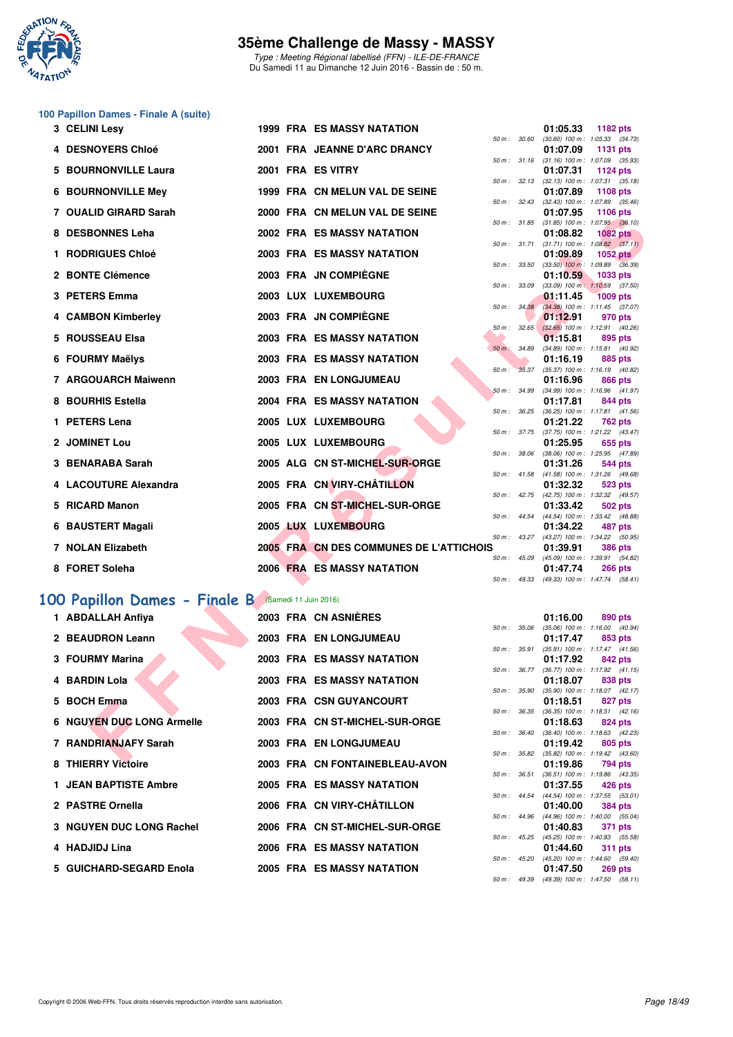

Type : Meeting Régional labellisé (FFN) - ILE-DE-FRANCE Du Samedi 11 au Dimanche 12 Juin 2016 - Bassin de : 50 m.

# **100 Papillon Dames - Finale A (suite)**

| 3 CELINI Lesy                                      |  | <b>1999 FRA ES MASSY NATATION</b>       |                  |              | 01:05.33    | 1182 pts                                               |  |
|----------------------------------------------------|--|-----------------------------------------|------------------|--------------|-------------|--------------------------------------------------------|--|
| 4 DESNOYERS Chloé                                  |  | 2001 FRA JEANNE D'ARC DRANCY            |                  | 50 m : 30.60 | 01:07.09    | $(30.60)$ 100 m : 1:05.33 $(34.73)$<br><b>1131 pts</b> |  |
|                                                    |  |                                         |                  |              |             | 50 m: 31.16 (31.16) 100 m: 1:07.09 (35.93)             |  |
| <b>5 BOURNONVILLE Laura</b>                        |  | 2001 FRA ES VITRY                       |                  |              | 01:07.31    | 1124 pts<br>50 m: 32.13 (32.13) 100 m: 1:07.31 (35.18) |  |
| <b>6 BOURNONVILLE Mey</b>                          |  | 1999 FRA CN MELUN VAL DE SEINE          |                  |              | 01:07.89    | 1108 pts                                               |  |
| 7 OUALID GIRARD Sarah                              |  | 2000 FRA CN MELUN VAL DE SEINE          |                  |              | 01:07.95    | 50 m: 32.43 (32.43) 100 m: 1:07.89 (35.46)<br>1106 pts |  |
| 8 DESBONNES Leha                                   |  | 2002 FRA ES MASSY NATATION              |                  | 50 m : 31.85 | 01:08.82    | $(31.85)$ 100 m : 1:07.95 $(36.10)$<br><b>1082 pts</b> |  |
|                                                    |  |                                         |                  | 50 m : 31.71 |             | $(31.71)$ 100 m : 1:08.82 $(37.11)$                    |  |
| 1 RODRIGUES Chloé                                  |  | <b>2003 FRA ES MASSY NATATION</b>       | 50 m: 33.50      |              | 01:09.89    | <b>1052 pts</b><br>$(33.50)$ 100 m : 1:09.89 $(36.39)$ |  |
| 2 BONTE Clémence                                   |  | 2003 FRA JN COMPIEGNE                   |                  |              | 01:10.59    | 1033 pts                                               |  |
| 3 PETERS Emma                                      |  | 2003 LUX LUXEMBOURG                     |                  | 50 m : 33.09 | 01:11.45    | $(33.09)$ 100 m : 1:10.59 $(37.50)$<br><b>1009 pts</b> |  |
|                                                    |  |                                         |                  | 50 m: 34.38  |             | $(34.38)$ 100 m : 1:11.45 $(37.07)$                    |  |
| 4 CAMBON Kimberley                                 |  | 2003 FRA JN COMPIEGNE                   |                  | 50 m: 32.65  | 01:12.91    | 970 pts<br>$(32.65)$ 100 m : 1:12.91 $(40.26)$         |  |
| 5 ROUSSEAU Elsa                                    |  | 2003 FRA ES MASSY NATATION              |                  |              | 01:15.81    | 895 pts                                                |  |
| 6 FOURMY Maëlys                                    |  | 2003 FRA ES MASSY NATATION              | 50 m : 34.89     |              | 01:16.19    | (34.89) 100 m: 1:15.81 (40.92)<br>885 pts              |  |
|                                                    |  |                                         | 50 m : 35.37     |              |             | $(35.37)$ 100 m : 1:16.19 $(40.82)$                    |  |
| 7 ARGOUARCH Maiwenn                                |  | 2003 FRA EN LONGJUMEAU                  |                  | 50 m : 34.99 | 01:16.96    | 866 pts<br>(34.99) 100 m: 1:16.96 (41.97)              |  |
| 8 BOURHIS Estella                                  |  | 2004 FRA ES MASSY NATATION              |                  |              | 01:17.81    | 844 pts                                                |  |
|                                                    |  |                                         | $50 m$ : $36.25$ |              |             | (36.25) 100 m: 1:17.81 (41.56)                         |  |
| 1 PETERS Lena                                      |  | 2005 LUX LUXEMBOURG                     |                  | 50 m : 37.75 | 01:21.22    | 762 pts<br>$(37.75)$ 100 m : 1:21.22 $(43.47)$         |  |
| 2 JOMINET Lou                                      |  | 2005 LUX LUXEMBOURG                     |                  |              | 01:25.95    | 655 pts                                                |  |
| 3 BENARABA Sarah                                   |  | 2005 ALG CN ST-MICHEL-SUR-ORGE          | 50 m : 38.06     |              | 01:31.26    | (38.06) 100 m: 1:25.95 (47.89)<br>544 pts              |  |
|                                                    |  |                                         |                  |              |             | 50 m: 41.58 (41.58) 100 m: 1:31.26 (49.68)             |  |
| 4 LACOUTURE Alexandra                              |  | 2005 FRA CN VIRY-CHÂTILLON              |                  | 50 m : 42.75 | 01:32.32    | 523 pts<br>(42.75) 100 m: 1:32.32 (49.57)              |  |
| 5 RICARD Manon                                     |  | 2005 FRA CN ST-MICHEL-SUR-ORGE          |                  |              | 01:33.42    | 502 pts                                                |  |
|                                                    |  |                                         |                  | 50 m : 44.54 |             | (44.54) 100 m : 1:33.42 (48.88)                        |  |
| 6 BAUSTERT Magali                                  |  | 2005 LUX LUXEMBOURG                     |                  | 50 m : 43.27 | 01:34.22    | 487 pts<br>(43.27) 100 m: 1:34.22 (50.95)              |  |
| 7 NOLAN Elizabeth                                  |  | 2005 FRA CN DES COMMUNES DE L'ATTICHOIS |                  |              | 01:39.91    | <b>386 pts</b>                                         |  |
| 8 FORET Soleha                                     |  | <b>2006 FRA ES MASSY NATATION</b>       | $50 m$ : $45.09$ |              | 01:47.74    | (45.09) 100 m: 1:39.91 (54.82)<br><b>266 pts</b>       |  |
|                                                    |  |                                         |                  |              |             | 50 m: 49.33 (49.33) 100 m: 1:47.74 (58.41)             |  |
| 00 Papillon Dames - Finale B (Samedi 11 Juin 2016) |  |                                         |                  |              |             |                                                        |  |
| 1 ABDALLAH Anfiya                                  |  | 2003 FRA CN ASNIÈRES                    |                  |              | 01:16.00    | 890 pts                                                |  |
|                                                    |  |                                         | 50 m: 35.06      |              |             | $(35.06)$ 100 m : 1:16.00 $(40.94)$                    |  |
| 2 BEAUDRON Leann                                   |  | 2003 FRA EN LONGJUMEAU                  |                  | 50 m : 35.91 | 01:17.47    | 853 pts                                                |  |
| 3 FOURMY Marina                                    |  | <b>2003 FRA ES MASSY NATATION</b>       |                  |              | 01:17.92    | (35.91) 100 m: 1:17.47 (41.56)<br>842 pts              |  |
|                                                    |  |                                         | 50 m : 36.77     |              |             | (36.77) 100 m: 1:17.92 (41.15)                         |  |
| 4 BARDIN Lola                                      |  | <b>2003 FRA ES MASSY NATATION</b>       |                  | 50 m : 35.90 | 01:18.07    | 838 pts<br>$(35.90)$ 100 m : 1:18.07 $(42.17)$         |  |
| 5 BOCH Emma                                        |  | 2003 FRA CSN GUYANCOURT                 |                  |              | 01:18.51    | 827 pts                                                |  |
| <b>6 NGUYEN DUC LONG Armelle</b>                   |  | 2003 FRA CN ST-MICHEL-SUR-ORGE          | 50 m: 36.35      |              | 01:18.63    | (36.35) 100 m: 1:18.51 (42.16)<br>824 pts              |  |
|                                                    |  |                                         |                  | 50 m : 36.40 |             | (36.40) 100 m: 1:18.63 (42.23)                         |  |
| 7 RANDRIANJAFY Sarah                               |  | 2003 FRA EN LONGJUMEAU                  |                  |              | 01:19.42    | 805 pts<br>50 m: 35.82 (35.82) 100 m: 1:19.42 (43.60)  |  |
| 0.7100000000                                       |  | <b>0000 FBA ON FONTAINEDLEAU AVON</b>   |                  |              | $0.4 - 400$ | 704.                                                   |  |

### **[100 Papillon Dames - Finale B](http://www.ffnatation.fr/webffn/resultats.php?idact=nat&go=epr&idcpt=38069&idepr=32)** (Samedi 11 Juin 2016)

| 1 ABDALLAH Anfiya            |  | 2003 FRA CN ASNIERES              |                  | 01:16.00                                                    | 890 pts |                |
|------------------------------|--|-----------------------------------|------------------|-------------------------------------------------------------|---------|----------------|
|                              |  |                                   | 50 m : 35.06     | $(35.06)$ 100 m : 1:16.00 (40.                              |         |                |
| 2 BEAUDRON Leann             |  | 2003 FRA EN LONGJUMEAU            |                  | 01:17.47                                                    | 853 pts |                |
| 3 FOURMY Marina              |  | <b>2003 FRA ES MASSY NATATION</b> | 50 m : 35.91     | $(35.91)$ 100 m : 1:17.47 (41.<br>01:17.92                  | 842 pts |                |
|                              |  |                                   |                  | 50 m: 36.77 (36.77) 100 m: 1:17.92 (41.                     |         |                |
| 4 BARDIN Lola                |  | <b>2003 FRA ES MASSY NATATION</b> |                  | 01:18.07 838 pts                                            |         |                |
|                              |  |                                   |                  | 50 m: 35.90 (35.90) 100 m: 1:18.07 (42.                     |         |                |
| 5 BOCH Emma                  |  | 2003 FRA CSN GUYANCOURT           |                  | 01:18.51 827 pts                                            |         |                |
|                              |  |                                   |                  | 50 m: 36.35 (36.35) 100 m: 1:18.51 (42.                     |         |                |
| 6 NGUYEN DUC LONG Armelle    |  | 2003 FRA CN ST-MICHEL-SUR-ORGE    |                  | 01:18.63 824 pts                                            |         |                |
|                              |  |                                   |                  | 50 m: 36.40 (36.40) 100 m: 1:18.63 (42.                     |         |                |
| 7 RANDRIANJAFY Sarah         |  | 2003 FRA EN LONGJUMEAU            |                  | 01:19.42 805 pts                                            |         |                |
|                              |  |                                   | 50 m : 35.82     | $(35.82)$ 100 m : 1:19.42 (43.                              |         |                |
| 8 THIERRY Victoire           |  | 2003 FRA CN FONTAINEBLEAU-AVON    |                  | 01:19.86 794 pts                                            |         |                |
| <b>1 JEAN BAPTISTE Ambre</b> |  | <b>2005 FRA ES MASSY NATATION</b> |                  | 50 m: 36.51 (36.51) 100 m: 1:19.86 (43.<br>01:37.55 426 pts |         |                |
|                              |  |                                   |                  | 50 m: 44.54 (44.54) 100 m: 1:37.55 (53.                     |         |                |
| 2 PASTRE Ornella             |  | 2006 FRA CN VIRY-CHÂTILLON        |                  | 01:40.00                                                    | 384 pts |                |
|                              |  |                                   | $50 m$ : 44.96   | $(44.96)$ 100 m : 1:40.00 (55.                              |         |                |
| 3 NGUYEN DUC LONG Rachel     |  | 2006 FRA CN ST-MICHEL-SUR-ORGE    |                  | 01:40.83                                                    | 371 pts |                |
|                              |  |                                   | $50 m$ : $45.25$ | $(45.25)$ 100 m : 1:40.83 (55.                              |         |                |
| 4 HADJIDJ Lina               |  | <b>2006 FRA ES MASSY NATATION</b> |                  | 01:44.60                                                    | 311 pts |                |
|                              |  |                                   | $50 m$ : $45.20$ | (45.20) 100 m: 1:44.60 (59.                                 |         |                |
| 5 GUICHARD-SEGARD Enola      |  | <b>2005 FRA ES MASSY NATATION</b> |                  | 01:47.50                                                    |         | <b>269 pts</b> |

|                  |              | 01:16.00 890 pts                    |                     |         |
|------------------|--------------|-------------------------------------|---------------------|---------|
|                  | 50 m : 35.06 | $(35.06)$ 100 m : 1:16.00 $(40.94)$ |                     |         |
|                  |              | 01:17.47 853 pts                    |                     |         |
|                  | 50 m : 35.91 | $(35.91)$ 100 m :                   | $1:17.47$ $(41.56)$ |         |
|                  |              | 01:17.92 842 pts                    |                     |         |
|                  | 50 m : 36.77 | (36.77) 100 m: 1:17.92 (41.15)      |                     |         |
|                  |              | 01:18.07 838 pts                    |                     |         |
| 50 m : 35.90     |              | $(35.90)$ 100 m :                   | $1:18.07$ $(42.17)$ |         |
|                  |              | 01:18.51                            |                     | 827 pts |
| 50 m : 36.35     |              | $(36.35)$ 100 m :                   | $1:18.51$ $(42.16)$ |         |
|                  |              | 01:18.63 824 pts                    |                     |         |
| $50 m$ : $36.40$ |              | $(36.40)$ 100 m :                   | $1:18.63$ $(42.23)$ |         |
|                  |              | 01:19.42 805 pts                    |                     |         |
|                  | 50 m : 35.82 | $(35.82)$ 100 m :                   | $1:19.42$ $(43.60)$ |         |
|                  |              | 01:19.86 794 pts                    |                     |         |
|                  | 50 m : 36.51 | (36.51) 100 m: 1:19.86 (43.35)      |                     |         |
|                  |              | 01:37.55 426 pts                    |                     |         |
| $50 m$ : 44.54   |              | $(44.54) 100 m$ :                   | 1:37.55 (53.01)     |         |
|                  |              | 01:40.00                            | 384 pts             |         |
|                  | 50 m : 44.96 | $(44.96) 100 m$ :                   | 1:40.00 (55.04)     |         |
|                  |              | 01:40.83                            | 371 pts             |         |
| 50 m : 45.25     |              | (45.25) 100 m: 1:40.83 (55.58)      |                     |         |
|                  |              | 01:44.60 311 pts                    |                     |         |
| 50 m: 45.20      |              | $(45.20)$ 100 m : 1:44.60 $(59.40)$ |                     |         |
|                  |              | 01:47.50 269 pts                    |                     |         |
| 50 m: 49.39      |              | $(49.39) 100 m$ :                   | $1:47.50$ $(58.11)$ |         |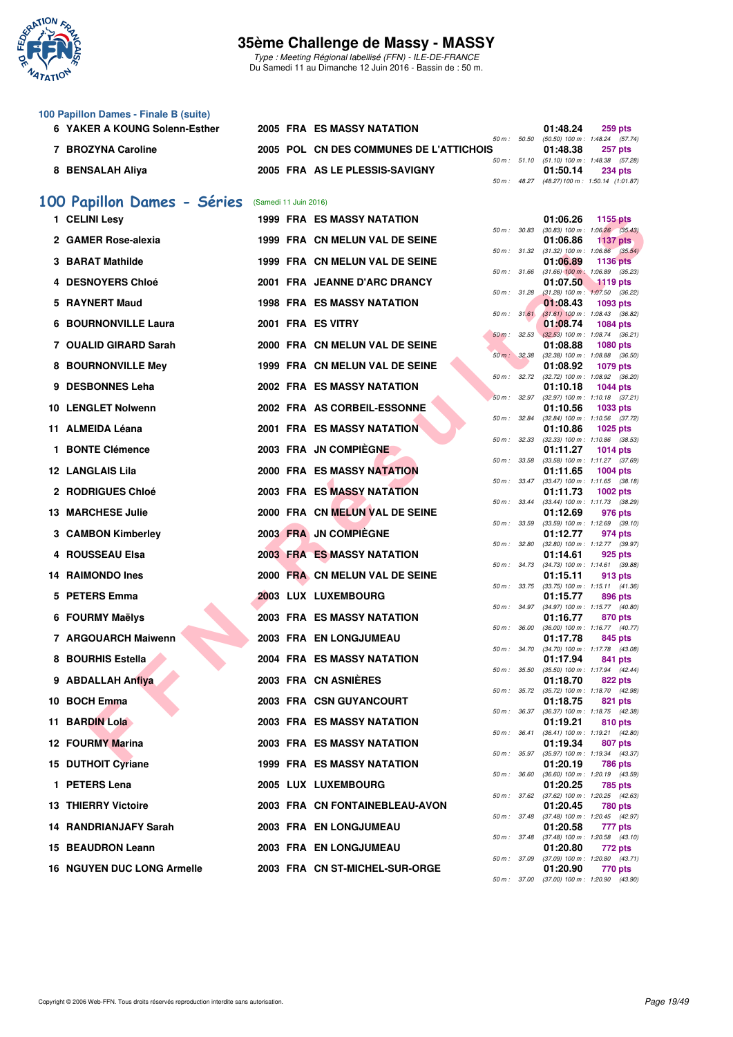

Type : Meeting Régional labellisé (FFN) - ILE-DE-FRANCE Du Samedi 11 au Dimanche 12 Juin 2016 - Bassin de : 50 m.

| 100 Papillon Dames - Finale B (suite) |                                         |          |                                                |
|---------------------------------------|-----------------------------------------|----------|------------------------------------------------|
| 6 YAKER A KOUNG Solenn-Esther         | 2005 FRA ES MASSY NATATION              | 01:48.24 | $259$ pts                                      |
|                                       |                                         |          | 50 m : 50.50 (50.50) 100 m : 1:48.24 (57.74)   |
| <b>BROZYNA Caroline</b>               | 2005 POL CN DES COMMUNES DE L'ATTICHOIS | 01:48.38 | <b>257 pts</b>                                 |
|                                       |                                         |          | 50 m: 51.10 (51.10) 100 m: 1:48.38 (57.28)     |
| 8 BENSALAH Aliya                      | 2005 FRA AS LE PLESSIS-SAVIGNY          | 01:50.14 | <b>234 pts</b>                                 |
|                                       |                                         |          | 50 m : 48.27 (48.27) 100 m : 1:50.14 (1:01.87) |

# **[100 Papillon Dames - Séries](http://www.ffnatation.fr/webffn/resultats.php?idact=nat&go=epr&idcpt=38069&idepr=32)** (Samedi 11 Juin 2016)

| 1 CELINI Lesv               |  | <b>1999 FRA ES MASSY NATATION</b> |              |              | 01:06.26 | 1155 pts                                                     |
|-----------------------------|--|-----------------------------------|--------------|--------------|----------|--------------------------------------------------------------|
| 2 GAMER Rose-alexia         |  | 1999 FRA CN MELUN VAL DE SEINE    | 50 m : 30.83 |              | 01:06.86 | $(30.83)$ 100 m : 1:06.26 $(35.43)$<br><b>1137 pts</b>       |
| 3 BARAT Mathilde            |  | 1999 FRA CN MELUN VAL DE SEINE    | 50 m: 31.32  |              | 01:06.89 | $(31.32)$ 100 m : 1:06.86 $(35.54)$<br><b>1136 pts</b>       |
| <b>4 DESNOYERS Chloé</b>    |  | 2001 FRA JEANNE D'ARC DRANCY      | 50 m: 31.66  |              |          | $(31.66)$ 100 m : 1:06.89 $(35.23)$                          |
|                             |  |                                   | 50 m: 31.28  |              | 01:07.50 | 1119 pts<br>$(31.28)$ 100 m : 1:07.50 $(36.22)$              |
| 5 RAYNERT Maud              |  | <b>1998 FRA ES MASSY NATATION</b> |              | 50 m: 31.61  | 01:08.43 | 1093 pts<br>$(31.61)$ 100 m : 1:08.43 $(36.82)$              |
| <b>6 BOURNONVILLE Laura</b> |  | 2001 FRA ES VITRY                 |              |              | 01:08.74 | <b>1084 pts</b>                                              |
| 7 OUALID GIRARD Sarah       |  | 2000 FRA CN MELUN VAL DE SEINE    | 50 m: 32.53  |              | 01:08.88 | $(32.53)$ 100 m : 1:08.74 $(36.21)$<br><b>1080 pts</b>       |
| 8 BOURNONVILLE Mey          |  | 1999 FRA CN MELUN VAL DE SEINE    | 50 m: 32.38  |              | 01:08.92 | $(32.38)$ 100 m : 1:08.88 $(36.50)$<br>1079 pts              |
| 9 DESBONNES Leha            |  | <b>2002 FRA ES MASSY NATATION</b> | 50 m: 32.72  |              |          | (32.72) 100 m : 1:08.92 (36.20)                              |
|                             |  |                                   | 50 m: 32.97  |              | 01:10.18 | <b>1044 pts</b><br>$(32.97)$ 100 m : 1:10.18 $(37.21)$       |
| <b>10 LENGLET Nolwenn</b>   |  | 2002 FRA AS CORBEIL-ESSONNE       | 50 m : 32.84 |              | 01:10.56 | 1033 pts<br>(32.84) 100 m: 1:10.56 (37.72)                   |
| 11 ALMEIDA Léana            |  | <b>2001 FRA ES MASSY NATATION</b> |              |              | 01:10.86 | <b>1025 pts</b>                                              |
| 1 BONTE Clémence            |  | 2003 FRA JN COMPIEGNE             | 50 m: 32.33  |              | 01:11.27 | $(32.33)$ 100 m : 1:10.86 $(38.53)$<br>1014 $pts$            |
|                             |  |                                   | 50 m : 33.58 |              |          | $(33.58)$ 100 m : 1:11.27 $(37.69)$                          |
| <b>12 LANGLAIS Lila</b>     |  | <b>2000 FRA ES MASSY NATATION</b> |              | 50 m : 33.47 | 01:11.65 | <b>1004 pts</b><br>$(33.47)$ 100 m : 1:11.65 $(38.18)$       |
| 2 RODRIGUES Chloé           |  | <b>2003 FRA ES MASSY NATATION</b> |              |              | 01:11.73 | 1002 $pts$                                                   |
| <b>13 MARCHESE Julie</b>    |  | 2000 FRA CN MELUN VAL DE SEINE    | 50 m : 33.44 |              | 01:12.69 | $(33.44)$ 100 m : 1:11.73 $(38.29)$<br>976 pts               |
|                             |  | 2003 FRA JN COMPIEGNE             | 50 m : 33.59 |              |          | $(33.59)$ 100 m : 1:12.69 $(39.10)$                          |
| 3 CAMBON Kimberley          |  |                                   | 50 m : 32.80 |              | 01:12.77 | 974 pts<br>(32.80) 100 m: 1:12.77 (39.97)                    |
| 4 ROUSSEAU Elsa             |  | <b>2003 FRAMES MASSY NATATION</b> | 50 m : 34.73 |              | 01:14.61 | 925 pts<br>(34.73) 100 m: 1:14.61 (39.88)                    |
| 14 RAIMONDO Ines            |  | 2000 FRA CN MELUN VAL DE SEINE    |              |              | 01:15.11 | 913 pts                                                      |
| 5 PETERS Emma               |  | 2003 LUX LUXEMBOURG               |              | 50 m : 33.75 | 01:15.77 | $(33.75)$ 100 m : 1:15.11 $(41.36)$<br>896 pts               |
| 6 FOURMY Maëlys             |  | 2003 FRA ES MASSY NATATION        |              |              | 01:16.77 | 50 m: 34.97 (34.97) 100 m: 1:15.77 (40.80)<br>870 pts        |
| 7 ARGOUARCH Maiwenn         |  | <b>2003 FRA EN LONGJUMEAU</b>     | 50 m : 36.00 |              | 01:17.78 | (36.00) 100 m: 1:16.77 (40.77)<br>845 pts                    |
|                             |  |                                   | 50 m : 34.70 |              |          | $(34.70)$ 100 m : 1:17.78 $(43.08)$                          |
| 8 BOURHIS Estella           |  | 2004 FRA ES MASSY NATATION        | 50 m: 35.50  |              | 01:17.94 | 841 pts<br>(35.50) 100 m: 1:17.94 (42.44)                    |
| 9 ABDALLAH Anfiya           |  | 2003 FRA CN ASNIERES              | 50 m: 35.72  |              | 01:18.70 | 822 pts<br>(35.72) 100 m : 1:18.70 (42.98)                   |
| 10 BOCH Emma                |  | 2003 FRA CSN GUYANCOURT           |              |              | 01:18.75 | 821 pts                                                      |
| 11 BARDIN Lola              |  | <b>2003 FRA ES MASSY NATATION</b> |              |              | 01:19.21 | 50 m: 36.37 (36.37) 100 m: 1:18.75 (42.38)<br>810 pts        |
| <b>12 FOURMY Marina</b>     |  | <b>2003 FRA ES MASSY NATATION</b> |              | 50 m : 36.41 | 01:19.34 | $(36.41)$ 100 m : 1:19.21 $(42.80)$<br>807 pts               |
|                             |  |                                   | 50 m: 35.97  |              |          | (35.97) 100 m : 1:19.34 (43.37)                              |
| 15 DUTHOIT Cyriane          |  | 1999 FRA ES MASSY NATATION        |              |              | 01:20.19 | <b>786 pts</b><br>50 m: 36.60 (36.60) 100 m: 1:20.19 (43.59) |
| 1 PETERS Lena               |  | <b>2005 LUX LUXEMBOURG</b>        |              |              | 01:20.25 | 785 pts                                                      |
| 13 THIERRY Victoire         |  | 2003 FRA CN FONTAINEBLEAU-AVON    |              |              | 01:20.45 | 50 m: 37.62 (37.62) 100 m: 1:20.25 (42.63)<br>780 pts        |
| 14 RANDRIANJAFY Sarah       |  | 2003 FRA EN LONGJUMEAU            |              |              | 01:20.58 | 50 m: 37.48 (37.48) 100 m: 1:20.45 (42.97)<br>777 pts        |
|                             |  |                                   |              |              |          | 50 m: 37.48 (37.48) 100 m: 1:20.58 (43.10)                   |
| 15 BEAUDRON Leann           |  | 2003 FRA EN LONGJUMEAU            |              |              | 01:20.80 | 772 pts<br>50 m: 37.09 (37.09) 100 m: 1:20.80 (43.71)        |
| 16 NGUYEN DUC LONG Armelle  |  | 2003 FRA CN ST-MICHEL-SUR-ORGE    |              |              | 01:20.90 | 770 pts                                                      |

|          |       | 01:06.26                      | 1155 pts           |                |
|----------|-------|-------------------------------|--------------------|----------------|
| 50 m :   | 30.83 | $(30.83) 100 m$ :             | 1:06.26            | (35.43)        |
|          |       | 01:06.86                      | 1137               | pts            |
| $50 m$ : | 31.32 | $(31.32)$ 100 m :<br>01:06.89 | 1:06.86<br>1136    | (35.54)<br>pts |
| 50 m :   | 31.66 | $(31.66)$ 100 m :             | 1:06.89            | (35.23)        |
|          |       | 01:07.50                      | 1119               | pts            |
| 50 m :   | 31.28 | $(31.28) 100 m$ :             | 1:07.50            | (36.22)        |
| $50 m$ : | 31.61 | 01:08.43<br>$(31.61) 100 m$ : | 1093<br>1:08.43    | pts<br>(36.82) |
|          |       | 01:08.74                      | 1084               | pts            |
| $50 m$ : | 32.53 | $(32.53)$ 100 m :             | 1:08.74            | (36.21)        |
|          |       | 01:08.88                      | 1080               | pts            |
| $50 m$ : | 32.38 | $(32.38) 100 m$ :<br>01:08.92 | 1:08.88<br>1079    | (36.50)<br>pts |
| $50 m$ : | 32.72 | (32.72) 100 m :               | 1:08.92            | (36.20)        |
|          |       | 01:10.18                      | 1044               | pts            |
| $50 m$ : | 32.97 | $(32.97)$ 100 m :             | 1:10.18            | (37.21)        |
|          | 32.84 | 01:10.56                      | 1033<br>1:10.56    | pts            |
| 50 m :   |       | $(32.84)$ 100 m :<br>01:10.86 | 1025               | (37.72)<br>pts |
| $50 m$ : | 32.33 | $(32.33)$ 100 m :             | 1:10.86            | (38.53)        |
|          |       | 01:11.27                      | 1014               | pts            |
| 50 m :   | 33.58 | $(33.58) 100 m$ :             | 1:11.27            | (37.69)        |
| 50 m :   | 33.47 | 01:11.65<br>$(33.47) 100 m$ : | 1004<br>1:11.65    | pts<br>(38.18) |
|          |       | 01:11.73                      | 1002 pts           |                |
| $50 m$ : | 33.44 | $(33.44) 100 m$ :             | 1:11.73            | (38.29)        |
|          |       | 01:12.69                      | 976 pts            |                |
| 50 m :   | 33.59 | $(33.59)$ 100 m :<br>01:12.77 | 1:12.69<br>974     | (39.10)<br>pts |
| $50 m$ : | 32.80 | $(32.80)$ 100 m :             | 1:12.77            | (39.97)        |
|          |       | 01:14.61                      | 925                | pts            |
| $50 m$ : | 34.73 | $(34.73) 100 m$ :             | 1:14.61            | (39.88)        |
| 50 m :   | 33.75 | 01:15.11<br>$(33.75)$ 100 m : | 913<br>1:15.11     | pts<br>(41.36) |
|          |       | 01:15.77                      | 896                | pts            |
| 50 m :   | 34.97 | (34.97) 100 m :               | 1:15.77            | (40.80)        |
|          |       | 01:16.77                      | 870                | pts            |
| $50 m$ : | 36.00 | $(36.00)$ 100 m :<br>01:17.78 | 1:16.77<br>845     | (40.77)<br>pts |
| 50 m :   | 34.70 | $(34.70)$ 100 m :             | 1:17.78            | (43.08)        |
|          |       | 01:17.94                      | 841                | pts            |
| 50 m :   | 35.50 | $(35.50)$ 100 m :             | 1:17.94            | (42.44)        |
| $50 m$ : | 35.72 | 01:18.70<br>$(35.72)$ 100 m : | 822<br>1:18.70     | pts<br>(42.98) |
|          |       | 01:18.75                      | 821                | pts            |
| 50 m :   | 36.37 | $(36.37) 100 m$ :             | 1:18.75            | (42.38)        |
|          |       | 01:19.21                      | 810                | pts            |
| $50 m$ : | 36.41 | $(36.41)$ 100 m :<br>01:19.34 | 1:19.21<br>807 pts | (42.80)        |
| $50 m$ : | 35.97 | $(35.97)$ 100 m :             | 1:19.34            | (43.37)        |
|          |       | 01:20.19                      | <b>786 pts</b>     |                |
| $50 m$ : | 36.60 | $(36.60) 100 m$ :             | 1:20.19            | (43.59)        |
| $50 m$ : | 37.62 | 01:20.25<br>$(37.62)$ 100 m : | 785 pts<br>1:20.25 | (42.63)        |
|          |       | 01:20.45                      | <b>780 pts</b>     |                |
| $50 m$ : | 37.48 | $(37.48) 100 m$ :             | 1:20.45            | (42.97)        |
|          |       | 01:20.58                      | 777                | pts            |
| $50 m$ : | 37.48 | $(37.48) 100 m$ :<br>01:20.80 | 1:20.58<br>772 pts | (43.10)        |
| 50 m:    | 37.09 | $(37.09)$ 100 m :             | 1:20.80            | (43.71)        |
|          |       | 01:20.90                      | 770 pts            |                |
| $50 m$ : | 37.00 | $(37.00)$ 100 m :             | 1:20.90            | (43.90)        |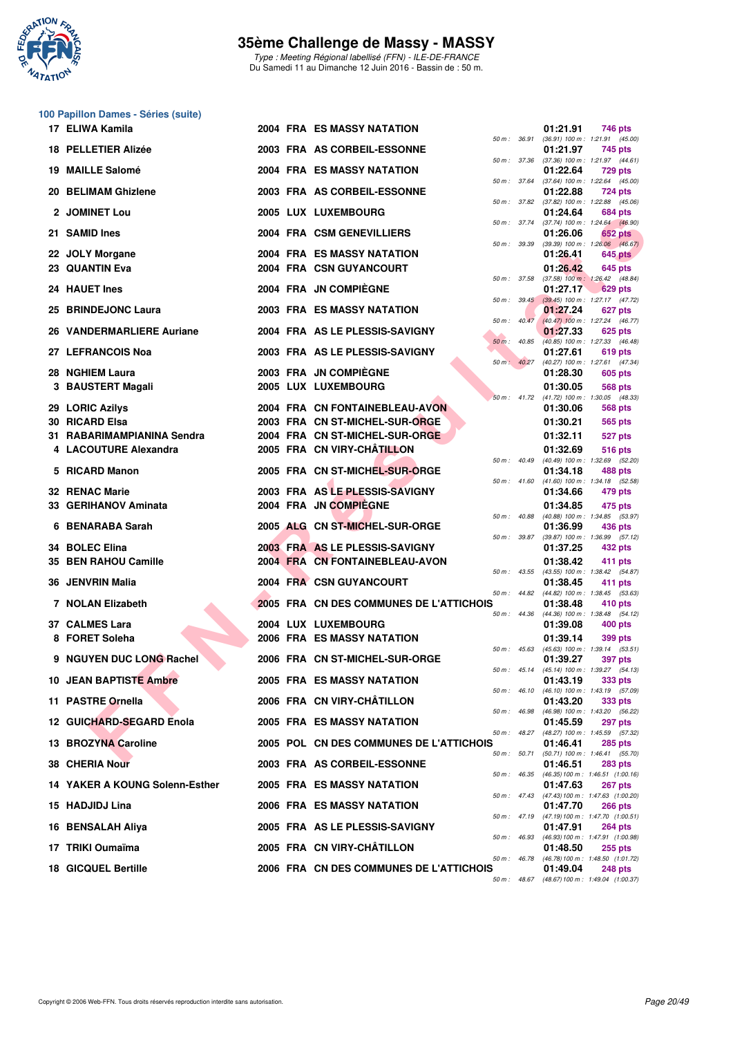

Type : Meeting Régional labellisé (FFN) - ILE-DE-FRANCE Du Samedi 11 au Dimanche 12 Juin 2016 - Bassin de : 50 m.

#### **100 Papillon Dames - Séries (suite)**

|            | 17 ELIWA Kamila                               |  | <b>2004 FRA ES MASSY NATATION</b>                                |                  |                  | 01:21.91             | 746 pts                                                         |
|------------|-----------------------------------------------|--|------------------------------------------------------------------|------------------|------------------|----------------------|-----------------------------------------------------------------|
|            | 18 PELLETIER Alizée                           |  | 2003 FRA AS CORBEIL-ESSONNE                                      | 50 m : 36.91     |                  | 01:21.97             | $(36.91)$ 100 m : 1:21.91 $(45.00)$<br>745 pts                  |
| 19.        | <b>MAILLE Salomé</b>                          |  | <b>2004 FRA ES MASSY NATATION</b>                                | 50 m : 37.36     |                  | 01:22.64             | $(37.36)$ 100 m : 1:21.97 $(44.61)$<br><b>729 pts</b>           |
|            | 20 BELIMAM Ghizlene                           |  | 2003 FRA AS CORBEIL-ESSONNE                                      | 50 m : 37.64     |                  | 01:22.88             | $(37.64)$ 100 m : 1:22.64 $(45.00)$<br><b>724 pts</b>           |
|            | 2 JOMINET Lou                                 |  | 2005 LUX LUXEMBOURG                                              |                  | 50 m : 37.82     | 01:24.64             | $(37.82)$ 100 m : 1:22.88 $(45.06)$<br>684 pts                  |
|            |                                               |  |                                                                  |                  |                  |                      | 50 m: 37.74 (37.74) 100 m: 1:24.64 (46.90)                      |
|            | 21 SAMID Ines                                 |  | 2004 FRA CSM GENEVILLIERS                                        | 50 m : 39.39     |                  | 01:26.06             | 652 pts<br>$(39.39)$ 100 m : 1:26.06 $(46.67)$                  |
|            | 22 JOLY Morgane<br>23 QUANTIN Eva             |  | <b>2004 FRA ES MASSY NATATION</b><br>2004 FRA CSN GUYANCOURT     |                  |                  | 01:26.41<br>01:26.42 | 645 pts<br>645 pts                                              |
|            | 24 HAUET Ines                                 |  | 2004 FRA JN COMPIÈGNE                                            | 50 m: 37.58      |                  |                      | $(37.58)$ 100 m : 1:26.42 $(48.84)$                             |
|            |                                               |  |                                                                  |                  | $50 m$ : $39.45$ | 01:27.17             | <b>629 pts</b><br>$(39.45)$ 100 m : 1:27.17 $(47.72)$           |
|            | 25 BRINDEJONC Laura                           |  | 2003 FRA ES MASSY NATATION                                       | 50 m: 40.47      |                  | 01:27.24             | 627 pts<br>(40.47) 100 m : 1:27.24 (46.77)                      |
|            | 26 VANDERMARLIERE Auriane                     |  | 2004 FRA AS LE PLESSIS-SAVIGNY                                   | $50 m$ : $40.85$ |                  | 01:27.33             | 625 pts<br>$(40.85)$ 100 m : 1:27.33 $(46.48)$                  |
|            | 27 LEFRANCOIS Noa                             |  | 2003 FRA AS LE PLESSIS-SAVIGNY                                   | $50 m$ : $40.27$ |                  | 01:27.61             | 619 pts<br>(40.27) 100 m: 1:27.61 (47.34)                       |
|            | 28 NGHIEM Laura                               |  | 2003 FRA JN COMPIÈGNE                                            |                  |                  | 01:28.30             | 605 pts                                                         |
|            | 3 BAUSTERT Magali                             |  | 2005 LUX LUXEMBOURG                                              | $50 m$ : 41.72   |                  | 01:30.05             | <b>568 pts</b><br>$(41.72)$ 100 m : 1:30.05 $(48.33)$           |
|            | 29 LORIC Azilys                               |  | 2004 FRA CN FONTAINEBLEAU-AVON                                   |                  |                  | 01:30.06             | 568 pts                                                         |
| 30.<br>31. | <b>RICARD Elsa</b><br>RABARIMAMPIANINA Sendra |  | 2003 FRA CN ST-MICHEL-SUR-ORGE<br>2004 FRA CN ST-MICHEL-SUR-ORGE |                  |                  | 01:30.21<br>01:32.11 | 565 pts                                                         |
|            | 4 LACOUTURE Alexandra                         |  | 2005 FRA CN VIRY-CHÂTILLON                                       |                  |                  | 01:32.69             | 527 pts<br>516 pts                                              |
|            | 5 RICARD Manon                                |  | 2005 FRA CN ST-MICHEL-SUR-ORGE                                   | 50 m: 40.49      |                  | 01:34.18             | (40.49) 100 m: 1:32.69 (52.20)<br>488 pts                       |
|            |                                               |  |                                                                  | 50 m: 41.60      |                  |                      | $(41.60)$ 100 m : 1:34.18 $(52.58)$                             |
|            | <b>32 RENAC Marie</b>                         |  | 2003 FRA AS LE PLESSIS-SAVIGNY<br>2004 FRA JN COMPIÈGNE          |                  |                  | 01:34.66             | 479 pts                                                         |
|            | 33 GERIHANOV Aminata                          |  |                                                                  | $50 m$ : $40.88$ |                  | 01:34.85             | 475 pts<br>(40.88) 100 m: 1:34.85 (53.97)                       |
| 6          | <b>BENARABA Sarah</b>                         |  | 2005 ALG CN ST-MICHEL-SUR-ORGE                                   | 50 m : 39.87     |                  | 01:36.99             | 436 pts<br>(39.87) 100 m: 1:36.99 (57.12)                       |
|            | 34 BOLEC Elina                                |  | 2003 FRA AS LE PLESSIS-SAVIGNY                                   |                  |                  | 01:37.25             | 432 pts                                                         |
|            | 35 BEN RAHOU Camille                          |  | 2004 FRA CN FONTAINEBLEAU-AVON                                   | 50 m: 43.55      |                  | 01:38.42             | 411 pts<br>(43.55) 100 m: 1:38.42 (54.87)                       |
|            | 36 JENVRIN Malia                              |  | 2004 FRA CSN GUYANCOURT                                          |                  |                  | 01:38.45             | 411 pts<br>50 m: 44.82 (44.82) 100 m: 1:38.45 (53.63)           |
|            | 7 NOLAN Elizabeth                             |  | 2005 FRA CN DES COMMUNES DE L'ATTICHOIS                          |                  | 50 m : 44.36     | 01:38.48             | 410 pts<br>$(44.36)$ 100 m : 1:38.48 $(54.12)$                  |
|            | 37 CALMES Lara                                |  | 2004 LUX LUXEMBOURG                                              |                  |                  | 01:39.08             | $400$ pts                                                       |
|            | 8 FORET Soleha                                |  | 2006 FRA ES MASSY NATATION                                       |                  |                  | 01:39.14             | 399 pts<br>50 m: 45.63 (45.63) 100 m: 1:39.14 (53.51)           |
|            | 9 NGUYEN DUC LONG Rachel                      |  | 2006 FRA CN ST-MICHEL-SUR-ORGE                                   |                  |                  | 01:39.27             | <b>397 pts</b>                                                  |
|            | <b>JEAN BAPTISTE Ambre</b>                    |  | 2005 FRA ES MASSY NATATION                                       |                  |                  | 01:43.19             | 50 m: 45.14 (45.14) 100 m: 1:39.27 (54.13)<br><b>333 pts</b>    |
|            | 11 PASTRE Ornella                             |  | 2006 FRA CN VIRY-CHATILLON                                       | 50 m: 46.10      |                  | 01:43.20             | (46.10) 100 m : 1:43.19 (57.09)<br>333 pts                      |
|            | 12 GUICHARD-SEGARD Enola                      |  | <b>2005 FRA ES MASSY NATATION</b>                                | 50 m: 46.98      |                  | 01:45.59             | (46.98) 100 m: 1:43.20 (56.22)<br>297 pts                       |
|            | 13 BROZYNA Caroline                           |  | 2005 POL CN DES COMMUNES DE L'ATTICHOIS                          | 50 m: 48.27      |                  | 01:46.41             | (48.27) 100 m: 1:45.59 (57.32)<br><b>285 pts</b>                |
|            |                                               |  |                                                                  | 50 m : 50.71     |                  |                      | $(50.71)$ 100 m : 1:46.41 $(55.70)$                             |
|            | 38 CHERIA Nour                                |  | 2003 FRA AS CORBEIL-ESSONNE                                      | 50 m: 46.35      |                  | 01:46.51             | <b>283 pts</b><br>$(46.35) 100 \text{ m}$ : 1:46.51 $(1:00.16)$ |
|            | 14 YAKER A KOUNG Solenn-Esther                |  | <b>2005 FRA ES MASSY NATATION</b>                                | 50 m: 47.43      |                  | 01:47.63             | <b>267 pts</b><br>(47.43) 100 m: 1:47.63 (1:00.20)              |
|            | 15 HADJIDJ Lina                               |  | 2006 FRA ES MASSY NATATION                                       | $50 m$ : 47.19   |                  | 01:47.70             | <b>266 pts</b><br>(47.19) 100 m: 1:47.70 (1:00.51)              |
| 16         | <b>BENSALAH Aliya</b>                         |  | 2005 FRA AS LE PLESSIS-SAVIGNY                                   |                  |                  | 01:47.91             | <b>264 pts</b>                                                  |
|            | 17 TRIKI Oumaïma                              |  | 2005 FRA CN VIRY-CHATILLON                                       | 50 m : 46.93     |                  | 01:48.50             | (46.93) 100 m: 1:47.91 (1:00.98)<br>255 pts                     |
|            | <b>18 GICQUEL Bertille</b>                    |  | 2006 FRA CN DES COMMUNES DE L'ATTICHOIS                          | 50 m : 46.78     |                  | 01:49.04             | $(46.78)$ 100 m : 1:48.50 $(1:01.72)$<br><b>248 pts</b>         |
|            |                                               |  |                                                                  |                  |                  |                      | 50 m: 48.67 (48.67) 100 m: 1:49.04 (1:00.37)                    |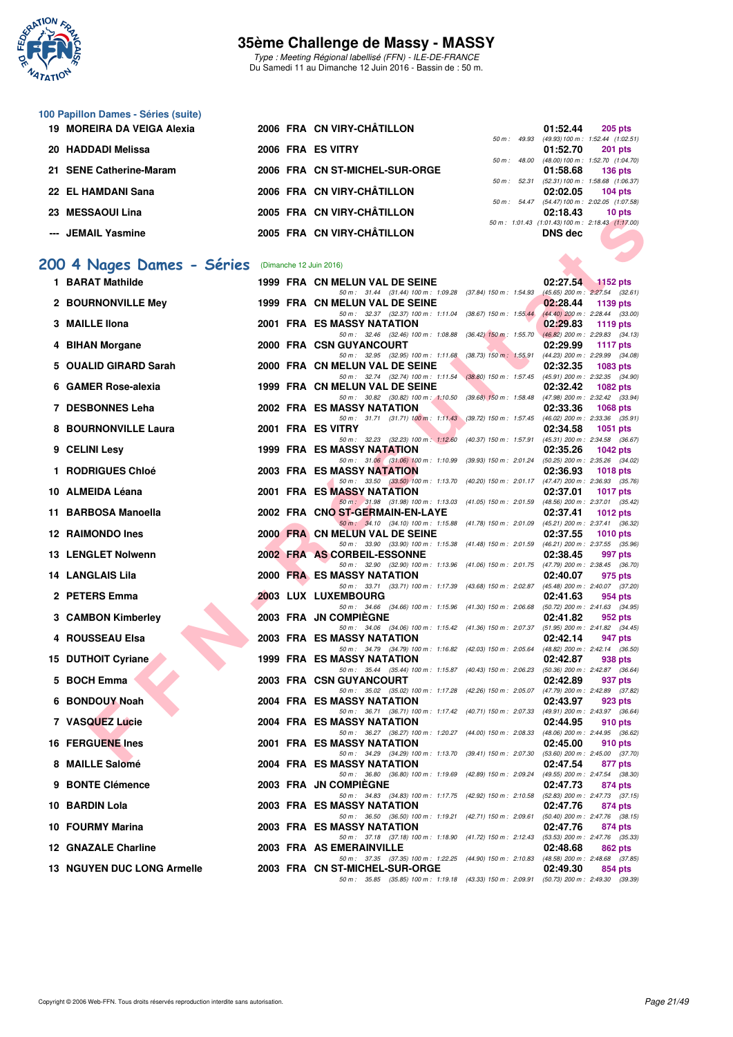

Type : Meeting Régional labellisé (FFN) - ILE-DE-FRANCE Du Samedi 11 au Dimanche 12 Juin 2016 - Bassin de : 50 m.

# **100 Papillon Dames - Séries (suite)**

| 19 MOREIRA DA VEIGA Alexia |  | 2006 FRA CN VIRY-CHÂTILLON     |                          | 01:52.44       | 205 pts                                         |
|----------------------------|--|--------------------------------|--------------------------|----------------|-------------------------------------------------|
|                            |  |                                | $50 \text{ m}$ : 49.93   |                | (49.93) 100 m: 1:52.44 (1:02.51                 |
| 20 HADDADI Melissa         |  | 2006 FRA ES VITRY              |                          | 01:52.70       | 201 pts                                         |
|                            |  |                                | $50 m$ : 48.00           |                | (48.00) 100 m: 1:52.70 (1:04.70)                |
| 21 SENE Catherine-Maram    |  | 2006 FRA CN ST-MICHEL-SUR-ORGE |                          | 01:58.68       | 136 pts                                         |
|                            |  |                                | $50 \text{ m}$ : $52.31$ |                | (52.31) 100 m: 1:58.68 (1:06.37                 |
| 22 EL HAMDANI Sana         |  | 2006 FRA CN VIRY-CHÂTILLON     |                          | 02:02.05       | 104 pts                                         |
|                            |  |                                |                          |                | 50 m: 54.47 (54.47) 100 m: 2:02.05 (1:07.58)    |
| 23 MESSAOUI Lina           |  | 2005 FRA CN VIRY-CHÂTILLON     |                          | 02:18.43       | 10 pts                                          |
|                            |  |                                |                          |                | 50 m: 1:01.43 (1:01.43) 100 m: 2:18.43 (1:17.00 |
| --- JEMAIL Yasmine         |  | 2005 FRA CN VIRY-CHÂTILLON     |                          | <b>DNS</b> dec |                                                 |
|                            |  |                                |                          |                |                                                 |

# **[200 4 Nages Dames - Séries](http://www.ffnatation.fr/webffn/resultats.php?idact=nat&go=epr&idcpt=38069&idepr=41)** (Dimanche 12 Juin 2016)

| ZJ MEJJAVUI LIIIA                                 |  | ZUUJ FRA CN VIRT-CHAHLLON                                                                                                     | <u>02.10.43</u> | <b>TO PIS</b>                                    |
|---------------------------------------------------|--|-------------------------------------------------------------------------------------------------------------------------------|-----------------|--------------------------------------------------|
| --- JEMAIL Yasmine                                |  | 2005 FRA CN VIRY-CHÂTILLON                                                                                                    | <b>DNS</b> dec  | 50 m: 1:01.43 (1:01.43) 100 m: 2:18.43 (1:17.00) |
| 00 4 Nages Dames - Séries (Dimanche 12 Juin 2016) |  |                                                                                                                               |                 |                                                  |
| 1 BARAT Mathilde                                  |  | 1999 FRA CN MELUN VAL DE SEINE                                                                                                | 02:27.54        | $\blacksquare$ 1152 pts                          |
|                                                   |  | 50 m: 31.44 (31.44) 100 m: 1.09.28 (37.84) 150 m: 1.54.93 (45.65) 200 m: 2.27.54 (32.61)                                      |                 |                                                  |
| 2 BOURNONVILLE Mey                                |  | 1999 FRA CN MELUN VAL DE SEINE<br>50 m: 32.37 (32.37) 100 m: 1:11.04 (38.67) 150 m: 1:55.44 (44.40) 200 m: 2:28.44 (33.00)    | 02:28.44        | 1139 pts                                         |
| 3 MAILLE IIona                                    |  | 2001 FRA ES MASSY NATATION                                                                                                    | 02:29.83        | 1119 $pts$                                       |
| 4 BIHAN Morgane                                   |  | 50 m: 32.46 (32.46) 100 m: 1:08.88 (36.42) 150 m: 1:55.70 (46.82) 200 m: 2:29.83 (34.13)<br>2000 FRA CSN GUYANCOURT           | 02:29.99        | 1117 $pts$                                       |
|                                                   |  | 50 m: 32.95 (32.95) 100 m: 1:11.68 (38.73) 150 m: 1:55.91 (44.23) 200 m: 2:29.99 (34.08)                                      |                 |                                                  |
| 5 OUALID GIRARD Sarah                             |  | 2000 FRA CN MELUN VAL DE SEINE<br>50 m: 32.74 (32.74) 100 m: 1:11.54 (38.80) 150 m: 1:57.45 (45.91) 200 m: 2:32.35 (34.90)    | 02:32.35        | 1083 pts                                         |
| 6 GAMER Rose-alexia                               |  | 1999 FRA CN MELUN VAL DE SEINE                                                                                                | 02:32.42        | 1082 pts                                         |
| 7 DESBONNES Leha                                  |  | 50 m: 30.82 (30.82) 100 m: 1:10.50 (39.68) 150 m: 1:58.48 (47.98) 200 m: 2:32.42 (33.94)<br>2002 FRA ES MASSY NATATION        | 02:33.36        | <b>1068 pts</b>                                  |
|                                                   |  | 50 m: 31.71 (31.71) 100 m: 1:11.43 (39.72) 150 m: 1:57.45 (46.02) 200 m: 2:33.36 (35.91)                                      |                 |                                                  |
| 8 BOURNONVILLE Laura                              |  | 2001 FRA ES VITRY<br>50 m: 32.23 (32.23) 100 m: 1:12.60 (40.37) 150 m: 1:57.91 (45.31) 200 m: 2:34.58 (36.67)                 | 02:34.58        | <b>1051 pts</b>                                  |
| 9 CELINI Lesy                                     |  | 1999 FRA ES MASSY NATATION                                                                                                    | 02:35.26        | 1042 pts                                         |
| 1 RODRIGUES Chloé                                 |  | 50 m: 31.06 (31.06) 100 m: 1:10.99 (39.93) 150 m: 2:01.24 (50.25) 200 m: 2:35.26 (34.02)<br>2003 FRA ES MASSY NATATION        | 02:36.93        | 1018 $pts$                                       |
|                                                   |  | 50 m: 33.50 (33.50) 100 m: 1:13.70 (40.20) 150 m: 2:01.17 (47.47) 200 m: 2:36.93 (35.76)                                      |                 |                                                  |
| 10 ALMEIDA Léana                                  |  | 2001 FRA ES MASSY NATATION                                                                                                    | 02:37.01        | <b>1017 pts</b>                                  |
| 11 BARBOSA Manoella                               |  | 50 m: 31.98 (31.98) 100 m: 1:13.03 (41.05) 150 m: 2:01.59 (48.56) 200 m: 2:37.01 (35.42)<br>2002 FRA CNO ST-GERMAIN-EN-LAYE   | 02:37.41        | 1012 $pts$                                       |
|                                                   |  | 50 m: 34.10 (34.10) 100 m: 1.15.88 (41.78) 150 m: 2:01.09 (45.21) 200 m: 2:37.41 (36.32)                                      |                 |                                                  |
| <b>12 RAIMONDO Ines</b>                           |  | 2000 FRA CN MELUN VAL DE SEINE<br>50 m: 33.90 (33.90) 100 m: 1:15.38 (41.48) 150 m: 2:01.59 (46.21) 200 m: 2:37.55 (35.96)    | 02:37.55        | 1010 $pts$                                       |
| 13 LENGLET Nolwenn                                |  | 2002 FRA AS CORBEIL-ESSONNE                                                                                                   | 02:38.45        | 997 pts                                          |
| 14   LANGLAIS Lila                                |  | 50 m: 32.90 (32.90) 100 m: 1:13.96 (41.06) 150 m: 2:01.75 (47.79) 200 m: 2:38.45 (36.70)<br>2000 FRA ES MASSY NATATION        | 02:40.07        | 975 pts                                          |
|                                                   |  | 50 m: 33.71 (33.71) 100 m: 1:17.39 (43.68) 150 m: 2:02.87 (45.48) 200 m: 2:40.07 (37.20)                                      |                 |                                                  |
| 2 PETERS Emma                                     |  | 2003 LUX LUXEMBOURG<br>50 m: 34.66 (34.66) 100 m: 1:15.96 (41.30) 150 m: 2:06.68 (50.72) 200 m: 2:41.63 (34.95)               | 02:41.63        | 954 pts                                          |
| 3 CAMBON Kimberley                                |  | 2003 FRA JN COMPIEGNE                                                                                                         | 02:41.82        | 952 pts                                          |
| 4 ROUSSEAU Elsa                                   |  | 50 m: 34.06 (34.06) 100 m: 1:15.42 (41.36) 150 m: 2:07.37 (51.95) 200 m: 2:41.82 (34.45)<br><b>2003 FRA ES MASSY NATATION</b> | 02:42.14        | 947 pts                                          |
|                                                   |  | 50 m: 34.79 (34.79) 100 m: 1:16.82 (42.03) 150 m: 2:05.64 (48.82) 200 m: 2:42.14 (36.50)                                      |                 |                                                  |
| <b>15 DUTHOIT Cyriane</b>                         |  | <b>1999 FRA ES MASSY NATATION</b><br>50 m: 35.44 (35.44) 100 m: 1:15.87 (40.43) 150 m: 2:06.23 (50.36) 200 m: 2:42.87 (36.64) | 02:42.87        | 938 pts                                          |
| 5 BOCH Emma                                       |  | 2003 FRA CSN GUYANCOURT                                                                                                       | 02:42.89        | 937 pts                                          |
| 6 BONDOUY Noah                                    |  | 50 m: 35.02 (35.02) 100 m: 1:17.28 (42.26) 150 m: 2:05.07 (47.79) 200 m: 2:42.89 (37.82)<br><b>2004 FRA ES MASSY NATATION</b> | 02:43.97        | 923 pts                                          |
|                                                   |  | 50 m: 36.71 (36.71) 100 m: 1:17.42 (40.71) 150 m: 2:07.33 (49.91) 200 m: 2:43.97 (36.64)                                      |                 |                                                  |
| 7 VASQUEZ Lucie                                   |  | 2004 FRA ES MASSY NATATION<br>50 m: 36.27 (36.27) 100 m: 1:20.27 (44.00) 150 m: 2:08.33 (48.06) 200 m: 2:44.95 (36.62)        | 02:44.95        | 910 pts                                          |
| <b>16 FERGUENE Ines</b>                           |  | 2001 FRA ES MASSY NATATION                                                                                                    | 02:45.00        | 910 pts                                          |
| 8 MAILLE Salomé                                   |  | 50 m: 34.29 (34.29) 100 m: 1:13.70 (39.41) 150 m: 2:07.30 (53.60) 200 m: 2:45.00 (37.70)<br>2004 FRA ES MASSY NATATION        | 02:47.54        | 877 pts                                          |
|                                                   |  | 50 m: 36.80 (36.80) 100 m: 1:19.69 (42.89) 150 m: 2:09.24 (49.55) 200 m: 2:47.54 (38.30)                                      |                 |                                                  |
| 9 BONTE Clémence                                  |  | 2003 FRA JN COMPIEGNE<br>50 m: 34.83 (34.83) 100 m: 1:17.75 (42.92) 150 m: 2:10.58 (52.83) 200 m: 2:47.73 (37.15)             | 02:47.73        | 874 pts                                          |
| 10 BARDIN Lola                                    |  | 2003 FRA ES MASSY NATATION                                                                                                    | 02:47.76        | 874 pts                                          |
|                                                   |  | 50 m: 36.50 (36.50) 100 m: 1:19.21 (42.71) 150 m: 2:09.61 (50.40) 200 m: 2:47.76 (38.15)                                      |                 |                                                  |
| 10 FOURMY Marina                                  |  | <b>2003 FRA ES MASSY NATATION</b><br>50 m: 37.18 (37.18) 100 m: 1:18.90 (41.72) 150 m: 2:12.43 (53.53) 200 m: 2:47.76 (35.33) | 02:47.76        | 874 pts                                          |
| 12 GNAZALE Charline                               |  | 2003 FRA AS EMERAINVILLE                                                                                                      | 02:48.68        | 862 pts                                          |
| <b>13 NGUYEN DUC LONG Armelle</b>                 |  | 50 m: 37.35 (37.35) 100 m: 1:22.25 (44.90) 150 m: 2:10.83 (48.58) 200 m: 2:48.68 (37.85)<br>2003 FRA CN ST-MICHEL-SUR-ORGE    | 02:49.30        | 854 pts                                          |
|                                                   |  | 50 m: 35.85 (35.85) 100 m: 1:19.18 (43.33) 150 m: 2:09.91 (50.73) 200 m: 2:49.30 (39.39)                                      |                 |                                                  |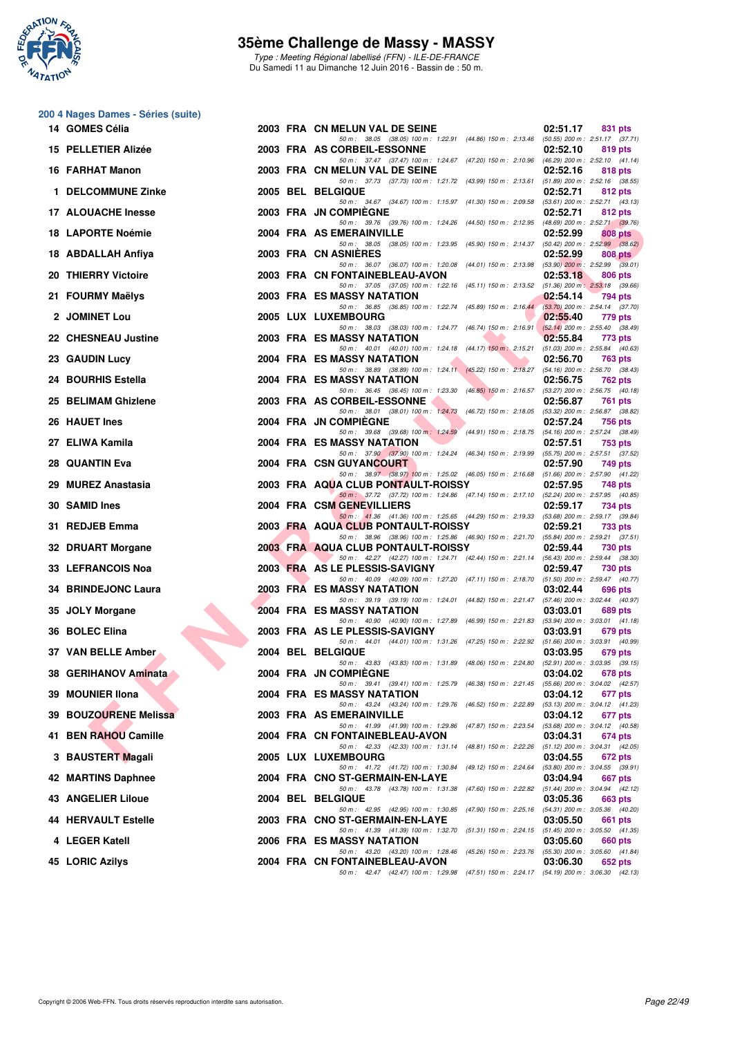

Type : Meeting Régional labellisé (FFN) - ILE-DE-FRANCE Du Samedi 11 au Dimanche 12 Juin 2016 - Bassin de : 50 m.

| 200 4 Nages Dames - Séries (suite) |
|------------------------------------|
| 14 GOMES Célia                     |

| 14   GOMES Célia           |  | 2003 FRA CN MELUN VAL DE SEINE                                                                                                 | 02:51.17 | 831 pts        |
|----------------------------|--|--------------------------------------------------------------------------------------------------------------------------------|----------|----------------|
| 15 PELLETIER Alizée        |  | 50 m: 38.05 (38.05) 100 m: 1:22.91 (44.86) 150 m: 2:13.46 (50.55) 200 m: 2:51.17 (37.71)<br>2003 FRA AS CORBEIL-ESSONNE        | 02:52.10 | 819 pts        |
| 16 FARHAT Manon            |  | 50 m: 37.47 (37.47) 100 m: 1:24.67 (47.20) 150 m: 2:10.96 (46.29) 200 m: 2:52.10 (41.14)<br>2003 FRA CN MELUN VAL DE SEINE     | 02:52.16 | 818 pts        |
| 1 DELCOMMUNE Zinke         |  | 50 m: 37.73 (37.73) 100 m: 1:21.72 (43.99) 150 m: 2:13.61 (51.89) 200 m: 2:52.16 (38.55)<br>2005 BEL BELGIQUE                  | 02:52.71 | 812 pts        |
| <b>17 ALOUACHE Inesse</b>  |  | 50 m: 34.67 (34.67) 100 m: 1:15.97 (41.30) 150 m: 2:09.58 (53.61) 200 m: 2:52.71 (43.13)<br>2003 FRA JN COMPIEGNE              | 02:52.71 | 812 pts        |
| 18 LAPORTE Noémie          |  | 50 m: 39.76 (39.76) 100 m: 1:24.26 (44.50) 150 m: 2:12.95 (48.69) 200 m: 2:52.71 (39.76)<br>2004 FRA AS EMERAINVILLE           | 02:52.99 | 808 pts        |
| 18 ABDALLAH Anfiya         |  | 50 m: 38.05 (38.05) 100 m: 1:23.95 (45.90) 150 m: 2:14.37 (50.42) 200 m: 2:52.99 (38.62)<br>2003 FRA CN ASNIERES               | 02:52.99 | 808 pts        |
| 20 THIERRY Victoire        |  | 50 m: 36.07 (36.07) 100 m: 1:20.08 (44.01) 150 m: 2:13.98 (53.90) 200 m: 2:52.99 (39.01)<br>2003 FRA CN FONTAINEBLEAU-AVON     | 02:53.18 | 806 pts        |
| 21 FOURMY Maëlys           |  | 50 m: 37.05 (37.05) 100 m: 1:22.16 (45.11) 150 m: 2:13.52 (51.36) 200 m: 2:53.18 (39.66)<br>2003 FRA ES MASSY NATATION         | 02:54.14 | 794 pts        |
| 2 JOMINET Lou              |  | 50 m: 36.85 (36.85) 100 m: 1:22.74 (45.89) 150 m: 2:16.44 (53.70) 200 m: 2:54.14 (37.70)<br>2005 LUX LUXEMBOURG                | 02:55.40 | 779 pts        |
| <b>22 CHESNEAU Justine</b> |  | 50 m: 38.03 (38.03) 100 m: 1:24.77 (46.74) 150 m: 2:16.91 (52.14) 200 m: 2:55.40 (38.49)<br>2003 FRA ES MASSY NATATION         | 02:55.84 | 773 pts        |
| 23 GAUDIN Lucy             |  | 50 m: 40.01 (40.01) 100 m: 1:24.18 (44.17) 150 m: 2:15.21 (51.03) 200 m: 2:55.84 (40.63)<br>2004 FRA ES MASSY NATATION         | 02:56.70 | <b>763 pts</b> |
| 24   BOURHIS Estella       |  | 50 m: 38.89 (38.89) 100 m: 1:24.11 (45.22) 150 m: 2:18.27 (54.16) 200 m: 2:56.70 (38.43)<br><b>2004 FRA ES MASSY NATATION</b>  | 02:56.75 | <b>762 pts</b> |
| 25 BELIMAM Ghizlene        |  | 50 m: 36.45 (36.45) 100 m: 1:23.30 (46.85) 150 m: 2:16.57 (53.27) 200 m: 2:56.75 (40.18)<br>2003 FRA AS CORBEIL-ESSONNE        | 02:56.87 | <b>761 pts</b> |
| 26 HAUET Ines              |  | 50 m: 38.01 (38.01) 100 m: 1:24.73 (46.72) 150 m: 2:18.05 (53.32) 200 m: 2:56.87 (38.82)<br>2004 FRA JN COMPIEGNE              | 02:57.24 | 756 pts        |
| 27 ELIWA Kamila            |  | 50 m: 39.68 (39.68) 100 m: 1:24.59 (44.91) 150 m: 2:18.75 (54.16) 200 m: 2:57.24 (38.49)<br>2004 FRA ES MASSY NATATION         | 02:57.51 | <b>753 pts</b> |
| 28   QUANTIN Eva           |  | 50 m: 37.90 (37.90) 100 m: 1:24.24 (46.34) 150 m: 2:19.99 (55.75) 200 m: 2:57.51 (37.52)<br>2004 FRA CSN GUYANCOURT            | 02:57.90 | 749 pts        |
| 29  MUREZ Anastasia        |  | 50 m: 38.97 (38.97) 100 m: 1:25.02 (46.05) 150 m: 2:16.68 (51.66) 200 m: 2:57.90 (41.22)<br>2003 FRA AQUA CLUB PONTAULT-ROISSY | 02:57.95 | <b>748 pts</b> |
| 30 SAMID Ines              |  | 50 m: 37.72 (37.72) 100 m: 1:24.86 (47.14) 150 m: 2:17.10 (52.24) 200 m: 2:57.95 (40.85)<br>2004 FRA CSM GENEVILLIERS          | 02:59.17 | 734 pts        |
| 31 REDJEB Emma             |  | 50 m: 41.36 (41.36) 100 m: 1:25.65 (44.29) 150 m: 2:19.33 (53.68) 200 m: 2:59.17 (39.84)<br>2003 FRA AQUA CLUB PONTAULT-ROISSY | 02:59.21 | 733 pts        |
| 32 DRUART Morgane          |  | 50 m: 38.96 (38.96) 100 m: 1:25.86 (46.90) 150 m: 2:21.70 (55.84) 200 m: 2:59.21 (37.51)<br>2003 FRA AQUA CLUB PONTAULT-ROISSY | 02:59.44 | 730 pts        |
| 33 LEFRANCOIS Noa          |  | 50 m: 42.27 (42.27) 100 m: 1:24.71 (42.44) 150 m: 2:21.14 (56.43) 200 m: 2:59.44 (38.30)<br>2003 FRA AS LE PLESSIS-SAVIGNY     | 02:59.47 | <b>730 pts</b> |
| 34 BRINDEJONC Laura        |  | 50 m: 40.09 (40.09) 100 m: 1:27.20 (47.11) 150 m: 2:18.70 (51.50) 200 m: 2:59.47 (40.77)<br>2003 FRA ES MASSY NATATION         | 03:02.44 | 696 pts        |
| 35 JOLY Morgane            |  | 50 m: 39.19 (39.19) 100 m: 1:24.01 (44.82) 150 m: 2:21.47 (57.46) 200 m: 3:02.44 (40.97)<br><b>2004 FRA ES MASSY NATATION</b>  | 03:03.01 | 689 pts        |
| 36 BOLEC Elina             |  | 50 m: 40.90 (40.90) 100 m: 1:27.89 (46.99) 150 m: 2:21.83 (53.94) 200 m: 3:03.01 (41.18)<br>2003 FRA AS LE PLESSIS-SAVIGNY     | 03:03.91 | 679 pts        |
| <b>37 VAN BELLE Amber</b>  |  | 50 m: 44.01 (44.01) 100 m: 1:31.26 (47.25) 150 m: 2:22.92 (51.66) 200 m: 3:03.91 (40.99)<br>2004 BEL BELGIQUE                  | 03:03.95 | 679 pts        |
| 38 GERIHANOV Aminata       |  | 50 m: 43.83 (43.83) 100 m: 1:31.89 (48.06) 150 m: 2:24.80 (52.91) 200 m: 3:03.95 (39.15)<br>2004 FRA JN COMPIÈGNE              | 03:04.02 | 678 pts        |
| 39 MOUNIER IIona           |  | 50 m: 39.41 (39.41) 100 m: 1:25.79 (46.38) 150 m: 2:21.45 (55.66) 200 m: 3:04.02 (42.57)<br>2004 FRA ES MASSY NATATION         | 03:04.12 | 677 pts        |
| 39 BOUZOURENE Melissa      |  | 50 m: 43.24 (43.24) 100 m: 1:29.76 (46.52) 150 m: 2:22.89 (53.13) 200 m: 3:04.12 (41.23)<br>2003 FRA AS EMERAINVILLE           | 03:04.12 | 677 pts        |
| 41 BEN RAHOU Camille       |  | 50 m: 41.99 (41.99) 100 m: 1:29.86 (47.87) 150 m: 2:23.54 (53.68) 200 m: 3:04.12 (40.58)<br>2004 FRA CN FONTAINEBLEAU-AVON     | 03:04.31 | 674 pts        |
| 3 BAUSTERT Magali          |  | 50 m: 42.33 (42.33) 100 m: 1:31.14 (48.81) 150 m: 2:22.26 (51.12) 200 m: 3:04.31 (42.05)<br>2005 LUX LUXEMBOURG                | 03:04.55 | 672 pts        |
| 42 MARTINS Daphnee         |  | 50 m: 41.72 (41.72) 100 m: 1:30.84 (49.12) 150 m: 2:24.64 (53.80) 200 m: 3:04.55 (39.91)<br>2004 FRA CNO ST-GERMAIN-EN-LAYE    | 03:04.94 | 667 pts        |
| 43 ANGELIER Liloue         |  | 50 m: 43.78 (43.78) 100 m: 1:31.38 (47.60) 150 m: 2:22.82 (51.44) 200 m: 3:04.94 (42.12)<br>2004 BEL BELGIQUE                  | 03:05.36 | 663 pts        |
| <b>44 HERVAULT Estelle</b> |  | 50 m: 42.95 (42.95) 100 m: 1:30.85 (47.90) 150 m: 2:25.16 (54.31) 200 m: 3:05.36 (40.20)<br>2003 FRA CNO ST-GERMAIN-EN-LAYE    | 03:05.50 | 661 pts        |
| 4 LEGER Katell             |  | 50 m: 41.39 (41.39) 100 m: 1:32.70 (51.31) 150 m: 2:24.15 (51.45) 200 m: 3:05.50 (41.35)<br>2006 FRA ES MASSY NATATION         | 03:05.60 | 660 pts        |
| 45 LORIC Azilys            |  | 50 m: 43.20 (43.20) 100 m: 1:28.46 (45.26) 150 m: 2:23.76 (55.30) 200 m: 3:05.60 (41.84)<br>2004 FRA CN FONTAINEBLEAU-AVON     | 03:06.30 | 652 pts        |
|                            |  | 50 m: 42.47 (42.47) 100 m: 1:29.98 (47.51) 150 m: 2:24.17 (54.19) 200 m: 3:06.30 (42.13)                                       |          |                |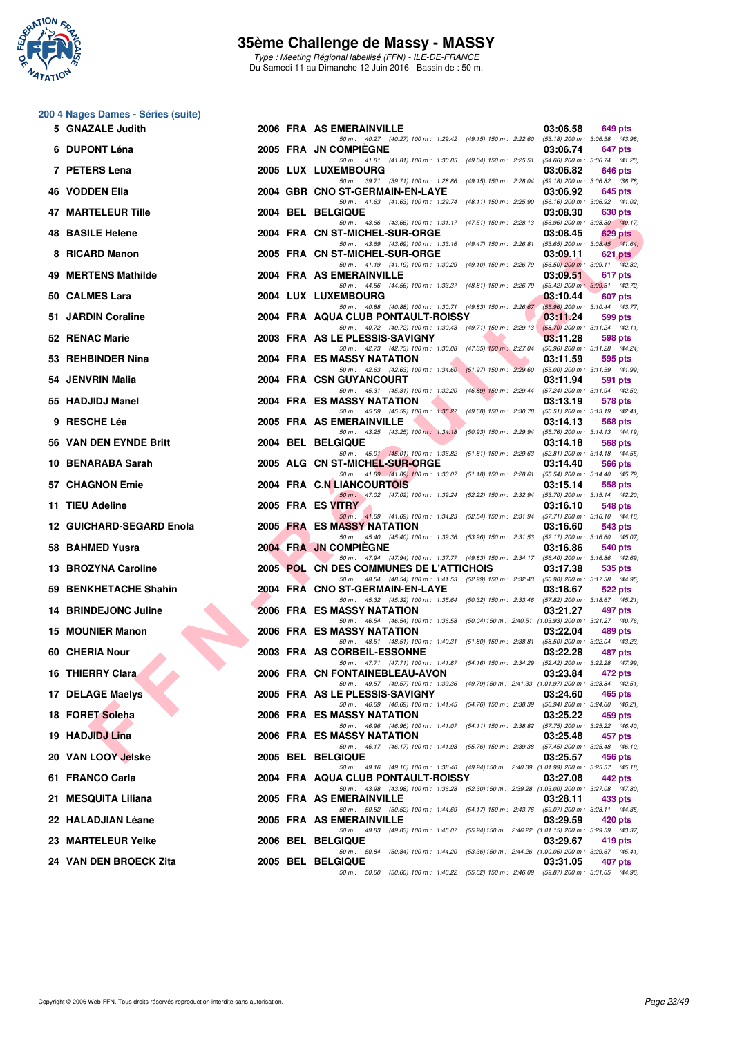

Type : Meeting Régional labellisé (FFN) - ILE-DE-FRANCE Du Samedi 11 au Dimanche 12 Juin 2016 - Bassin de : 50 m.

#### **200 4 Nages Dames - Séries (suite)**

| 5 | <b>GNAZALE Judith</b>         |  | 2006 FRA AS EMERAINVILLE<br>03:06.58                                                                                                            | 649 pts   |
|---|-------------------------------|--|-------------------------------------------------------------------------------------------------------------------------------------------------|-----------|
|   | 6 DUPONT Léna                 |  | 50 m: 40.27 (40.27) 100 m: 1:29.42 (49.15) 150 m: 2:22.60 (53.18) 200 m: 3:06.58 (43.98)<br>2005 FRA JN COMPIEGNE<br>03:06.74                   | 647 pts   |
|   | 7 PETERS Lena                 |  | 50 m: 41.81 (41.81) 100 m: 1:30.85 (49.04) 150 m: 2:25.51 (54.66) 200 m: 3:06.74 (41.23)<br>2005 LUX LUXEMBOURG<br>03:06.82                     | 646 pts   |
|   | 46 VODDEN Ella                |  | 50 m: 39.71 (39.71) 100 m: 1:28.86 (49.15) 150 m: 2:28.04 (59.18) 200 m: 3:06.82 (38.78)<br>2004 GBR CNO ST-GERMAIN-EN-LAYE<br>03:06.92         | 645 pts   |
|   | 47 MARTELEUR Tille            |  | 50 m: 41.63 (41.63) 100 m: 1:29.74 (48.11) 150 m: 2:25.90 (56.16) 200 m: 3:06.92 (41.02)<br>2004 BEL BELGIQUE<br>03:08.30                       | 630 pts   |
|   | <b>48 BASILE Helene</b>       |  | 50 m: 43.66 (43.66) 100 m: 1:31.17 (47.51) 150 m: 2:28.13 (56.96) 200 m: 3:08.30 (40.17)<br>2004 FRA CN ST-MICHEL-SUR-ORGE<br>03:08.45          | 629 pts   |
|   | 8 RICARD Manon                |  | 50 m: 43.69 (43.69) 100 m: 1:33.16 (49.47) 150 m: 2:26.81 (53.65) 200 m: 3:08.45 (41.64)<br>2005 FRA CN ST-MICHEL-SUR-ORGE<br>03:09.11          | $621$ pts |
|   | 49 MERTENS Mathilde           |  | 50 m: 41.19 (41.19) 100 m: 1:30.29 (49.10) 150 m: 2:26.79 (56.50) 200 m: 3:09.11 (42.32)<br>2004 FRA AS EMERAINVILLE<br>03:09.51                | 617 pts   |
|   | 50 CALMES Lara                |  | 50 m: 44.56 (44.56) 100 m: 1:33.37 (48.81) 150 m: 2:26.79 (53.42) 200 m: 3:09.51 (42.72)<br>2004 LUX LUXEMBOURG<br>03:10.44                     | 607 pts   |
|   | 51 JARDIN Coraline            |  | 50 m: 40.88 (40.88) 100 m: 1:30.71 (49.83) 150 m: 2:26.67 (55.96) 200 m: 3:10.44 (43.77)<br>2004 FRA AQUA CLUB PONTAULT-ROISSY<br>03:11.24      | 599 pts   |
|   | 52 RENAC Marie                |  | 50 m: 40.72 (40.72) 100 m: 1:30.43 (49.71) 150 m: 2:29.13 (58.70) 200 m: 3:11.24 (42.11)<br>2003 FRA AS LE PLESSIS-SAVIGNY<br>03:11.28          | 598 pts   |
|   | 53 REHBINDER Nina             |  | 50 m: 42.73 (42.73) 100 m: 1:30.08 (47.35) 150 m: 2:27.04 (56.96) 200 m: 3:11.28 (44.24)<br>2004 FRA ES MASSY NATATION<br>03:11.59              | 595 pts   |
|   | 54 JENVRIN Malia              |  | 50 m: 42.63 (42.63) 100 m: 1:34.60 (51.97) 150 m: 2:29.60 (55.00) 200 m: 3:11.59 (41.99)<br>2004 FRA CSN GUYANCOURT<br>03:11.94                 | 591 pts   |
|   | 55 HADJIDJ Manel              |  | 50 m: 45.31 (45.31) 100 m: 1:32.20 (46.89) 150 m: 2:29.44 (57.24) 200 m: 3:11.94 (42.50)<br>2004 FRA ES MASSY NATATION<br>03:13.19              | 578 pts   |
|   | 9 RESCHE Léa                  |  | 50 m: 45.59 (45.59) 100 m: 1:35.27 (49.68) 150 m: 2:30.78 (55.51) 200 m: 3:13.19 (42.41)<br>2005 FRA AS EMERAINVILLE<br>03:14.13                | 568 pts   |
|   | <b>56 VAN DEN EYNDE Britt</b> |  | 50 m: 43.25 (43.25) 100 m: 1:34.18 (50.93) 150 m: 2:29.94 (55.76) 200 m: 3:14.13 (44.19)<br>2004 BEL BELGIQUE<br>03:14.18                       | 568 pts   |
|   | 10 BENARABA Sarah             |  | 50 m: 45.01 (45.01) 100 m: 1:36.82 (51.81) 150 m: 2:29.63 (52.81) 200 m: 3:14.18 (44.55)<br>2005 ALG CN ST-MICHEL-SUR-ORGE<br>03:14.40          | 566 pts   |
|   | 57 CHAGNON Emie               |  | 50 m: 41.89 (41.89) 100 m: 1:33.07 (51.18) 150 m: 2:28.61 (55.54) 200 m: 3:14.40 (45.79)<br>2004 FRA C.N LIANCOURTOIS<br>03:15.14               | 558 pts   |
|   | 11 TIEU Adeline               |  | 50 m: 47.02 (47.02) 100 m: 1:39.24 (52.22) 150 m: 2:32.94 (53.70) 200 m: 3:15.14 (42.20)<br>2005 FRA ES VITRY<br>03:16.10                       | 548 pts   |
|   | 12 GUICHARD-SEGARD Enola      |  | 50 m: 41.69 (41.69) 100 m: 1:34.23 (52.54) 150 m: 2:31.94 (57.71) 200 m: 3:16.10 (44.16)<br>2005 FRA ES MASSY NATATION<br>03:16.60              | 543 pts   |
|   | 58 BAHMED Yusra               |  | 50 m: 45.40 (45.40) 100 m: 1:39.36 (53.96) 150 m: 2:31.53 (52.17) 200 m: 3:16.60 (45.07)<br>2004 FRA JN COMPIEGNE<br>03:16.86                   | 540 pts   |
|   | 13 BROZYNA Caroline           |  | 50 m: 47.94 (47.94) 100 m: 1:37.77 (49.83) 150 m: 2:34.17 (56.40) 200 m: 3:16.86 (42.69)<br>2005 POL CN DES COMMUNES DE L'ATTICHOIS<br>03:17.38 | 535 pts   |
|   | 59 BENKHETACHE Shahin         |  | 50 m: 48.54 (48.54) 100 m: 1:41.53 (52.99) 150 m: 2:32.43 (50.90) 200 m: 3:17.38 (44.95)<br>2004 FRA CNO ST-GERMAIN-EN-LAYE<br>03:18.67         | 522 pts   |
|   | 14 BRINDEJONC Juline          |  | 50 m: 45.32 (45.32) 100 m: 1:35.64 (50.32) 150 m: 2:33.46 (57.82) 200 m: 3:18.67 (45.21)<br><b>2006 FRA ES MASSY NATATION</b><br>03:21.27       | 497 pts   |
|   | 15 MOUNIER Manon              |  | 50 m: 46.54 (46.54) 100 m: 1:36.58 (50.04) 150 m: 2:40.51 (1:03.93) 200 m: 3:21.27 (40.76)<br><b>2006 FRA ES MASSY NATATION</b><br>03:22.04     | 489 pts   |
|   | 60 CHERIA Nour                |  | 50 m: 48.51 (48.51) 100 m: 1:40.31 (51.80) 150 m: 2:38.81 (58.50) 200 m: 3:22.04 (43.23)<br>2003 FRA AS CORBEIL-ESSONNE<br>03:22.28             | 487 pts   |
|   | 16 THIERRY Clara              |  | 50 m: 47.71 (47.71) 100 m: 1:41.87 (54.16) 150 m: 2:34.29 (52.42) 200 m: 3:22.28 (47.99)<br>2006 FRA CN FONTAINEBLEAU-AVON<br>03:23.84          | 472 pts   |
|   | 17 DELAGE Maelys              |  | 50 m: 49.57 (49.57) 100 m: 1:39.36 (49.79) 150 m: 2:41.33 (1:01.97) 200 m: 3:23.84 (42.51)<br>2005 FRA AS LE PLESSIS-SAVIGNY<br>03:24.60        | 465 pts   |
|   | 18 FORET Soleha               |  | 50 m: 46.69 (46.69) 100 m: 1:41.45 (54.76) 150 m: 2:38.39 (56.94) 200 m: 3:24.60 (46.21)<br>2006 FRA ES MASSY NATATION<br>03:25.22              | 459 pts   |
|   | 19 HADJIDJ Lina               |  | 50 m: 46.96 (46.96) 100 m: 1:41.07 (54.11) 150 m: 2:38.82 (57.75) 200 m: 3:25.22 (46.40)<br>2006 FRA ES MASSY NATATION<br>03:25.48              | 457 pts   |
|   | 20 VAN LOOY Jelske            |  | 50 m: 46.17 (46.17) 100 m: 1:41.93 (55.76) 150 m: 2:39.38 (57.45) 200 m: 3:25.48 (46.10)<br><b>2005 BEL BELGIQUE</b><br>03:25.57                | 456 pts   |
|   | 61 FRANCO Carla               |  | 50 m: 49.16 (49.16) 100 m: 1:38.40 (49.24) 150 m: 2:40.39 (1:01.99) 200 m: 3:25.57 (45.18)<br>2004 FRA AQUA CLUB PONTAULT-ROISSY<br>03:27.08    | 442 pts   |
|   | 21 MESQUITA Liliana           |  | 50 m: 43.98 (43.98) 100 m: 1:36.28 (52.30) 150 m: 2:39.28 (1:03.00) 200 m: 3:27.08 (47.80)<br>2005 FRA AS EMERAINVILLE<br>03:28.11              | 433 pts   |
|   | 22 HALADJIAN Léane            |  | 50 m: 50.52 (50.52) 100 m: 1:44.69 (54.17) 150 m: 2:43.76 (59.07) 200 m: 3:28.11 (44.35)<br>2005 FRA AS EMERAINVILLE<br>03:29.59                | 420 pts   |
|   | 23  MARTELEUR Yelke           |  | 50 m: 49.83 (49.83) 100 m: 1:45.07 (55.24) 150 m: 2:46.22 (1:01.15) 200 m: 3:29.59 (43.37)<br>2006 BEL BELGIQUE<br>03:29.67                     | 419 pts   |
|   | 24 VAN DEN BROECK Zita        |  | 50 m: 50.84 (50.84) 100 m: 1:44.20 (53.36) 150 m: 2:44.26 (1:00.06) 200 m: 3:29.67 (45.41)<br>2005 BEL BELGIQUE<br>03:31.05                     | 407 pts   |
|   |                               |  | 50 m: 50.60 (50.60) 100 m: 1:46.22 (55.62) 150 m: 2:46.09 (59.87) 200 m: 3:31.05 (44.96)                                                        |           |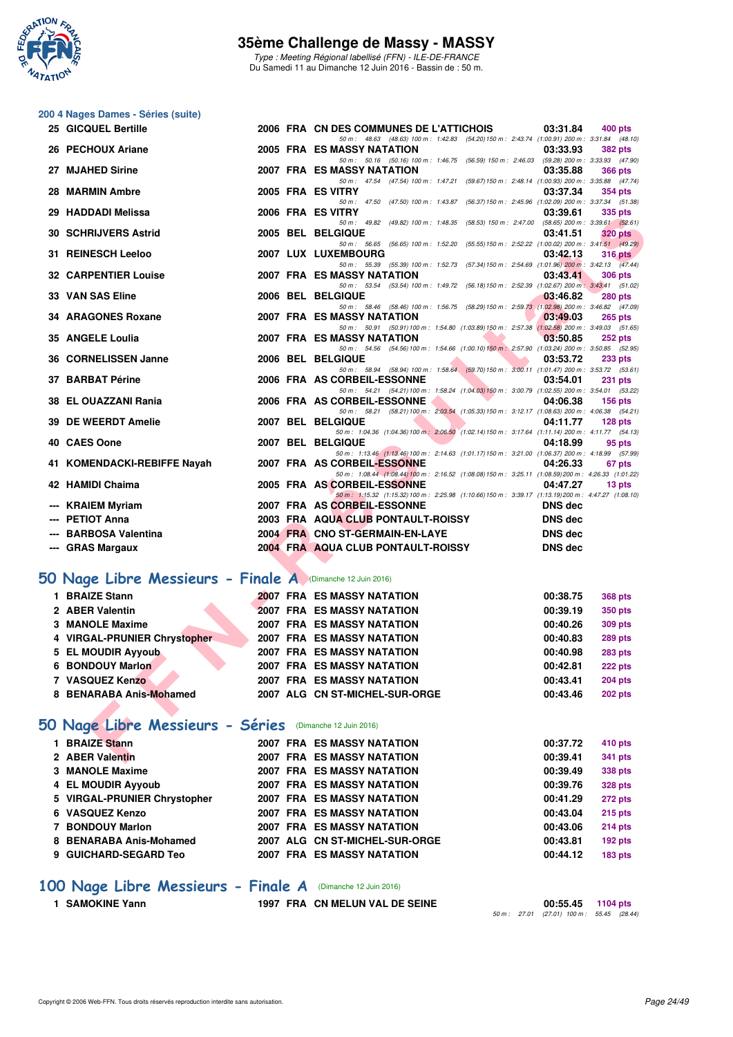

Type : Meeting Régional labellisé (FFN) - ILE-DE-FRANCE Du Samedi 11 au Dimanche 12 Juin 2016 - Bassin de : 50 m.

# **200 4 Nages Dames - Séries (suite)**

| 25 GICQUEL Bertille                                        |  | 03:31.84<br>2006 FRA CN DES COMMUNES DE L'ATTICHOIS<br><b>400 pts</b>                                                                                         |
|------------------------------------------------------------|--|---------------------------------------------------------------------------------------------------------------------------------------------------------------|
| 26 PECHOUX Ariane                                          |  | 50 m: 48.63 (48.63) 100 m: 1:42.83 (54.20) 150 m: 2:43.74 (1:00.91) 200 m: 3:31.84 (48.10)<br>2005 FRA ES MASSY NATATION<br>03:33.93<br><b>382 pts</b>        |
| 27 MJAHED Sirine                                           |  | 50 m: 50.16 (50.16) 100 m: 1.46.75 (56.59) 150 m: 2.46.03 (59.28) 200 m: 3.33.93 (47.90)<br>2007 FRA ES MASSY NATATION<br>03:35.88<br><b>366 pts</b>          |
| 28 MARMIN Ambre                                            |  | 50 m: 47.54 (47.54) 100 m: 1:47.21 (59.67) 150 m: 2:48.14 (1:00.93) 200 m: 3:35.88 (47.74)<br>2005 FRA ES VITRY<br>03:37.34                                   |
|                                                            |  | <b>354 pts</b><br>50 m: 47.50 (47.50) 100 m: 1:43.87 (56.37) 150 m: 2:45.96 (1:02.09) 200 m: 3:37.34 (51.38)                                                  |
| 29 HADDADI Melissa                                         |  | 2006 FRA ES VITRY<br>03:39.61<br>335 pts<br>50 m: 49.82 (49.82) 100 m: 1:48.35 (58.53) 150 m: 2:47.00<br>$(58.65) 200 \text{ m}$ : 3:39.61 $(52.61)$          |
| <b>30 SCHRIJVERS Astrid</b>                                |  | 2005 BEL BELGIQUE<br>03:41.51<br><b>320 pts</b>                                                                                                               |
| 31 REINESCH Leeloo                                         |  | 50 m: 56.65 (56.65) 100 m: 1:52.20 (55.55) 150 m: 2:52.22 (1:00.02) 200 m: 3:41.51 (49.29)<br>2007 LUX LUXEMBOURG<br>03:42.13<br><b>316 pts</b>               |
| <b>32 CARPENTIER Louise</b>                                |  | 50 m: 55.39 (55.39) 100 m: 1:52.73 (57.34) 150 m: 2:54.69 (1:01.96) 200 m: 3:42.13 (47.44)<br>2007 FRA ES MASSY NATATION<br>03:43.41<br>306 pts               |
| 33 VAN SAS Eline                                           |  | 50 m: 53.54 (53.54) 100 m: 1:49.72 (56.18) 150 m: 2:52.39 (1:02.67) 200 m: 3:43.41 (51.02)<br>2006 BEL BELGIQUE<br>03:46.82<br><b>280 pts</b>                 |
| 34 ARAGONES Roxane                                         |  | 50 m: 58.46 (58.46) 100 m: 1:56.75 (58.29) 150 m: 2:59.73 (1:02.98) 200 m: 3:46.82 (47.09)<br><b>2007 FRA ES MASSY NATATION</b><br>03:49.03<br><b>265 pts</b> |
|                                                            |  | 50 m: 50.91 (50.91) 100 m: 1:54.80 (1:03.89) 150 m: 2:57.38 (1:02.58) 200 m: 3:49.03 (51.65)                                                                  |
| <b>35 ANGELE Loulia</b>                                    |  | 2007 FRA ES MASSY NATATION<br>03:50.85<br>252 pts<br>50 m: 54.56 (54.56) 100 m: 1:54.66 (1:00.10) 150 m: 2:57.90 (1:03.24) 200 m: 3:50.85 (52.95)             |
| 36 CORNELISSEN Janne                                       |  | 2006 BEL BELGIQUE<br>03:53.72<br>233 pts                                                                                                                      |
| 37 BARBAT Périne                                           |  | 50 m: 58.94 (58.94) 100 m: 1:58.64 (59.70) 150 m: 3:00.11 (1:01.47) 200 m: 3:53.72 (53.61)<br>2006 FRA AS CORBEIL-ESSONNE<br>03:54.01<br><b>231 pts</b>       |
| 38 EL OUAZZANI Rania                                       |  | 50 m: 54.21 (54.21) 100 m: 1:58.24 (1:04.03) 150 m: 3:00.79 (1:02.55) 200 m: 3:54.01 (53.22)<br>2006 FRA AS CORBEIL-ESSONNE<br>04:06.38<br><b>156 pts</b>     |
|                                                            |  | 50 m: 58.21 (58.21) 100 m: 2:03.54 (1:05.33) 150 m: 3:12.17 (1:08.63) 200 m: 4:06.38 (54.21)                                                                  |
| 39 DE WEERDT Amelie                                        |  | 2007 BEL BELGIQUE<br>04:11.77<br>128 pts<br>50 m: 1:04.36 (1:04.36) 100 m: 2:06.50 (1:02.14) 150 m: 3:17.64 (1:11.14) 200 m: 4:11.77 (54.13)                  |
| 40 CAES Oone                                               |  | 2007 BEL BELGIQUE<br>04:18.99<br>95 pts                                                                                                                       |
| 41 KOMENDACKI-REBIFFE Nayah                                |  | 50 m: 1:13.46 (1:13.46) 100 m: 2:14.63 (1:01.17) 150 m: 3:21.00 (1:06.37) 200 m: 4:18.99 (57.99)<br>2007 FRA AS CORBEIL-ESSONNE<br>04:26.33<br>67 pts         |
| 42 HAMIDI Chaima                                           |  | 50 m: 1:08.44 (1:08.44) 100 m: 2:16.52 (1:08.08) 150 m: 3:25.11 (1:08.59) 200 m: 4:26.33 (1:01.22)<br>2005 FRA AS CORBEIL-ESSONNE<br>04:47.27<br>13 pts       |
|                                                            |  | 50 m: 1:15.32 (1:15.32) 100 m: 2:25.98 (1:10.66) 150 m: 3:39.17 (1:13.19) 200 m: 4:47.27 (1:08.10)                                                            |
| <b>KRAIEM Myriam</b><br>--- PETIOT Anna                    |  | 2007 FRA AS CORBEIL-ESSONNE<br><b>DNS</b> dec<br><b>DNS</b> dec                                                                                               |
| <b>BARBOSA Valentina</b>                                   |  | 2003 FRA AQUA CLUB PONTAULT-ROISSY<br>2004 FRA CNO ST-GERMAIN-EN-LAYE<br><b>DNS dec</b>                                                                       |
| --- GRAS Margaux                                           |  | 2004 FRA AQUA CLUB PONTAULT-ROISSY<br><b>DNS dec</b>                                                                                                          |
|                                                            |  |                                                                                                                                                               |
| iO Nage Libre Messieurs - Finale A (Dimanche 12 Juin 2016) |  |                                                                                                                                                               |
| 1 BRAIZE Stann                                             |  | <b>2007 FRA ES MASSY NATATION</b><br>00:38.75<br><b>368 pts</b>                                                                                               |
| 2 ABER Valentin                                            |  | <b>2007 FRA ES MASSY NATATION</b><br>00:39.19<br><b>350 pts</b>                                                                                               |
| <b>3 MANOLE Maxime</b>                                     |  | 2007 FRA ES MASSY NATATION<br>00:40.26<br><b>309 pts</b>                                                                                                      |
| 4 VIRGAL-PRUNIER Chrystopher                               |  | 2007 FRA ES MASSY NATATION<br>00:40.83<br><b>289 pts</b>                                                                                                      |
| 5 EL MOUDIR Ayyoub                                         |  | <b>2007 FRA ES MASSY NATATION</b><br>00:40.98<br>283 pts                                                                                                      |
| 6 BONDOUY Marlon                                           |  | <b>2007 FRA ES MASSY NATATION</b><br>00:42.81<br>222 pts                                                                                                      |
| 7 VASQUEZ Kenzo                                            |  | <b>2007 FRA ES MASSY NATATION</b><br>00:43.41<br><b>204 pts</b>                                                                                               |
| 8 BENARABA Anis-Mohamed                                    |  | 2007 ALG CN ST-MICHEL-SUR-ORGE<br>00:43.46<br><b>202 pts</b>                                                                                                  |
| iO Nage Libre Messieurs - Séries (Dimanche 12 Juin 2016)   |  |                                                                                                                                                               |
| 1 BRAIZE Stann                                             |  | <b>2007 FRA ES MASSY NATATION</b><br>00:37.72<br>410 pts                                                                                                      |
| 2 ABER Valentin                                            |  | <b>2007 FRA ES MASSY NATATION</b><br>00:39.41<br><b>341 pts</b>                                                                                               |

# **[50 Nage Libre Messieurs - Finale A](http://www.ffnatation.fr/webffn/resultats.php?idact=nat&go=epr&idcpt=38069&idepr=51)** (Dimanche 12 Juin 2016)

| 1 BRAIZE Stann               | <b>2007 FRA ES MASSY NATATION</b> | 00:38.75<br><b>368 pts</b> |
|------------------------------|-----------------------------------|----------------------------|
| 2 ABER Valentin              | <b>2007 FRA ES MASSY NATATION</b> | 00:39.19<br>350 pts        |
| 3 MANOLE Maxime              | <b>2007 FRA ES MASSY NATATION</b> | 309 pts<br>00:40.26        |
| 4 VIRGAL-PRUNIER Chrystopher | 2007 FRA ES MASSY NATATION        | 00:40.83<br><b>289 pts</b> |
| 5 EL MOUDIR Ayyoub           | 2007 FRA ES MASSY NATATION        | 00:40.98<br><b>283 pts</b> |
| 6 BONDOUY Marlon             | 2007 FRA ES MASSY NATATION        | 222 pts<br>00:42.81        |
| 7 VASQUEZ Kenzo              | <b>2007 FRA ES MASSY NATATION</b> | 00:43.41<br><b>204 pts</b> |
| 8 BENARABA Anis-Mohamed      | 2007 ALG CN ST-MICHEL-SUR-ORGE    | 00:43.46<br><b>202 pts</b> |

# **[50 Nage Libre Messieurs - Séries](http://www.ffnatation.fr/webffn/resultats.php?idact=nat&go=epr&idcpt=38069&idepr=51)** (Dimanche 12 Juin 2016)

| 1 BRAIZE Stann               |  | <b>2007 FRA ES MASSY NATATION</b> | 00:37.72 | 410 pts        |
|------------------------------|--|-----------------------------------|----------|----------------|
| 2 ABER Valentin              |  | <b>2007 FRA ES MASSY NATATION</b> | 00:39.41 | 341 pts        |
| 3 MANOLE Maxime              |  | <b>2007 FRA ES MASSY NATATION</b> | 00:39.49 | 338 pts        |
| 4 EL MOUDIR Ayyoub           |  | <b>2007 FRA ES MASSY NATATION</b> | 00:39.76 | <b>328 pts</b> |
| 5 VIRGAL-PRUNIER Chrystopher |  | <b>2007 FRA ES MASSY NATATION</b> | 00:41.29 | <b>272 pts</b> |
| 6 VASQUEZ Kenzo              |  | <b>2007 FRA ES MASSY NATATION</b> | 00:43.04 | <b>215 pts</b> |
| 7 BONDOUY Marlon             |  | <b>2007 FRA ES MASSY NATATION</b> | 00:43.06 | <b>214 pts</b> |
| 8 BENARABA Anis-Mohamed      |  | 2007 ALG CN ST-MICHEL-SUR-ORGE    | 00:43.81 | $192$ pts      |
| 9 GUICHARD-SEGARD Teo        |  | <b>2007 FRA ES MASSY NATATION</b> | 00:44.12 | <b>183 pts</b> |
|                              |  |                                   |          |                |

# **[100 Nage Libre Messieurs - Finale A](http://www.ffnatation.fr/webffn/resultats.php?idact=nat&go=epr&idcpt=38069&idepr=52)** (Dimanche 12 Juin 2016)

**1 SAMOKINE Yann 1997 FRA CN MELUN VAL DE SEINE** 

**00:55.45** 1104 pts<br>50 m : 27.01 (27.01) 100 m : 55.45 (28.44)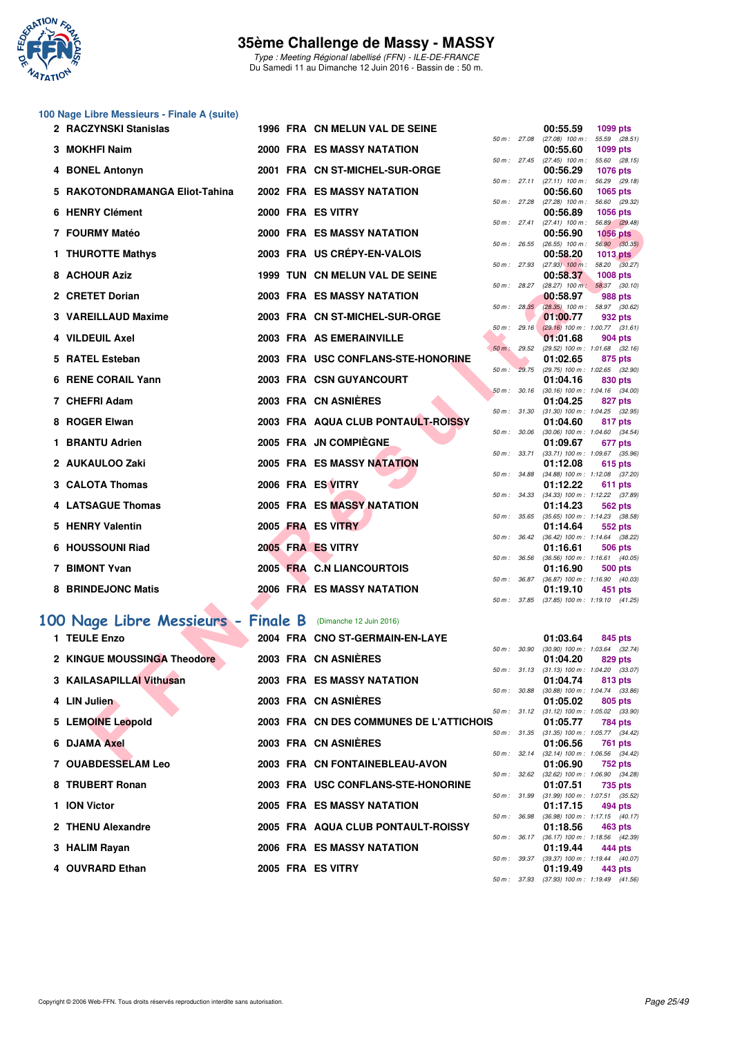

Type : Meeting Régional labellisé (FFN) - ILE-DE-FRANCE Du Samedi 11 au Dimanche 12 Juin 2016 - Bassin de : 50 m.

# **100 Nage Libre Messieurs - Finale A (suite)**

| 2 RACZYNSKI Stanislas              |  | 1996 FRA CN MELUN VAL DE SEINE          |              |              | 00:55.59                                 | 1099 pts                                                                                   |
|------------------------------------|--|-----------------------------------------|--------------|--------------|------------------------------------------|--------------------------------------------------------------------------------------------|
| 3 MOKHFI Naim                      |  | 2000 FRA ES MASSY NATATION              |              | 50 m : 27.08 | $(27.08)$ 100 m :<br>00:55.60            | 55.59 (28.51)<br>1099 pts                                                                  |
| 4 BONEL Antonyn                    |  | 2001 FRA CN ST-MICHEL-SUR-ORGE          |              |              | 00:56.29                                 | 50 m: 27.45 (27.45) 100 m: 55.60 (28.15)<br><b>1076 pts</b>                                |
| 5 RAKOTONDRAMANGA Eliot-Tahina     |  | 2002 FRA ES MASSY NATATION              |              | 50 m: 27.11  | $(27.11)$ 100 m :<br>00:56.60            | 56.29 (29.18)<br>1065 pts                                                                  |
| 6 HENRY Clément                    |  | 2000 FRA ES VITRY                       |              | 50 m : 27.28 | $(27.28)$ 100 m :<br>00:56.89            | 56.60 (29.32)<br><b>1056 pts</b>                                                           |
| 7 FOURMY Matéo                     |  | <b>2000 FRA ES MASSY NATATION</b>       | 50 m: 27.41  |              | $(27.41)$ 100 m :<br>00:56.90            | 56.89 (29.48)<br><b>1056 pts</b>                                                           |
| 1 THUROTTE Mathys                  |  | 2003 FRA US CREPY-EN-VALOIS             |              | 50 m : 26.55 | 00:58.20                                 | $(26.55)$ 100 m : 56.90 $(30.35)$<br>1013 pts                                              |
| 8 ACHOUR Aziz                      |  | 1999 TUN CN MELUN VAL DE SEINE          |              |              | 50 m : 27.93 (27.93) 100 m :<br>00:58.37 | 58.20 (30.27)<br>1008 pts                                                                  |
| 2 CRETET Dorian                    |  | 2003 FRA ES MASSY NATATION              |              | 50 m: 28.35  | 00:58.97                                 | 50 m : 28.27 (28.27) 100 m : 58.37 (30.10)<br>988 pts<br>$(28.35)$ 100 m : 58.97 $(30.62)$ |
| 3 VAREILLAUD Maxime                |  | 2003 FRA CN ST-MICHEL-SUR-ORGE          |              | 50 m: 29.16  | 01:00.77                                 | 932 pts                                                                                    |
| 4 VILDEUIL Axel                    |  | 2003 FRA AS EMERAINVILLE                |              | 50 m: 29.52  | 01:01.68                                 | $(29.16)$ 100 m : 1:00.77 $(31.61)$<br>904 pts<br>$(29.52)$ 100 m : 1:01.68 $(32.16)$      |
| 5 RATEL Esteban                    |  | 2003 FRA USC CONFLANS-STE-HONORINE      |              | 50 m: 29.75  | 01:02.65                                 | 875 pts<br>(29.75) 100 m: 1:02.65 (32.90)                                                  |
| 6 RENE CORAIL Yann                 |  | 2003 FRA CSN GUYANCOURT                 |              | 50 m: 30.16  | 01:04.16                                 | 830 pts<br>$(30.16)$ 100 m : 1:04.16 $(34.00)$                                             |
| 7 CHEFRI Adam                      |  | 2003 FRA CN ASNIÈRES                    | 50 m: 31.30  |              | 01:04.25                                 | 827 pts<br>$(31.30)$ 100 m : 1:04.25 $(32.95)$                                             |
| 8 ROGER Elwan                      |  | 2003 FRA AQUA CLUB PONTAULT-ROISSY      |              | 50 m : 30.06 | 01:04.60                                 | 817 pts<br>$(30.06)$ 100 m : 1:04.60 $(34.54)$                                             |
| 1 BRANTU Adrien                    |  | 2005 FRA JN COMPIEGNE                   |              | 50 m : 33.71 | 01:09.67                                 | 677 pts<br>$(33.71)$ 100 m : 1:09.67 $(35.96)$                                             |
| 2 AUKAULOO Zaki                    |  | 2005 FRA ES MASSY NATATION              |              |              | 01:12.08                                 | 615 pts<br>50 m: 34.88 (34.88) 100 m: 1:12.08 (37.20)                                      |
| 3 CALOTA Thomas                    |  | 2006 FRA ES VITRY                       |              | 50 m: 34.33  | 01:12.22                                 | 611 pts<br>$(34.33)$ 100 m : 1:12.22 $(37.89)$                                             |
| 4 LATSAGUE Thomas                  |  | 2005 FRA ES MASSY NATATION              |              | 50 m : 35.65 | 01:14.23                                 | 562 pts<br>$(35.65)$ 100 m : 1:14.23 $(38.58)$                                             |
| 5 HENRY Valentin                   |  | 2005 FRA ES VITRY                       |              |              | 01:14.64                                 | 552 pts<br>50 m: 36.42 (36.42) 100 m: 1:14.64 (38.22)                                      |
| 6 HOUSSOUNI Riad                   |  | 2005 FRA ES VITRY                       |              | 50 m : 36.56 | 01:16.61                                 | 506 pts<br>$(36.56)$ 100 m : 1:16.61 $(40.05)$                                             |
| 7 BIMONT Yvan                      |  | 2005 FRA C.N LIANCOURTOIS               |              |              | 01:16.90                                 | <b>500 pts</b><br>50 m: 36.87 (36.87) 100 m: 1:16.90 (40.03)                               |
| 8 BRINDEJONC Matis                 |  | 2006 FRA ES MASSY NATATION              | 50 m : 37.85 |              | 01:19.10                                 | 451 pts<br>$(37.85)$ 100 m : 1:19.10 $(41.25)$                                             |
| 00 Nage Libre Messieurs - Finale B |  | (Dimanche 12 Juin 2016)                 |              |              |                                          |                                                                                            |
| 1 TEULE Enzo                       |  | 2004 FRA CNO ST-GERMAIN-EN-LAYE         |              |              | 01:03.64                                 | 845 pts                                                                                    |
| 2 KINGUE MOUSSINGA Theodore        |  | 2003 FRA CN ASNIERES                    |              | 50 m : 30.90 | 01:04.20                                 | $(30.90)$ 100 m : 1:03.64 $(32.74)$<br>829 pts                                             |
| 3 KAILASAPILLAI Vithusan           |  | <b>2003 FRA ES MASSY NATATION</b>       |              | 50 m: 31.13  | 01:04.74                                 | $(31.13)$ 100 m : 1:04.20 $(33.07)$<br>813 pts                                             |
| 4 LIN Julien                       |  | 2003 FRA CN ASNIERES                    |              | 50 m : 30.88 | 01:05.02                                 | $(30.88)$ 100 m : 1:04.74 $(33.86)$<br>805 pts                                             |
| 5 LEMOINE Leopold                  |  | 2003 FRA CN DES COMMUNES DE L'ATTICHOIS |              |              | 01:05.77                                 | 50 m: 31.12 (31.12) 100 m: 1:05.02 (33.90)<br>784 pts                                      |
| 6 DJAMA Axel                       |  | 2003 FRA CN ASNIERES                    |              |              | 01:06.56                                 | 50 m: 31.35 (31.35) 100 m: 1:05.77 (34.42)<br>761 pts                                      |
| 7.011100000011111                  |  | 0000 FBA ON FONTAINEDLEAU AVON          |              |              | 0.4.0000                                 | 50 m: 32.14 (32.14) 100 m: 1:06.56 (34.42)<br>750 H                                        |

# **[100 Nage Libre Messieurs - Finale B](http://www.ffnatation.fr/webffn/resultats.php?idact=nat&go=epr&idcpt=38069&idepr=52)** (Dimanche 12 Juin 2016)

| 1 TEULE Enzo                |  | 2004 FRA CNO ST-GERMAIN-EN-LAYE         |                        |                        | 01:03.64                                   | 845 pts |  |
|-----------------------------|--|-----------------------------------------|------------------------|------------------------|--------------------------------------------|---------|--|
|                             |  |                                         | 50 m: 30.90            |                        | $(30.90)$ 100 m : 1:03.64 (32.             |         |  |
| 2 KINGUE MOUSSINGA Theodore |  | 2003 FRA CN ASNIÈRES                    |                        |                        | 01:04.20                                   | 829 pts |  |
|                             |  |                                         | $50 \text{ m}$ : 31.13 |                        | $(31.13)$ 100 m : 1:04.20 (33.             |         |  |
| 3 KAILASAPILLAI Vithusan    |  | <b>2003 FRA ES MASSY NATATION</b>       |                        |                        | 01:04.74                                   | 813 pts |  |
| 4 LIN Julien                |  | 2003 FRA CN ASNIÈRES                    |                        | 50 m : 30.88           | $(30.88)$ 100 m : 1:04.74 (33.<br>01:05.02 |         |  |
|                             |  |                                         |                        | 50 m: 31.12            | $(31.12)$ 100 m : 1:05.02 (33.             | 805 pts |  |
| 5 LEMOINE Leopold           |  | 2003 FRA CN DES COMMUNES DE L'ATTICHOIS |                        |                        | 01:05.77                                   | 784 pts |  |
|                             |  |                                         |                        |                        | 50 m: 31.35 (31.35) 100 m: 1:05.77 (34.    |         |  |
| 6 DJAMA Axel                |  | 2003 FRA CN ASNIÈRES                    |                        |                        | 01:06.56                                   | 761 pts |  |
|                             |  |                                         |                        | $50 \text{ m}$ : 32.14 | $(32.14)$ 100 m : 1:06.56 $(34.$           |         |  |
| 7 OUABDESSELAM Leo          |  | 2003 FRA CN FONTAINEBLEAU-AVON          |                        |                        | 01:06.90 752 pts                           |         |  |
|                             |  |                                         |                        | 50 m : 32.62           | $(32.62)$ 100 m : 1:06.90 (34.             |         |  |
| 8 TRUBERT Ronan             |  | 2003 FRA USC CONFLANS-STE-HONORINE      |                        |                        | 01:07.51                                   | 735 pts |  |
|                             |  |                                         |                        | 50 m: 31.99            | $(31.99)$ 100 m : 1:07.51 (35.             |         |  |
| 1 ION Victor                |  | <b>2005 FRA ES MASSY NATATION</b>       |                        |                        | 01:17.15                                   | 494 pts |  |
| 2 THENU Alexandre           |  | 2005 FRA AQUA CLUB PONTAULT-ROISSY      |                        | 50 m : 36.98           | $(36.98)$ 100 m : 1:17.15 (40.<br>01:18.56 |         |  |
|                             |  |                                         |                        |                        | 50 m: 36.17 (36.17) 100 m: 1:18.56 (42.    | 463 pts |  |
| 3 HALIM Rayan               |  | 2006 FRA ES MASSY NATATION              |                        |                        | 01:19.44                                   | 444 pts |  |
|                             |  |                                         | 50 m : 39.37           |                        | $(39.37)$ 100 m : 1:19.44 (40.             |         |  |
| 4 OUVRARD Ethan             |  | 2005 FRA ES VITRY                       |                        |                        | 01:19.49                                   | 443 pts |  |
|                             |  |                                         |                        |                        |                                            |         |  |

|          |       | 00:55.59          | 1099 pts           |
|----------|-------|-------------------|--------------------|
| $50 m$ : | 27.08 | $(27.08)$ 100 m : | (28.51)<br>55.59   |
|          |       | 00:55.60          | 1099<br>pts        |
| $50 m$ : | 27.45 | $(27.45)$ 100 m : | 55.60<br>(28.15)   |
|          |       | 00:56.29          | 1076 pts           |
| $50 m$ : | 27.11 | $(27.11)$ 100 m : | 56.29<br>(29.18)   |
|          |       | 00:56.60          | 1065<br>pts        |
| $50 m$ : | 27.28 | $(27.28)$ 100 m : | 56.60<br>(29.32)   |
|          |       | 00:56.89          | 1056 pts           |
| $50 m$ : | 27.41 | $(27.41)$ 100 m : | 56.89<br>(29.48)   |
|          |       | 00:56.90          | 1056 pts           |
| $50 m$ : | 26.55 | $(26.55)$ 100 m : | 56.90<br>(30.35)   |
|          |       | 00:58.20          | 1013<br>pts        |
| $50 m$ : | 27.93 | $(27.93)$ 100 m : | 58.20<br>(30.27)   |
|          |       | 00:58.37          | 1008 pts           |
| $50 m$ : | 28.27 | $(28.27)$ 100 m:  | (30.10)<br>58.37   |
|          |       | 00:58.97          | 988 pts            |
| $50 m$ : | 28.35 | $(28.35)$ 100 m : | (30.62)<br>58.97   |
|          |       | 01:00.77          | 932 pts            |
| $50 m$ : | 29.16 | $(29.16) 100 m$ : | 1:00.77<br>(31.61) |
|          |       | 01:01.68          | 904 pts            |
| $50 m$ : | 29.52 | (29.52) 100 m :   | 1:01.68<br>(32.16) |
|          |       | 01:02.65          | 875<br>pts         |
| $50 m$ : | 29.75 | (29.75) 100 m :   | (32.90)<br>1:02.65 |
|          |       | 01:04.16          | 830 pts            |
| $50 m$ : | 30.16 | $(30.16) 100 m$ : | 1:04.16<br>(34.00) |
|          |       | 01:04.25          | 827<br>pts         |
| $50 m$ : | 31.30 | $(31.30) 100 m$ : | 1:04.25<br>(32.95) |
|          |       | 01:04.60          | 817<br>pts         |
| $50 m$ : | 30.06 | $(30.06)$ 100 m : | 1:04.60<br>(34.54) |
|          |       | 01:09.67          | 677 pts            |
| $50 m$ : | 33.71 | $(33.71)$ 100 m : | 1:09.67<br>(35.96) |
|          |       | 01:12.08          | 615 pts            |
| $50 m$ : | 34.88 | $(34.88) 100 m$ : | (37.20)<br>1:12.08 |
|          |       | 01:12.22          | 611<br>pts         |
| $50 m$ : | 34.33 | $(34.33) 100 m$ : | 1:12.22<br>(37.89) |
|          |       | 01:14.23          | 562 pts            |
| $50 m$ : | 35.65 | $(35.65) 100 m$ : | 1:14.23<br>(38.58) |
|          |       | 01:14.64          | 552 pts            |
| $50 m$ : | 36.42 | $(36.42)$ 100 m : | 1:14.64<br>(38.22) |
|          |       | 01:16.61          | <b>506 pts</b>     |
| $50 m$ : | 36.56 | $(36.56)$ 100 m : |                    |
|          |       | 01:16.90          | 1:16.61<br>(40.05) |
|          | 36.87 |                   | 500 pts            |
| $50 m$ : |       | $(36.87) 100 m$ : | 1:16.90<br>(40.03) |
|          |       | 01:19.10          | 451<br>pts         |
| $50 m$ : | 37.85 | $(37.85)$ 100 m : | 1:19.10<br>(41.25) |
|          |       |                   |                    |
|          |       |                   |                    |

|                  |              | 01:03.64          | 845 pts                                    |
|------------------|--------------|-------------------|--------------------------------------------|
| 50 m: 30.90      |              | $(30.90)$ 100 m : | $1:03.64$ $(32.74)$                        |
|                  |              | 01:04.20          | 829 pts                                    |
|                  | 50 m: 31.13  | $(31.13) 100 m$ : | 1:04.20 (33.07)                            |
|                  |              | 01:04.74          | 813 pts                                    |
| 50 m : 30.88     |              | $(30.88) 100 m$ : | 1:04.74 (33.86)                            |
|                  |              | 01:05.02          | 805 pts                                    |
|                  | 50 m : 31.12 | $(31.12)$ 100 m : | 1:05.02 (33.90)                            |
|                  |              | 01:05.77          | 784 pts                                    |
| 50 m : 31.35     |              | $(31.35)$ 100 m : | 1:05.77 (34.42)                            |
|                  |              | 01:06.56          | 761 pts                                    |
|                  | 50 m : 32.14 | $(32.14)$ 100 m : | 1:06.56 (34.42)                            |
|                  |              | 01:06.90          | 752 pts                                    |
|                  | 50 m : 32.62 | $(32.62)$ 100 m : | 1:06.90 (34.28)                            |
|                  |              | 01:07.51          | 735 pts                                    |
|                  | 50 m : 31.99 | $(31.99) 100 m$ : | 1:07.51 (35.52)                            |
|                  |              | 01:17.15          | 494 pts                                    |
| 50 m : 36.98     |              | $(36.98)$ 100 m : | $1:17.15$ $(40.17)$                        |
|                  |              | 01:18.56 463 pts  |                                            |
| $50 m$ : $36.17$ |              | $(36.17) 100 m$ : | 1:18.56 (42.39)                            |
|                  |              | 01:19.44 444 pts  |                                            |
|                  | 50 m : 39.37 |                   | (39.37) 100 m: 1:19.44 (40.07)             |
|                  |              | 01:19.49 443 pts  |                                            |
|                  |              |                   | 50 m: 37.93 (37.93) 100 m: 1:19.49 (41.56) |
|                  |              |                   |                                            |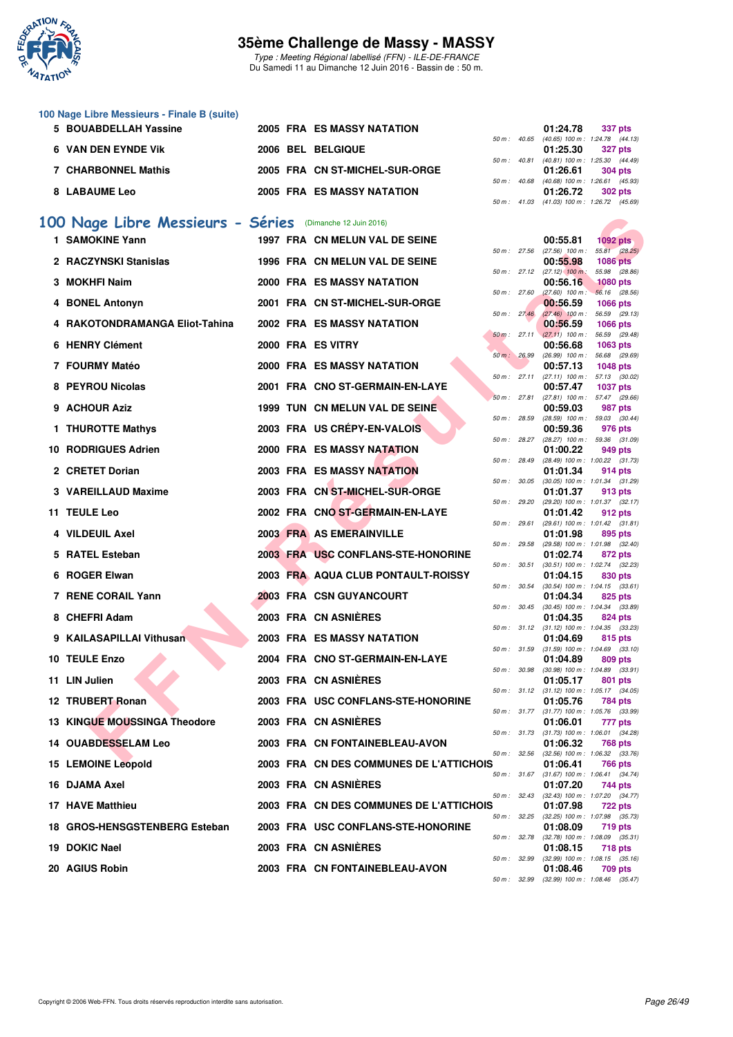

Type : Meeting Régional labellisé (FFN) - ILE-DE-FRANCE Du Samedi 11 au Dimanche 12 Juin 2016 - Bassin de : 50 m.

| 100 Nage Libre Messieurs - Finale B (suite) |  |  |  |
|---------------------------------------------|--|--|--|
|---------------------------------------------|--|--|--|

| 5 BOUABDELLAH Yassine | 2005 FRA ES MASSY NATATION        |  | 01:24.78                                            | 337 pts |         |
|-----------------------|-----------------------------------|--|-----------------------------------------------------|---------|---------|
| 6 VAN DEN EYNDE VIK   | 2006 BEL BELGIQUE                 |  | 50 m: 40.65 (40.65) 100 m: 1:24.78 (44.<br>01:25.30 | 327 pts |         |
| 7 CHARBONNEL Mathis   | 2005 FRA CN ST-MICHEL-SUR-ORGE    |  | 50 m: 40.81 (40.81) 100 m: 1:25.30 (44.<br>01:26.61 | 304 pts |         |
| <b>8 LABAUME Leo</b>  | <b>2005 FRA ES MASSY NATATION</b> |  | 50 m: 40.68 (40.68) 100 m: 1:26.61 (45.<br>01:26.72 |         | 302 pts |

# **[100 Nage Libre Messieurs - Séries](http://www.ffnatation.fr/webffn/resultats.php?idact=nat&go=epr&idcpt=38069&idepr=52)** (Dimanche 12 Juin 2016)

| 00 Nage Libre Messieurs - Séries    |  | (Dimanche 12 Juin 2016)                 |                |              |                                                          |                                                              |
|-------------------------------------|--|-----------------------------------------|----------------|--------------|----------------------------------------------------------|--------------------------------------------------------------|
| 1 SAMOKINE Yann                     |  | 1997 FRA CN MELUN VAL DE SEINE          |                |              | 00:55.81                                                 | $1092$ pts                                                   |
| 2 RACZYNSKI Stanislas               |  | 1996 FRA CN MELUN VAL DE SEINE          |                |              | 50 m : 27.56 (27.56) 100 m :<br>00:55.98                 | 55.81 (28.25)<br><b>1086 pts</b>                             |
| 3 MOKHFI Naim                       |  | <b>2000 FRA ES MASSY NATATION</b>       |                | 50 m: 27.12  | $(27.12)$ 100 m :<br>00:56.16                            | 55.98 (28.86)<br><b>1080 pts</b>                             |
|                                     |  |                                         | 50 m: 27.60    |              | $(27.60)$ 100 m :                                        | 56.16 (28.56)                                                |
| 4 BONEL Antonyn                     |  | 2001 FRA CN ST-MICHEL-SUR-ORGE          |                | 50 m: 27.46  | 00:56.59<br>$(27.46)$ 100 m :                            | <b>1066 pts</b><br>56.59 (29.13)                             |
| 4 RAKOTONDRAMANGA Eliot-Tahina      |  | 2002 FRA ES MASSY NATATION              |                |              | 00:56.59                                                 | <b>1066 pts</b>                                              |
| 6 HENRY Clément                     |  | 2000 FRA ES VITRY                       |                |              | $50 \text{ m}: 27.11 (27.11) 100 \text{ m}:$<br>00:56.68 | 56.59 (29.48)<br>1063 pts                                    |
|                                     |  |                                         |                | 50 m : 26.99 |                                                          | $(26.99)$ 100 m : 56.68 $(29.69)$                            |
| 7 FOURMY Matéo                      |  | <b>2000 FRA ES MASSY NATATION</b>       |                | 50 m: 27.11  | 00:57.13<br>$(27.11)$ 100 m :                            | <b>1048 pts</b><br>57.13 (30.02)                             |
| 8 PEYROU Nicolas                    |  | 2001 FRA CNO ST-GERMAIN-EN-LAYE         |                |              | 00:57.47                                                 | <b>1037 pts</b>                                              |
| 9 ACHOUR Aziz                       |  | 1999 TUN CN MELUN VAL DE SEINE          |                | 50 m: 27.81  | 00:59.03                                                 | $(27.81)$ 100 m : 57.47 $(29.66)$<br>987 pts                 |
| 1 THUROTTE Mathys                   |  | 2003 FRA US CRÉPY-EN-VALOIS             | 50 m: 28.59    |              | 00:59.36                                                 | (28.59) 100 m: 59.03 (30.44)<br>976 pts                      |
|                                     |  |                                         |                | 50 m : 28.27 |                                                          | $(28.27)$ 100 m : 59.36 $(31.09)$                            |
| 10 RODRIGUES Adrien                 |  | 2000 FRA ES MASSY NATATION              |                | 50 m : 28.49 | 01:00.22                                                 | 949 pts<br>$(28.49)$ 100 m : 1:00.22 $(31.73)$               |
| 2 CRETET Dorian                     |  | <b>2003 FRA ES MASSY NATATION</b>       |                |              | 01:01.34                                                 | 914 pts                                                      |
| 3 VAREILLAUD Maxime                 |  | 2003 FRA CN ST-MICHEL-SUR-ORGE          |                | 50 m : 30.05 | 01:01.37                                                 | $(30.05)$ 100 m : 1:01.34 $(31.29)$<br>913 pts               |
|                                     |  |                                         |                | 50 m : 29.20 |                                                          | $(29.20)$ 100 m : 1:01.37 $(32.17)$                          |
| 11 TEULE Leo                        |  | 2002 FRA CNO ST-GERMAIN-EN-LAYE         | $50 m$ : 29.61 |              | 01:01.42                                                 | 912 pts<br>$(29.61)$ 100 m : 1:01.42 $(31.81)$               |
| 4 VILDEUIL Axel                     |  | 2003 FRA AS EMERAINVILLE                |                |              | 01:01.98                                                 | 895 pts                                                      |
| 5 RATEL Esteban                     |  | 2003 FRA USC CONFLANS-STE-HONORINE      | 50 m: 29.58    |              | 01:02.74                                                 | (29.58) 100 m: 1:01.98 (32.40)<br>872 pts                    |
| 6 ROGER Elwan                       |  | 2003 FRA AQUA CLUB PONTAULT-ROISSY      | 50 m: 30.51    |              | 01:04.15                                                 | $(30.51)$ 100 m : 1:02.74 $(32.23)$<br>830 pts               |
|                                     |  |                                         |                | 50 m : 30.54 |                                                          | $(30.54)$ 100 m : 1:04.15 $(33.61)$                          |
| 7 RENE CORAIL Yann                  |  | 2003 FRA CSN GUYANCOURT                 |                |              | 01:04.34                                                 | 825 pts<br>50 m: 30.45 (30.45) 100 m: 1:04.34 (33.89)        |
| 8 CHEFRI Adam                       |  | 2003 FRA CN ASNIÈRES                    |                |              | 01:04.35                                                 | 824 pts                                                      |
| 9 KAILASAPILLAI Vithusan            |  | 2003 FRA ES MASSY NATATION              |                |              | 01:04.69                                                 | 50 m: 31.12 (31.12) 100 m: 1:04.35 (33.23)<br>815 pts        |
|                                     |  |                                         |                |              |                                                          | 50 m: 31.59 (31.59) 100 m: 1:04.69 (33.10)                   |
| 10 TEULE Enzo                       |  | 2004 FRA CNO ST-GERMAIN-EN-LAYE         | 50 m: 30.98    |              | 01:04.89                                                 | 809 pts<br>$(30.98)$ 100 m : 1:04.89 $(33.91)$               |
| 11 LIN Julien                       |  | 2003 FRA CN ASNIERES                    |                |              | 01:05.17                                                 | 801 pts<br>50 m: 31.12 (31.12) 100 m: 1:05.17 (34.05)        |
| 12 TRUBERT Ronan                    |  | 2003 FRA USC CONFLANS-STE-HONORINE      |                |              | 01:05.76                                                 | 784 pts                                                      |
| <b>13 KINGUE MOUSSINGA Theodore</b> |  | 2003 FRA CN ASNIERES                    |                |              | 01:06.01                                                 | 50 m: 31.77 (31.77) 100 m: 1:05.76 (33.99)<br>777 pts        |
|                                     |  |                                         |                |              |                                                          | 50 m: 31.73 (31.73) 100 m: 1:06.01 (34.28)                   |
| 14   OUABDESSELAM Leo               |  | 2003 FRA CN FONTAINEBLEAU-AVON          |                |              | 01:06.32                                                 | 768 pts<br>50 m: 32.56 (32.56) 100 m: 1:06.32 (33.76)        |
| 15 LEMOINE Leopold                  |  | 2003 FRA CN DES COMMUNES DE L'ATTICHOIS |                |              | 01:06.41                                                 | <b>766 pts</b>                                               |
| 16 DJAMA Axel                       |  | 2003 FRA CN ASNIERES                    |                |              | 01:07.20                                                 | 50 m: 31.67 (31.67) 100 m: 1:06.41 (34.74)<br>744 pts        |
| 17 HAVE Matthieu                    |  | 2003 FRA CN DES COMMUNES DE L'ATTICHOIS |                |              | 01:07.98                                                 | 50 m: 32.43 (32.43) 100 m: 1:07.20 (34.77)                   |
|                                     |  |                                         |                |              |                                                          | <b>722 pts</b><br>50 m: 32.25 (32.25) 100 m: 1:07.98 (35.73) |
| 18 GROS-HENSGSTENBERG Esteban       |  | 2003 FRA USC CONFLANS-STE-HONORINE      |                |              | 01:08.09                                                 | 719 pts<br>50 m: 32.78 (32.78) 100 m: 1:08.09 (35.31)        |
| 19 DOKIC Nael                       |  | 2003 FRA CN ASNIÈRES                    |                |              | 01:08.15                                                 | 718 pts                                                      |
| 20 AGIUS Robin                      |  | 2003 FRA CN FONTAINEBLEAU-AVON          |                |              | 01:08.46                                                 | 50 m: 32.99 (32.99) 100 m: 1:08.15 (35.16)<br>709 pts        |
|                                     |  |                                         |                |              |                                                          |                                                              |

|  | 01:24.78 337 pts |                                            |
|--|------------------|--------------------------------------------|
|  |                  | 50 m: 40.65 (40.65) 100 m: 1:24.78 (44.13) |
|  |                  | $01:25.30$ 327 pts                         |
|  |                  | 50 m: 40.81 (40.81) 100 m: 1:25.30 (44.49) |
|  |                  | $01:26.61$ 304 pts                         |
|  |                  | 50 m: 40.68 (40.68) 100 m: 1:26.61 (45.93) |
|  |                  | $01:26.72$ 302 pts                         |
|  |                  | 50 m: 41.03 (41.03) 100 m: 1:26.72 (45.69) |

|          |       | 00:55.81                      | $1092$ pts        |                |
|----------|-------|-------------------------------|-------------------|----------------|
| 50 m :   | 27.56 | $(27.56)$ 100 m :             | 55.81             | (28.25)        |
|          |       | 00:55.98                      | 1086              | pts            |
| $50 m$ : | 27.12 | $(27.12)$ 100 m:              | 55.98             | (28.86)        |
|          |       | 00:56.16                      | 1080 pts          |                |
| $50 m$ : | 27.60 | $(27.60)$ 100 m :             | 56.16             | (28.56)        |
|          |       | 00:56.59                      | 1066 pts          |                |
| 50 m :   | 27.46 | $(27.46)$ 100 m :             | 56.59             | (29.13)        |
|          |       | 00:56.59                      | 1066 pts          |                |
| $50 m$ : | 27.11 | (27.11)<br>100 m :            | 56.59             | (29.48)        |
|          |       | 00:56.68                      | 1063 pts          |                |
| $50 m$ : | 26.99 | $(26.99)$ 100 m :             | 56.68             | (29.69)        |
|          |       | 00:57.13                      | 1048 pts          |                |
| 50 m :   | 27.11 | $(27.11)$ 100 m :             | 57.13             | (30.02)        |
| $50 m$ : |       | 00:57.47                      | 1037              | pts            |
|          | 27.81 | $(27.81)$ 100 m :<br>00:59.03 | 57.47             | (29.66)        |
| $50 m$ : | 28.59 | $(28.59)$ 100 m :             | 987 pts<br>59.03  | (30.44)        |
|          |       | 00:59.36                      |                   |                |
| $50 m$ : | 28.27 | $(28.27)$ 100 m :             | 976 pts<br>59.36  | (31.09)        |
|          |       | 01:00.22                      | 949 pts           |                |
| $50 m$ : | 28.49 | (28.49) 100 m :               | 1:00.22           | (31.73)        |
|          |       | 01:01.34                      | 914 pts           |                |
| 50 m :   | 30.05 | $(30.05)$ 100 m :             | 1:01.34           | (31.29)        |
|          |       | 01:01.37                      | 913 pts           |                |
| 50 m :   | 29.20 | (29.20) 100 m :               | 1:01.37           | (32.17)        |
|          |       | 01:01.42                      | 912 pts           |                |
| $50 m$ : | 29.61 | (29.61) 100 m :               | 1:01.42           | (31.81)        |
|          |       | 01:01.98                      | 895               | pts            |
| 50 m :   | 29.58 | $(29.58) 100 m$ :             | 1:01.98           | (32.40)        |
|          |       | 01:02.74                      | 872 pts           |                |
| 50 m :   | 30.51 | $(30.51)$ 100 m :             | 1:02.74           | (32.23)        |
|          |       | 01:04.15                      | 830 pts           |                |
| $50 m$ : | 30.54 | $(30.54)$ 100 m :             | 1:04.15           | (33.61)        |
|          |       | 01:04.34                      | 825 pts           |                |
| 50 m :   | 30.45 | $(30.45)$ 100 m :             | 1:04.34           | (33.89)        |
|          |       | 01:04.35                      | 824 pts           |                |
| 50 m :   | 31.12 | $(31.12) 100 m$ :             | 1:04.35           | (33.23)        |
|          |       | 01:04.69                      | 815               | pts            |
| $50 m$ : | 31.59 | $(31.59) 100 m$ :             | 1:04.69           | (33.10)        |
|          |       | 01:04.89                      | 809               | pts            |
| 50 m :   | 30.98 | $(30.98)$ 100 m :             | 1:04.89           | (33.91)        |
| 50 m :   | 31.12 | 01:05.17<br>$(31.12) 100 m$ : | 801<br>1:05.17    | pts<br>(34.05) |
|          |       | 01:05.76                      | <b>784 pts</b>    |                |
| 50 m :   | 31.77 | $(31.77) 100 m$ :             | 1:05.76           | (33.99)        |
|          |       | 01:06.01                      | 777               | pts            |
| 50 m :   | 31.73 | $(31.73) 100 m$ :             | 1:06.01           | (34.28)        |
|          |       | 01:06.32                      | <b>768 pts</b>    |                |
| 50 m :   | 32.56 | $(32.56)$ 100 m :             | 1:06.32           | (33.76)        |
|          |       | 01:06.41                      | <b>766 pts</b>    |                |
| 50 m :   | 31.67 | (31.67) 100 m :               | $1:06.41$ (34.74) |                |
|          |       | 01:07.20                      | 744 pts           |                |
| 50 m :   | 32.43 | (32.43) 100 m : 1:07.20       |                   | (34.77)        |
| S        |       | 01:07.98                      | 722 pts           |                |
| $50 m$ : | 32.25 | $(32.25)$ 100 m :             | 1:07.98           | (35.73)        |
|          |       | 01:08.09                      | 719 pts           |                |
| $50 m$ : | 32.78 | $(32.78)$ 100 m :             | 1:08.09           | (35.31)        |
|          |       | 01:08.15                      | <b>718 pts</b>    |                |
| $50 m$ : | 32.99 | $(32.99)$ 100 m :             | 1:08.15           | (35.16)        |
|          |       | 01:08.46                      | 709 pts           |                |
| $50 m$ : | 32.99 | $(32.99)$ 100 m :             | 1:08.46           | (35.47)        |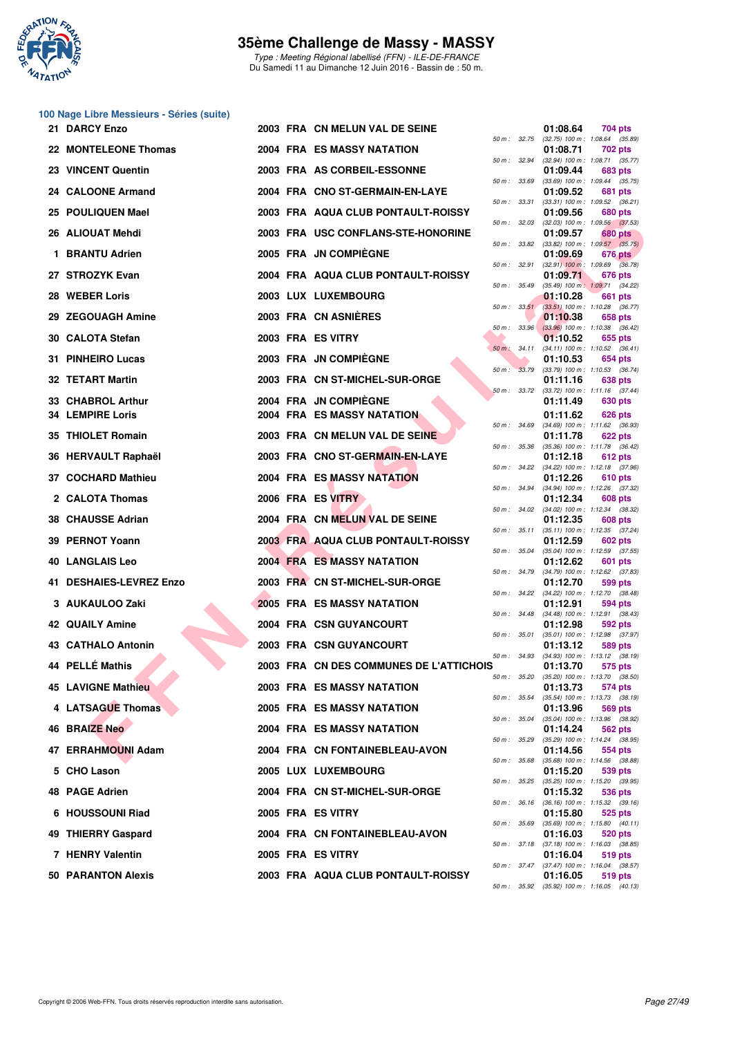

Type : Meeting Régional labellisé (FFN) - ILE-DE-FRANCE Du Samedi 11 au Dimanche 12 Juin 2016 - Bassin de : 50 m.

#### **100 Nage Libre Messieurs - Séries (suite)**

| 21 DARCY Enzo                                |  | 2003 FRA CN MELUN VAL DE SEINE                             |                  |              | 01:08.64             | 704 pts                                                 |
|----------------------------------------------|--|------------------------------------------------------------|------------------|--------------|----------------------|---------------------------------------------------------|
| 22 MONTELEONE Thomas                         |  | 2004 FRA ES MASSY NATATION                                 | 50 m: 32.75      |              | 01:08.71             | $(32.75)$ 100 m : 1:08.64 $(35.89)$<br>702 pts          |
| 23 VINCENT Quentin                           |  | 2003 FRA AS CORBEIL-ESSONNE                                | $50 m$ : $32.94$ |              | 01:09.44             | (32.94) 100 m: 1:08.71 (35.77)<br>683 pts               |
| 24 CALOONE Armand                            |  | 2004 FRA CNO ST-GERMAIN-EN-LAYE                            | 50 m: 33.69      |              | 01:09.52             | $(33.69)$ 100 m : 1:09.44 $(35.75)$<br><b>681 pts</b>   |
| 25 POULIQUEN Mael                            |  | 2003 FRA AQUA CLUB PONTAULT-ROISSY                         | 50 m: 33.31      |              | 01:09.56             | $(33.31)$ 100 m : 1:09.52 $(36.21)$<br>680 pts          |
| 26 ALIOUAT Mehdi                             |  | 2003 FRA USC CONFLANS-STE-HONORINE                         | 50 m: 32.03      |              | 01:09.57             | $(32.03)$ 100 m : 1:09.56 $(37.53)$<br><b>680 pts</b>   |
| 1 BRANTU Adrien                              |  | 2005 FRA JN COMPIÈGNE                                      | 50 m : 33.82     |              | 01:09.69             | $(33.82)$ 100 m : 1:09.57 $(35.75)$<br>676 pts          |
| 27 STROZYK Evan                              |  | 2004 FRA AQUA CLUB PONTAULT-ROISSY                         |                  | 50 m : 32.91 | 01:09.71             | $(32.91)$ 100 m : 1:09.69 $(36.78)$<br>676 pts          |
| 28 WEBER Loris                               |  | 2003 LUX LUXEMBOURG                                        | 50 m : 35.49     |              | 01:10.28             | (35.49) 100 m: 1:09.71 (34.22)<br>661 pts               |
| 29 ZEGOUAGH Amine                            |  | 2003 FRA CN ASNIERES                                       |                  | 50 m: 33.51  | 01:10.38             | $(33.51)$ 100 m : 1:10.28 $(36.77)$<br>658 pts          |
|                                              |  |                                                            |                  | 50 m: 33.96  |                      | $(33.96)$ 100 m : 1:10.38 $(36.42)$                     |
| 30 CALOTA Stefan                             |  | 2003 FRA ES VITRY                                          |                  | 50 m : 34.11 | 01:10.52             | 655 pts<br>$(34.11)$ 100 m : 1:10.52 $(36.41)$          |
| 31 PINHEIRO Lucas                            |  | 2003 FRA JN COMPIEGNE                                      |                  | 50 m : 33.79 | 01:10.53             | 654 pts<br>$(33.79)$ 100 m : 1:10.53 $(36.74)$          |
| 32 TETART Martin                             |  | 2003 FRA CN ST-MICHEL-SUR-ORGE                             |                  |              | 01:11.16             | 638 pts<br>50 m: 33.72 (33.72) 100 m: 1:11.16 (37.44)   |
| 33 CHABROL Arthur<br><b>34 LEMPIRE Loris</b> |  | 2004 FRA JN COMPIEGNE<br><b>2004 FRA ES MASSY NATATION</b> |                  |              | 01:11.49<br>01:11.62 | 630 pts<br>626 pts                                      |
| 35 THIOLET Romain                            |  | 2003 FRA CN MELUN VAL DE SEINE                             |                  | 50 m : 34.69 | 01:11.78             | $(34.69)$ 100 m : 1:11.62 $(36.93)$<br><b>622 pts</b>   |
| 36 HERVAULT Raphaël                          |  | 2003 FRA CNO ST-GERMAIN-EN-LAYE                            | 50 m : 35.36     |              |                      | $(35.36)$ 100 m : 1:11.78 $(36.42)$                     |
|                                              |  | <b>2004 FRA ES MASSY NATATION</b>                          |                  | 50 m : 34.22 | 01:12.18             | 612 pts<br>(34.22) 100 m: 1:12.18 (37.96)               |
| 37 COCHARD Mathieu                           |  |                                                            |                  |              | 01:12.26             | 610 pts<br>50 m: 34.94 (34.94) 100 m: 1:12.26 (37.32)   |
| 2 CALOTA Thomas                              |  | 2006 FRA ES VITRY                                          | 50 m: 34.02      |              | 01:12.34             | 608 pts<br>$(34.02)$ 100 m : 1:12.34 $(38.32)$          |
| 38 CHAUSSE Adrian                            |  | 2004 FRA CN MELUN VAL DE SEINE                             |                  | 50 m : 35.11 | 01:12.35             | 608 pts<br>$(35.11)$ 100 m : 1:12.35 $(37.24)$          |
| 39 PERNOT Yoann                              |  | 2003 FRA AQUA CLUB PONTAULT-ROISSY                         | 50 m : 35.04     |              | 01:12.59             | 602 pts<br>$(35.04)$ 100 m : 1:12.59 $(37.55)$          |
| 40   LANGLAIS Leo                            |  | <b>2004 FRA ES MASSY NATATION</b>                          |                  | 50 m : 34.79 | 01:12.62             | 601 pts<br>$(34.79)$ 100 m : 1:12.62 $(37.83)$          |
| <b>41 DESHAIES-LEVREZ Enzo</b>               |  | 2003 FRA CN ST-MICHEL-SUR-ORGE                             |                  | 50 m : 34.22 | 01:12.70             | 599 pts<br>$(34.22)$ 100 m : 1:12.70 $(38.48)$          |
| 3 AUKAULOO Zaki                              |  | <b>2005 FRA ES MASSY NATATION</b>                          |                  |              | 01:12.91             | 594 pts<br>50 m: 34.48 (34.48) 100 m: 1:12.91 (38.43)   |
| <b>42 QUAILY Amine</b>                       |  | 2004 FRA CSN GUYANCOURT                                    |                  | 50 m : 35.01 | 01:12.98             | 592 pts<br>$(35.01)$ 100 m : 1:12.98 $(37.97)$          |
| 43 CATHALO Antonin                           |  | 2003 FRA CSN GUYANCOURT                                    |                  | 50 m : 34.93 | 01:13.12             | 589 pts<br>$(34.93)$ 100 m : 1:13.12 $(38.19)$          |
| 44 PELLÉ Mathis                              |  | 2003 FRA CN DES COMMUNES DE L'ATTICHOIS                    |                  |              | 01:13.70             | 575 pts                                                 |
| 45 LAVIGNE Mathieu                           |  | 2003 FRA ES MASSY NATATION                                 |                  |              | 01:13.73             | 50 m : 35.20 (35.20) 100 m : 1:13.70 (38.50)<br>574 pts |
| 4 LATSAGUE Thomas                            |  | 2005 FRA ES MASSY NATATION                                 |                  |              | 01:13.96             | 50 m: 35.54 (35.54) 100 m: 1:13.73 (38.19)<br>569 pts   |
| 46 BRAIZE Neo                                |  | <b>2004 FRA ES MASSY NATATION</b>                          |                  |              | 01:14.24             | 50 m: 35.04 (35.04) 100 m: 1:13.96 (38.92)<br>562 pts   |
| 47 ERRAHMOUNI Adam                           |  | 2004 FRA CN FONTAINEBLEAU-AVON                             |                  |              | 01:14.56             | 50 m: 35.29 (35.29) 100 m: 1:14.24 (38.95)<br>554 pts   |
| 5 CHO Lason                                  |  | 2005 LUX LUXEMBOURG                                        |                  |              | 01:15.20             | 50 m : 35.68 (35.68) 100 m : 1:14.56 (38.88)<br>539 pts |
| 48 PAGE Adrien                               |  | 2004 FRA CN ST-MICHEL-SUR-ORGE                             |                  | 50 m : 35.25 | 01:15.32             | (35.25) 100 m : 1:15.20 (39.95)<br>536 pts              |
| 6 HOUSSOUNI Riad                             |  | 2005 FRA ES VITRY                                          |                  |              | 01:15.80             | 50 m: 36.16 (36.16) 100 m: 1:15.32 (39.16)<br>525 pts   |
| 49 THIERRY Gaspard                           |  | 2004 FRA CN FONTAINEBLEAU-AVON                             |                  |              | 01:16.03             | 50 m: 35.69 (35.69) 100 m: 1:15.80 (40.11)<br>520 pts   |
| 7 HENRY Valentin                             |  | 2005 FRA ES VITRY                                          |                  |              | 01:16.04             | 50 m: 37.18 (37.18) 100 m: 1:16.03 (38.85)<br>519 pts   |
| 50 PARANTON Alexis                           |  | 2003 FRA AQUA CLUB PONTAULT-ROISSY                         |                  |              | 01:16.05             | 50 m: 37.47 (37.47) 100 m: 1:16.04 (38.57)<br>519 pts   |
|                                              |  |                                                            |                  | OE OO        |                      | $(9.5001, 100m + 1.100F - (10.19))$                     |

|   |          |       | 01:08.64                      | 704 pts                             |
|---|----------|-------|-------------------------------|-------------------------------------|
|   | $50 m$ : | 32.75 | $(32.75)$ 100 m :             | 1:08.64<br>(35.89)                  |
|   |          |       | 01:08.71                      | 702 pts                             |
|   | 50 m :   | 32.94 | $(32.94) 100 m$ :<br>01:09.44 | 1:08.71<br>(35.77)<br>683 pts       |
|   | $50 m$ : | 33.69 | $(33.69)$ 100 m :             | (35.75)<br>1:09.44                  |
|   |          |       | 01:09.52                      | 681<br>pts                          |
|   | $50 m$ : | 33.31 | $(33.31) 100 m$ :             | 1:09.52<br>(36.21)                  |
|   |          |       | 01:09.56                      | 680 pts                             |
|   | 50 m :   | 32.03 | $(32.03)$ 100 m :             | 1:09.56<br>(37.53)                  |
|   | $50 m$ : | 33.82 | 01:09.57<br>$(33.82) 100 m$ : | 680 pts<br>1:09.57<br>(35.75)       |
|   |          |       | 01:09.69                      | 676 pts                             |
|   | $50 m$ : | 32.91 | $(32.91)$ 100 m :             | 1:09.69<br>(36.78)                  |
|   |          |       | 01:09.71                      | 676 pts                             |
|   | 50 m :   | 35.49 | $(35.49)$ 100 m :             | 1:09.71<br>(34.22)                  |
|   |          |       | 01:10.28                      | 661<br>pts                          |
|   | 50 m :   | 33.51 | $(33.51)$ 100 m :             | 1:10.28<br>(36.77)                  |
|   | $50 m$ : | 33.96 | 01:10.38<br>$(33.96)$ 100 m : | 658 pts<br>1:10.38<br>(36.42)       |
|   |          |       | 01:10.52                      | 655 pts                             |
|   | $50 m$ : | 34.11 | $(34.11) 100 m$ :             | 1:10.52<br>(36.41)                  |
|   |          |       | 01:10.53                      | 654 pts                             |
|   | $50 m$ : | 33.79 | $(33.79) 100 m$ :             | 1:10.53<br>(36.74)                  |
|   |          |       | 01:11.16                      | 638 pts                             |
|   | $50 m$ : | 33.72 | $(33.72)$ 100 m :<br>01:11.49 | 1:11.16<br>(37.44)<br>630 pts       |
|   |          |       |                               |                                     |
|   | $50 m$ : | 34.69 | 01:11.62<br>$(34.69)$ 100 m : | 626 pts<br>1:11.62<br>(36.93)       |
|   |          |       | 01:11.78                      | 622 pts                             |
|   | 50 m :   | 35.36 | $(35.36)$ 100 m :             | 1:11.78<br>(36.42)                  |
|   |          |       | 01:12.18                      | 612 pts                             |
|   | 50 m :   | 34.22 | $(34.22)$ 100 m :             | 1:12.18<br>(37.96)                  |
|   |          |       | 01:12.26                      | 610 pts                             |
|   | $50 m$ : | 34.94 | $(34.94) 100 m$ :<br>01:12.34 | 1:12.26<br>(37.32)<br>608 pts       |
|   | 50 m :   | 34.02 | $(34.02)$ 100 m :             | 1:12.34<br>(38.32)                  |
|   |          |       | 01:12.35                      | <b>608 pts</b>                      |
|   | 50 m :   | 35.11 | $(35.11)$ 100 m :             | (37.24)<br>1:12.35                  |
|   |          |       | 01:12.59                      | 602 pts                             |
|   | $50 m$ : | 35.04 | $(35.04) 100 m$ :<br>01:12.62 | 1:12.59<br>(37.55)<br>601<br>pts    |
|   | $50 m$ : | 34.79 | (34.79) 100 m :               | 1:12.62<br>(37.83)                  |
|   |          |       | 01:12.70                      | 599<br>pts                          |
|   | $50 m$ : | 34.22 | (34.22) 100 m :               | 1:12.70<br>(38.48)                  |
|   |          |       | 01:12.91                      | 594 pts                             |
|   | $50 m$ : | 34.48 | $(34.48) 100 m$ :<br>01:12.98 | 1:12.91<br>(38.43)<br>592 pts       |
|   | 50 m :   | 35.01 | $(35.01)$ 100 m :             | 1:12.98<br>(37.97)                  |
|   |          |       | 01:13.12                      | 589 pts                             |
|   | $50 m$ : | 34.93 | $(34.93) 100 m$ :             | 1:13.12<br>(38.19)                  |
| c |          |       | 01:13.70                      | 575 pts                             |
|   | $50 m$ : | 35.20 | $(35.20)$ 100 m :<br>01:13.73 | 1:13.70<br>(38.50)<br>574 pts       |
|   | $50 m$ : | 35.54 | $(35.54) 100 m$ :             | 1:13.73<br>(38.19)                  |
|   |          |       | 01:13.96                      | 569 pts                             |
|   | $50 m$ : | 35.04 | $(35.04) 100 m$ :             | 1:13.96<br>(38.92)                  |
|   |          |       | 01:14.24                      | 562 pts                             |
|   | $50 m$ : | 35.29 | $(35.29) 100 m$ :             | 1:14.24<br>(38.95)                  |
|   | $50 m$ : | 35.68 | 01:14.56<br>$(35.68) 100 m$ : | 554 pts<br>1:14.56<br>(38.88)       |
|   |          |       | 01:15.20                      | 539 pts                             |
|   | $50 m$ : | 35.25 | $(35.25)$ 100 m :             | 1:15.20<br>(39.95)                  |
|   |          |       | 01:15.32                      | 536 pts                             |
|   | $50 m$ : | 36.16 | $(36.16) 100 m$ :             | 1:15.32<br>(39.16)                  |
|   |          |       | 01:15.80                      | 525 pts<br>1:15.80                  |
|   | $50 m$ : | 35.69 | $(35.69) 100 m$ :<br>01:16.03 | (40.11)<br>520 pts                  |
|   | $50 m$ : | 37.18 | $(37.18) 100 m$ :             | 1:16.03<br>(38.85)                  |
|   |          |       | 01:16.04                      | 519 pts                             |
|   | $50 m$ : | 37.47 | $(37.47) 100 m$ :             | 1:16.04<br>(38.57)                  |
|   |          | 35.92 | 01:16.05                      | 519 pts                             |
|   | 50 m :   |       |                               | $(35.92)$ 100 m : 1:16.05 $(40.13)$ |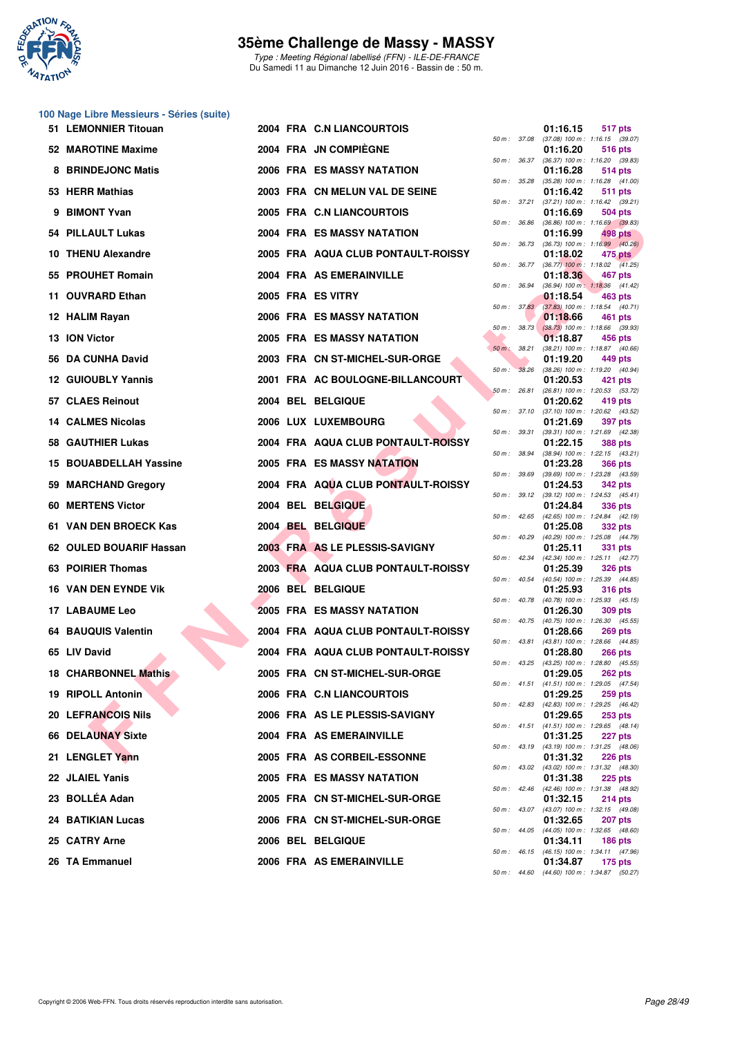

Type : Meeting Régional labellisé (FFN) - ILE-DE-FRANCE Du Samedi 11 au Dimanche 12 Juin 2016 - Bassin de : 50 m.

# **100 Nage Libre Messieurs - Séries (suite)**

| 51 LEMONNIER Titouan        |  | 2004 FRA C.N LIANCOURTOIS          |              |                  | 01:16.15 | <b>517 pts</b>                                               |
|-----------------------------|--|------------------------------------|--------------|------------------|----------|--------------------------------------------------------------|
| 52 MAROTINE Maxime          |  | 2004 FRA JN COMPIEGNE              |              | 50 m : 37.08     | 01:16.20 | $(37.08)$ 100 m : 1:16.15 $(39.07)$<br>516 pts               |
| 8 BRINDEJONC Matis          |  | 2006 FRA ES MASSY NATATION         |              | $50 m$ : $36.37$ | 01:16.28 | $(36.37)$ 100 m : 1:16.20 $(39.83)$<br>514 pts               |
| 53 HERR Mathias             |  | 2003 FRA CN MELUN VAL DE SEINE     |              | 50 m : 35.28     | 01:16.42 | (35.28) 100 m: 1:16.28 (41.00)<br>511 pts                    |
| 9 BIMONT Yvan               |  | 2005 FRA C.N LIANCOURTOIS          |              | 50 m : 37.21     | 01:16.69 | $(37.21)$ 100 m : 1:16.42 $(39.21)$<br>504 pts               |
| 54 PILLAULT Lukas           |  | 2004 FRA ES MASSY NATATION         | 50 m : 36.86 |                  | 01:16.99 | $(36.86)$ 100 m : 1:16.69 $(39.83)$<br>498 pts               |
| 10 THENU Alexandre          |  | 2005 FRA AQUA CLUB PONTAULT-ROISSY |              | 50 m : 36.73     | 01:18.02 | $(36.73)$ 100 m : 1:16.99 $(40.26)$<br>475 pts               |
| 55 PROUHET Romain           |  | 2004 FRA AS EMERAINVILLE           |              | 50 m : 36.77     | 01:18.36 | $(36.77)$ 100 m : 1:18.02 $(41.25)$<br>467 pts               |
| 11 OUVRARD Ethan            |  | 2005 FRA ES VITRY                  |              | 50 m : 36.94     | 01:18.54 | (36.94) 100 m: 1:18.36 (41.42)<br>463 pts                    |
| 12 HALIM Rayan              |  | 2006 FRA ES MASSY NATATION         |              |                  | 01:18.66 | 50 m : 37.83 (37.83) 100 m : 1:18.54 (40.71)<br>461 pts      |
| 13 ION Victor               |  | <b>2005 FRA ES MASSY NATATION</b>  |              | $50 m$ : $38.73$ | 01:18.87 | $(38.73)$ 100 m : 1:18.66 $(39.93)$<br>456 pts               |
| 56 DA CUNHA David           |  | 2003 FRA CN ST-MICHEL-SUR-ORGE     | 50 m : 38.21 |                  | 01:19.20 | (38.21) 100 m: 1:18.87 (40.66)<br>449 pts                    |
| <b>12 GUIOUBLY Yannis</b>   |  | 2001 FRA AC BOULOGNE-BILLANCOURT   | $50 m$ :     | 38.26            | 01:20.53 | (38.26) 100 m: 1:19.20 (40.94)<br>421 pts                    |
| 57 CLAES Reinout            |  | 2004 BEL BELGIQUE                  | 50 m: 26.81  |                  | 01:20.62 | (26.81) 100 m: 1:20.53 (53.72)<br>419 pts                    |
| 14 CALMES Nicolas           |  | 2006 LUX LUXEMBOURG                |              | 50 m : 37.10     | 01:21.69 | $(37.10)$ 100 m : 1:20.62 $(43.52)$<br><b>397 pts</b>        |
|                             |  |                                    |              | 50 m : 39.31     |          | (39.31) 100 m: 1:21.69 (42.38)                               |
| 58 GAUTHIER Lukas           |  | 2004 FRA AQUA CLUB PONTAULT-ROISSY | 50 m : 38.94 |                  | 01:22.15 | <b>388 pts</b><br>$(38.94)$ 100 m : 1:22.15 $(43.21)$        |
| 15 BOUABDELLAH Yassine      |  | <b>2005 FRA ES MASSY NATATION</b>  | 50 m : 39.69 |                  | 01:23.28 | <b>366 pts</b><br>(39.69) 100 m: 1:23.28 (43.59)             |
| 59 MARCHAND Gregory         |  | 2004 FRA AQUA CLUB PONTAULT-ROISSY |              | 50 m : 39.12     | 01:24.53 | 342 pts<br>$(39.12)$ 100 m : 1:24.53 $(45.41)$               |
| 60 MERTENS Victor           |  | 2004 BEL BELGIQUE                  |              |                  | 01:24.84 | 336 pts<br>50 m: 42.65 (42.65) 100 m: 1:24.84 (42.19)        |
| 61 VAN DEN BROECK Kas       |  | 2004 BEL BELGIQUE                  | 50 m: 40.29  |                  | 01:25.08 | 332 pts<br>(40.29) 100 m: 1:25.08 (44.79)                    |
| 62 OULED BOUARIF Hassan     |  | 2003 FRA AS LE PLESSIS-SAVIGNY     |              |                  | 01:25.11 | 331 pts<br>50 m: 42.34 (42.34) 100 m: 1:25.11 (42.77)        |
| 63 POIRIER Thomas           |  | 2003 FRA AQUA CLUB PONTAULT-ROISSY |              | 50 m : 40.54     | 01:25.39 | 326 pts<br>(40.54) 100 m: 1:25.39 (44.85)                    |
| <b>16 VAN DEN EYNDE VIK</b> |  | 2006 BEL BELGIQUE                  |              |                  | 01:25.93 | <b>316 pts</b><br>50 m: 40.78 (40.78) 100 m: 1:25.93 (45.15) |
| 17 LABAUME Leo              |  | <b>2005 FRA ES MASSY NATATION</b>  |              | $50 m$ : $40.75$ | 01:26.30 | <b>309 pts</b><br>$(40.75)$ 100 m : 1:26.30 $(45.55)$        |
| <b>64 BAUQUIS Valentin</b>  |  | 2004 FRA AQUA CLUB PONTAULT-ROISSY |              | 50 m : 43.81     | 01:28.66 | 269 pts<br>(43.81) 100 m: 1:28.66 (44.85)                    |
| 65 LIV David                |  | 2004 FRA AQUA CLUB PONTAULT-ROISSY |              |                  | 01:28.80 | <b>266 pts</b><br>50 m: 43.25 (43.25) 100 m: 1:28.80 (45.55) |
| 18 CHARBONNEL Mathis        |  | 2005 FRA CN ST-MICHEL-SUR-ORGE     |              |                  | 01:29.05 | <b>262 pts</b><br>50 m: 41.51 (41.51) 100 m: 1:29.05 (47.54) |
| 19 RIPOLL Antonin           |  | 2006 FRA C.N LIANCOURTOIS          |              |                  | 01:29.25 | 259 pts                                                      |
| <b>20 LEFRANCOIS Nils</b>   |  | 2006 FRA AS LE PLESSIS-SAVIGNY     |              |                  | 01:29.65 | 50 m: 42.83 (42.83) 100 m: 1:29.25 (46.42)<br>$253$ pts      |
| 66 DELAUNAY Sixte           |  | 2004 FRA AS EMERAINVILLE           |              |                  | 01:31.25 | 50 m: 41.51 (41.51) 100 m: 1:29.65 (48.14)<br>227 pts        |
| 21 LENGLET Yann             |  | 2005 FRA AS CORBEIL-ESSONNE        |              |                  | 01:31.32 | 50 m: 43.19 (43.19) 100 m: 1:31.25 (48.06)<br>226 pts        |
| 22 JLAIEL Yanis             |  | <b>2005 FRA ES MASSY NATATION</b>  |              |                  | 01:31.38 | 50 m: 43.02 (43.02) 100 m: 1:31.32 (48.30)<br>$225$ pts      |
| 23 BOLLÉA Adan              |  | 2005 FRA CN ST-MICHEL-SUR-ORGE     |              |                  | 01:32.15 | 50 m: 42.46 (42.46) 100 m: 1:31.38 (48.92)<br><b>214 pts</b> |
| <b>24 BATIKIAN Lucas</b>    |  | 2006 FRA CN ST-MICHEL-SUR-ORGE     |              |                  | 01:32.65 | 50 m: 43.07 (43.07) 100 m: 1:32.15 (49.08)<br>207 pts        |
| 25 CATRY Arne               |  | 2006 BEL BELGIQUE                  |              |                  | 01:34.11 | 50 m: 44.05 (44.05) 100 m: 1:32.65 (48.60)<br>$186$ pts      |
| 26 TA Emmanuel              |  | 2006 FRA AS EMERAINVILLE           |              |                  | 01:34.87 | 50 m: 46.15 (46.15) 100 m: 1:34.11 (47.96)<br><b>175 pts</b> |
|                             |  |                                    |              |                  |          |                                                              |

| $50 m$ : | 37.08 | 01:16.15                      | 517 pts<br>1:16.15 (39.07)                |
|----------|-------|-------------------------------|-------------------------------------------|
|          |       | (37.08) 100 m :<br>01:16.20   | 516 pts                                   |
| $50 m$ : | 36.37 | $(36.37) 100 m$ :             | 1:16.20<br>(39.83)                        |
| $50 m$ : | 35.28 | 01:16.28<br>$(35.28) 100 m$ : | <b>514 pts</b><br>1:16.28<br>(41.00)      |
|          |       | 01:16.42                      | 511<br>pts                                |
| $50 m$ : | 37.21 | $(37.21)$ 100 m :             | 1:16.42<br>(39.21)                        |
| $50 m$ : | 36.86 | 01:16.69<br>$(36.86) 100 m$ : | <b>504 pts</b><br>1:16.69<br>(39.83)      |
|          |       | 01:16.99                      | 498 pts                                   |
| $50 m$ : | 36.73 | (36.73) 100 m :<br>01:18.02   | 1:16.99<br>(40.26)<br><b>475 pts</b>      |
| $50 m$ : | 36.77 | $(36.77)$ 100 m :             | 1:18.02<br>(41.25)                        |
| $50 m$ : | 36.94 | 01:18.36<br>$(36.94) 100 m$ : | <b>467 pts</b><br>1:18.36<br>(41.42)      |
|          |       | 01:18.54                      | <b>463 pts</b>                            |
| $50 m$ : | 37.83 | $(37.83) 100 m$ :             | 1:18.54<br>(40.71)                        |
| $50 m$ : | 38.73 | 01:18.66<br>$(38.73)$ 100 m : | 461<br>pts<br>1:18.66<br>(39.93)          |
|          |       | 01:18.87                      | 456 pts                                   |
| $50 m$ : | 38.21 | $(38.21)$ 100 m :             | 1:18.87<br>(40.66)                        |
| $50 m$ : | 38.26 | 01:19.20<br>$(38.26) 100 m$ : | 449 pts<br>1:19.20<br>(40.94)             |
|          |       | 01:20.53                      | 421 pts                                   |
| 50 m :   | 26.81 | $(26.81)$ 100 m :<br>01:20.62 | 1:20.53<br>(53.72)<br>419 pts             |
| $50 m$ : | 37.10 | $(37.10) 100 m$ :             | 1:20.62<br>(43.52)                        |
|          |       | 01:21.69                      | 397 pts                                   |
| $50 m$ : | 39.31 | $(39.31) 100 m$ :<br>01:22.15 | 1:21.69<br>(42.38)<br><b>388 pts</b>      |
| $50 m$ : | 38.94 | (38.94) 100 m :               | 1:22.15<br>(43.21)                        |
| $50 m$ : | 39.69 | 01:23.28<br>$(39.69)$ 100 m : | <b>366 pts</b><br>1:23.28<br>(43.59)      |
|          |       | 01:24.53                      | 342 pts                                   |
| $50 m$ : | 39.12 | $(39.12) 100 m$ :             | 1:24.53<br>(45.41)                        |
| $50 m$ : | 42.65 | 01:24.84<br>(42.65) 100 m :   | <b>336 pts</b><br>1:24.84<br>(42.19)      |
|          |       | 01:25.08                      | 332 pts                                   |
| 50 m :   | 40.29 | (40.29) 100 m :<br>01:25.11   | 1:25.08<br>(44.79)<br><b>331 pts</b>      |
| 50 m :   | 42.34 | $(42.34) 100 m$ :             | 1:25.11<br>(42.77)                        |
| $50 m$ : | 40.54 | 01:25.39<br>$(40.54) 100 m$ : | <b>326 pts</b><br>1:25.39<br>(44.85)      |
|          |       | 01:25.93                      | <b>316 pts</b>                            |
| 50 m :   | 40.78 | $(40.78) 100 m$ :             | 1:25.93<br>(45.15)                        |
| $50 m$ : | 40.75 | 01:26.30<br>$(40.75) 100 m$ : | <b>309 pts</b><br>1:26.30<br>(45.55)      |
|          |       | 01:28.66                      | <b>269 pts</b>                            |
| $50 m$ : | 43.81 | (43.81) 100 m :<br>01:28.80   | 1:28.66<br>(44.85)<br><b>266 pts</b>      |
| $50 m$ : | 43.25 | $(43.25)$ 100 m :             | 1:28.80<br>(45.55)                        |
|          | 41.51 | 01:29.05<br>(41.51) 100 m:    | <b>262 pts</b>                            |
| $50 m$ : |       | 01:29.25                      | 1:29.05<br>(47.54)<br>259 pts             |
| $50 m$ : | 42.83 | $(42.83) 100 m$ :             | 1:29.25<br>(46.42)                        |
| 50 m :   | 41.51 | 01:29.65<br>$(41.51) 100 m$ : | <b>253 pts</b><br>1:29.65<br>(48.14)      |
|          |       | 01:31.25                      | 227 pts                                   |
| $50 m$ : | 43.19 | (43.19) 100 m :<br>01:31.32   | 1:31.25<br>(48.06)<br><b>226 pts</b>      |
| $50 m$ : | 43.02 | (43.02) 100 m :               | 1:31.32<br>(48.30)                        |
|          |       | 01:31.38                      | 225 pts                                   |
| $50 m$ : | 42.46 | $(42.46) 100 m$ :<br>01:32.15 | 1:31.38<br>(48.92)<br>214 pts             |
| $50 m$ : | 43.07 | (43.07) 100 m :               | 1:32.15<br>(49.08)                        |
| $50 m$ : | 44.05 | 01:32.65<br>(44.05) 100 m :   | 207 pts<br>1:32.65<br>(48.60)             |
|          |       | 01:34.11                      | 186 pts                                   |
| $50 m$ : | 46.15 | $(46.15)$ 100 m :             | 1:34.11<br>(47.96)                        |
| 50 m :   | 44.60 | 01:34.87                      | 175 pts<br>(44.60) 100 m: 1:34.87 (50.27) |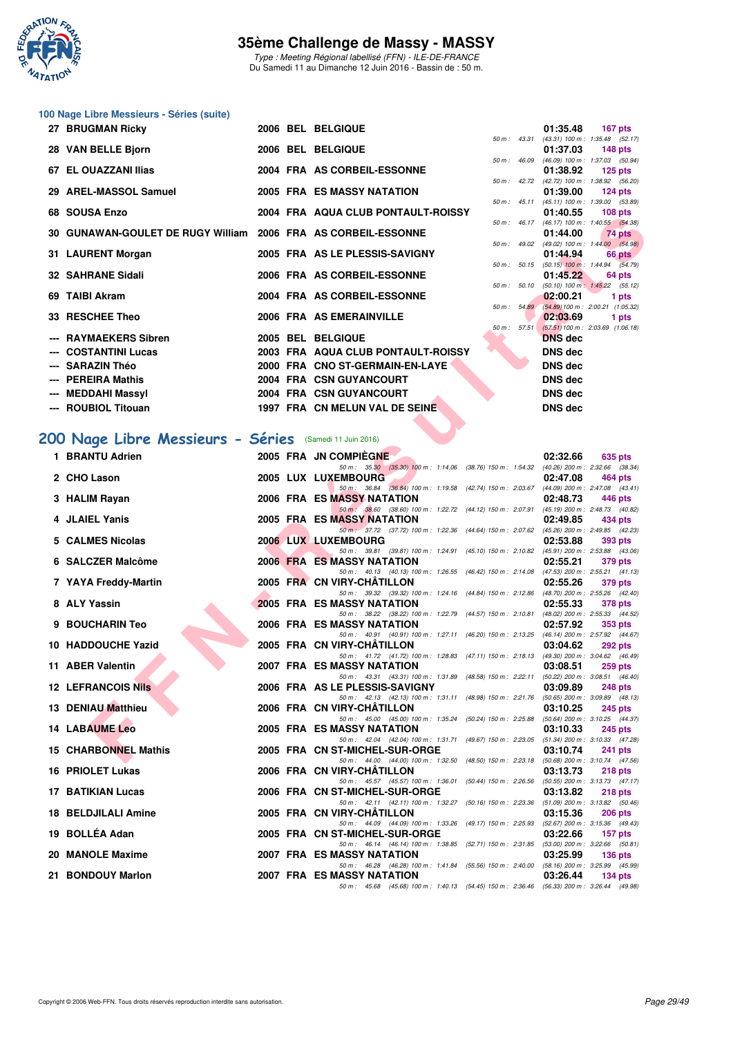

Type : Meeting Régional labellisé (FFN) - ILE-DE-FRANCE Du Samedi 11 au Dimanche 12 Juin 2016 - Bassin de : 50 m.

|  |  | 100 Nage Libre Messieurs - Séries (suite) |
|--|--|-------------------------------------------|
|--|--|-------------------------------------------|

| 27 BRUGMAN Ricky                                              |  | 2006 BEL BELGIQUE                  |                |             | 01:35.48                                      |         | 167 pts   |
|---------------------------------------------------------------|--|------------------------------------|----------------|-------------|-----------------------------------------------|---------|-----------|
|                                                               |  |                                    |                |             | 50 m: 43.31 (43.31) 100 m: 1:35.48 (52.17)    |         |           |
| 28 VAN BELLE Bjorn                                            |  | 2006 BEL BELGIQUE                  |                |             | 01:37.03                                      |         | 148 pts   |
|                                                               |  |                                    |                |             | 50 m: 46.09 (46.09) 100 m: 1:37.03 (50.94)    |         |           |
| 67 EL OUAZZANI Ilias                                          |  | 2004 FRA AS CORBEIL-ESSONNE        |                |             | 01:38.92                                      |         | $125$ pts |
|                                                               |  |                                    |                |             | 50 m: 42.72 (42.72) 100 m: 1:38.92 (56.20)    |         |           |
| 29 AREL-MASSOL Samuel                                         |  | <b>2005 FRA ES MASSY NATATION</b>  |                |             | 01:39.00                                      |         | $124$ pts |
|                                                               |  |                                    |                |             | 50 m: 45.11 (45.11) 100 m: 1:39.00 (53.89)    |         |           |
| 68 SOUSA Enzo                                                 |  | 2004 FRA AQUA CLUB PONTAULT-ROISSY |                |             | 01:40.55                                      | 108 pts |           |
|                                                               |  |                                    |                |             | 50 m: 46.17 (46.17) 100 m: 1:40.55 (54.38)    |         |           |
| 30 GUNAWAN-GOULET DE RUGY William 2006 FRA AS CORBEIL-ESSONNE |  |                                    |                |             | 01:44.00                                      |         | 74 pts    |
|                                                               |  |                                    |                |             | 50 m : 49.02 (49.02) 100 m : 1:44.00 (54.98)  |         |           |
| 31 LAURENT Morgan                                             |  | 2005 FRA AS LE PLESSIS-SAVIGNY     |                |             | 01:44.94                                      |         | 66 pts    |
|                                                               |  |                                    |                |             | 50 m : 50.15 (50.15) 100 m : 1:44.94 (54.79)  |         |           |
| <b>32 SAHRANE Sidali</b>                                      |  | 2006 FRA AS CORBEIL-ESSONNE        |                |             | 01:45.22                                      |         | 64 pts    |
|                                                               |  |                                    |                |             | 50 m : 50.10 (50.10) 100 m : 1:45.22 (55.12)  |         |           |
| 69 TAIBI Akram                                                |  | 2004 FRA AS CORBEIL-ESSONNE        |                |             | 02:00.21                                      |         | 1 pts     |
|                                                               |  |                                    |                | 50 m: 54.89 | $(54.89) 100 \text{ m}$ : 2:00.21 $(1.05.32)$ |         |           |
| 33 RESCHEE Theo                                               |  | 2006 FRA AS EMERAINVILLE           |                |             | 02:03.69                                      | 1 pts   |           |
|                                                               |  |                                    | $50 m$ : 57.51 |             | $(57.51)$ 100 m : 2:03.69 $(1:06.18)$         |         |           |
| --- RAYMAEKERS Sibren                                         |  | 2005 BEL BELGIQUE                  |                |             | <b>DNS</b> dec                                |         |           |
| --- COSTANTINI Lucas                                          |  | 2003 FRA AQUA CLUB PONTAULT-ROISSY |                |             | DNS dec                                       |         |           |
| --- SARAZIN Théo                                              |  | 2000 FRA CNO ST-GERMAIN-EN-LAYE    |                |             | <b>DNS dec</b>                                |         |           |
| --- PEREIRA Mathis                                            |  | 2004 FRA CSN GUYANCOURT            |                |             | <b>DNS dec</b>                                |         |           |
| --- MEDDAHI Massyl                                            |  | 2004 FRA CSN GUYANCOURT            |                |             | DNS dec                                       |         |           |
|                                                               |  |                                    |                |             |                                               |         |           |
| --- ROUBIOL Titouan                                           |  | 1997 FRA CN MELUN VAL DE SEINE     |                |             | <b>DNS dec</b>                                |         |           |
|                                                               |  |                                    |                |             |                                               |         |           |

# **[200 Nage Libre Messieurs - Séries](http://www.ffnatation.fr/webffn/resultats.php?idact=nat&go=epr&idcpt=38069&idepr=53)** (Samedi 11 Juin 2016)

| UO JUUJA LIIZU                                                     |  | <b>THA AGUA CLUB FUNTAUL PROISS</b>                                                                                           |                         |                  | 01.40.JJ       | <b>TUO DIS</b>                                            |
|--------------------------------------------------------------------|--|-------------------------------------------------------------------------------------------------------------------------------|-------------------------|------------------|----------------|-----------------------------------------------------------|
| 30 GUNAWAN-GOULET DE RUGY William   2006  FRA   AS CORBEIL-ESSONNE |  |                                                                                                                               |                         |                  | 01:44.00       | 50 m: 46.17 (46.17) 100 m: 1:40.55 (54.38)<br>74 pts      |
| 31 LAURENT Morgan                                                  |  | 2005 FRA AS LE PLESSIS-SAVIGNY                                                                                                |                         |                  | 01:44.94       | 50 m : 49.02 (49.02) 100 m : 1:44.00 (54.98)<br>66 pts    |
| 32 SAHRANE Sidali                                                  |  | 2006 FRA AS CORBEIL-ESSONNE                                                                                                   |                         |                  | 01:45.22       | 50 m : 50.15 (50.15) 100 m : 1:44.94 (54.79)<br>64 pts    |
| 69 TAIBI Akram                                                     |  | 2004 FRA AS CORBEIL-ESSONNE                                                                                                   |                         | 50 m: 50.10      | 02:00.21       | $(50.10)$ 100 m : 1:45.22 $(55.12)$                       |
|                                                                    |  |                                                                                                                               |                         |                  |                | 1 pts<br>50 m: 54.89 (54.89) 100 m: 2:00.21 (1:05.32)     |
| 33 RESCHEE Theo                                                    |  | 2006 FRA AS EMERAINVILLE                                                                                                      |                         | $50 m$ : $57.51$ | 02:03.69       | 1 pts<br>$(57.51) 100 \text{ m}$ : 2:03.69 $(1:06.18)$    |
| --- RAYMAEKERS Sibren                                              |  | 2005 BEL BELGIQUE                                                                                                             |                         |                  | <b>DNS</b> dec |                                                           |
| --- COSTANTINI Lucas                                               |  | 2003 FRA AQUA CLUB PONTAULT-ROISSY                                                                                            |                         |                  | <b>DNS dec</b> |                                                           |
| --- SARAZIN Théo                                                   |  | 2000 FRA CNO ST-GERMAIN-EN-LAYE                                                                                               |                         |                  | <b>DNS</b> dec |                                                           |
| --- PEREIRA Mathis                                                 |  | 2004 FRA CSN GUYANCOURT                                                                                                       |                         |                  | <b>DNS</b> dec |                                                           |
| --- MEDDAHI Massyl                                                 |  | 2004 FRA CSN GUYANCOURT                                                                                                       |                         |                  | <b>DNS dec</b> |                                                           |
| --- ROUBIOL Titouan                                                |  | 1997 FRA CN MELUN VAL DE SEINE                                                                                                |                         |                  | <b>DNS</b> dec |                                                           |
|                                                                    |  |                                                                                                                               |                         |                  |                |                                                           |
| 00 Nage Libre Messieurs - Séries (Samedi 11 Juin 2016)             |  |                                                                                                                               |                         |                  |                |                                                           |
| 1 BRANTU Adrien                                                    |  | 2005 FRA JN COMPIÈGNE                                                                                                         |                         |                  | 02:32.66       | 635 pts                                                   |
| 2 CHO Lason                                                        |  | 50 m: 35.30 (35.30) 100 m: 1:14.06 (38.76) 150 m: 1:54.32 (40.26) 200 m: 2:32.66 (38.34)<br>2005 LUX LUXEMBOURG               |                         |                  | 02:47.08       | 464 pts                                                   |
|                                                                    |  | 50 m: 36.84 (36.84) 100 m: 1:19.58 (42.74) 150 m: 2:03.67 (44.09) 200 m: 2:47.08 (43.41)                                      |                         |                  |                |                                                           |
| 3 HALIM Rayan                                                      |  | 2006 FRA ES MASSY NATATION                                                                                                    |                         |                  | 02:48.73       | 446 pts                                                   |
| 4 JLAIEL Yanis                                                     |  | 50 m: 38.60 (38.60) 100 m: 1:22.72 (44.12) 150 m: 2:07.91 (45.19) 200 m: 2:48.73 (40.82)<br>2005 FRA ES MASSY NATATION        |                         |                  | 02:49.85       | 434 pts                                                   |
|                                                                    |  | 50 m: 37.72 (37.72) 100 m: 1:22.36 (44.64) 150 m: 2:07.62 (45.26) 200 m: 2:49.85 (42.23)                                      |                         |                  |                |                                                           |
| 5 CALMES Nicolas                                                   |  | 2006 LUX LUXEMBOURG                                                                                                           |                         |                  | 02:53.88       | 393 pts                                                   |
| 6 SALCZER Malcôme                                                  |  | 50 m: 39.81 (39.81) 100 m: 1:24.91 (45.10) 150 m: 2:10.82 (45.91) 200 m: 2:53.88 (43.06)<br>2006 FRA ES MASSY NATATION        |                         |                  | 02:55.21       | 379 pts                                                   |
|                                                                    |  | 50 m: 40.13 (40.13) 100 m: 1:26.55 (46.42) 150 m: 2:14.08 (47.53) 200 m: 2:55.21 (41.13)                                      |                         |                  |                |                                                           |
| 7 YAYA Freddy-Martin                                               |  | 2005 FRA CN VIRY-CHATILLON<br>50 m: 39.32 (39.32) 100 m: 1:24.16 (44.84) 150 m: 2:12.86 (48.70) 200 m: 2:55.26 (42.40)        |                         |                  | 02:55.26       | 379 pts                                                   |
| 8 ALY Yassin                                                       |  | <b>2005 FRA ES MASSY NATATION</b>                                                                                             |                         |                  | 02:55.33       | 378 pts                                                   |
| 9 BOUCHARIN Teo                                                    |  | 50 m: 38.22 (38.22) 100 m: 1:22.79 (44.57) 150 m: 2:10.81 (48.02) 200 m: 2:55.33 (44.52)<br>2006 FRA ES MASSY NATATION        |                         |                  | 02:57.92       | 353 pts                                                   |
| 10 HADDOUCHE Yazid                                                 |  | 50 m: 40.91 (40.91) 100 m: 1:27.11 (46.20) 150 m: 2:13.25 (46.14) 200 m: 2:57.92 (44.67)<br>2005 FRA CN VIRY-CHATILLON        |                         |                  | 03:04.62       |                                                           |
|                                                                    |  | 50 m: 41.72 (41.72) 100 m: 1:28.83 (47.11) 150 m: 2:18.13 (49.30) 200 m: 3:04.62 (46.49)                                      |                         |                  |                | 292 pts                                                   |
| 11 ABER Valentin                                                   |  | 2007 FRA ES MASSY NATATION                                                                                                    |                         |                  | 03:08.51       | 259 pts                                                   |
| <b>12 LEFRANCOIS Nils</b>                                          |  | 50 m: 43.31 (43.31) 100 m: 1:31.89 (48.58) 150 m: 2:22.11 (50.22) 200 m: 3:08.51 (46.40)<br>2006 FRA AS LE PLESSIS-SAVIGNY    |                         |                  | 03:09.89       | 248 pts                                                   |
|                                                                    |  | 50 m: 42.13 (42.13) 100 m: 1:31.11 (48.98) 150 m: 2:21.76 (50.65) 200 m: 3:09.89 (48.13)                                      |                         |                  |                |                                                           |
| 13 DENIAU Matthieu                                                 |  | 2006 FRA CN VIRY-CHATILLON                                                                                                    |                         |                  | 03:10.25       | 245 pts                                                   |
| <b>14 LABAUME Leo</b>                                              |  | 50 m: 45.00 (45.00) 100 m: 1:35.24 (50.24) 150 m: 2:25.88 (50.64) 200 m: 3:10.25 (44.37)<br><b>2005 FRA ES MASSY NATATION</b> |                         |                  | 03:10.33       | 245 pts                                                   |
| 15 CHARBONNEL Mathis                                               |  | 50 m: 42.04 (42.04) 100 m: 1:31.71 (49.67) 150 m: 2:23.05 (51.34) 200 m: 3:10.33 (47.28)<br>2005 FRA CN ST-MICHEL-SUR-ORGE    |                         |                  | 03:10.74       | 241 pts                                                   |
|                                                                    |  | 50 m: 44.00 (44.00) 100 m: 1:32.50 (48.50) 150 m: 2:23.18 (50.68) 200 m: 3:10.74 (47.56)                                      |                         |                  |                |                                                           |
| 16 PRIOLET Lukas                                                   |  | 2006 FRA CN VIRY-CHATILLON<br>50 m: 45.57 (45.57) 100 m: 1:36.01 (50.44) 150 m: 2:26.56                                       |                         |                  | 03:13.73       | <b>218 pts</b><br>$(50.55)$ 200 m : 3:13.73 $(47.17)$     |
| 17 BATIKIAN Lucas                                                  |  | 2006 FRA CN ST-MICHEL-SUR-ORGE                                                                                                |                         |                  | 03:13.82       | 218 pts                                                   |
| <b>18 BELDJILALI Amine</b>                                         |  | 50 m: 42.11 (42.11) 100 m: 1:32.27 (50.16) 150 m: 2:23.36<br>2005 FRA CN VIRY-CHATILLON                                       |                         |                  | 03:15.36       | $(51.09)$ 200 m : 3:13.82 $(50.46)$<br>206 pts            |
| 19 BOLLÉA Adan                                                     |  | 50 m: 44.09 (44.09) 100 m: 1:33.26                                                                                            | (49.17) 150 m : 2:25.93 |                  |                | (52.67) 200 m : 3:15.36 (49.43)                           |
|                                                                    |  | 2005 FRA CN ST-MICHEL-SUR-ORGE<br>50 m: 46.14 (46.14) 100 m: 1:38.85 (52.71) 150 m: 2:31.85                                   |                         |                  | 03:22.66       | 157 <sub>pts</sub><br>$(53.00)$ 200 m : 3:22.66 $(50.81)$ |
| 20 MANOLE Maxime                                                   |  | 2007 FRA ES MASSY NATATION                                                                                                    |                         |                  | 03:25.99       | $136$ pts                                                 |
| 21 BONDOUY Marlon                                                  |  | 50 m: 46.28 (46.28) 100 m: 1.41.84 (55.56) 150 m: 2.40.00 (58.16) 200 m: 3.25.99 (45.99)<br>2007 FRA ES MASSY NATATION        |                         |                  | 03:26.44       | $134$ pts                                                 |
|                                                                    |  | 50 m: 45.68 (45.68) 100 m: 1:40.13 (54.45) 150 m: 2:36.46 (56.33) 200 m: 3:26.44 (49.98)                                      |                         |                  |                |                                                           |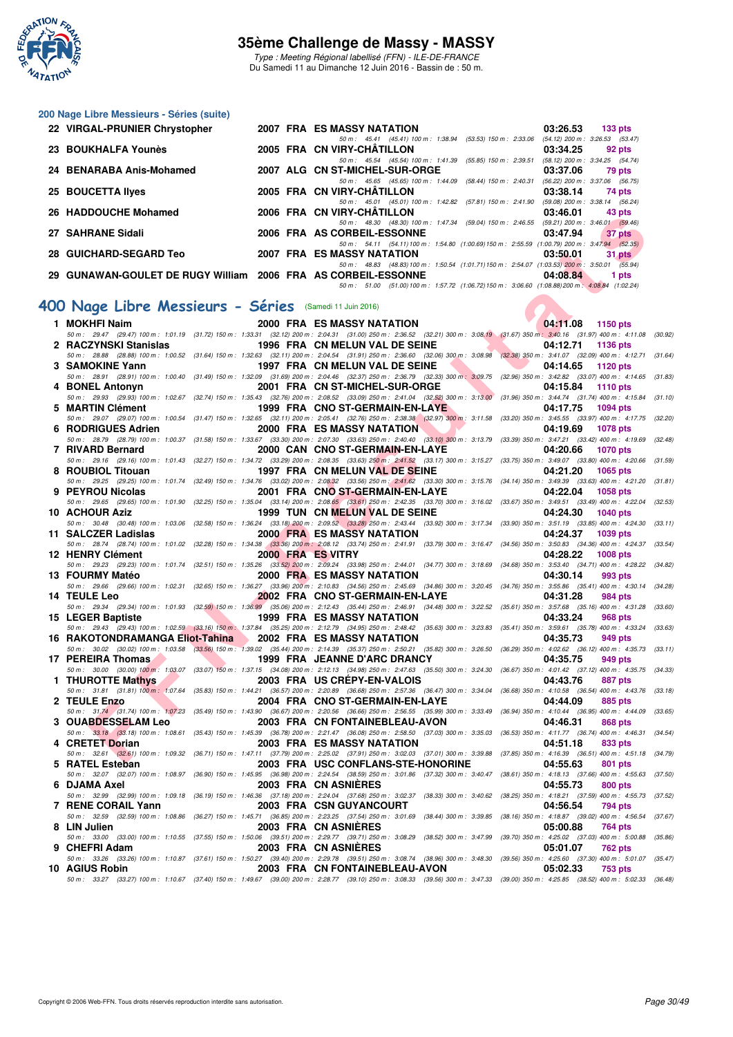

Type : Meeting Régional labellisé (FFN) - ILE-DE-FRANCE Du Samedi 11 au Dimanche 12 Juin 2016 - Bassin de : 50 m.

#### **200 Nage Libre Messieurs - Séries (suite)**

| 22 VIRGAL-PRUNIER Chrystopher                                 |  | 2007 FRA ES MASSY NATATION        |                                    |                                                                                                | 03:26.53                            | $133$ pts |
|---------------------------------------------------------------|--|-----------------------------------|------------------------------------|------------------------------------------------------------------------------------------------|-------------------------------------|-----------|
|                                                               |  |                                   |                                    | 50 m: 45.41 (45.41) 100 m: 1:38.94 (53.53) 150 m: 2:33.06                                      | $(54.12)$ 200 m : 3:26.53 $(53.47)$ |           |
| 23 BOUKHALFA Younès                                           |  | 2005 FRA CN VIRY-CHÄTILLON        |                                    |                                                                                                | 03:34.25                            | 92 pts    |
|                                                               |  |                                   | 50 m: 45.54 (45.54) 100 m: 1:41.39 | $(55.85)$ 150 m : 2:39.51                                                                      | (58.12) 200 m : 3:34.25 (54.74)     |           |
| 24 BENARABA Anis-Mohamed                                      |  | 2007 ALG CN ST-MICHEL-SUR-ORGE    |                                    |                                                                                                | 03:37.06                            | 79 pts    |
|                                                               |  |                                   |                                    | 50 m: 45.65 (45.65) 100 m: 1:44.09 (58.44) 150 m: 2:40.31                                      | $(56.22)$ 200 m : 3:37.06 $(56.75)$ |           |
| 25 BOUCETTA Ilyes                                             |  | 2005 FRA CN VIRY-CHÂTILLON        |                                    |                                                                                                | 03:38.14                            | 74 pts    |
|                                                               |  |                                   |                                    | 50 m: 45.01 (45.01) 100 m: 1:42.82 (57.81) 150 m: 2:41.90                                      | $(59.08)$ 200 m : 3:38.14 $(56.24)$ |           |
| 26 HADDOUCHE Mohamed                                          |  | 2006 FRA CN VIRY-CHÂTILLON        |                                    |                                                                                                | 03:46.01                            | 43 pts    |
|                                                               |  |                                   | 50 m: 48.30 (48.30) 100 m: 1:47.34 | (59.04) 150 m : 2:46.55                                                                        | $(59.21)$ 200 m : 3:46.01 $(59.46)$ |           |
| 27 SAHRANE Sidali                                             |  | 2006 FRA AS CORBEIL-ESSONNE       |                                    |                                                                                                | 03:47.94                            | 37 pts    |
|                                                               |  |                                   |                                    | 50 m: 54.11 (54.11) 100 m: 1:54.80 (1:00.69) 150 m: 2:55.59 (1:00.79) 200 m: 3:47.94 (52.35)   |                                     |           |
| 28 GUICHARD-SEGARD Teo                                        |  | <b>2007 FRA ES MASSY NATATION</b> |                                    |                                                                                                | 03:50.01                            | 31 pts    |
|                                                               |  |                                   |                                    | 50 m: 48.83 (48.83) 100 m: 1:50.54 (1:01.71) 150 m: 2:54.07 (1:03.53) 200 m: 3:50.01 (55.94)   |                                     |           |
| 29 GUNAWAN-GOULET DE RUGY William 2006 FRA AS CORBEIL-ESSONNE |  |                                   |                                    |                                                                                                | 04:08.84                            | 1 pts     |
|                                                               |  |                                   |                                    | 50 m: 51.00 (51.00) 100 m: 1:57.72 (1:06.72) 150 m: 3:06.60 (1:08.88) 200 m: 4:08.84 (1:02.24) |                                     |           |

# **[400 Nage Libre Messieurs - Séries](http://www.ffnatation.fr/webffn/resultats.php?idact=nat&go=epr&idcpt=38069&idepr=54)** (Samedi 11 Juin 2016)

| 20 TIADDOOCHE MONANICU                                                                                                                                                                                                                             |  | <b><i>LOVO</i></b> FRA CITYINT-CHATILLON<br>50 m: 48.30 (48.30) 100 m: 1:47.34 (59.04) 150 m: 2:46.55 (59.21) 200 m: 3:46.01 (59.46) |                         | 00.40.01                                                    | HJ PID          |         |
|----------------------------------------------------------------------------------------------------------------------------------------------------------------------------------------------------------------------------------------------------|--|--------------------------------------------------------------------------------------------------------------------------------------|-------------------------|-------------------------------------------------------------|-----------------|---------|
| 27 SAHRANE Sidali                                                                                                                                                                                                                                  |  | 2006 FRA AS CORBEIL-ESSONNE                                                                                                          |                         | 03:47.94                                                    | 37 pts          |         |
| 28 GUICHARD-SEGARD Teo                                                                                                                                                                                                                             |  | 50 m: 54.11 (54.11) 100 m: 1:54.80 (1:00.69) 150 m: 2:55.59 (1:00.79) 200 m: 3:47.94 (52.35)<br><b>2007 FRA ES MASSY NATATION</b>    |                         | 03:50.01                                                    | 31 pts          |         |
| 29 GUNAWAN-GOULET DE RUGY William 2006 FRA AS CORBEIL-ESSONNE                                                                                                                                                                                      |  | 50 m: 48.83 (48.83) 100 m: 1:50.54 (1:01.71) 150 m: 2:54.07 (1:03.53) 200 m: 3:50.01 (55.94)                                         |                         | 04:08.84                                                    | 1 pts           |         |
|                                                                                                                                                                                                                                                    |  | 50 m: 51.00 (51.00) 100 m: 1:57.72 (1:06.72) 150 m: 3:06.60 (1:08.88) 200 m: 4:08.84 (1:02.24)                                       |                         |                                                             |                 |         |
| 00 Nage Libre Messieurs - Séries (Samedi 11 Juin 2016)                                                                                                                                                                                             |  |                                                                                                                                      |                         |                                                             |                 |         |
|                                                                                                                                                                                                                                                    |  |                                                                                                                                      |                         |                                                             |                 |         |
| 1 MOKHFI Naim<br>50 m: 29.47 (29.47) 100 m: 1:01.19 (31.72) 150 m: 1:33.31 (32.12) 200 m: 2:04.31 (31.00) 250 m: 2:36.52 (32.21) 300 m: 3:08.19 (31.67) 350 m: 3:40.16 (31.97) 400 m: 4:11.08 (30.92)                                              |  | 2000 FRA ES MASSY NATATION                                                                                                           |                         | 04:11.08 1150 pts                                           |                 |         |
| 2   RACZYNSKI Stanislas                                                                                                                                                                                                                            |  | 1996 FRA CN MELUN VAL DE SEINE                                                                                                       |                         | 04:12.71                                                    | 1136 pts        |         |
| 50 m : 28.88 (28.88) 100 m : 1:00.52 (31.64) 150 m : 1:32.63 (32.11) 200 m : 2:04.54 (31.91) 250 m : 2:36.60 (32.06) 300 m : 3:08.98 (32.38) 350 m : 3:41.07 (32.09) 400 m : 4:12.71 (31.64)                                                       |  |                                                                                                                                      |                         |                                                             |                 |         |
| 3 SAMOKINE Yann<br>50 m : 28.91 (28.91) 100 m : 1:00.40 (31.49) 150 m : 1:32.09 (31.69) 200 m : 2:04.46 (32.37) 250 m : 2:36.79 (32.33) 300 m : 3:09.75 (32.96) 350 m : 3:42.82 (33.07) 400 m : 4:14.65 (31.83)                                    |  | 1997 FRA CN MELUN VAL DE SEINE                                                                                                       |                         | <b>STAR</b><br>04:14.65                                     | 1120 pts        |         |
| 4 BONEL Antonyn                                                                                                                                                                                                                                    |  | 2001 FRA CN ST-MICHEL-SUR-ORGE                                                                                                       |                         | 04:15.84                                                    | <b>1110 pts</b> |         |
| 50 m: 29.93 (29.93) 100 m: 1:02.67 (32.74) 150 m: 1:35.43 (32.76) 200 m: 2:08.52 (33.09) 250 m: 2:41.04 (32.52) 300 m: 3:13.00 (31.96) 350 m: 3:44.74 (31.74) 400 m: 4:15.84 (31.10)                                                               |  |                                                                                                                                      |                         |                                                             |                 |         |
| 5 MARTIN Clément<br>50 m: 29.07 (29.07) 100 m: 1:00.54 (31.47) 150 m: 1:32.65 (32.11) 200 m: 2:05.41 (32.76) 250 m: 2:38.38 (32.97) 300 m: 3:11.58 (33.20) 350 m: 3:45.55 (33.97) 400 m: 4:17.75                                                   |  | 1999 FRA CNO ST-GERMAIN-EN-LAYE                                                                                                      |                         | 04:17.75                                                    | <b>1094 pts</b> | (32.20) |
| 6 RODRIGUES Adrien                                                                                                                                                                                                                                 |  | 2000 FRA ES MASSY NATATION                                                                                                           |                         | 04:19.69                                                    | <b>1078 pts</b> |         |
| 50 m: 28.79 (28.79) 100 m: 1:00.37 (31.58) 150 m: 1:33.67 (33.30) 200 m: 2:07.30 (33.63) 250 m: 2:40.40 (33.10) 300 m: 3:13.79 (33.39) 350 m: 3:47.21 (33.42) 400 m: 4:19.69 (32.48)                                                               |  |                                                                                                                                      |                         |                                                             |                 |         |
| 7 RIVARD Bernard                                                                                                                                                                                                                                   |  | 2000 CAN CNO ST-GERMAIN-EN-LAYE                                                                                                      |                         | 04:20.66                                                    | <b>1070 pts</b> |         |
| 50 m: 29.16 (29.16) 100 m: 1:01.43 (32.27) 150 m: 1:34.72 (33.29) 200 m: 2:08.35 (33.63) 250 m: 2:41.52 (33.17) 300 m: 3:15.27 (33.75) 350 m: 3:49.07 (33.80) 400 m: 4:20.66 (31.59)<br>8 ROUBIOL Titouan                                          |  | 1997 FRA CN MELUN VAL DE SEINE                                                                                                       |                         | 04:21.20                                                    | 1065 pts        |         |
| 50 m: 29.25 (29.25) 100 m: 1:01.74 (32.49) 150 m: 1:34.76 (33.02) 200 m: 2:08.32 (33.56) 250 m: 2:41.62 (33.30) 300 m: 3:15.76 (34.14) 350 m: 3:49.39 (33.63) 400 m: 4:21.20 (31.81)                                                               |  |                                                                                                                                      |                         |                                                             |                 |         |
| 9 PEYROU Nicolas                                                                                                                                                                                                                                   |  | 2001 FRA CNO ST-GERMAIN-EN-LAYE                                                                                                      |                         | 04:22.04                                                    | <b>1058 pts</b> |         |
| 50 m: 29.65 (29.65) 100 m: 1:01.90 (32.25) 150 m: 1:35.04 (33.14) 200 m: 2:08.65 (33.61) 250 m: 2:42.35 (33.70) 300 m: 3:16.02 (33.67) 350 m: 3:49.51 (33.49) 400 m: 4:22.04 (32.53)<br>10 ACHOUR Aziz                                             |  | 1999 TUN CN MELUN VAL DE SEINE                                                                                                       |                         | 04:24.30                                                    |                 |         |
| 50 m: 30.48 (30.48) 100 m: 1:03.06 (32.58) 150 m: 1:36.24 (33.18) 200 m: 2:09.52 (33.28) 250 m: 2:43.44 (33.92) 300 m: 3:17.34 (33.90) 350 m: 3:51.19 (33.85) 400 m: 4:24.30                                                                       |  |                                                                                                                                      |                         |                                                             | <b>1040 pts</b> | (33.11) |
| 11 SALCZER Ladislas                                                                                                                                                                                                                                |  | 2000 FRA ES MASSY NATATION                                                                                                           |                         | 04:24.37                                                    | <b>1039 pts</b> |         |
| 50 m : 28.74 (28.74) 100 m : 1:01.02 (32.28) 150 m : 1:34.38 (33.36) 200 m : 2:08.12 (33.74) 250 m : 2:41.91 (33.79) 300 m : 3:16.47 (34.56) 350 m : 3:50.83 (34.36) 400 m : 4:24.37 (33.54)                                                       |  |                                                                                                                                      |                         |                                                             |                 |         |
| 12 HENRY Clément<br>50 m: 29.23 (29.23) 100 m: 1:01.74 (32.51) 150 m: 1:35.26 (33.52) 200 m: 2:09.24 (33.98) 250 m: 2:44.01 (34.77) 300 m: 3:18.69 (34.68) 350 m: 3:53.40 (34.71) 400 m: 4:28.22 (34.82)                                           |  | 2000 FRA ES VITRY                                                                                                                    |                         | 04:28.22                                                    | <b>1008 pts</b> |         |
| 13 FOURMY Matéo                                                                                                                                                                                                                                    |  | <b>2000 FRA ES MASSY NATATION</b>                                                                                                    |                         | 04:30.14                                                    | 993 pts         |         |
| 50 m : 29.66 (29.66) 100 m : 1:02.31 (32.65) 150 m : 1:36.27 (33.96) 200 m : 2:10.83 (34.56) 250 m : 2:45.69 (34.86) 300 m : 3:20.45 (34.76) 350 m : 3:55.86 (35.41) 400 m : 4:30.14 (34.28)                                                       |  |                                                                                                                                      |                         |                                                             |                 |         |
| <b>14 TEULE Leo</b><br>50 m: 29.34 (29.34) 100 m: 1:01.93 (32.59) 150 m: 1:36.99 (35.06) 200 m: 2:12.43 (35.44) 250 m: 2:46.91 (34.48) 300 m: 3:22.52 (35.61) 350 m: 3:57.68 (35.16) 400 m: 4:31.28 (33.60)                                        |  | <b>2002 FRA CNO ST-GERMAIN-EN-LAYE</b>                                                                                               |                         | 04:31.28                                                    | 984 pts         |         |
| 15 LEGER Baptiste                                                                                                                                                                                                                                  |  | 1999 FRA ES MASSY NATATION                                                                                                           |                         | 04:33.24                                                    | 968 pts         |         |
| 50 m: 29.43 (29.43) 100 m: 1:02.59 (33.16) 150 m: 1:37.84 (35.25) 200 m: 2:12.79 (34.95) 250 m: 2:48.42 (35.63) 300 m: 3:23.83 (35.41) 350 m: 3:59.61 (35.78) 400 m: 4:33.24                                                                       |  |                                                                                                                                      |                         |                                                             |                 | (33.63) |
| 16 RAKOTONDRAMANGA Eliot-Tahina                                                                                                                                                                                                                    |  | 2002 FRA ES MASSY NATATION                                                                                                           |                         | 04:35.73                                                    | 949 pts         |         |
| 50 m : 30.02 (30.02) 100 m : 1:03.58 (33.56) 150 m : 1:39.02 (35.44) 200 m : 2:14.39 (35.37) 250 m : 2:50.21 (35.82) 300 m : 3:26.50 (36.29) 350 m : 4:02.62 (36.12) 400 m : 4:35.73 (33.11)<br>17 PEREIRA Thomas<br><b>The Contract of Street</b> |  | 1999 FRA JEANNE D'ARC DRANCY                                                                                                         |                         | 04:35.75                                                    | 949 pts         |         |
| 50 m: 30.00 (30.00) 100 m: 1:03.07 (33.07) 150 m: 1:37.15 (34.08) 200 m: 2:12.13 (34.98) 250 m: 2:47.63 (35.50) 300 m: 3:24.30 (36.67) 350 m: 4:01.42 (37.12) 400 m: 4:35.75                                                                       |  |                                                                                                                                      |                         |                                                             |                 | (34.33) |
| 1 THUROTTE Mathys                                                                                                                                                                                                                                  |  | 2003 FRA US CREPY-EN-VALOIS                                                                                                          |                         | 04:43.76                                                    | 887 pts         |         |
| 50 m: 31.81 (31.81) 100 m: 1:07.64 (35.83) 150 m: 1:44.21 (36.57) 200 m: 2:20.89 (36.68) 250 m: 2:57.36 (36.47) 300 m: 3:34.04 (36.68) 350 m: 4:10.58 (36.54) 400 m: 4:43.76<br>2 TEULE Enzo                                                       |  | 2004 FRA CNO ST-GERMAIN-EN-LAYE                                                                                                      |                         | 04:44.09                                                    |                 | (33.18) |
| 50 m: 31,74 (31.74) 100 m: 1:07.23 (35.49) 150 m: 1:43.90 (36.67) 200 m: 2:20.56 (36.66) 250 m: 2:56.55 (35.99) 300 m: 3:33.49 (36.94) 350 m: 4:10.44 (36.95) 400 m: 4:44.09 (33.65)                                                               |  |                                                                                                                                      |                         |                                                             | 885 pts         |         |
| 3 OUABDESSELAM Leo                                                                                                                                                                                                                                 |  | 2003 FRA CN FONTAINEBLEAU-AVON                                                                                                       |                         | 04:46.31                                                    | 868 pts         |         |
| 50 m: 33.18 (33.18) 100 m: 1:08.61 (35.43) 150 m: 1:45.39 (36.78) 200 m: 2:21.47 (36.08) 250 m: 2:58.50 (37.03) 300 m: 3:35.03 (36.53) 350 m: 4:11.77 (36.74) 400 m: 4:46.31 (34.54)                                                               |  |                                                                                                                                      |                         |                                                             |                 |         |
| 4 CRETET Dorian<br>50 m: 32.61 (32.61) 100 m: 1:09.32 (36.71) 150 m: 1:47.11 (37.79) 200 m: 2:25.02 (37.91) 250 m: 3:02.03 (37.01) 300 m: 3:39.88 (37.85) 350 m: 4:16.39 (36.51) 400 m: 4:51.18 (34.79)                                            |  | 2003 FRA ES MASSY NATATION                                                                                                           |                         | 04:51.18                                                    | 833 pts         |         |
| 5 RATEL Esteban                                                                                                                                                                                                                                    |  | 2003 FRA USC CONFLANS-STE-HONORINE                                                                                                   |                         | 04:55.63                                                    | 801 pts         |         |
| 50 m: 32.07 (32.07) 100 m: 1:08.97 (36.90) 150 m: 1:45.95 (36.98) 200 m: 2:24.54 (38.59) 250 m: 3:01.86 (37.32) 300 m: 3:40.47 (38.61) 350 m: 4:18.13 (37.66) 400 m: 4:55.63 (37.50)                                                               |  |                                                                                                                                      |                         |                                                             |                 |         |
| 6 DJAMA Axel<br>50 m: 32.99 (32.99) 100 m: 1:09.18                                                                                                                                                                                                 |  | 2003 FRA CN ASNIERES<br>$(36.19)$ 150 m : 1:46.36 $(37.18)$ 200 m : 2:24.04 $(37.68)$ 250 m : 3:02.37 $(38.33)$ 300 m : 3:40.62      |                         | 04:55.73<br>(38.25) 350 m: 4:18.21 (37.59) 400 m: 4:55.73   | 800 pts         | (37.52) |
| 7 RENE CORAIL Yann                                                                                                                                                                                                                                 |  | <b>2003 FRA CSN GUYANCOURT</b>                                                                                                       |                         | 04:56.54                                                    | 794 pts         |         |
| 50 m: 32.59 (32.59) 100 m: 1:08.86                                                                                                                                                                                                                 |  | (36.27) 150 m: 1:45.71 (36.85) 200 m: 2:23.25 (37.54) 250 m: 3:01.69                                                                 | (38.44) 300 m : 3:39.85 | $(38.16)$ 350 m : 4:18.87 $(39.02)$ 400 m : 4:56.54         |                 | (37.67) |
| 8 LIN Julien                                                                                                                                                                                                                                       |  | 2003 FRA CN ASNIERES                                                                                                                 |                         | 05:00.88                                                    | 764 pts         |         |
| 50 m : 33.00 (33.00) 100 m : 1:10.55 (37.55) 150 m : 1:50.06 (39.51) 200 m : 2:29.77 (39.71) 250 m : 3:08.29 (38.52) 300 m : 3:47.99<br>9 CHEFRI Adam                                                                                              |  | 2003 FRA CN ASNIERES                                                                                                                 |                         | (39.70) 350 m : 4:25.02 (37.03) 400 m : 5:00.88<br>05:01.07 | 762 pts         | (35.86) |
| 50 m: 33.26 (33.26) 100 m: 1:10.87 (37.61) 150 m: 1:50.27 (39.40) 200 m: 2:29.78 (39.51) 250 m: 3:08.74 (38.96) 300 m: 3:48.30 (39.56) 350 m: 4:25.60 (37.30) 400 m: 5:01.07 (35.47)                                                               |  |                                                                                                                                      |                         |                                                             |                 |         |
| 10 AGIUS Robin                                                                                                                                                                                                                                     |  | 2003 FRA CN FONTAINEBLEAU-AVON                                                                                                       |                         | 05:02.33                                                    | 753 pts         |         |
| 50 m: 33.27 (33.27) 100 m: 1:10.67 (37.40) 150 m: 1:49.67 (39.00) 200 m: 2:28.77 (39.10) 250 m: 3:08.33 (39.56) 300 m: 3:47.33 (39.00) 350 m: 4:25.85 (38.52) 400 m: 5:02.33 (36.48)                                                               |  |                                                                                                                                      |                         |                                                             |                 |         |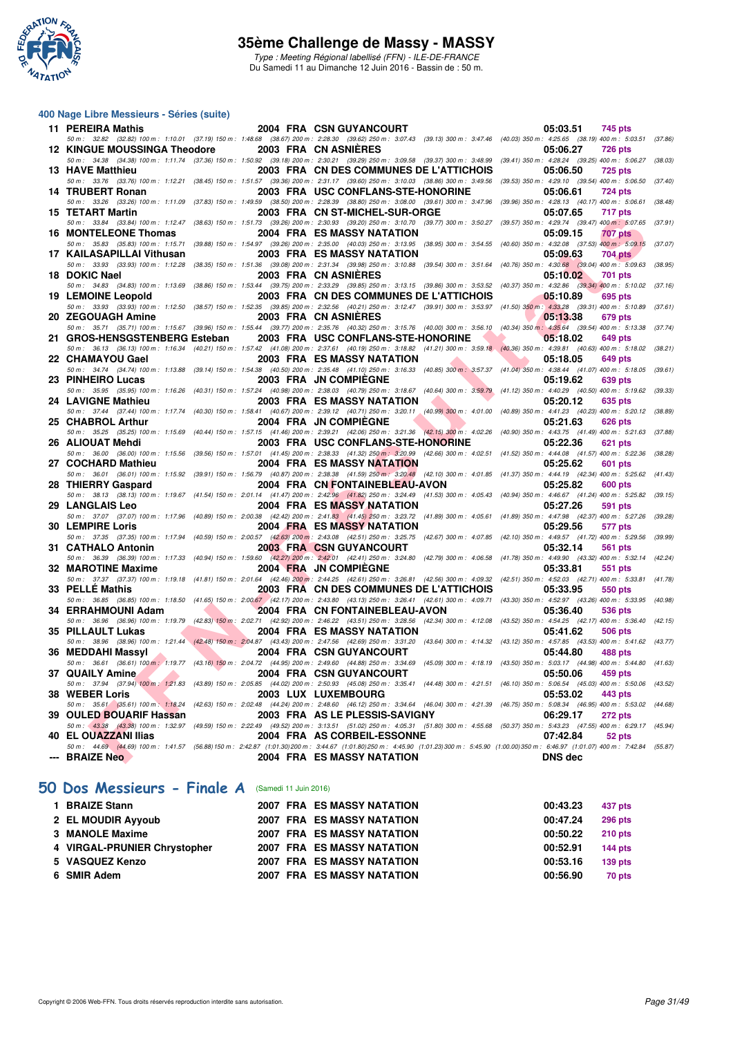

Type : Meeting Régional labellisé (FFN) - ILE-DE-FRANCE Du Samedi 11 au Dimanche 12 Juin 2016 - Bassin de : 50 m.

#### **400 Nage Libre Messieurs - Séries (suite)**

| 11 PEREIRA Mathis                   | 2004 FRA CSN GUYANCOURT                                                                                                                                                                        | 05:03.51<br>745 pts                                                                           |
|-------------------------------------|------------------------------------------------------------------------------------------------------------------------------------------------------------------------------------------------|-----------------------------------------------------------------------------------------------|
|                                     | 50 m: 32.82 (32.82) 100 m: 1:10.01 (37.19) 150 m: 1:48.68 (38.67) 200 m: 2:28.30 (39.62) 250 m: 3:07.43 (39.13) 300 m: 3:47.46 (40.03) 350 m: 4:25.65 (38.19) 400 m: 5:03.51 (37.86)           |                                                                                               |
| <b>12 KINGUE MOUSSINGA Theodore</b> | 2003 FRA CN ASNIERES                                                                                                                                                                           | 05:06.27<br><b>726 pts</b>                                                                    |
|                                     | 50 m: 34.38 (34.38) 100 m: 1:11.74 (37.36) 150 m: 1:50.92 (39.18) 200 m: 2:30.21 (39.29) 250 m: 3:09.58 (39.37) 300 m: 3:48.99 (39.41) 350 m: 4:28.24 (39.25) 400 m: 5:06.27 (38.03)           |                                                                                               |
| 13 HAVE Matthieu                    | 2003 FRA CN DES COMMUNES DE L'ATTICHOIS                                                                                                                                                        | 05:06.50<br><b>725 pts</b>                                                                    |
|                                     | 50 m: 33.76 (33.76) 100 m: 1:12.21 (38.45) 150 m: 1:51.57 (39.36) 200 m: 2:31.17 (39.60) 250 m: 3:10.03 (38.86) 300 m: 3:49.56                                                                 | $(39.53)$ 350 m : 4:29.10 $(39.54)$ 400 m : 5:06.50<br>(37.40)                                |
| 14 TRUBERT Ronan                    | 2003 FRA USC CONFLANS-STE-HONORINE                                                                                                                                                             | 05:06.61<br><b>724 pts</b>                                                                    |
|                                     | 50 m: 33.26 (33.26) 100 m: 1:11.09 (37.83) 150 m: 1:49.59 (38.50) 200 m: 2:28.39 (38.80) 250 m: 3:08.00 (39.61) 300 m: 3:47.96                                                                 | (39.96) 350 m: 4:28.13 (40.17) 400 m: 5:06.61 (38.48)                                         |
| 15 TETART Martin                    | 2003 FRA CN ST-MICHEL-SUR-ORGE                                                                                                                                                                 | 05:07.65<br>717 pts                                                                           |
|                                     | 50 m : 33.84 (33.84) 100 m : 1:12.47 (38.63) 150 m : 1:51.73 (39.26) 200 m : 2:30.93 (39.20) 250 m : 3:10.70 (39.77) 300 m : 3:50.27                                                           | (39.57) 350 m: 4:29.74 (39.47) 400 m: 5:07.65<br>(37.91)                                      |
| <b>16 MONTELEONE Thomas</b>         | <b>2004 FRA ES MASSY NATATION</b>                                                                                                                                                              | 05:09.15<br><b>707 pts</b>                                                                    |
|                                     | 50 m : 35.83 (35.83) 100 m : 1:15.71 (39.88) 150 m : 1:54.97 (39.26) 200 m : 2:35.00 (40.03) 250 m : 3:13.95 (38.95) 300 m : 3:54.55                                                           | $(40.60)$ 350 m : 4:32.08 $(37.53)$ 400 m : 5:09.15<br>(37.07)                                |
| 17 KAILASAPILLAI Vithusan           | 2003 FRA ES MASSY NATATION                                                                                                                                                                     | 05:09.63<br><b>704 pts</b>                                                                    |
| 18 DOKIC Nael                       | 50 m: 33.93 (33.93) 100 m: 1:12.28 (38.35) 150 m: 1:51.36 (39.08) 200 m: 2:31.34 (39.98) 250 m: 3:10.88 (39.54) 300 m: 3:51.64<br>2003 FRA CN ASNIERES                                         | $(40.76)$ 350 m : $4.30.68$ $(39.04)$ 400 m : 5:09.63 $(38.95)$<br>05:10.02<br><b>701 pts</b> |
|                                     | 50 m: 34.83 (34.83) 100 m: 1:13.69 (38.86) 150 m: 1:53.44 (39.75) 200 m: 2:33.29 (39.85) 250 m: 3:13.15 (39.86) 300 m: 3:53.52                                                                 | (40.37) 350 m : 4:32.86 (39.34) 400 m : 5:10.02 (37.16)                                       |
| 19 LEMOINE Leopold                  | 2003 FRA CN DES COMMUNES DE L'ATTICHOIS                                                                                                                                                        | 05:10.89<br>695 pts                                                                           |
|                                     | 50 m: 33.93 (33.93) 100 m: 1:12.50 (38.57) 150 m: 1:52.35 (39.85) 200 m: 2:32.56 (40.21) 250 m: 3:12.47 (39.91) 300 m: 3:53.97 (41.50) 350 m: 4:33.28 (39.31) 400 m: 5:10.89 (37.61)           |                                                                                               |
| 20 ZEGOUAGH Amine                   | 2003 FRA CN ASNIERES                                                                                                                                                                           | 05:13.38<br>679 pts                                                                           |
|                                     | 50 m: 35.71 (35.71) 100 m: 1:15.67 (39.96) 150 m: 1:55.44 (39.77) 200 m: 2:35.76 (40.32) 250 m: 3:15.76 (40.00) 300 m: 3:56.10 (40.34) 350 m: 4:35.64 (39.54) 400 m: 5:13.38                   | (37.74)                                                                                       |
| 21 GROS-HENSGSTENBERG Esteban       | 2003 FRA USC CONFLANS-STE-HONORINE                                                                                                                                                             | 05:18.02<br><b>649 pts</b>                                                                    |
|                                     | 50 m: 36.13 (36.13) 100 m: 1:16.34 (40.21) 150 m: 1:57.42 (41.08) 200 m: 2:37.61 (40.19) 250 m: 3:18.82 (41.21) 300 m: 3:59.18 (40.36) 350 m: 4:39.81 (40.63) 400 m: 5:18.02 (38.21)           |                                                                                               |
| 22 CHAMAYOU Gael                    | <b>2003 FRA ES MASSY NATATION</b>                                                                                                                                                              | 05:18.05<br><b>649 pts</b>                                                                    |
|                                     | 50 m: 34.74 (34.74) 100 m: 1:13.88 (39.14) 150 m: 1:54.38 (40.50) 200 m: 2:35.48 (41.10) 250 m: 3:16.33 (40.85) 300 m: 3:57.37 (41.04) 350 m: 4:38.44 (41.07) 400 m: 5:18.05                   | (39.61)                                                                                       |
| 23 PINHEIRO Lucas                   | 2003 FRA JN COMPIEGNE                                                                                                                                                                          | 05:19.62<br><b>639 pts</b>                                                                    |
|                                     | 50 m : 35.95 (35.95) 100 m : 1:16.26 (40.31) 150 m : 1:57.24 (40.98) 200 m : 2:38.03 (40.79) 250 m : 3:18.67 (40.64) 300 m : 3:59.79                                                           | $(41.12)$ 350 m : 4:40.29 $(40.50)$ 400 m : 5:19.62 $(39.33)$                                 |
| 24 LAVIGNE Mathieu                  | 2003 FRA ES MASSY NATATION                                                                                                                                                                     | 05:20.12<br><b>635 pts</b>                                                                    |
|                                     | 50 m: 37.44 (37.44) 100 m: 1:17.74 (40.30) 150 m: 1:58.41 (40.67) 200 m: 2:39.12 (40.71) 250 m: 3:20.11 (40.99) 300 m: 4:01.00                                                                 | (40.89) 350 m: 4:41.23 (40.23) 400 m: 5:20.12 (38.89)                                         |
| 25 CHABROL Arthur                   | 2004 FRA JN COMPIEGNE                                                                                                                                                                          | 05:21.63<br><b>626 pts</b>                                                                    |
|                                     | 50 m : 35.25 (35.25) 100 m : 1:15.69 (40.44) 150 m : 1:57.15 (41.46) 200 m : 2:39.21 (42.06) 250 m : 3:21.36 (42.15) 300 m : 4:02.26                                                           | (40.90) 350 m: 4:43.75 (41.49) 400 m: 5:21.63 (37.88)                                         |
| 26 ALIOUAT Mehdi                    | 2003 FRA USC CONFLANS-STE-HONORINE                                                                                                                                                             | 05:22.36<br><b>621 pts</b>                                                                    |
|                                     | 50 m: 36.00 (36.00) 100 m: 1:15.56 (39.56) 150 m: 1:57.01 (41.45) 200 m: 2:38.33 (41.32) 250 m: 3:20.99 (42.66) 300 m: 4:02.51                                                                 | $(41.52)$ 350 m : 4:44.08 $(41.57)$ 400 m : 5:22.36<br>(38.28)                                |
| 27 COCHARD Mathieu                  | <b>2004 FRA ES MASSY NATATION</b>                                                                                                                                                              | 05:25.62<br><b>601 pts</b>                                                                    |
|                                     | 50 m: 36.01 (36.01) 100 m: 1:15.92 (39.91) 150 m: 1:56.79 (40.87) 200 m: 2:38.38 (41.59) 250 m: 3:20.48 (42.10) 300 m: 4:01.85                                                                 | (41.37) 350 m: 4:44.19 (42.34) 400 m: 5:25.62 (41.43)                                         |
| 28 THIERRY Gaspard                  | 2004 FRA CN FONTAINEBLEAU-AVON                                                                                                                                                                 | 05:25.82<br><b>600 pts</b>                                                                    |
|                                     | 50 m: 38.13 (38.13) 100 m: 1:19.67 (41.54) 150 m: 2:01.14 (41.47) 200 m: 2:42.96 (41.82) 250 m: 3:24.49 (41.53) 300 m: 4:05.43 (40.94) 350 m: 4:46.67 (41.24) 400 m: 5:25.82 (39.15)           |                                                                                               |
| 29 LANGLAIS Leo                     | <b>2004 FRA ES MASSY NATATION</b>                                                                                                                                                              | 05:27.26<br>591 pts                                                                           |
|                                     | 50 m : 37.07 (37.07) 100 m : 1:17.96 (40.89) 150 m : 2:00.38 (42.42) 200 m : 2:41.83 (41.45) 250 m : 3:23.72 (41.89) 300 m : 4:05.61                                                           | (41.89) 350 m: 4:47.98 (42.37) 400 m: 5:27.26<br>(39.28)                                      |
| <b>30 LEMPIRE Loris</b>             | 2004 FRA ES MASSY NATATION                                                                                                                                                                     | 05:29.56<br>577 pts                                                                           |
|                                     | 50 m: 37.35 (37.35) 100 m: 1:17.94 (40.59) 150 m: 2:00.57 (42.63) 200 m: 2:43.08 (42.51) 250 m: 3:25.75 (42.67) 300 m: 4:07.85                                                                 | (42.10) 350 m: 4:49.57 (41.72) 400 m: 5:29.56 (39.99)                                         |
| 31 CATHALO Antonin                  | <b>2003 FRA CSN GUYANCOURT</b>                                                                                                                                                                 | 05:32.14<br>561 pts                                                                           |
|                                     | 50 m: 36.39 (36.39) 100 m: 1:17.33 (40.94) 150 m: 1:59.60 (42.27) 200 m: 2:42.01 (42.41) 250 m: 3:24.80 (42.79) 300 m: 4:06.58                                                                 | (41.78) 350 m: 4:49.90 (43.32) 400 m: 5:32.14 (42.24)                                         |
| 32 MAROTINE Maxime                  | 2004 FRA JN COMPIEGNE<br>50 m: 37.37 (37.37) 100 m: 1:19.18 (41.81) 150 m: 2:01.64 (42.46) 200 m: 2:44.25 (42.61) 250 m: 3:26.81 (42.56) 300 m: 4:09.32                                        | 05:33.81<br>551 pts<br>(42.51) 350 m: 4:52.03 (42.71) 400 m: 5:33.81 (41.78)                  |
| 33 PELLE Mathis                     | 2003 FRA CN DES COMMUNES DE L'ATTICHOIS                                                                                                                                                        | 05:33.95<br><b>550 pts</b>                                                                    |
|                                     | 50 m: 36.85 (36.85) 100 m: 1:18.50 (41.65) 150 m: 2:00.67 (42.17) 200 m: 2:43.80 (43.13) 250 m: 3:26.41 (42.61) 300 m: 4:09.71 (43.30) 350 m: 4:52.97 (43.26) 400 m: 5:33.95                   | (40.98)                                                                                       |
| 34 ERRAHMOUNI Adam                  | 2004 FRA CN FONTAINEBLEAU-AVON                                                                                                                                                                 | 05:36.40<br><b>536 pts</b>                                                                    |
|                                     | 50 m: 36.96 (36.96) 100 m: 1:19.79 (42.83) 150 m: 2:02.71 (42.92) 200 m: 2:46.22 (43.51) 250 m: 3:28.56 (42.34) 300 m: 4:12.08                                                                 | (43.52) 350 m: 4:54.25 (42.17) 400 m: 5:36.40 (42.15)                                         |
| 35 PILLAULT Lukas                   | <b>2004 FRA ES MASSY NATATION</b>                                                                                                                                                              | 05:41.62<br><b>506 pts</b>                                                                    |
|                                     | 50 m: 38.96 (38.96) 100 m: 1:21.44 (42.48) 150 m: 2:04.87 (43.43) 200 m: 2:47.56 (42.69) 250 m: 3:31.20 (43.64) 300 m: 4:14.32                                                                 | (43.12) 350 m: 4:57.85 (43.53) 400 m: 5:41.62 (43.77)                                         |
| 36 MEDDAHI Massyl                   | 2004 FRA CSN GUYANCOURT                                                                                                                                                                        | 05:44.80<br><b>488 pts</b>                                                                    |
|                                     | 50 m: 36.61 (36.61) 100 m: 1:19.77 (43.16) 150 m: 2:04.72 (44.95) 200 m: 2:49.60 (44.88) 250 m: 3:34.69 (45.09) 300 m: 4:18.19                                                                 | (43.50) 350 m: 5:03.17 (44.98) 400 m: 5:44.80 (41.63)                                         |
| 37 QUAILY Amine                     | 2004 FRA CSN GUYANCOURT                                                                                                                                                                        | 05:50.06<br><b>459 pts</b>                                                                    |
|                                     | 50 m : 37.94 (37.94) 100 m : 1:21.83 (43.89) 150 m : 2:05.85 (44.02) 200 m : 2:50.93 (45.08) 250 m : 3:35.41 (44.48) 300 m : 4:21.51                                                           | (46.10) 350 m : 5:06.54 (45.03) 400 m : 5:50.06 (43.52)                                       |
| 38 WEBER Loris                      | 2003 LUX LUXEMBOURG                                                                                                                                                                            | 05:53.02<br>443 pts                                                                           |
|                                     | 50 m: 35.61 (35.61) 100 m: 1:18.24 (42.63) 150 m: 2:02.48 (44.24) 200 m: 2:48.60 (46.12) 250 m: 3:34.64 (46.04) 300 m: 4:21.39                                                                 | (46.75) 350 m : 5:08.34 (46.95) 400 m : 5:53.02 (44.68)                                       |
| 39 OULED BOUARIF Hassan             | 2003 FRA AS LE PLESSIS-SAVIGNY                                                                                                                                                                 | 06:29.17<br>272 pts                                                                           |
|                                     | 50 m: 43.38 (43.38) 100 m: 1:32.97 (49.59) 150 m: 2:22.49 (49.52) 200 m: 3:13.51 (51.02) 250 m: 4:05.31 (51.80) 300 m: 4:55.68 (50.37) 350 m: 5:43.23 (47.55) 400 m: 6:29.17 (45.94)           |                                                                                               |
| 40 EL OUAZZANI Ilias                | 2004 FRA AS CORBEIL-ESSONNE                                                                                                                                                                    | 07:42.84<br>52 pts                                                                            |
|                                     | 50 m: 44.69 (44.69) 100 m: 1:41.57 (56.88) 150 m: 2:42.87 (1:01.30) 200 m: 3:44.67 (1:01.80) 250 m: 4:45.90 (1:01.23) 300 m: 5:45.90 (1:00.00) 350 m: 6:46.97 (1:01.07) 400 m: 7:42.84 (55.87) |                                                                                               |
| --- BRAIZE Neo                      | 2004 FRA ES MASSY NATATION                                                                                                                                                                     | <b>DNS dec</b>                                                                                |

### **[50 Dos Messieurs - Finale A](http://www.ffnatation.fr/webffn/resultats.php?idact=nat&go=epr&idcpt=38069&idepr=61)** (Samedi 11 Juin 2016)

| 1 BRAIZE Stann               |  | 2007 FRA ES MASSY NATATION        | 00:43.23 | 437 pts        |
|------------------------------|--|-----------------------------------|----------|----------------|
| 2 EL MOUDIR Ayyoub           |  | 2007 FRA ES MASSY NATATION        | 00:47.24 | <b>296 pts</b> |
| 3 MANOLE Maxime              |  | 2007 FRA ES MASSY NATATION        | 00:50.22 | <b>210 pts</b> |
| 4 VIRGAL-PRUNIER Chrystopher |  | <b>2007 FRA ES MASSY NATATION</b> | 00:52.91 | $144$ pts      |
| 5 VASQUEZ Kenzo              |  | 2007 FRA ES MASSY NATATION        | 00:53.16 | $139$ pts      |
| 6 SMIR Adem                  |  | 2007 FRA ES MASSY NATATION        | 00:56.90 | 70 pts         |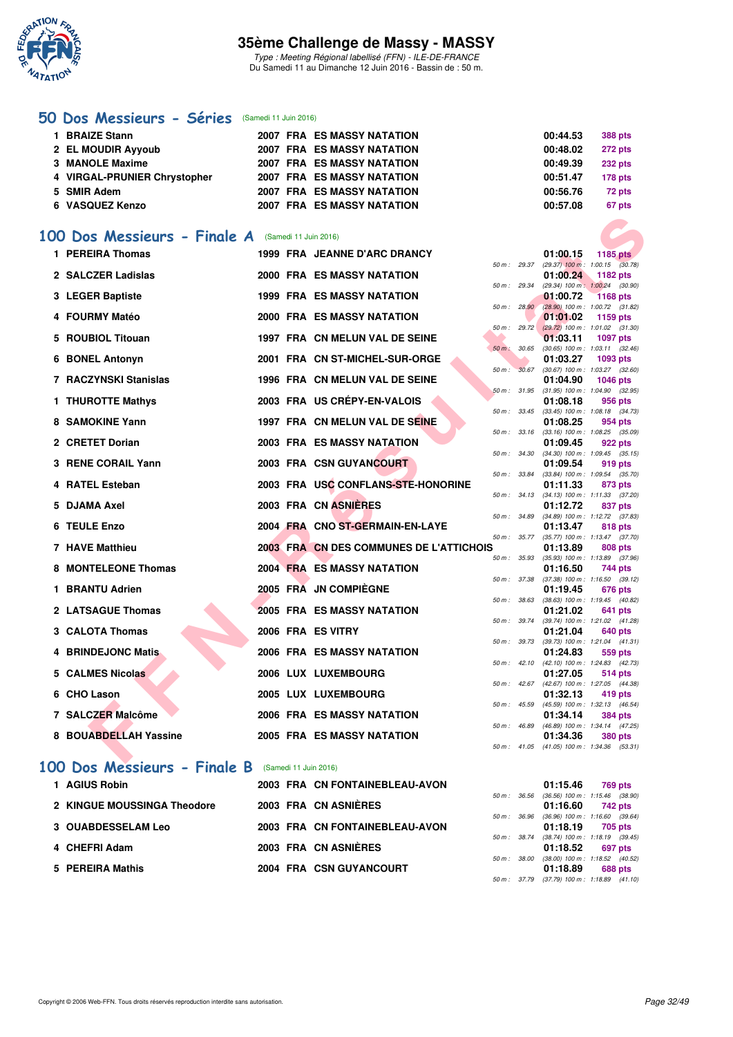

Type : Meeting Régional labellisé (FFN) - ILE-DE-FRANCE Du Samedi 11 au Dimanche 12 Juin 2016 - Bassin de : 50 m.

### **[50 Dos Messieurs - Séries](http://www.ffnatation.fr/webffn/resultats.php?idact=nat&go=epr&idcpt=38069&idepr=61)** (Samedi 11 Juin 2016)

| 1 BRAIZE Stann               |  | 2007 FRA ES MASSY NATATION        | 00:44.53 | <b>388 pts</b> |
|------------------------------|--|-----------------------------------|----------|----------------|
| 2 EL MOUDIR Ayyoub           |  | <b>2007 FRA ES MASSY NATATION</b> | 00:48.02 | <b>272 pts</b> |
| 3 MANOLE Maxime              |  | <b>2007 FRA ES MASSY NATATION</b> | 00:49.39 | <b>232 pts</b> |
| 4 VIRGAL-PRUNIER Chrystopher |  | <b>2007 FRA ES MASSY NATATION</b> | 00:51.47 | $178$ pts      |
| 5 SMIR Adem                  |  | <b>2007 FRA ES MASSY NATATION</b> | 00:56.76 | 72 pts         |
| <b>6 VASQUEZ Kenzo</b>       |  | <b>2007 FRA ES MASSY NATATION</b> | 00:57.08 | 67 pts         |

### **[100 Dos Messieurs - Finale A](http://www.ffnatation.fr/webffn/resultats.php?idact=nat&go=epr&idcpt=38069&idepr=62)** (Samedi 11 Juin 2016)

| 1 PEREIRA Thomas              | 1999 FRA JEANNE D'ARC DRANCY            |        |                  | 01:00.15 |                                                       |
|-------------------------------|-----------------------------------------|--------|------------------|----------|-------------------------------------------------------|
|                               |                                         |        | 50 m: 29.37      |          | 1185 pts<br>$(29.37)$ 100 m : 1:00.15 $(30.78)$       |
| 2 SALCZER Ladislas            | <b>2000 FRA ES MASSY NATATION</b>       |        |                  | 01:00.24 | 1182 pts                                              |
|                               |                                         |        | 50 m : 29.34     |          | (29.34) 100 m: 1:00.24 (30.90)                        |
| 3 LEGER Baptiste              | <b>1999 FRA ES MASSY NATATION</b>       |        |                  | 01:00.72 | <b>1168 pts</b>                                       |
| <b>FOURMY Matéo</b>           | 2000 FRA ES MASSY NATATION              |        | 50 m: 28.90      | 01:01.02 | $(28.90)$ 100 m : 1:00.72 (31.82)<br>1159 pts         |
|                               |                                         |        | 50 m: 29.72      |          | $(29.72)$ 100 m : 1:01.02 $(31.30)$                   |
| 5 ROUBIOL Titouan             | 1997 FRA CN MELUN VAL DE SEINE          |        |                  | 01:03.11 | <b>1097 pts</b>                                       |
|                               |                                         |        | 50 m : 30.65     |          | $(30.65)$ 100 m : 1:03.11 $(32.46)$                   |
| <b>BONEL Antonyn</b><br>6     | 2001 FRA CN ST-MICHEL-SUR-ORGE          | 50 m : | 30.67            | 01:03.27 | 1093 pts<br>$(30.67)$ 100 m : 1:03.27 $(32.60)$       |
| <b>7 RACZYNSKI Stanislas</b>  | 1996 FRA CN MELUN VAL DE SEINE          |        |                  | 01:04.90 | <b>1046 pts</b>                                       |
|                               |                                         |        | 50 m : 31.95     |          | $(31.95)$ 100 m : 1:04.90 $(32.95)$                   |
| 1 THUROTTE Mathys             | 2003 FRA US CREPY-EN-VALOIS             |        |                  | 01:08.18 | 956 pts                                               |
|                               |                                         |        | $50 m$ : $33.45$ |          | $(33.45)$ 100 m : 1:08.18 $(34.73)$                   |
| 8 SAMOKINE Yann               | 1997 FRA CN MELUN VAL DE SEINE          |        | 50 m : 33.16     | 01:08.25 | 954 pts<br>$(33.16)$ 100 m : 1:08.25 $(35.09)$        |
| 2 CRETET Dorian               | 2003 FRA ES MASSY NATATION              |        |                  | 01:09.45 | 922 pts                                               |
|                               |                                         |        | 50 m : 34.30     |          | $(34.30)$ 100 m : 1:09.45 $(35.15)$                   |
| 3 RENE CORAIL Yann            | 2003 FRA CSN GUYANCOURT                 |        |                  | 01:09.54 | 919 pts                                               |
|                               | 2003 FRA USC CONFLANS-STE-HONORINE      |        | 50 m : 33.84     |          | (33.84) 100 m : 1:09.54 (35.70)                       |
| 4 RATEL Esteban               |                                         |        | 50 m : 34.13     | 01:11.33 | 873 pts<br>$(34.13)$ 100 m : 1:11.33 $(37.20)$        |
| 5 DJAMA Axel                  | 2003 FRA CN ASNIERES                    |        |                  | 01:12.72 | 837 pts                                               |
|                               |                                         |        | 50 m : 34.89     |          | $(34.89)$ 100 m : 1:12.72 $(37.83)$                   |
| <b>TEULE Enzo</b><br>6.       | 2004 FRA CNO ST-GERMAIN-EN-LAYE         |        |                  | 01:13.47 | 818 pts                                               |
| 7 HAVE Matthieu               | 2003 FRA CN DES COMMUNES DE L'ATTICHOIS |        | 50 m : 35.77     | 01:13.89 | (35.77) 100 m: 1:13.47 (37.70)<br>808 pts             |
|                               |                                         |        | 50 m : 35.93     |          | (35.93) 100 m: 1:13.89 (37.96)                        |
| <b>MONTELEONE Thomas</b><br>8 | <b>2004 FRA ES MASSY NATATION</b>       |        |                  | 01:16.50 | 744 pts                                               |
|                               |                                         |        | 50 m: 37.38      |          | $(37.38)$ 100 m : 1:16.50 $(39.12)$                   |
| <b>BRANTU Adrien</b><br>1.    | 2005 FRA JN COMPIÈGNE                   |        |                  | 01:19.45 | 676 pts                                               |
| 2 LATSAGUE Thomas             | <b>2005 FRA ES MASSY NATATION</b>       |        | 50 m: 38.63      | 01:21.02 | (38.63) 100 m: 1:19.45 (40.82)<br>641 pts             |
|                               |                                         |        | 50 m: 39.74      |          | (39.74) 100 m: 1:21.02 (41.28)                        |
| 3 CALOTA Thomas               | 2006 FRA ES VITRY                       |        |                  | 01:21.04 | 640 pts                                               |
|                               |                                         |        | 50 m : 39.73     |          | (39.73) 100 m: 1:21.04 (41.31)                        |
| <b>BRINDEJONC Matis</b><br>4  | <b>2006 FRA ES MASSY NATATION</b>       |        |                  | 01:24.83 | 559 pts<br>50 m: 42.10 (42.10) 100 m: 1:24.83 (42.73) |
| 5 CALMES Nicolas              | 2006 LUX LUXEMBOURG                     |        |                  | 01:27.05 | 514 pts                                               |
|                               |                                         |        | $50 m$ : 42.67   |          | (42.67) 100 m: 1:27.05 (44.38)                        |
| 6 CHO Lason                   | 2005 LUX LUXEMBOURG                     |        |                  | 01:32.13 | 419 pts                                               |
|                               |                                         |        | 50 m: 45.59      |          | (45.59) 100 m : 1:32.13 (46.54)                       |
| 7 SALCZER Malcôme             | 2006 FRA ES MASSY NATATION              |        | $50 m$ : 46.89   | 01:34.14 | 384 pts<br>(46.89) 100 m: 1:34.14 (47.25)             |
| 8 BOUABDELLAH Yassine         | 2005 FRA ES MASSY NATATION              |        |                  | 01:34.36 | <b>380 pts</b>                                        |
|                               |                                         |        |                  |          | 50 m: 41.05 (41.05) 100 m: 1:34.36 (53.31)            |

### **[100 Dos Messieurs - Finale B](http://www.ffnatation.fr/webffn/resultats.php?idact=nat&go=epr&idcpt=38069&idepr=62)** (Samedi 11 Juin 2016)

| 1 AGIUS Robin               | 2003 FRA CN FONTAINEBLEAU-AVON |  | 01:15.46                                            | 769 pts        |
|-----------------------------|--------------------------------|--|-----------------------------------------------------|----------------|
| 2 KINGUE MOUSSINGA Theodore | 2003 FRA CN ASNIÈRES           |  | 50 m: 36.56 (36.56) 100 m: 1:15.46 (38.<br>01:16.60 | 742 pts        |
| <b>3 OUABDESSELAM Leo</b>   | 2003 FRA CN FONTAINEBLEAU-AVON |  | 50 m: 36.96 (36.96) 100 m: 1:16.60 (39.<br>01:18.19 | 705 pts        |
|                             |                                |  | 50 m: 38.74 (38.74) 100 m: 1:18.19 (39.             |                |
| 4 CHEFRI Adam               | 2003 FRA CN ASNIÈRES           |  | 01:18.52<br>50 m: 38.00 (38.00) 100 m: 1:18.52 (40. | 697 pts        |
| 5 PEREIRA Mathis            | 2004 FRA CSN GUYANCOURT        |  | 01:18.89                                            | <b>688 pts</b> |

|              |              | 01:15.46 769 pts |                                     |
|--------------|--------------|------------------|-------------------------------------|
|              | 50 m : 36.56 |                  | $(36.56)$ 100 m : 1:15.46 $(38.90)$ |
|              |              | 01:16.60 742 pts |                                     |
|              | 50 m : 36.96 |                  | $(36.96)$ 100 m : 1:16.60 $(39.64)$ |
|              |              | 01:18.19 705 pts |                                     |
|              | 50 m : 38.74 |                  | $(38.74)$ 100 m : 1:18.19 $(39.45)$ |
|              |              | 01:18.52 697 pts |                                     |
| 50 m : 38.00 |              |                  | (38.00) 100 m: 1:18.52 (40.52)      |
|              |              | 01:18.89 688 pts |                                     |
|              | 50 m : 37.79 |                  | $(37.79)$ 100 m : 1:18.89 $(41.10)$ |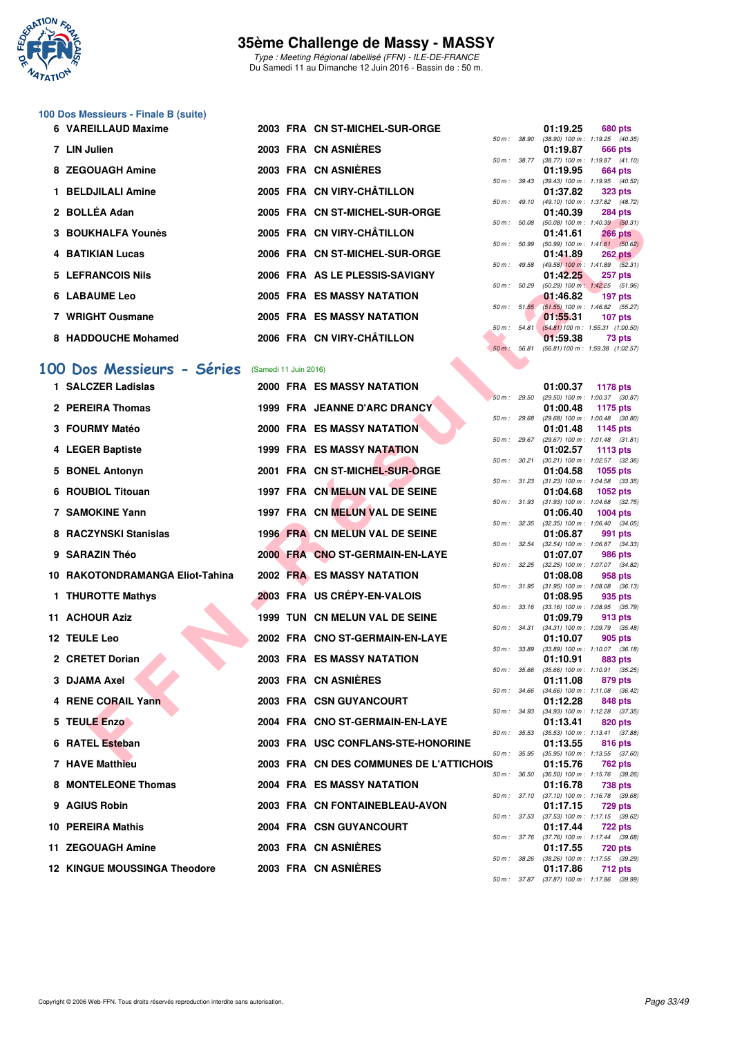

Type : Meeting Régional labellisé (FFN) - ILE-DE-FRANCE Du Samedi 11 au Dimanche 12 Juin 2016 - Bassin de : 50 m.

### **100 Dos Messieurs - Finale B (suite)**

| 6 VAREILLAUD Maxime  |  | 2003 FRA CN ST-MICHEL-SUR-ORGE |             |              | 01:19.25                            | 680 pts        |
|----------------------|--|--------------------------------|-------------|--------------|-------------------------------------|----------------|
|                      |  |                                |             | 50 m : 38.90 | (38.90) 100 m: 1:19.25 (40.35       |                |
| 7 LIN Julien         |  | 2003 FRA CN ASNIÈRES           |             |              | 01:19.87                            | 666 pts        |
|                      |  |                                |             | 50 m: 38.77  | (38.77) 100 m: 1:19.87 (41.10       |                |
| 8 ZEGOUAGH Amine     |  | 2003 FRA CN ASNIÈRES           |             |              | 01:19.95                            | 664 pts        |
|                      |  |                                | 50 m: 39.43 |              | (39.43) 100 m: 1:19.95 (40.52)      |                |
| 1 BELDJILALI Amine   |  | 2005 FRA CN VIRY-CHÂTILLON     |             |              | 01:37.82                            | 323 pts        |
|                      |  |                                |             | 50 m: 49.10  | (49.10) 100 m: 1:37.82 (48.72)      |                |
| 2 BOLLÉA Adan        |  | 2005 FRA CN ST-MICHEL-SUR-ORGE |             |              | 01:40.39                            | 284 pts        |
|                      |  |                                | 50 m: 50.08 |              | (50.08) 100 m: 1:40.39 (50.31       |                |
| 3 BOUKHALFA Younès   |  | 2005 FRA CN VIRY-CHÂTILLON     |             |              | 01:41.61                            | <b>266 pts</b> |
|                      |  |                                | 50 m: 50.99 |              | (50.99) 100 m : 1:41.61 (50.62      |                |
| 4 BATIKIAN Lucas     |  | 2006 FRA CN ST-MICHEL-SUR-ORGE |             |              | 01:41.89                            | $262$ pts      |
|                      |  |                                |             | 50 m: 49.58  | $(49.58)$ 100 m : 1:41.89 $(52.31)$ |                |
| 5 LEFRANCOIS Nils    |  | 2006 FRA AS LE PLESSIS-SAVIGNY |             |              | 01:42.25                            | <b>257 pts</b> |
|                      |  |                                | 50 m: 50.29 |              | (50.29) 100 m: 1:42.25 (51.96)      |                |
| <b>6 LABAUME Leo</b> |  | 2005 FRA ES MASSY NATATION     |             |              | 01:46.82                            | 197 pts        |
|                      |  |                                |             | 50 m: 51.55  | (51.55) 100 m: 1:46.82 (55.27)      |                |
| 7 WRIGHT Ousmane     |  | 2005 FRA ES MASSY NATATION     |             |              | 01:55.31                            | 107 pts        |
|                      |  |                                |             | 50 m: 54.81  | (54.81) 100 m: 1:55.31 (1:00.50)    |                |
| 8 HADDOUCHE Mohamed  |  | 2006 FRA CN VIRY-CHÂTILLON     |             |              | 01:59.38                            | 73 pts         |

#### **[100 Dos Messieurs - Séries](http://www.ffnatation.fr/webffn/resultats.php?idact=nat&go=epr&idcpt=38069&idepr=62)** (Samedi 11 Juin 2016)

|                                     |                       | <b>UN STRINGHEL-SUR-URGE</b>            |                  |                  | U I .40.JJ | בט דיטב                                                      |
|-------------------------------------|-----------------------|-----------------------------------------|------------------|------------------|------------|--------------------------------------------------------------|
| <b>3 BOUKHALFA Younès</b>           |                       | 2005 FRA CN VIRY-CHÂTILLON              | 50 m : 50.08     |                  | 01:41.61   | $(50.08)$ 100 m : 1:40.39 $(50.31)$<br><b>266 pts</b>        |
| <b>4 BATIKIAN Lucas</b>             |                       | 2006 FRA CN ST-MICHEL-SUR-ORGE          | 50 m: 50.99      |                  | 01:41.89   | $(50.99)$ 100 m : 1:41.61 $(50.62)$<br><b>262 pts</b>        |
| <b>5 LEFRANCOIS Nils</b>            |                       | 2006 FRA AS LE PLESSIS-SAVIGNY          |                  | 50 m : 49.58     |            | $(49.58)$ 100 m : 1:41.89 $(52.31)$                          |
|                                     |                       |                                         | 50 m: 50.29      |                  | 01:42.25   | 257 pts<br>(50.29) 100 m: 1:42.25 (51.96)                    |
| 6 LABAUME Leo                       |                       | 2005 FRA ES MASSY NATATION              |                  |                  | 01:46.82   | 197 pts<br>50 m: 51.55 (51.55) 100 m: 1:46.82 (55.27)        |
| 7 WRIGHT Ousmane                    |                       | 2005 FRA ES MASSY NATATION              |                  |                  | 01:55.31   | 107 pts                                                      |
| 8 HADDOUCHE Mohamed                 |                       | 2006 FRA CN VIRY-CHÂTILLON              |                  | $50 m$ : $54.81$ | 01:59.38   | $(54.81) 100 \text{ m}$ : 1:55.31 (1:00.50)<br>73 pts        |
|                                     |                       |                                         | $50 m$ : $56.81$ |                  |            | (56.81) 100 m: 1:59.38 (1:02.57)                             |
| 00 Dos Messieurs - Séries           | (Samedi 11 Juin 2016) |                                         |                  |                  |            |                                                              |
| 1 SALCZER Ladislas                  |                       | 2000 FRA ES MASSY NATATION              |                  |                  | 01:00.37   | 1178 pts                                                     |
| 2 PEREIRA Thomas                    |                       | 1999 FRA JEANNE D'ARC DRANCY            | 50 m: 29.50      |                  | 01:00.48   | $(29.50)$ 100 m : 1:00.37 $(30.87)$<br>1175 pts              |
| 3 FOURMY Matéo                      |                       | 2000 FRA ES MASSY NATATION              | 50 m: 29.68      |                  | 01:01.48   | $(29.68)$ 100 m : 1:00.48 $(30.80)$<br>1145 pts              |
|                                     |                       |                                         | 50 m : 29.67     |                  |            | $(29.67)$ 100 m : 1:01.48 $(31.81)$                          |
| 4 LEGER Baptiste                    |                       | <b>1999 FRA ES MASSY NATATION</b>       |                  | 50 m : 30.21     | 01:02.57   | 1113 pts<br>$(30.21)$ 100 m : 1:02.57 $(32.36)$              |
| 5 BONEL Antonyn                     |                       | 2001 FRA CN ST-MICHEL-SUR-ORGE          |                  |                  | 01:04.58   | 1055 pts                                                     |
| 6 ROUBIOL Titouan                   |                       | 1997 FRA CN MELUN VAL DE SEINE          |                  |                  | 01:04.68   | 50 m: 31.23 (31.23) 100 m: 1:04.58 (33.35)<br>1052 pts       |
|                                     |                       |                                         |                  |                  |            | 50 m: 31.93 (31.93) 100 m: 1:04.68 (32.75)                   |
| <b>7 SAMOKINE Yann</b>              |                       | 1997 FRA CN MELUN VAL DE SEINE          | 50 m: 32.35      |                  | 01:06.40   | <b>1004 pts</b><br>$(32.35)$ 100 m : 1:06.40 $(34.05)$       |
| 8 RACZYNSKI Stanislas               |                       | 1996 FRA CN MELUN VAL DE SEINE          |                  |                  | 01:06.87   | 991 pts                                                      |
| 9 SARAZIN Théo                      |                       | 2000 FRA CNO ST-GERMAIN-EN-LAYE         | 50 m: 32.54      |                  | 01:07.07   | $(32.54)$ 100 m : 1:06.87 $(34.33)$<br>986 pts               |
| 10 RAKOTONDRAMANGA Eliot-Tahina     |                       | 2002 FRA ES MASSY NATATION              | 50 m: 32.25      |                  | 01:08.08   | (32.25) 100 m: 1:07.07 (34.82)<br>958 pts                    |
|                                     |                       |                                         |                  | 50 m : 31.95     |            | $(31.95)$ 100 m : 1:08.08 $(36.13)$                          |
| 1 THUROTTE Mathys                   |                       | 2003 FRA US CRÉPY-EN-VALOIS             |                  |                  | 01:08.95   | 935 pts<br>50 m: 33.16 (33.16) 100 m: 1:08.95 (35.79)        |
| 11 ACHOUR Aziz                      |                       | 1999 TUN CN MELUN VAL DE SEINE          |                  |                  | 01:09.79   | 913 pts                                                      |
| 12 TEULE Leo                        |                       | 2002 FRA CNO ST-GERMAIN-EN-LAYE         |                  | 50 m : 34.31     | 01:10.07   | $(34.31)$ 100 m : 1:09.79 $(35.48)$<br>905 pts               |
|                                     |                       |                                         |                  | 50 m : 33.89     |            | $(33.89)$ 100 m : 1:10.07 $(36.18)$                          |
| 2 CRETET Dorian                     |                       | <b>2003 FRA ES MASSY NATATION</b>       | 50 m : 35.66     |                  | 01:10.91   | 883 pts<br>$(35.66)$ 100 m : 1:10.91 $(35.25)$               |
| 3 DJAMA Axel                        |                       | 2003 FRA CN ASNIERES                    |                  |                  | 01:11.08   | 879 pts                                                      |
| 4 RENE CORAIL Yann                  |                       | 2003 FRA CSN GUYANCOURT                 |                  | 50 m : 34.66     | 01:12.28   | $(34.66)$ 100 m : 1:11.08 $(36.42)$<br>848 pts               |
| 5 TEULE Enzo                        |                       | 2004 FRA CNO ST-GERMAIN-EN-LAYE         |                  |                  | 01:13.41   | 50 m: 34.93 (34.93) 100 m: 1:12.28 (37.35)<br>820 pts        |
|                                     |                       |                                         | 50 m : 35.53     |                  |            | $(35.53)$ 100 m : 1:13.41 $(37.88)$                          |
| 6 RATEL Esteban                     |                       | 2003 FRA USC CONFLANS-STE-HONORINE      |                  |                  | 01:13.55   | 816 pts<br>50 m: 35.95 (35.95) 100 m: 1:13.55 (37.60)        |
| 7 HAVE Matthieu                     |                       | 2003 FRA CN DES COMMUNES DE L'ATTICHOIS |                  |                  | 01:15.76   | <b>762 pts</b>                                               |
| 8 MONTELEONE Thomas                 |                       | <b>2004 FRA ES MASSY NATATION</b>       |                  |                  | 01:16.78   | 50 m: 36.50 (36.50) 100 m: 1:15.76 (39.26)<br>738 pts        |
|                                     |                       |                                         |                  |                  |            | 50 m: 37.10 (37.10) 100 m: 1:16.78 (39.68)                   |
| 9 AGIUS Robin                       |                       | 2003 FRA CN FONTAINEBLEAU-AVON          |                  |                  | 01:17.15   | 729 pts<br>50 m: 37.53 (37.53) 100 m: 1:17.15 (39.62)        |
| 10 PEREIRA Mathis                   |                       | 2004 FRA CSN GUYANCOURT                 |                  |                  | 01:17.44   | <b>722 pts</b><br>50 m: 37.76 (37.76) 100 m: 1:17.44 (39.68) |
| 11 ZEGOUAGH Amine                   |                       | 2003 FRA CN ASNIERES                    |                  |                  | 01:17.55   | 720 pts                                                      |
| <b>12 KINGUE MOUSSINGA Theodore</b> |                       | 2003 FRA CN ASNIÈRES                    |                  |                  | 01:17.86   | 50 m: 38.26 (38.26) 100 m: 1:17.55 (39.29)<br>712 pts        |
|                                     |                       |                                         |                  |                  |            | 50 m: 37.87 (37.87) 100 m: 1:17.86 (39.99)                   |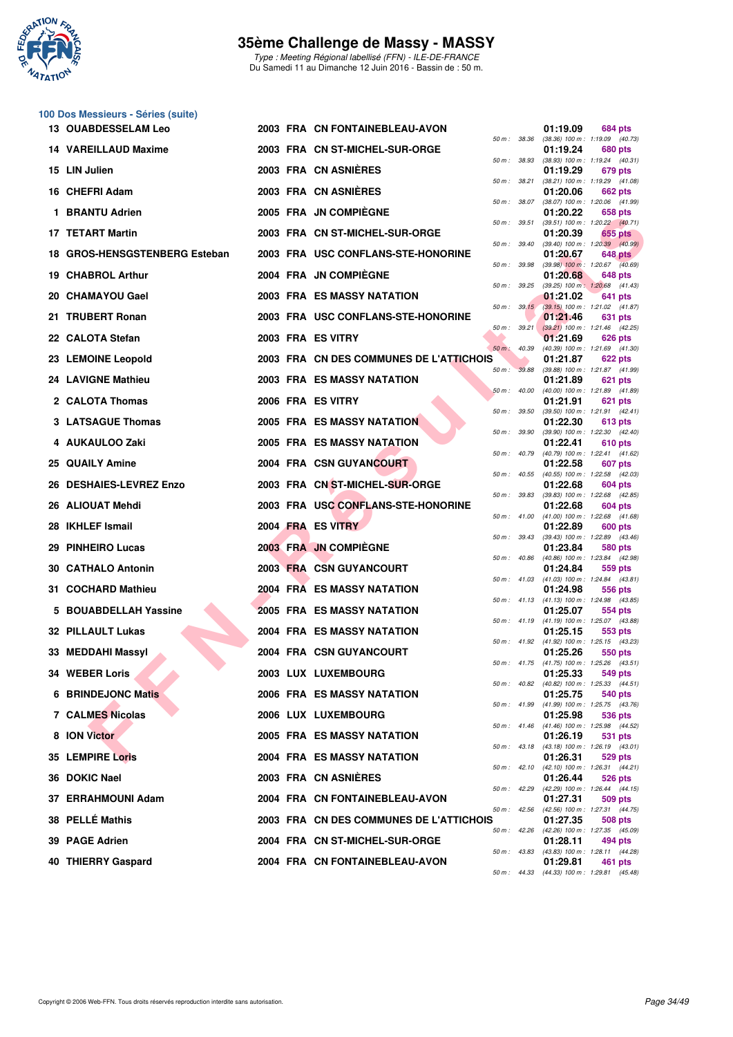

**100 Dos Messieurs - Séries (suite)**

## **35ème Challenge de Massy - MASSY**

Type : Meeting Régional labellisé (FFN) - ILE-DE-FRANCE Du Samedi 11 au Dimanche 12 Juin 2016 - Bassin de : 50 m.

|     | 13 OUABDESSELAM Leo           |  | 2003 FRA CN FONTAINEBLEAU-AVON          |                  |                  | 01:19.09                                                                          | 684 pts        |  |
|-----|-------------------------------|--|-----------------------------------------|------------------|------------------|-----------------------------------------------------------------------------------|----------------|--|
|     | 14 VAREILLAUD Maxime          |  | 2003 FRA CN ST-MICHEL-SUR-ORGE          | 50 m : 38.36     |                  | (38.36) 100 m: 1:19.09 (40.73)<br>01:19.24                                        | 680 pts        |  |
|     | 15 LIN Julien                 |  | 2003 FRA CN ASNIERES                    | 50 m: 38.93      |                  | (38.93) 100 m: 1:19.24 (40.31)<br>01:19.29                                        | 679 pts        |  |
|     | 16 CHEFRI Adam                |  | 2003 FRA CN ASNIERES                    | 50 m: 38.21      |                  | (38.21) 100 m: 1:19.29 (41.08)<br>01:20.06                                        | <b>662 pts</b> |  |
| 1.  | <b>BRANTU Adrien</b>          |  | 2005 FRA JN COMPIÈGNE                   | 50 m : 38.07     |                  | (38.07) 100 m: 1:20.06 (41.99)<br>01:20.22                                        | 658 pts        |  |
|     | <b>17 TETART Martin</b>       |  | 2003 FRA CN ST-MICHEL-SUR-ORGE          | 50 m: 39.51      |                  | $(39.51)$ 100 m : 1:20.22 $(40.71)$<br>01:20.39                                   | 655 pts        |  |
|     | 18 GROS-HENSGSTENBERG Esteban |  | 2003 FRA USC CONFLANS-STE-HONORINE      | 50 m: 39.40      |                  | $(39.40)$ 100 m : 1:20.39 $(40.99)$<br>01:20.67                                   | <b>648 pts</b> |  |
| 19. | <b>CHABROL Arthur</b>         |  | 2004 FRA JN COMPIÈGNE                   | 50 m : 39.98     |                  | $(39.98)$ 100 m : 1:20.67 $(40.69)$<br>01:20.68                                   | 648 pts        |  |
|     | 20 CHAMAYOU Gael              |  | <b>2003 FRA ES MASSY NATATION</b>       | 50 m : 39.25     | 50 m: 39.15      | $(39.25)$ 100 m : 1:20.68 $(41.43)$<br>01:21.02                                   | 641 pts        |  |
|     | 21 TRUBERT Ronan              |  | 2003 FRA USC CONFLANS-STE-HONORINE      |                  |                  | $(39.15)$ 100 m : 1:21.02 $(41.87)$<br>01:21.46                                   | 631 pts        |  |
|     | 22 CALOTA Stefan              |  | 2003 FRA ES VITRY                       | 50 m : 40.39     | 50 m: 39.21      | $(39.21)$ 100 m : 1:21.46 $(42.25)$<br>01:21.69<br>(40.39) 100 m: 1:21.69 (41.30) | 626 pts        |  |
|     | 23 LEMOINE Leopold            |  | 2003 FRA CN DES COMMUNES DE L'ATTICHOIS | 50 m: 39.88      |                  | 01:21.87                                                                          | 622 pts        |  |
|     | 24 LAVIGNE Mathieu            |  | <b>2003 FRA ES MASSY NATATION</b>       | $50 m$ : $40.00$ |                  | (39.88) 100 m: 1:21.87 (41.99)<br>01:21.89                                        | 621 pts        |  |
|     | 2 CALOTA Thomas               |  | 2006 FRA ES VITRY                       | 50 m: 39.50      |                  | (40.00) 100 m: 1:21.89 (41.89)<br>01:21.91<br>$(39.50)$ 100 m : 1:21.91 $(42.41)$ | 621 pts        |  |
|     | 3 LATSAGUE Thomas             |  | <b>2005 FRA ES MASSY NATATION</b>       | 50 m: 39.90      |                  | 01:22.30<br>$(39.90)$ 100 m : 1:22.30 $(42.40)$                                   | 613 pts        |  |
|     | 4 AUKAULOO Zaki               |  | <b>2005 FRA ES MASSY NATATION</b>       | 50 m: 40.79      |                  | 01:22.41<br>(40.79) 100 m: 1:22.41 (41.62)                                        | 610 pts        |  |
| 25. | <b>QUAILY Amine</b>           |  | 2004 FRA CSN GUYANCOURT                 | 50 m: 40.55      |                  | 01:22.58<br>(40.55) 100 m: 1:22.58 (42.03)                                        | 607 pts        |  |
| 26  | <b>DESHAIES-LEVREZ Enzo</b>   |  | 2003 FRA CN ST-MICHEL-SUR-ORGE          | 50 m: 39.83      |                  | 01:22.68<br>(39.83) 100 m: 1:22.68 (42.85)                                        | 604 pts        |  |
|     | 26 ALIOUAT Mehdi              |  | 2003 FRA USC CONFLANS-STE-HONORINE      |                  | 50 m: 41.00      | 01:22.68<br>$(41.00)$ 100 m : 1:22.68 $(41.68)$                                   | 604 pts        |  |
|     | 28 IKHLEF Ismail              |  | 2004 FRA ES VITRY                       | 50 m: 39.43      |                  | 01:22.89<br>(39.43) 100 m: 1:22.89 (43.46)                                        | 600 pts        |  |
| 29. | <b>PINHEIRO Lucas</b>         |  | <b>2003 FRA JN COMPIEGNE</b>            | 50 m: 40.86      |                  | 01:23.84<br>(40.86) 100 m: 1:23.84 (42.98)                                        | 580 pts        |  |
| 30  | <b>CATHALO Antonin</b>        |  | <b>2003 FRA CSN GUYANCOURT</b>          | 50 m: 41.03      |                  | 01:24.84<br>$(41.03)$ 100 m : 1:24.84 $(43.81)$                                   | 559 pts        |  |
|     | 31 COCHARD Mathieu            |  | 2004 FRA ES MASSY NATATION              |                  | $50 m$ : $41.13$ | 01:24.98<br>$(41.13)$ 100 m : 1:24.98 $(43.85)$                                   | 556 pts        |  |
| 5   | <b>BOUABDELLAH Yassine</b>    |  | 2005 FRA ES MASSY NATATION              |                  |                  | 01:25.07<br>50 m: 41.19 (41.19) 100 m: 1:25.07 (43.88)                            | 554 pts        |  |
|     | <b>32 PILLAULT Lukas</b>      |  | <b>2004 FRA ES MASSY NATATION</b>       |                  |                  | 01:25.15<br>50 m: 41.92 (41.92) 100 m: 1:25.15 (43.23)                            | 553 pts        |  |
|     | 33 MEDDAHI Massyl             |  | 2004 FRA CSN GUYANCOURT                 |                  |                  | 01:25.26<br>50 m: 41.75 (41.75) 100 m: 1:25.26 (43.51)                            | 550 pts        |  |
|     | 34 WEBER Loris                |  | <b>2003 LUX LUXEMBOURG</b>              |                  |                  | 01:25.33<br>50 m: 40.82 (40.82) 100 m: 1:25.33 (44.51)                            | <b>549 pts</b> |  |
|     | <b>6 BRINDEJONC Matis</b>     |  | <b>2006 FRA ES MASSY NATATION</b>       |                  |                  | 01:25.75<br>50 m: 41.99 (41.99) 100 m: 1:25.75 (43.76)                            | 540 pts        |  |
|     | 7 CALMES Nicolas              |  | <b>2006 LUX LUXEMBOURG</b>              |                  |                  | 01:25.98<br>50 m: 41.46 (41.46) 100 m: 1:25.98 (44.52)                            | 536 pts        |  |
|     | 8 ION Victor                  |  | <b>2005 FRA ES MASSY NATATION</b>       |                  |                  | 01:26.19<br>50 m: 43.18 (43.18) 100 m: 1:26.19 (43.01)                            | 531 pts        |  |
|     | <b>35 LEMPIRE Loris</b>       |  | 2004 FRA ES MASSY NATATION              |                  |                  | 01:26.31<br>50 m: 42.10 (42.10) 100 m: 1:26.31 (44.21)                            | 529 pts        |  |
|     | 36 DOKIC Nael                 |  | 2003 FRA CN ASNIÈRES                    |                  |                  | 01:26.44<br>50 m: 42.29 (42.29) 100 m: 1:26.44 (44.15)                            | 526 pts        |  |
|     | 37 ERRAHMOUNI Adam            |  | 2004 FRA CN FONTAINEBLEAU-AVON          |                  |                  | 01:27.31<br>50 m: 42.56 (42.56) 100 m: 1:27.31 (44.75)                            | 509 pts        |  |
|     | 38 PELLÉ Mathis               |  | 2003 FRA CN DES COMMUNES DE L'ATTICHOIS |                  |                  | 01:27.35<br>50 m: 42.26 (42.26) 100 m: 1:27.35 (45.09)                            | 508 pts        |  |
|     | 39 PAGE Adrien                |  | 2004 FRA CN ST-MICHEL-SUR-ORGE          |                  |                  | 01:28.11<br>50 m: 43.83 (43.83) 100 m: 1:28.11 (44.28)                            | 494 pts        |  |
|     | 40 THIERRY Gaspard            |  | 2004 FRA CN FONTAINEBLEAU-AVON          |                  |                  | 01:29.81<br>50 m: 44.33 (44.33) 100 m: 1:29.81 (45.48)                            | 461 pts        |  |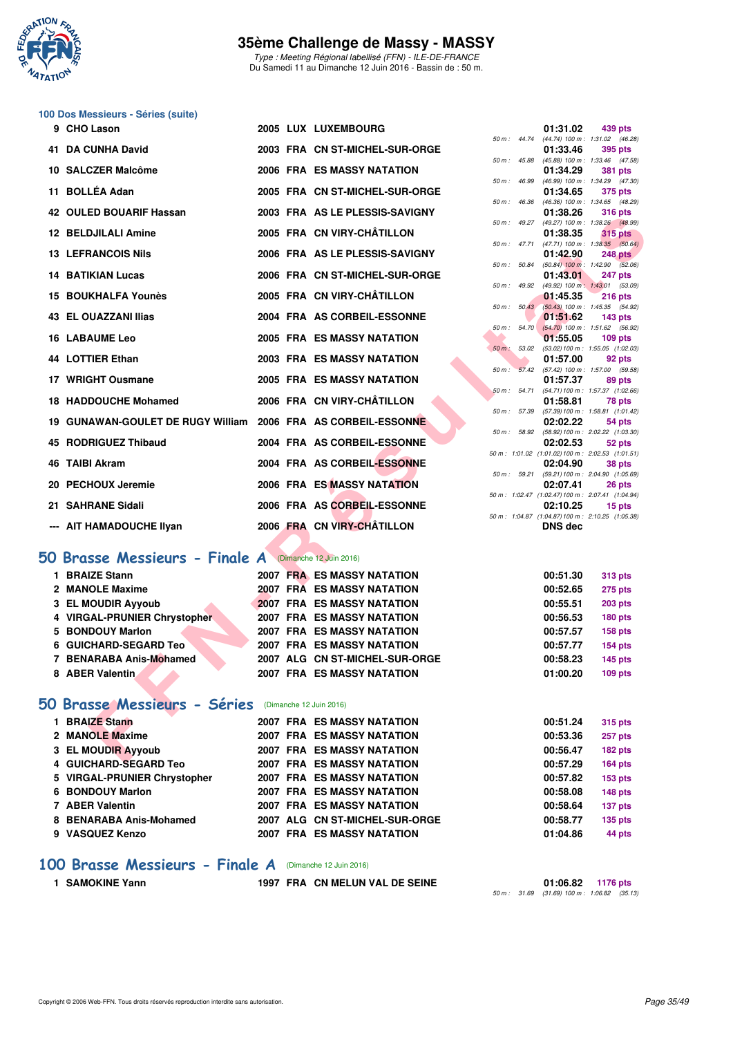

Type : Meeting Régional labellisé (FFN) - ILE-DE-FRANCE Du Samedi 11 au Dimanche 12 Juin 2016 - Bassin de : 50 m.

### **100 Dos Messieurs - Séries (suite)**

| 9 CHO Lason                                                   |  | 2005 LUX LUXEMBOURG                |                | 01:31.02 | 439 pts                                                      |
|---------------------------------------------------------------|--|------------------------------------|----------------|----------|--------------------------------------------------------------|
| <b>41 DA CUNHA David</b>                                      |  | 2003 FRA CN ST-MICHEL-SUR-ORGE     |                | 01:33.46 | 50 m: 44.74 (44.74) 100 m: 1:31.02 (46.28)<br>395 pts        |
| 10 SALCZER Malcôme                                            |  | 2006 FRA ES MASSY NATATION         |                | 01:34.29 | 50 m: 45.88 (45.88) 100 m: 1:33.46 (47.58)<br><b>381 pts</b> |
| 11 BOLLÉA Adan                                                |  | 2005 FRA CN ST-MICHEL-SUR-ORGE     |                | 01:34.65 | 50 m: 46.99 (46.99) 100 m: 1:34.29 (47.30)<br>375 pts        |
| <b>42 OULED BOUARIF Hassan</b>                                |  | 2003 FRA AS LE PLESSIS-SAVIGNY     |                | 01:38.26 | 50 m: 46.36 (46.36) 100 m: 1:34.65 (48.29)<br><b>316 pts</b> |
| <b>12 BELDJILALI Amine</b>                                    |  | 2005 FRA CN VIRY-CHÂTILLON         | $50 m$ : 49.27 | 01:38.35 | (49.27) 100 m: 1:38.26 (48.99)<br><b>315 pts</b>             |
| <b>13 LEFRANCOIS Nils</b>                                     |  | 2006 FRA AS LE PLESSIS-SAVIGNY     |                | 01:42.90 | 50 m: 47.71 (47.71) 100 m: 1:38.35 (50.64)<br><b>248 pts</b> |
| <b>14 BATIKIAN Lucas</b>                                      |  | 2006 FRA CN ST-MICHEL-SUR-ORGE     |                | 01:43.01 | 50 m : 50.84 (50.84) 100 m : 1:42.90 (52.06)<br>247 pts      |
| 15 BOUKHALFA Younès                                           |  | 2005 FRA CN VIRY-CHÂTILLON         |                | 01:45.35 | 50 m : 49.92 (49.92) 100 m : 1:43.01 (53.09)<br>$216$ pts    |
| <b>43 EL OUAZZANI Ilias</b>                                   |  | 2004 FRA AS CORBEIL-ESSONNE        |                | 01:51.62 | 50 m : 50.43 (50.43) 100 m : 1:45.35 (54.92)<br>$143$ pts    |
| <b>16 LABAUME Leo</b>                                         |  | 2005 FRA ES MASSY NATATION         |                | 01:55.05 | 50 m : 54.70 (54.70) 100 m : 1:51.62 (56.92)<br>$109$ pts    |
| 44 LOTTIER Ethan                                              |  | 2003 FRA ES MASSY NATATION         |                | 01:57.00 | 50 m: 53.02 (53.02) 100 m: 1:55.05 (1:02.03)<br>92 pts       |
| 17 WRIGHT Ousmane                                             |  | 2005 FRA ES MASSY NATATION         |                | 01:57.37 | 50 m: 57.42 (57.42) 100 m: 1:57.00 (59.58)<br>89 pts         |
| <b>18 HADDOUCHE Mohamed</b>                                   |  | 2006 FRA CN VIRY-CHÂTILLON         |                | 01:58.81 | 50 m: 54.71 (54.71) 100 m: 1:57.37 (1:02.66)<br>78 pts       |
| 19 GUNAWAN-GOULET DE RUGY William 2006 FRA AS CORBEIL-ESSONNE |  |                                    | 50 m : 57.39   | 02:02.22 | (57.39) 100 m: 1:58.81 (1:01.42)<br>54 pts                   |
| 45 RODRIGUEZ Thibaud                                          |  | 2004 FRA AS CORBEIL-ESSONNE        |                |          | 50 m: 58.92 (58.92) 100 m: 2:02.22 (1:03.30)                 |
|                                                               |  | 2004 FRA AS CORBEIL-ESSONNE        |                | 02:02.53 | 52 pts<br>50 m: 1:01.02 (1:01.02) 100 m: 2:02.53 (1:01.51)   |
| 46 TAIBI Akram                                                |  |                                    |                | 02:04.90 | 38 pts<br>50 m: 59.21 (59.21) 100 m: 2:04.90 (1:05.69)       |
| 20 PECHOUX Jeremie                                            |  | 2006 FRA ES MASSY NATATION         |                | 02:07.41 | 26 pts<br>50 m: 1:02.47 (1:02.47) 100 m: 2:07.41 (1:04.94)   |
| 21 SAHRANE Sidali                                             |  | 2006 FRA AS CORBEIL-ESSONNE        |                | 02:10.25 | 15 pts<br>50 m: 1:04.87 (1:04.87) 100 m: 2:10.25 (1:05.38)   |
| --- AIT HAMADOUCHE Ilyan                                      |  | 2006 FRA CN VIRY-CHATILLON         |                | DNS dec  |                                                              |
| <b>50 Brasse Messieurs - Finale A</b> (Dimanche 12 Juin 2016) |  |                                    |                |          |                                                              |
| 1 BRAIZE Stann                                                |  | 2007 FRA ES MASSY NATATION         |                | 00:51.30 | <b>313 pts</b>                                               |
| 2 MANOLE Maxime                                               |  | 2007 FRA ES MASSY NATATION         |                | 00:52.65 | 275 pts                                                      |
| 3 EL MOUDIR Ayyoub                                            |  | <b>2007 FRA ES MASSY NATATION</b>  |                | 00:55.51 | <b>203 pts</b>                                               |
| 4 VIRGAL-PRUNIER Chrystopher                                  |  | <b>2007 FRA ES MASSY NATATION</b>  |                | 00:56.53 | 180 pts                                                      |
| 5 BONDOUY Marlon                                              |  | <b>2007 FRA ES MASSY NATATION</b>  |                | 00:57.57 | <b>158 pts</b>                                               |
| 6 GUICHARD-SEGARD Teo                                         |  | <b>2007 FRA ES MASSY NATATION</b>  |                | 00:57.77 | <b>154 pts</b>                                               |
| 7 BENARABA Anis-Mohamed                                       |  | 2007 ALG CN ST-MICHEL-SUR-ORGE     |                | 00:58.23 | <b>145 pts</b>                                               |
| 8 ABER Valentin                                               |  | <b>2007 FRA ES MASSY NATATION</b>  |                | 01:00.20 | $109$ pts                                                    |
| 50 Brasse Messieurs - Séries (Dimanche 12 Juin 2016)          |  |                                    |                |          |                                                              |
| 1 BRAIZE Stann                                                |  | 2007 FRA ES MASSY NATATION         |                | 00:51.24 | <b>315 pts</b>                                               |
| 2 MANOLE Maxime                                               |  | 2007 FRA ES MASSY NATATION         |                | 00:53.36 | 257 pts                                                      |
| 3 EL MOUDIR Ayyoub                                            |  | <b>2007 FRA ES MASSY NATATION</b>  |                | 00:56.47 | 182 pts                                                      |
| CUICULADO CECADO T                                            |  | <b>COOR FOAL FO MACCV MATATION</b> |                | 00.5700  | $\overline{AB}$                                              |

# **[50 Brasse Messieurs - Finale A](http://www.ffnatation.fr/webffn/resultats.php?idact=nat&go=epr&idcpt=38069&idepr=71)** (Dimanche 12 Juin 2016)

| <b>BRAIZE Stann</b>          |  | 2007 FRA ES MASSY NATATION        | 00:51.30 | 313 pts        |
|------------------------------|--|-----------------------------------|----------|----------------|
| 2 MANOLE Maxime              |  | 2007 FRA ES MASSY NATATION        | 00:52.65 | <b>275 pts</b> |
| 3 EL MOUDIR Ayyoub           |  | <b>2007 FRA ES MASSY NATATION</b> | 00:55.51 | <b>203 pts</b> |
| 4 VIRGAL-PRUNIER Chrystopher |  | 2007 FRA ES MASSY NATATION        | 00:56.53 | <b>180 pts</b> |
| 5 BONDOUY Marlon             |  | <b>2007 FRA ES MASSY NATATION</b> | 00:57.57 | 158 pts        |
| 6 GUICHARD-SEGARD Teo        |  | <b>2007 FRA ES MASSY NATATION</b> | 00:57.77 | <b>154 pts</b> |
| 7 BENARABA Anis-Mohamed      |  | 2007 ALG CN ST-MICHEL-SUR-ORGE    | 00:58.23 | <b>145 pts</b> |
| 8 ABER Valentin              |  | <b>2007 FRA ES MASSY NATATION</b> | 01:00.20 | <b>109 pts</b> |
|                              |  |                                   |          |                |

# **[50 Brasse Messieurs - Séries](http://www.ffnatation.fr/webffn/resultats.php?idact=nat&go=epr&idcpt=38069&idepr=71)** (Dimanche 12 Juin 2016)

| <b>BRAIZE Stann</b>          | <b>2007 FRA ES MASSY NATATION</b> | 00:51.24<br><b>315 pts</b> |
|------------------------------|-----------------------------------|----------------------------|
| 2 MANOLE Maxime              | <b>2007 FRA ES MASSY NATATION</b> | 257 pts<br>00:53.36        |
| 3 EL MOUDIR Ayyoub           | <b>2007 FRA ES MASSY NATATION</b> | 182 pts<br>00:56.47        |
| 4 GUICHARD-SEGARD Teo        | 2007 FRA ES MASSY NATATION        | $164$ pts<br>00:57.29      |
| 5 VIRGAL-PRUNIER Chrystopher | 2007 FRA ES MASSY NATATION        | 153 pts<br>00:57.82        |
| 6 BONDOUY Marlon             | <b>2007 FRA ES MASSY NATATION</b> | 148 pts<br>00:58.08        |
| 7 ABER Valentin              | <b>2007 FRA ES MASSY NATATION</b> | 00:58.64<br>137 pts        |
| 8 BENARABA Anis-Mohamed      | 2007 ALG CN ST-MICHEL-SUR-ORGE    | $135$ pts<br>00:58.77      |
| 9 VASQUEZ Kenzo              | 2007 FRA ES MASSY NATATION        | 44 pts<br>01:04.86         |
|                              |                                   |                            |

#### **[100 Brasse Messieurs - Finale A](http://www.ffnatation.fr/webffn/resultats.php?idact=nat&go=epr&idcpt=38069&idepr=72)** (Dimanche 12 Juin 2016)

**1 SAMOKINE Yann 1997 FRA CN MELUN VAL DE SEINE 01:06.82 1176 pts** 50 m : 31.69 (31.69) 100 m : 1:06.82 (35.13)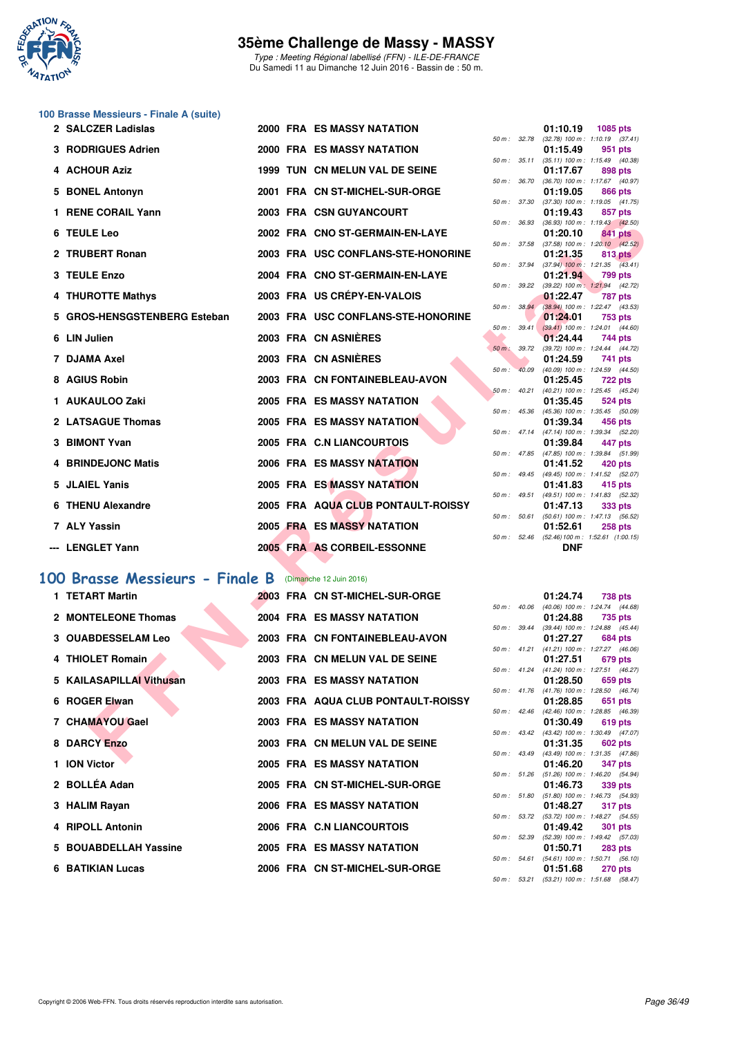

Type : Meeting Régional labellisé (FFN) - ILE-DE-FRANCE Du Samedi 11 au Dimanche 12 Juin 2016 - Bassin de : 50 m.

# **100 Brasse Messieurs - Finale A (suite)**

| 2 SALCZER Ladislas                           |  | <b>2000 FRA ES MASSY NATATION</b>  |                  |              | 01:10.19      | 1085 pts                                                     |
|----------------------------------------------|--|------------------------------------|------------------|--------------|---------------|--------------------------------------------------------------|
| 3 RODRIGUES Adrien                           |  | 2000 FRA ES MASSY NATATION         |                  |              | 01:15.49      | 50 m: 32.78 (32.78) 100 m: 1:10.19 (37.41)<br>951 pts        |
| 4 ACHOUR Aziz                                |  | 1999 TUN CN MELUN VAL DE SEINE     |                  |              | 01:17.67      | 50 m: 35.11 (35.11) 100 m: 1:15.49 (40.38)<br>898 pts        |
| 5 BONEL Antonyn                              |  | 2001 FRA CN ST-MICHEL-SUR-ORGE     |                  | 50 m : 36.70 | 01:19.05      | $(36.70)$ 100 m : 1:17.67 $(40.97)$<br>866 pts               |
|                                              |  |                                    |                  | 50 m : 37.30 |               | $(37.30)$ 100 m : 1:19.05 $(41.75)$                          |
| 1 RENE CORAIL Yann                           |  | 2003 FRA CSN GUYANCOURT            | 50 m : 36.93     |              | 01:19.43      | 857 pts<br>$(36.93)$ 100 m : 1:19.43 $(42.50)$               |
| 6 TEULE Leo                                  |  | 2002 FRA CNO ST-GERMAIN-EN-LAYE    |                  |              | 01:20.10      | 841 pts                                                      |
| 2 TRUBERT Ronan                              |  | 2003 FRA USC CONFLANS-STE-HONORINE |                  |              | 01:21.35      | 50 m: 37.58 (37.58) 100 m: 1:20.10 (42.52)<br>813 pts        |
| 3 TEULE Enzo                                 |  | 2004 FRA CNO ST-GERMAIN-EN-LAYE    |                  | 50 m : 37.94 | 01:21.94      | $(37.94)$ 100 m : 1:21.35 $(43.41)$<br><b>799 pts</b>        |
|                                              |  | 2003 FRA US CREPY-EN-VALOIS        |                  |              |               | 50 m: 39.22 (39.22) 100 m: 1:21.94 (42.72)                   |
| 4 THUROTTE Mathys                            |  |                                    |                  | 50 m: 38.94  | 01:22.47      | <b>787 pts</b><br>(38.94) 100 m: 1:22.47 (43.53)             |
| 5 GROS-HENSGSTENBERG Esteban                 |  | 2003 FRA USC CONFLANS-STE-HONORINE |                  | 50 m: 39.41  | 01:24.01      | 753 pts                                                      |
| 6 LIN Julien                                 |  | 2003 FRA CN ASNIERES               |                  |              | 01:24.44      | $(39.41)$ 100 m : 1:24.01 $(44.60)$<br>744 pts               |
| 7 DJAMA Axel                                 |  | 2003 FRA CN ASNIERES               |                  | 50 m : 39.72 | 01:24.59      | (39.72) 100 m : 1:24.44 (44.72)                              |
|                                              |  |                                    |                  | 50 m: 40.09  |               | 741 pts<br>(40.09) 100 m: 1:24.59 (44.50)                    |
| 8 AGIUS Robin                                |  | 2003 FRA CN FONTAINEBLEAU-AVON     |                  | 50 m: 40.21  | 01:25.45      | <b>722 pts</b><br>$(40.21)$ 100 m : 1:25.45 $(45.24)$        |
| 1 AUKAULOO Zaki                              |  | <b>2005 FRA ES MASSY NATATION</b>  |                  |              | 01:35.45      | 524 pts                                                      |
| 2 LATSAGUE Thomas                            |  | 2005 FRA ES MASSY NATATION         | $50 m$ : $45.36$ |              | 01:39.34      | (45.36) 100 m: 1:35.45 (50.09)<br>456 pts                    |
|                                              |  |                                    |                  |              |               | 50 m: 47.14 (47.14) 100 m: 1:39.34 (52.20)                   |
| 3 BIMONT Yvan                                |  | 2005 FRA C.N LIANCOURTOIS          |                  |              | 01:39.84      | 447 pts<br>50 m: 47.85 (47.85) 100 m: 1:39.84 (51.99)        |
| 4 BRINDEJONC Matis                           |  | 2006 FRA ES MASSY NATATION         |                  |              | 01:41.52      | 420 pts                                                      |
| 5 JLAIEL Yanis                               |  | 2005 FRA ES MASSY NATATION         |                  |              | 01:41.83      | 50 m: 49.45 (49.45) 100 m: 1:41.52 (52.07)<br>415 pts        |
|                                              |  |                                    |                  | 50 m: 49.51  |               | (49.51) 100 m: 1:41.83 (52.32)                               |
| 6 THENU Alexandre                            |  | 2005 FRA AQUA CLUB PONTAULT-ROISSY |                  | 50 m: 50.61  | 01:47.13      | 333 pts<br>(50.61) 100 m: 1:47.13 (56.52)                    |
| 7 ALY Yassin                                 |  | 2005 FRA ES MASSY NATATION         |                  |              | 01:52.61      | <b>258 pts</b>                                               |
| --- LENGLET Yann                             |  | 2005 FRA AS CORBEIL-ESSONNE        |                  |              | <b>DNF</b>    | 50 m: 52.46 (52.46) 100 m: 1:52.61 (1:00.15)                 |
|                                              |  |                                    |                  |              |               |                                                              |
| 00 Brasse Messieurs - Finale B               |  | (Dimanche 12 Juin 2016)            |                  |              |               |                                                              |
| 1 TETART Martin                              |  | 2003 FRA CN ST-MICHEL-SUR-ORGE     |                  |              | 01:24.74      | <b>738 pts</b>                                               |
| 2 MONTELEONE Thomas                          |  | <b>2004 FRA ES MASSY NATATION</b>  |                  |              | 01:24.88      | 50 m: 40.06 (40.06) 100 m: 1:24.74 (44.68)<br>735 pts        |
|                                              |  |                                    |                  | 50 m : 39.44 |               | (39.44) 100 m: 1:24.88 (45.44)                               |
| 3 OUABDESSELAM Leo                           |  | 2003 FRA CN FONTAINEBLEAU-AVON     |                  |              | 01:27.27      | 684 pts<br>50 m: 41.21 (41.21) 100 m: 1:27.27 (46.06)        |
| 4 THIOLET Romain                             |  | 2003 FRA CN MELUN VAL DE SEINE     |                  |              | 01:27.51      | 679 pts                                                      |
| 5 KAILASAPILLAI Vithusan                     |  | <b>2003 FRA ES MASSY NATATION</b>  |                  | 50 m: 41.24  | 01:28.50      | (41.24) 100 m: 1:27.51 (46.27)<br>659 pts                    |
|                                              |  |                                    |                  |              |               | 50 m: 41.76 (41.76) 100 m: 1:28.50 (46.74)                   |
| 6 ROGER Elwan                                |  | 2003 FRA AQUA CLUB PONTAULT-ROISSY |                  |              | 01:28.85      | 651 pts<br>50 m: 42.46 (42.46) 100 m: 1:28.85 (46.39)        |
| 7 CHAMAYOU Gael                              |  | 2003 FRA ES MASSY NATATION         |                  |              | 01:30.49      | 619 pts                                                      |
| 8 DARCY Enzo                                 |  | 2003 FRA CN MELUN VAL DE SEINE     |                  |              | 01:31.35      | 50 m: 43.42 (43.42) 100 m: 1:30.49 (47.07)<br><b>602 pts</b> |
| $\blacksquare$ $\blacksquare$ $\blacksquare$ |  | <b>OOOF FRA FO MACOV NATATION</b>  |                  |              | $0.4 - 10.00$ | 50 m: 43.49 (43.49) 100 m: 1:31.35 (47.86)<br>0.47           |

# **[100 Brasse Messieurs - Finale B](http://www.ffnatation.fr/webffn/resultats.php?idact=nat&go=epr&idcpt=38069&idepr=72)** (Dimanche 12 Juin 2016)

| 1 TETART Martin           |  | 2003 FRA CN ST-MICHEL-SUR-ORGE     |                        | 01:24.74                                            | <b>738 pts</b> |  |
|---------------------------|--|------------------------------------|------------------------|-----------------------------------------------------|----------------|--|
|                           |  |                                    | $50 m$ : $40.06$       | (40.06) 100 m: 1:24.74 (44.                         |                |  |
| 2 MONTELEONE Thomas       |  | 2004 FRA ES MASSY NATATION         |                        | 01:24.88                                            | 735 pts        |  |
|                           |  |                                    | $50 \text{ m}$ : 39.44 | $(39.44)$ 100 m : 1:24.88 (45.                      |                |  |
| <b>3 OUABDESSELAM Leo</b> |  | 2003 FRA CN FONTAINEBLEAU-AVON     |                        | 01:27.27                                            | 684 pts        |  |
|                           |  |                                    |                        | 50 m: 41.21 (41.21) 100 m: 1:27.27 (46.             |                |  |
| 4 THIOLET Romain          |  | 2003 FRA CN MELUN VAL DE SEINE     |                        | 01:27.51                                            | 679 pts        |  |
|                           |  |                                    |                        | 50 m: 41.24 (41.24) 100 m: 1:27.51 (46.             |                |  |
| 5 KAILASAPILLAI Vithusan  |  | 2003 FRA ES MASSY NATATION         |                        | 01:28.50<br>50 m: 41.76 (41.76) 100 m: 1:28.50 (46. | 659 pts        |  |
| 6 ROGER Elwan             |  | 2003 FRA AQUA CLUB PONTAULT-ROISSY |                        | 01:28.85                                            | 651 pts        |  |
|                           |  |                                    |                        | 50 m: 42.46 (42.46) 100 m: 1:28.85 (46.             |                |  |
| 7 CHAMAYOU Gael           |  | 2003 FRA ES MASSY NATATION         |                        | 01:30.49 619 pts                                    |                |  |
|                           |  |                                    |                        | 50 m: 43.42 (43.42) 100 m: 1:30.49 (47.             |                |  |
| 8 DARCY Enzo              |  | 2003 FRA CN MELUN VAL DE SEINE     |                        | 01:31.35                                            | 602 pts        |  |
|                           |  |                                    |                        | 50 m: 43.49 (43.49) 100 m: 1:31.35 (47.             |                |  |
| 1 ION Victor              |  | 2005 FRA ES MASSY NATATION         |                        | 01:46.20                                            | 347 pts        |  |
|                           |  |                                    |                        | 50 m: 51.26 (51.26) 100 m: 1:46.20 (54.             |                |  |
| 2 BOLLÉA Adan             |  | 2005 FRA CN ST-MICHEL-SUR-ORGE     |                        | 01:46.73                                            | 339 pts        |  |
|                           |  |                                    |                        | 50 m: 51.80 (51.80) 100 m: 1:46.73 (54.             |                |  |
| 3 HALIM Rayan             |  | 2006 FRA ES MASSY NATATION         |                        | 01:48.27                                            | 317 pts        |  |
|                           |  |                                    |                        | 50 m: 53.72 (53.72) 100 m: 1:48.27 (54.             |                |  |
| 4 RIPOLL Antonin          |  | 2006 FRA C.N LIANCOURTOIS          |                        | 01:49.42                                            | 301 pts        |  |
|                           |  |                                    |                        | 50 m: 52.39 (52.39) 100 m: 1:49.42 (57.             |                |  |
| 5 BOUABDELLAH Yassine     |  | <b>2005 FRA ES MASSY NATATION</b>  |                        | 01:50.71                                            | <b>283 pts</b> |  |
|                           |  |                                    | 50 m : 54.61           | (54.61) 100 m : 1:50.71 (56.                        |                |  |
| 6 BATIKIAN Lucas          |  | 2006 FRA CN ST-MICHEL-SUR-ORGE     |                        | 01:51.68                                            | <b>270 pts</b> |  |

|          |       | 01:10.19          | 1085 pts             |
|----------|-------|-------------------|----------------------|
| $50 m$ : | 32.78 | $(32.78) 100 m$ : | 1:10.19<br>(37.41)   |
|          |       | 01:15.49          | 951<br>pts           |
| $50 m$ : | 35.11 | $(35.11)$ 100 m : | (40.38)<br>1:15.49   |
|          |       | 01:17.67          | 898 pts              |
| $50 m$ : | 36.70 | $(36.70)$ 100 m : | 1:17.67<br>(40.97)   |
|          |       | 01:19.05          | <b>866 pts</b>       |
| $50 m$ : | 37.30 | $(37.30)$ 100 m : | (41.75)<br>1:19.05   |
|          |       | 01:19.43          | 857 pts              |
| $50 m$ : | 36.93 | $(36.93)$ 100 m : | 1:19.43<br>(42.50)   |
|          |       | 01:20.10          | 841<br>pts           |
| $50 m$ : | 37.58 | $(37.58) 100 m$ : | 1:20.10<br>(42.52)   |
|          |       | 01:21.35          | 813.<br>pts          |
| $50 m$ : | 37.94 | $(37.94)$ 100 m : | 1:21.35<br>(43.41)   |
|          |       | 01:21.94          | 799 pts              |
| $50 m$ : | 39.22 | $(39.22)$ 100 m : | 1:21.94<br>(42.72)   |
|          |       | 01:22.47          | <b>787 pts</b>       |
| $50 m$ : | 38.94 | $(38.94) 100 m$ : | 1:22.47<br>(43.53)   |
|          |       | 01:24.01          | 753 pts              |
| $50 m$ : | 39.41 | $(39.41)$ 100 m : | 1:24.01<br>(44.60)   |
|          |       | 01:24.44          | 744 pts              |
| $50 m$ : | 39.72 | (39.72) 100 m :   | 1:24.44<br>(44.72)   |
|          |       | 01:24.59          | 741<br>pts           |
| $50 m$ : | 40.09 | $(40.09)$ 100 m : | 1:24.59<br>(44.50)   |
|          |       | 01:25.45          | 722 pts              |
| $50 m$ : | 40.21 | $(40.21)$ 100 m : | 1:25.45<br>(45.24)   |
|          |       | 01:35.45          | <b>524 pts</b>       |
| $50 m$ : | 45.36 | (45.36) 100 m :   | 1:35.45<br>(50.09)   |
|          |       | 01:39.34          | <b>456 pts</b>       |
| $50 m$ : | 47.14 | $(47.14) 100 m$ : | 1:39.34<br>(52.20)   |
|          |       | 01:39.84          | 447 pts              |
| $50 m$ : | 47.85 | $(47.85)$ 100 m : | 1:39.84<br>(51.99)   |
|          |       | 01:41.52          | 420 pts              |
| $50 m$ : | 49.45 | $(49.45) 100 m$ : | 1:41.52<br>(52.07)   |
|          |       | 01:41.83          | <b>415 pts</b>       |
| $50 m$ : | 49.51 | $(49.51)$ 100 m : | 1:41.83<br>(52.32)   |
|          |       | 01:47.13          | 333 pts              |
| $50 m$ : | 50.61 | $(50.61)$ 100 m : | 1:47.13<br>(56.52)   |
|          |       | 01:52.61          | <b>258 pts</b>       |
| $50 m$ : | 52.46 | (52.46) 100 m :   | 1:52.61<br>(1:00.15) |
|          |       | DNF               |                      |

|                  |              | 01:24.74          | 738 pts             |         |
|------------------|--------------|-------------------|---------------------|---------|
| 50 m: 40.06      |              | $(40.06)$ 100 m : | 1:24.74 (44.68)     |         |
|                  |              | 01:24.88          | 735 pts             |         |
|                  | 50 m : 39.44 | $(39.44)$ 100 m : | $1:24.88$ $(45.44)$ |         |
|                  |              | 01:27.27          | <b>684 pts</b>      |         |
|                  | 50 m : 41.21 | $(41.21)$ 100 m : | 1:27.27 (46.06)     |         |
|                  |              | 01:27.51          | 679 pts             |         |
| 50 m: 41.24      |              | $(41.24) 100 m$ : | 1:27.51 (46.27)     |         |
|                  |              | 01:28.50          |                     | 659 pts |
| $50 m$ : $41.76$ |              | $(41.76) 100 m$ : | 1:28.50 (46.74)     |         |
|                  |              | 01:28.85          |                     | 651 pts |
| $50 m$ : $42.46$ |              | $(42.46) 100 m$ : | 1:28.85 (46.39)     |         |
|                  |              | 01:30.49          | 619 pts             |         |
| $50 m$ : $43.42$ |              | $(43.42)$ 100 m : | 1:30.49 (47.07)     |         |
|                  |              | 01:31.35          | <b>602 pts</b>      |         |
| $50 m$ : $43.49$ |              | $(43.49) 100 m$ : | 1:31.35 (47.86)     |         |
|                  |              | 01:46.20          | 347 pts             |         |
| 50 m: 51.26      |              | $(51.26)$ 100 m : | 1:46.20 (54.94)     |         |
|                  |              | 01:46.73          |                     | 339 pts |
| 50 m: 51.80      |              | $(51.80) 100 m$ : | 1:46.73 (54.93)     |         |
|                  |              | 01:48.27          | <b>317 pts</b>      |         |
|                  | 50 m : 53.72 | $(53.72)$ 100 m : | 1:48.27 (54.55)     |         |
|                  |              | 01:49.42          | <b>301 pts</b>      |         |
| 50 m: 52.39      |              | $(52.39)$ 100 m : | 1:49.42 (57.03)     |         |
|                  |              | 01:50.71          | 283 pts             |         |
| 50 m: 54.61      |              | $(54.61)$ 100 m : | $1:50.71$ $(56.10)$ |         |
|                  |              | 01:51.68          | 270 pts             |         |
| $50 m$ :         | 53.21        | $(53.21)$ 100 m : | 1:51.68 (58.47)     |         |
|                  |              |                   |                     |         |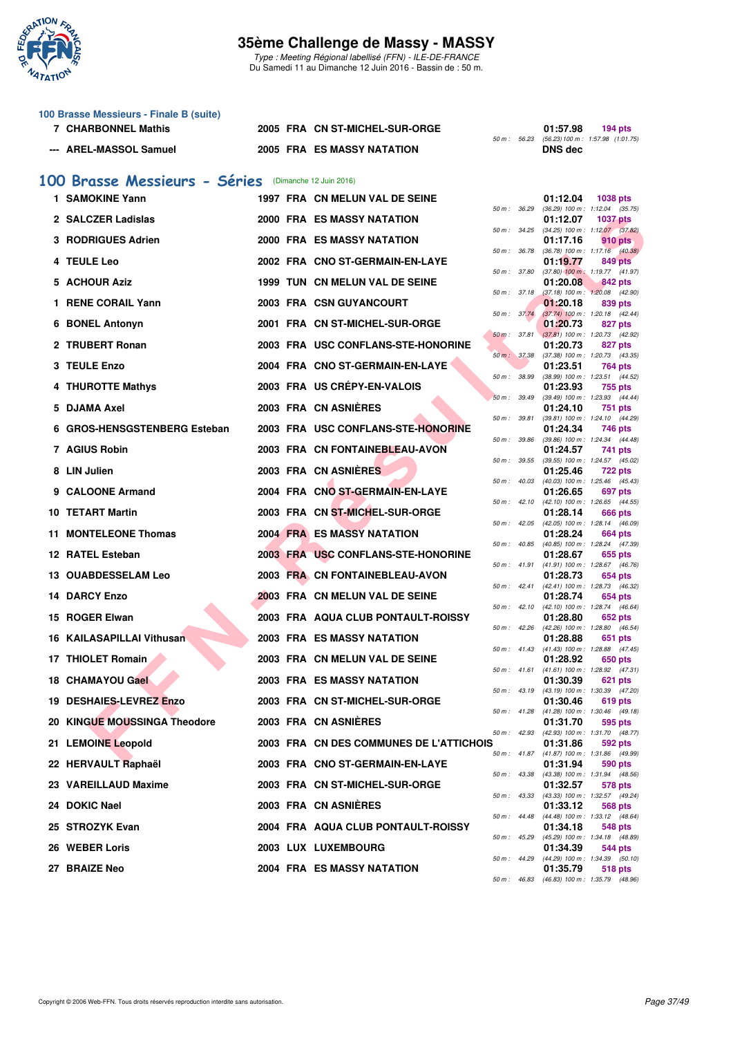

Type : Meeting Régional labellisé (FFN) - ILE-DE-FRANCE Du Samedi 11 au Dimanche 12 Juin 2016 - Bassin de : 50 m.

| 100 Brasse Messieurs - Finale B (suite) |                 |
|-----------------------------------------|-----------------|
| 7 CHARBONNEL Mathis                     | 2005 FRA CN ST- |

|                        |                                   |  | 50 m: 56.23 (56.23) 100 m |
|------------------------|-----------------------------------|--|---------------------------|
| --- AREL-MASSOL Samuel | <b>2005 FRA ES MASSY NATATION</b> |  | <b>DNS</b> dec            |

# **71:57.98 794 pts**<br>**7.10.1) 7.1023 FORE** 50 **CONSTANDED 50** m: 56.23 (56.23) 100 m: 1:57.98 (1:01.7 (56.23) 100 m : 1:57.98 (1:01.75)<br>**DNS dec**

### **[100 Brasse Messieurs - Séries](http://www.ffnatation.fr/webffn/resultats.php?idact=nat&go=epr&idcpt=38069&idepr=72)** (Dimanche 12 Juin 2016)

| 1.  | <b>SAMOKINE Yann</b>              |  | 1997 FRA CN MELUN VAL DE SEINE          |                |                | 01:12.04 | <b>1038 pts</b>                                         |  |
|-----|-----------------------------------|--|-----------------------------------------|----------------|----------------|----------|---------------------------------------------------------|--|
|     | 2 SALCZER Ladislas                |  | <b>2000 FRA ES MASSY NATATION</b>       |                | 50 m : 36.29   | 01:12.07 | $(36.29)$ 100 m : 1:12.04 $(35.75)$<br><b>1037 pts</b>  |  |
|     | <b>RODRIGUES Adrien</b>           |  | <b>2000 FRA ES MASSY NATATION</b>       | 50 m : 34.25   |                | 01:17.16 | $(34.25)$ 100 m : 1:12.07 $(37.82)$<br>910 pts          |  |
|     | 4 TEULE Leo                       |  | 2002 FRA CNO ST-GERMAIN-EN-LAYE         | 50 m: 36.78    |                | 01:19.77 | $(36.78)$ 100 m : 1:17.16 $(40.38)$<br>849 pts          |  |
| 5   | <b>ACHOUR Aziz</b>                |  | 1999 TUN CN MELUN VAL DE SEINE          | 50 m: 37.80    |                | 01:20.08 | $(37.80)$ 100 m : 1:19.77 $(41.97)$<br>842 pts          |  |
| 1.  | <b>RENE CORAIL Yann</b>           |  | 2003 FRA CSN GUYANCOURT                 |                | 50 m : 37.18   | 01:20.18 | $(37.18)$ 100 m : 1:20.08 $(42.90)$<br>839 pts          |  |
| 6   | <b>BONEL Antonyn</b>              |  | 2001 FRA CN ST-MICHEL-SUR-ORGE          |                | 50 m: 37.74    | 01:20.73 | $(37.74)$ 100 m : 1:20.18 $(42.44)$<br>827 pts          |  |
| 2   | <b>TRUBERT Ronan</b>              |  | 2003 FRA USC CONFLANS-STE-HONORINE      |                | 50 m : 37.81   | 01:20.73 | $(37.81)$ 100 m : 1:20.73 (42.92)<br>827 pts            |  |
|     | 3 TEULE Enzo                      |  | 2004 FRA CNO ST-GERMAIN-EN-LAYE         | 50 m : 37.38   |                | 01:23.51 | $(37.38)$ 100 m : 1:20.73 $(43.35)$<br>764 pts          |  |
| 4   | <b>THUROTTE Mathys</b>            |  | 2003 FRA US CREPY-EN-VALOIS             | 50 m : 38.99   |                | 01:23.93 | (38.99) 100 m: 1:23.51 (44.52)<br>755 pts               |  |
| 5   | <b>DJAMA Axel</b>                 |  | 2003 FRA CN ASNIERES                    | 50 m: 39.49    |                | 01:24.10 | (39.49) 100 m: 1:23.93 (44.44)<br>751 pts               |  |
|     |                                   |  |                                         | 50 m : 39.81   |                |          | (39.81) 100 m: 1:24.10 (44.29)                          |  |
| 6   | <b>GROS-HENSGSTENBERG Esteban</b> |  | 2003 FRA USC CONFLANS-STE-HONORINE      | 50 m : 39.86   |                | 01:24.34 | 746 pts<br>(39.86) 100 m: 1:24.34 (44.48)               |  |
|     | 7 AGIUS Robin                     |  | 2003 FRA CN FONTAINEBLEAU-AVON          | 50 m : 39.55   |                | 01:24.57 | 741 pts<br>(39.55) 100 m: 1:24.57 (45.02)               |  |
| 8   | <b>LIN Julien</b>                 |  | 2003 FRA CN ASNIÈRES                    |                |                | 01:25.46 | <b>722 pts</b>                                          |  |
|     | <b>CALOONE Armand</b>             |  | 2004 FRA CNO ST-GERMAIN-EN-LAYE         | 50 m: 40.03    |                | 01:26.65 | $(40.03)$ 100 m : 1:25.46 $(45.43)$<br>697 pts          |  |
|     | <b>10 TETART Martin</b>           |  | 2003 FRA CN ST-MICHEL-SUR-ORGE          | 50 m: 42.10    |                | 01:28.14 | (42.10) 100 m: 1:26.65 (44.55)<br>666 pts               |  |
| 11. | <b>MONTELEONE Thomas</b>          |  | <b>2004 FRA ES MASSY NATATION</b>       |                | 50 m : 42.05   | 01:28.24 | (42.05) 100 m: 1:28.14 (46.09)<br>664 pts               |  |
|     | 12 RATEL Esteban                  |  | 2003 FRA USC CONFLANS-STE-HONORINE      |                | 50 m : 40.85   | 01:28.67 | (40.85) 100 m: 1:28.24 (47.39)<br>655 pts               |  |
|     | <b>13 OUABDESSELAM Leo</b>        |  | 2003 FRA CN FONTAINEBLEAU-AVON          |                | 50 m : 41.91   | 01:28.73 | $(41.91)$ 100 m : 1:28.67 $(46.76)$<br>654 pts          |  |
|     | <b>14 DARCY Enzo</b>              |  | 2003 FRA CN MELUN VAL DE SEINE          |                |                |          | 50 m: 42.41 (42.41) 100 m: 1:28.73 (46.32)              |  |
|     |                                   |  |                                         |                | $50 m$ : 42.10 | 01:28.74 | 654 pts<br>(42.10) 100 m: 1:28.74 (46.64)               |  |
|     | 15 ROGER Elwan                    |  | 2003 FRA AQUA CLUB PONTAULT-ROISSY      |                | 50 m : 42.26   | 01:28.80 | 652 pts<br>$(42.26)$ 100 m : 1:28.80 $(46.54)$          |  |
|     | 16 KAILASAPILLAI Vithusan         |  | <b>2003 FRA ES MASSY NATATION</b>       |                | 50 m : 41.43   | 01:28.88 | 651 pts<br>$(41.43)$ 100 m : 1:28.88 $(47.45)$          |  |
|     | 17 THIOLET Romain                 |  | 2003 FRA CN MELUN VAL DE SEINE          |                |                | 01:28.92 | 650 pts                                                 |  |
| 18. | <b>CHAMAYOU Gael</b>              |  | <b>2003 FRA ES MASSY NATATION</b>       |                | 50 m : 41.61   | 01:30.39 | $(41.61)$ 100 m : 1:28.92 $(47.31)$<br>621 pts          |  |
|     | 19 DESHAIES-LEVREZ Enzo           |  | 2003 FRA CN ST-MICHEL-SUR-ORGE          |                |                | 01:30.46 | 50 m: 43.19 (43.19) 100 m: 1:30.39 (47.20)<br>619 pts   |  |
|     | 20 KINGUE MOUSSINGA Theodore      |  | 2003 FRA CN ASNIÈRES                    |                | 50 m: 41.28    | 01:31.70 | $(41.28)$ 100 m : 1:30.46 $(49.18)$<br>595 pts          |  |
|     | 21 LEMOINE Leopold                |  | 2003 FRA CN DES COMMUNES DE L'ATTICHOIS | $50 m$ : 42.93 |                | 01:31.86 | (42.93) 100 m: 1:31.70 (48.77)<br>592 pts               |  |
|     | 22 HERVAULT Raphaël               |  | 2003 FRA CNO ST-GERMAIN-EN-LAYE         |                |                | 01:31.94 | 50 m : 41.87 (41.87) 100 m : 1:31.86 (49.99)<br>590 pts |  |
|     | 23 VAREILLAUD Maxime              |  | 2003 FRA CN ST-MICHEL-SUR-ORGE          |                |                | 01:32.57 | 50 m: 43.38 (43.38) 100 m: 1:31.94 (48.56)<br>578 pts   |  |
|     |                                   |  |                                         |                |                |          | 50 m: 43.33 (43.33) 100 m: 1:32.57 (49.24)              |  |
|     | 24 DOKIC Nael                     |  | 2003 FRA CN ASNIERES                    |                |                | 01:33.12 | 568 pts<br>50 m: 44.48 (44.48) 100 m: 1:33.12 (48.64)   |  |
|     | 25 STROZYK Evan                   |  | 2004 FRA AQUA CLUB PONTAULT-ROISSY      |                |                | 01:34.18 | 548 pts<br>50 m : 45.29 (45.29) 100 m : 1:34.18 (48.89) |  |
|     | 26 WEBER Loris                    |  | 2003 LUX LUXEMBOURG                     |                |                | 01:34.39 | <b>544 pts</b>                                          |  |
|     | 27 BRAIZE Neo                     |  | 2004 FRA ES MASSY NATATION              |                |                | 01:35.79 | 50 m: 44.29 (44.29) 100 m: 1:34.39 (50.10)<br>518 pts   |  |
|     |                                   |  |                                         |                |                |          | 50 m: 46.83 (46.83) 100 m: 1:35.79 (48.96)              |  |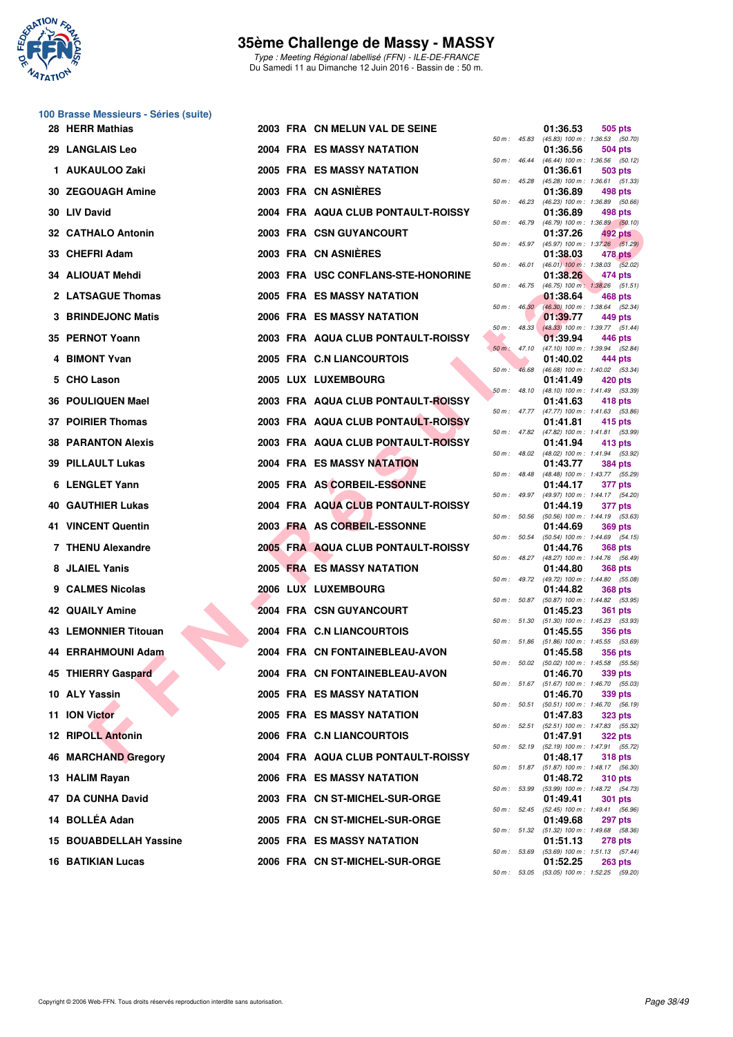

Type : Meeting Régional labellisé (FFN) - ILE-DE-FRANCE Du Samedi 11 au Dimanche 12 Juin 2016 - Bassin de : 50 m.

# **100 Brasse Messieurs - Séries (suite)**

| 28 HERR Mathias             |  | 2003 FRA CN MELUN VAL DE SEINE     |                |                | 01:36.53 | 505 pts                                                        |
|-----------------------------|--|------------------------------------|----------------|----------------|----------|----------------------------------------------------------------|
| 29 LANGLAIS Leo             |  | <b>2004 FRA ES MASSY NATATION</b>  |                |                | 01:36.56 | 50 m: 45.83 (45.83) 100 m: 1:36.53 (50.70)<br>504 pts          |
| 1 AUKAULOO Zaki             |  | <b>2005 FRA ES MASSY NATATION</b>  |                | 50 m : 46.44   | 01:36.61 | (46.44) 100 m : 1:36.56 (50.12)<br>503 pts                     |
| 30 ZEGOUAGH Amine           |  | 2003 FRA CN ASNIERES               |                | 50 m: 45.28    | 01:36.89 | $(45.28)$ 100 m : 1:36.61 (51.33)<br>498 pts                   |
| 30 LIV David                |  | 2004 FRA AQUA CLUB PONTAULT-ROISSY | 50 m : 46.23   |                | 01:36.89 | $(46.23)$ 100 m : 1:36.89 $(50.66)$<br>498 pts                 |
| 32 CATHALO Antonin          |  | 2003 FRA CSN GUYANCOURT            | 50 m : 46.79   |                | 01:37.26 | (46.79) 100 m : 1:36.89 (50.10)<br>492 pts                     |
| 33 CHEFRI Adam              |  | 2003 FRA CN ASNIERES               |                | 50 m: 45.97    | 01:38.03 | $(45.97)$ 100 m : 1:37.26 $(51.29)$<br>478 pts                 |
| 34 ALIOUAT Mehdi            |  | 2003 FRA USC CONFLANS-STE-HONORINE |                | 50 m : 46.01   | 01:38.26 | $(46.01)$ 100 m : 1:38.03 $(52.02)$<br>474 pts                 |
| 2 LATSAGUE Thomas           |  | 2005 FRA ES MASSY NATATION         |                | 50 m : 46.75   | 01:38.64 | $(46.75)$ 100 m : 1:38.26 $(51.51)$<br>468 pts                 |
| 3 BRINDEJONC Matis          |  | <b>2006 FRA ES MASSY NATATION</b>  |                | 50 m: 46.30    | 01:39.77 | (46.30) 100 m : 1:38.64 (52.34)<br>449 pts                     |
| 35 PERNOT Yoann             |  | 2003 FRA AQUA CLUB PONTAULT-ROISSY |                | $50 m$ : 48.33 | 01:39.94 | (48.33) 100 m : 1:39.77 (51.44)<br>446 pts                     |
| 4 BIMONT Yvan               |  | 2005 FRA C.N LIANCOURTOIS          | $50 m$ : 47.10 |                | 01:40.02 | $(47.10)$ 100 m : 1:39.94 $(52.84)$<br>444 pts                 |
| 5 CHO Lason                 |  | 2005 LUX LUXEMBOURG                | $50 m$ :       | 46.68          | 01:41.49 | $(46.68)$ 100 m : 1:40.02 $(53.34)$<br>420 pts                 |
| 36 POULIQUEN Mael           |  | 2003 FRA AQUA CLUB PONTAULT-ROISSY |                | 50 m: 48.10    | 01:41.63 | (48.10) 100 m: 1:41.49 (53.39)<br>418 pts                      |
| 37 POIRIER Thomas           |  | 2003 FRA AQUA CLUB PONTAULT-ROISSY |                |                |          | 50 m: 47.77 (47.77) 100 m: 1:41.63 (53.86)                     |
|                             |  |                                    |                |                | 01:41.81 | 415 pts<br>50 m: 47.82 (47.82) 100 m: 1:41.81 (53.99)          |
| <b>38 PARANTON Alexis</b>   |  | 2003 FRA AQUA CLUB PONTAULT-ROISSY |                |                | 01:41.94 | 413 pts<br>50 m : 48.02 (48.02) 100 m : 1:41.94 (53.92)        |
| 39 PILLAULT Lukas           |  | 2004 FRA ES MASSY NATATION         | 50 m: 48.48    |                | 01:43.77 | <b>384 pts</b><br>(48.48) 100 m: 1:43.77 (55.29)               |
| 6 LENGLET Yann              |  | 2005 FRA AS CORBEIL-ESSONNE        |                | 50 m : 49.97   | 01:44.17 | 377 pts<br>(49.97) 100 m: 1:44.17 (54.20)                      |
| <b>40 GAUTHIER Lukas</b>    |  | 2004 FRA AQUA CLUB PONTAULT-ROISSY |                | 50 m : 50.56   | 01:44.19 | 377 pts<br>(50.56) 100 m: 1:44.19 (53.63)                      |
| 41 VINCENT Quentin          |  | 2003 FRA AS CORBEIL-ESSONNE        |                | 50 m : 50.54   | 01:44.69 | 369 pts<br>(50.54) 100 m: 1:44.69 (54.15)                      |
| 7 THENU Alexandre           |  | 2005 FRA AQUA CLUB PONTAULT-ROISSY |                |                | 01:44.76 | <b>368 pts</b><br>50 m: 48.27 (48.27) 100 m: 1:44.76 (56.49)   |
| 8 JLAIEL Yanis              |  | <b>2005 FRA ES MASSY NATATION</b>  |                |                | 01:44.80 | 368 pts<br>50 m: 49.72 (49.72) 100 m: 1:44.80 (55.08)          |
| 9 CALMES Nicolas            |  | 2006 LUX LUXEMBOURG                |                |                | 01:44.82 | <b>368 pts</b><br>50 m: 50.87 (50.87) 100 m: 1:44.82 (53.95)   |
| <b>42 QUAILY Amine</b>      |  | 2004 FRA CSN GUYANCOURT            |                | 50 m : 51.30   | 01:45.23 | <b>361 pts</b><br>$(51.30)$ 100 m : 1:45.23 $(53.93)$          |
| <b>43 LEMONNIER Titouan</b> |  | 2004 FRA C.N LIANCOURTOIS          |                |                | 01:45.55 | <b>356 pts</b><br>50 m: 51.86 (51.86) 100 m: 1:45.55 (53.69)   |
| 44 ERRAHMOUNI Adam          |  | 2004 FRA CN FONTAINEBLEAU-AVON     |                |                | 01:45.58 | <b>356 pts</b>                                                 |
| 45 THIERRY Gaspard          |  | 2004 FRA CN FONTAINEBLEAU-AVON     |                |                | 01:46.70 | 50 m : 50.02 (50.02) 100 m : 1:45.58 (55.56)<br>339 pts        |
| 10 ALY Yassin               |  | 2005 FRA ES MASSY NATATION         |                |                | 01:46.70 | 50 m: 51.67 (51.67) 100 m: 1:46.70 (55.03)<br>339 pts          |
| 11 ION Victor               |  | 2005 FRA ES MASSY NATATION         |                |                | 01:47.83 | 50 m: 50.51 (50.51) 100 m: 1:46.70 (56.19)<br><b>323 pts</b>   |
| <b>12 RIPOLL Antonin</b>    |  | 2006 FRA C.N LIANCOURTOIS          |                |                | 01:47.91 | 50 m: 52.51 (52.51) 100 m: 1:47.83 (55.32)<br><b>322 pts</b>   |
| 46 MARCHAND Gregory         |  | 2004 FRA AQUA CLUB PONTAULT-ROISSY |                |                | 01:48.17 | 50 m: 52.19 (52.19) 100 m: 1:47.91 (55.72)<br><b>318 pts</b>   |
| 13 HALIM Rayan              |  | 2006 FRA ES MASSY NATATION         |                |                | 01:48.72 | 50 m: 51.87 (51.87) 100 m: 1:48.17 (56.30)<br><b>310 pts</b>   |
| 47 DA CUNHA David           |  | 2003 FRA CN ST-MICHEL-SUR-ORGE     |                |                | 01:49.41 | 50 m: 53.99 (53.99) 100 m: 1:48.72 (54.73)<br>301 pts          |
| 14 BOLLÉA Adan              |  | 2005 FRA CN ST-MICHEL-SUR-ORGE     |                |                | 01:49.68 | 50 m : 52.45 (52.45) 100 m : 1:49.41 (56.96)<br><b>297 pts</b> |
| 15 BOUABDELLAH Yassine      |  | 2005 FRA ES MASSY NATATION         |                |                | 01:51.13 | 50 m: 51.32 (51.32) 100 m: 1:49.68 (58.36)<br>278 pts          |
| <b>16 BATIKIAN Lucas</b>    |  | 2006 FRA CN ST-MICHEL-SUR-ORGE     |                |                | 01:52.25 | 50 m: 53.69 (53.69) 100 m: 1:51.13 (57.44)<br><b>263 pts</b>   |
|                             |  |                                    |                |                |          |                                                                |

|          |       | 01:36.53                      | 505 pts                              |
|----------|-------|-------------------------------|--------------------------------------|
| 50 m :   | 45.83 | $(45.83) 100 m$ :             | 1:36.53 (50.70)                      |
| 50 m :   | 46.44 | 01:36.56<br>$(46.44) 100 m$ : | 504 pts<br>1:36.56<br>(50.12)        |
|          |       | 01:36.61                      | 503 pts                              |
| 50 m :   | 45.28 | $(45.28) 100 m$ :             | (51.33)<br>1:36.61                   |
|          |       | 01:36.89                      | 498 pts                              |
| $50 m$ : | 46.23 | $(46.23) 100 m$ :             | 1:36.89<br>(50.66)                   |
|          | 46.79 | 01:36.89<br>(46.79) 100 m :   | 498 pts                              |
| 50 m :   |       | 01:37.26                      | 1:36.89<br>(50.10)<br><b>492 pts</b> |
| 50 m :   | 45.97 | (45.97) 100 m :               | 1:37.26<br>(51.29)                   |
|          |       | 01:38.03                      | <b>478 pts</b>                       |
| $50 m$ : | 46.01 | $(46.01)$ 100 m :             | 1:38.03<br>(52.02)                   |
| 50 m :   | 46.75 | 01:38.26<br>$(46.75)$ 100 m : | 474 pts<br>1:38.26 (51.51)           |
|          |       | 01:38.64                      | 468 pts                              |
| $50 m$ : | 46.30 | $(46.30)$ 100 m :             | (52.34)<br>1:38.64                   |
|          |       | 01:39.77                      | 449 pts                              |
| 50 m :   | 48.33 | $(48.33) 100 m$ :             | 1:39.77<br>(51.44)                   |
| $50 m$ : | 47.10 | 01:39.94<br>$(47.10) 100 m$ : | 446 pts<br>1:39.94<br>(52.84)        |
|          |       | 01:40.02                      | 444 pts                              |
| $50 m$ : | 46.68 | $(46.68) 100 m$ :             | 1:40.02<br>(53.34)                   |
|          |       | 01:41.49                      | <b>420 pts</b>                       |
| 50 m :   | 48.10 | $(48.10) 100 m$ :             | 1:41.49 (53.39)                      |
| 50 m :   | 47.77 | 01:41.63<br>(47.77) 100 m :   | 418 pts<br>1:41.63<br>(53.86)        |
|          |       | 01:41.81                      | 415 pts                              |
| $50 m$ : | 47.82 | (47.82) 100 m :               | 1:41.81 (53.99)                      |
|          |       | 01:41.94                      | 413 pts                              |
| $50 m$ : | 48.02 | (48.02) 100 m :               | 1:41.94<br>(53.92)                   |
| 50 m :   | 48.48 | 01:43.77<br>$(48.48) 100 m$ : | <b>384 pts</b><br>1:43.77<br>(55.29) |
|          |       | 01:44.17                      | 377 pts                              |
| $50 m$ : | 49.97 | (49.97) 100 m :               | 1:44.17<br>(54.20)                   |
|          |       | 01:44.19                      | 377 pts                              |
| 50 m :   | 50.56 | $(50.56)$ 100 m :<br>01:44.69 | 1:44.19<br>(53.63)<br><b>369 pts</b> |
| 50 m :   | 50.54 | $(50.54)$ 100 m :             | 1:44.69<br>(54.15)                   |
|          |       | 01:44.76                      | 368 pts                              |
| $50 m$ : | 48.27 | (48.27) 100 m :<br>01:44.80   | 1:44.76<br>(56.49)<br><b>368 pts</b> |
| $50 m$ : | 49.72 | (49.72) 100 m :               | 1:44.80<br>(55.08)                   |
|          |       | 01:44.82                      | <b>368 pts</b>                       |
| 50 m :   | 50.87 | $(50.87)$ 100 m :             | 1:44.82<br>(53.95)                   |
| $50 m$ : | 51.30 | 01:45.23                      | <b>361 pts</b>                       |
|          |       | (51.30) 100 m :<br>01:45.55   | 1:45.23<br>(53.93)<br><b>356 pts</b> |
| $50 m$ : | 51.86 | (51.86) 100 m :               | 1:45.55<br>(53.69)                   |
|          |       | 01:45.58                      | 356 pts                              |
| $50 m$ : | 50.02 | $(50.02)$ 100 m :             | 1:45.58<br>(55.56)                   |
| $50 m$ : | 51.67 | 01:46.70<br>$(51.67) 100 m$ : | 339 pts<br>1:46.70<br>(55.03)        |
|          |       | 01:46.70                      | 339 pts                              |
| $50 m$ : | 50.51 | $(50.51)$ 100 m :             | 1:46.70<br>(56.19)                   |
|          |       | 01:47.83                      | 323 pts                              |
| 50 m :   | 52.51 | $(52.51)$ 100 m :<br>01:47.91 | 1:47.83<br>(55.32)<br><b>322 pts</b> |
| $50 m$ : | 52.19 | (52.19) 100 m :               | 1:47.91<br>(55.72)                   |
|          |       | 01:48.17                      | <b>318 pts</b>                       |
| $50 m$ : | 51.87 | $(51.87) 100 m$ :             | 1:48.17<br>(56.30)                   |
| $50 m$ : | 53.99 | 01:48.72<br>(53.99) 100 m :   | <b>310 pts</b><br>1:48.72<br>(54.73) |
|          |       | 01:49.41                      | 301<br>pts                           |
| $50 m$ : | 52.45 | (52.45) 100 m :               | 1:49.41<br>(56.96)                   |
|          |       | 01:49.68                      | 297<br>pts                           |
| $50 m$ : | 51.32 | $(51.32) 100 m$ :<br>01:51.13 | 1:49.68<br>(58.36)<br><b>278 pts</b> |
| 50 m :   | 53.69 | $(53.69) 100 m$ :             | 1:51.13<br>(57.44)                   |
|          |       | 01:52.25                      | <b>263 pts</b>                       |
| $50 m$ : | 53.05 | $(53.05) 100 m$ :             | 1:52.25<br>(59.20)                   |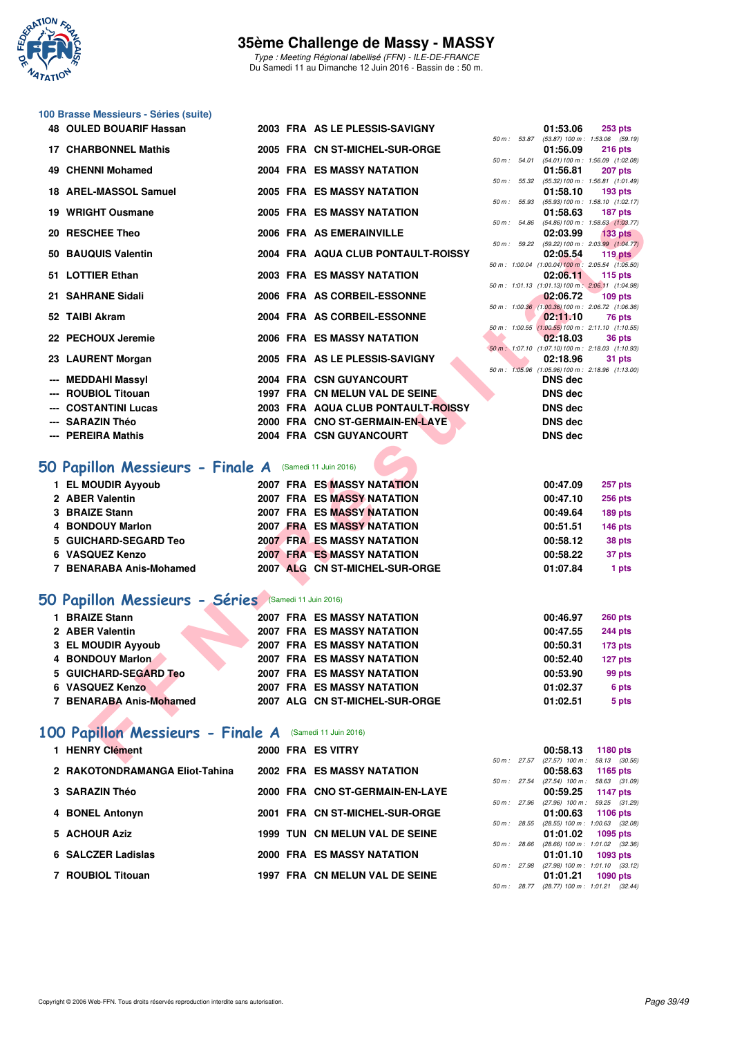

Type : Meeting Régional labellisé (FFN) - ILE-DE-FRANCE Du Samedi 11 au Dimanche 12 Juin 2016 - Bassin de : 50 m.

# **100 Brasse Messieurs - Séries (suite)**

| <b>48 OULED BOUARIF Hassan</b>                         |  | 2003 FRA AS LE PLESSIS-SAVIGNY                                         |             | 01:53.06                                                     | <b>253 pts</b>                                                     |
|--------------------------------------------------------|--|------------------------------------------------------------------------|-------------|--------------------------------------------------------------|--------------------------------------------------------------------|
| <b>17 CHARBONNEL Mathis</b>                            |  | 2005 FRA CN ST-MICHEL-SUR-ORGE                                         | 50 m: 53.87 | 01:56.09                                                     | $(53.87)$ 100 m : 1:53.06 $(59.19)$<br>$216$ pts                   |
|                                                        |  |                                                                        | 50 m: 54.01 |                                                              | $(54.01)$ 100 m : 1:56.09 $(1:02.08)$                              |
| 49 CHENNI Mohamed                                      |  | <b>2004 FRA ES MASSY NATATION</b>                                      |             | 01:56.81                                                     | 207 pts<br>50 m: 55.32 (55.32) 100 m: 1:56.81 (1:01.49)            |
| 18 AREL-MASSOL Samuel                                  |  | 2005 FRA ES MASSY NATATION                                             |             | 01:58.10                                                     | $193$ pts                                                          |
| 19 WRIGHT Ousmane                                      |  | 2005 FRA ES MASSY NATATION                                             |             | 01:58.63                                                     | 50 m: 55.93 (55.93) 100 m: 1:58.10 (1:02.17)<br>187 pts            |
|                                                        |  |                                                                        | 50 m: 54.86 |                                                              | $(54.86)$ 100 m : 1:58.63 $(1:03.77)$                              |
| 20 RESCHEE Theo                                        |  | 2006 FRA AS EMERAINVILLE                                               |             | 02:03.99                                                     | 133 <sub>pts</sub><br>50 m: 59.22 (59.22) 100 m: 2:03.99 (1:04.77) |
| 50 BAUQUIS Valentin                                    |  | 2004 FRA AQUA CLUB PONTAULT-ROISSY                                     |             | 02:05.54                                                     | $119$ pts                                                          |
| 51 LOTTIER Ethan                                       |  | <b>2003 FRA ES MASSY NATATION</b>                                      |             | 02:06.11                                                     | 50 m: 1:00.04 (1:00.04) 100 m: 2:05.54 (1:05.50)<br>$115$ pts      |
|                                                        |  |                                                                        |             |                                                              | 50 m: 1:01.13 (1:01.13) 100 m: 2:06.11 (1:04.98)                   |
| 21 SAHRANE Sidali                                      |  | 2006 FRA AS CORBEIL-ESSONNE                                            |             | 02:06.72<br>50 m: 1:00.36 (1:00.36) 100 m: 2:06.72 (1:06.36) | $109$ pts                                                          |
| 52 TAIBI Akram                                         |  | 2004 FRA AS CORBEIL-ESSONNE                                            |             | 02:11.10                                                     | 76 pts                                                             |
| 22 PECHOUX Jeremie                                     |  | 2006 FRA ES MASSY NATATION                                             |             | 50 m: 1:00.55 (1:00.55) 100 m: 2:11.10 (1:10.55)<br>02:18.03 | 36 pts                                                             |
|                                                        |  |                                                                        |             | 50 m: 1:07.10 (1:07.10) 100 m: 2:18.03 (1:10.93)             |                                                                    |
| 23 LAURENT Morgan                                      |  | 2005 FRA AS LE PLESSIS-SAVIGNY                                         |             | 02:18.96                                                     | 31 pts<br>50 m: 1:05.96 (1:05.96) 100 m: 2:18.96 (1:13.00)         |
| --- MEDDAHI Massyl                                     |  | 2004 FRA CSN GUYANCOURT                                                |             | <b>DNS</b> dec                                               |                                                                    |
| --- ROUBIOL Titouan                                    |  | 1997 FRA CN MELUN VAL DE SEINE                                         |             | <b>DNS dec</b>                                               |                                                                    |
| <b>COSTANTINI Lucas</b>                                |  | 2003 FRA AQUA CLUB PONTAULT-ROISSY                                     |             | <b>DNS dec</b>                                               |                                                                    |
| <b>SARAZIN Théo</b>                                    |  | 2000 FRA CNO ST-GERMAIN-EN-LAYE                                        |             | <b>DNS dec</b>                                               |                                                                    |
| --- PEREIRA Mathis                                     |  | 2004 FRA CSN GUYANCOURT                                                |             | <b>DNS dec</b>                                               |                                                                    |
|                                                        |  |                                                                        |             |                                                              |                                                                    |
| iO Papillon Messieurs - Finale A (Samedi 11 Juin 2016) |  |                                                                        |             |                                                              |                                                                    |
| 1 EL MOUDIR Ayyoub                                     |  | <b>2007 FRA ES MASSY NATATION</b>                                      |             | 00:47.09                                                     | 257 pts                                                            |
| 2 ABER Valentin                                        |  | <b>2007 FRA ES MASSY NATATION</b>                                      |             | 00:47.10                                                     | <b>256 pts</b>                                                     |
| 3 BRAIZE Stann<br>4 BONDOUY Marlon                     |  | <b>2007 FRA ES MASSY NATATION</b><br>2007 FRA ES MASSY NATATION        |             | 00:49.64                                                     | 189 pts                                                            |
| 5 GUICHARD-SEGARD Teo                                  |  | <b>2007 FRAMES MASSY NATATION</b>                                      |             | 00:51.51<br>00:58.12                                         | 146 pts<br>38 pts                                                  |
| 6 VASQUEZ Kenzo                                        |  | <b>2007 FRA ES MASSY NATATION</b>                                      |             | 00:58.22                                                     | 37 pts                                                             |
| 7 BENARABA Anis-Mohamed                                |  | 2007 ALG CN ST-MICHEL-SUR-ORGE                                         |             | 01:07.84                                                     | 1 pts                                                              |
|                                                        |  |                                                                        |             |                                                              |                                                                    |
| O Papillon Messieurs - Séries Samedi 11 Juin 2016)     |  |                                                                        |             |                                                              |                                                                    |
| 1 BRAIZE Stann                                         |  | <b>2007 FRA ES MASSY NATATION</b>                                      |             | 00:46.97                                                     | <b>260 pts</b>                                                     |
| 2 ABER Valentin                                        |  | 2007 FRA ES MASSY NATATION                                             |             | 00:47.55                                                     | <b>244 pts</b>                                                     |
| 3 EL MOUDIR Ayyoub                                     |  | 2007 FRA ES MASSY NATATION                                             |             | 00:50.31                                                     | 173 pts                                                            |
| 4 BONDOUY Marlon                                       |  | 2007 FRA ES MASSY NATATION                                             |             | 00:52.40                                                     | 127 pts                                                            |
| 5 GUICHARD-SEGARD Teo                                  |  | <b>2007 FRA ES MASSY NATATION</b><br><b>2007 FRA ES MASSY NATATION</b> |             | 00:53.90                                                     | 99 pts                                                             |
| 6 VASQUEZ Kenzo<br>7 BENARABA Anis-Mohamed             |  | 2007 ALG CN ST-MICHEL-SUR-ORGE                                         |             | 01:02.37<br>01:02.51                                         | 6 pts                                                              |
|                                                        |  |                                                                        |             |                                                              | 5 pts                                                              |
| 00 Papillon Messieurs - Finale A                       |  | (Samedi 11 Juin 2016)                                                  |             |                                                              |                                                                    |
| 1 HENRY Clément                                        |  | 2000 FRA ES VITRY                                                      |             | 00:58.13                                                     | 1180 pts                                                           |
|                                                        |  |                                                                        |             |                                                              | 50 m : 27.57 (27.57) 100 m : 58.13 (30.56)                         |

# **50 Papillon Messieurs - Finale A** (Samedi 11 Juin 2016)

| 1 EL MOUDIR Ayyoub      |  | 2007 FRA ES MASSY NATATION        | 00:47.09 | <b>257 pts</b> |
|-------------------------|--|-----------------------------------|----------|----------------|
| 2 ABER Valentin         |  | 2007 FRA ES MASSY NATATION        | 00:47.10 | <b>256 pts</b> |
| 3 BRAIZE Stann          |  | <b>2007 FRA ES MASSY NATATION</b> | 00:49.64 | <b>189 pts</b> |
| 4 BONDOUY Marlon        |  | <b>2007 FRA ES MASSY NATATION</b> | 00:51.51 | <b>146 pts</b> |
| 5 GUICHARD-SEGARD Teo   |  | 2007 FRAMES MASSY NATATION        | 00:58.12 | 38 pts         |
| 6 VASQUEZ Kenzo         |  | <b>2007 FRA ES MASSY NATATION</b> | 00:58.22 | 37 pts         |
| 7 BENARABA Anis-Mohamed |  | 2007 ALG CN ST-MICHEL-SUR-ORGE    | 01:07.84 | 1 pts          |

## **[50 Papillon Messieurs - Séries](http://www.ffnatation.fr/webffn/resultats.php?idact=nat&go=epr&idcpt=38069&idepr=81)** (Samedi 11 Juin 2016)

| <b>BRAIZE Stann</b>     | <b>2007 FRA ES MASSY NATATION</b> | 00:46.97 | <b>260 pts</b> |
|-------------------------|-----------------------------------|----------|----------------|
| 2 ABER Valentin         | <b>2007 FRA ES MASSY NATATION</b> | 00:47.55 | <b>244 pts</b> |
| 3 EL MOUDIR Ayyoub      | <b>2007 FRA ES MASSY NATATION</b> | 00:50.31 | 173 pts        |
| 4 BONDOUY Marlon        | <b>2007 FRA ES MASSY NATATION</b> | 00:52.40 | 127 pts        |
| 5 GUICHARD-SEGARD Teo   | <b>2007 FRA ES MASSY NATATION</b> | 00:53.90 | 99 pts         |
| 6 VASQUEZ Kenzo         | 2007 FRA ES MASSY NATATION        | 01:02.37 | 6 pts          |
| 7 BENARABA Anis-Mohamed | 2007 ALG CN ST-MICHEL-SUR-ORGE    | 01:02.51 | 5 pts          |
|                         |                                   |          |                |

# **[100 Papillon Messieurs - Finale A](http://www.ffnatation.fr/webffn/resultats.php?idact=nat&go=epr&idcpt=38069&idepr=82)** (Samedi 11 Juin 2016)

| 1 HENRY Clément                |  | 2000 FRA ES VITRY                 |                        | 00:58.13                                        | 1180 $pts$                  |  |
|--------------------------------|--|-----------------------------------|------------------------|-------------------------------------------------|-----------------------------|--|
|                                |  |                                   | $50 \text{ m}$ : 27.57 | $(27.57)$ 100 m :                               | 58.13 (30.56)               |  |
| 2 RAKOTONDRAMANGA Eliot-Tahina |  | 2002 FRA ES MASSY NATATION        | $50 \text{ m}$ : 27.54 | 00:58.63<br>$(27.54)$ 100 m :                   | 1165 $pts$<br>58.63 (31.09) |  |
| 3 SARAZIN Théo                 |  | 2000 FRA CNO ST-GERMAIN-EN-LAYE   |                        | 00:59.25                                        | 1147 $p$ ts                 |  |
|                                |  |                                   | 50 m: 27.96            | $(27.96)$ 100 m :                               | 59.25 (31.29)               |  |
| 4 BONEL Antonyn                |  | 2001 FRA CN ST-MICHEL-SUR-ORGE    | $50 m$ : 28.55         | 01:00.63<br>$(28.55)$ 100 m : 1:00.63 $(32.08)$ | 1106 pts                    |  |
| 5 ACHOUR Aziz                  |  | 1999 TUN CN MELUN VAL DE SEINE    |                        | 01:01.02                                        | $1095$ pts                  |  |
|                                |  |                                   | $50 m$ : 28.66         | $(28.66)$ 100 m : 1:01.02 $(32.36)$             |                             |  |
| 6 SALCZER Ladislas             |  | <b>2000 FRA ES MASSY NATATION</b> |                        | 01:01.10                                        | 1093 pts                    |  |
|                                |  |                                   | 50 m: 27.98            | $(27.98)$ 100 m : 1:01.10 $(33.12)$             |                             |  |
| 7 ROUBIOL Titouan              |  | 1997 FRA CN MELUN VAL DE SEINE    |                        | 01:01.21                                        | $1090$ pts                  |  |
|                                |  |                                   | 50 m : 28.77           | $(28.77)$ 100 m : 1:01.21 $(32.44)$             |                             |  |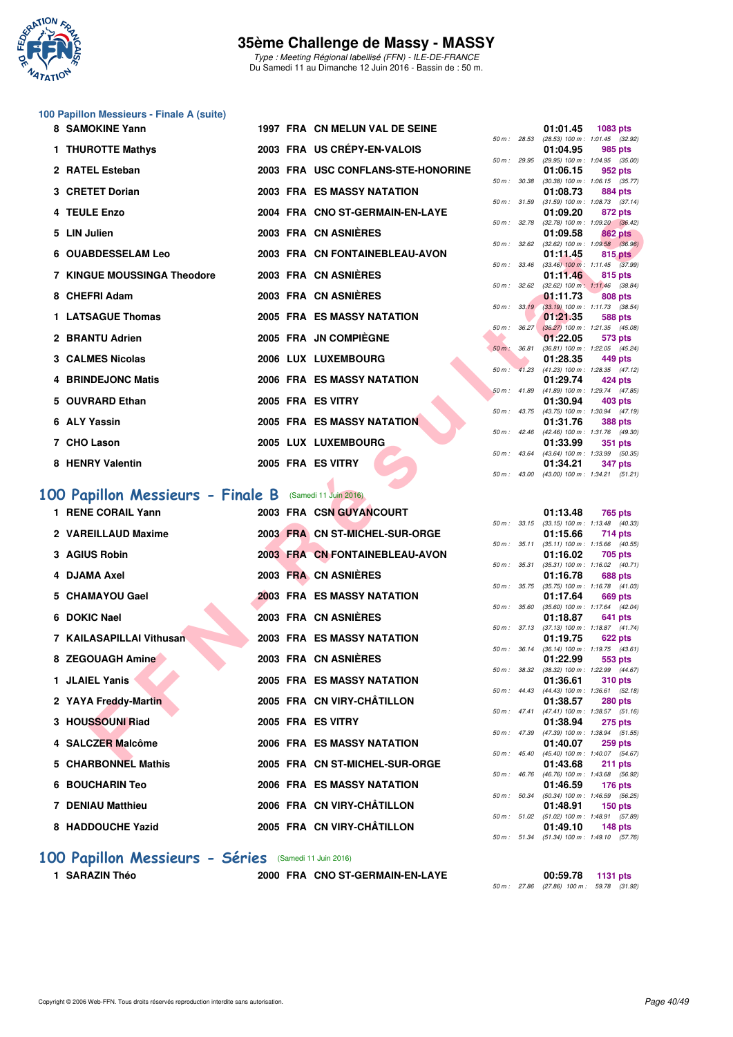

Type : Meeting Régional labellisé (FFN) - ILE-DE-FRANCE Du Samedi 11 au Dimanche 12 Juin 2016 - Bassin de : 50 m.

# **100 Papillon Messieurs - Finale A (suite)**

| 8 SAMOKINE Yann                                        |  | 1997 FRA CN MELUN VAL DE SEINE        |                |                  | 01:01.45      | 1083 pts                                                     |
|--------------------------------------------------------|--|---------------------------------------|----------------|------------------|---------------|--------------------------------------------------------------|
| 1 THUROTTE Mathys                                      |  | 2003 FRA US CRÉPY-EN-VALOIS           | 50 m: 28.53    |                  | 01:04.95      | $(28.53)$ 100 m : 1:01.45 $(32.92)$<br>985 pts               |
| 2 RATEL Esteban                                        |  | 2003 FRA USC CONFLANS-STE-HONORINE    |                | 50 m : 29.95     | 01:06.15      | (29.95) 100 m: 1:04.95 (35.00)<br>952 pts                    |
| 3 CRETET Dorian                                        |  | 2003 FRA ES MASSY NATATION            | 50 m : 30.38   |                  | 01:08.73      | $(30.38)$ 100 m : 1:06.15 $(35.77)$<br><b>884 pts</b>        |
| 4 TEULE Enzo                                           |  | 2004 FRA CNO ST-GERMAIN-EN-LAYE       | 50 m: 31.59    |                  | 01:09.20      | $(31.59)$ 100 m : 1:08.73 $(37.14)$<br>872 pts               |
| 5 LIN Julien                                           |  | 2003 FRA CN ASNIÈRES                  | 50 m: 32.78    |                  | 01:09.58      | (32.78) 100 m: 1:09.20 (36.42)<br>862 pts                    |
| 6 OUABDESSELAM Leo                                     |  | 2003 FRA CN FONTAINEBLEAU-AVON        |                | 50 m : 32.62     | 01:11.45      | $(32.62)$ 100 m : 1:09.58 $(36.96)$<br>815 pts               |
|                                                        |  |                                       |                | 50 m: 33.46      |               | $(33.46)$ 100 m : 1:11.45 $(37.99)$                          |
| 7 KINGUE MOUSSINGA Theodore                            |  | 2003 FRA CN ASNIERES                  |                |                  | 01:11.46      | 815 pts<br>50 m: 32.62 (32.62) 100 m: 1:11.46 (38.84)        |
| 8 CHEFRI Adam                                          |  | 2003 FRA CN ASNIERES                  |                |                  | 01:11.73      | 808 pts                                                      |
| 1 LATSAGUE Thomas                                      |  | <b>2005 FRA ES MASSY NATATION</b>     |                |                  | 01:21.35      | 50 m: 33.19 (33.19) 100 m: 1:11.73 (38.54)<br><b>588 pts</b> |
| 2 BRANTU Adrien                                        |  | 2005 FRA JN COMPIÈGNE                 |                | $50 m$ : $36.27$ | 01:22.05      | $(36.27)$ 100 m : 1:21.35 $(45.08)$<br>573 pts               |
|                                                        |  |                                       | 50 m : 36.81   |                  |               | $(36.81)$ 100 m : 1:22.05 $(45.24)$                          |
| <b>3 CALMES Nicolas</b>                                |  | 2006 LUX LUXEMBOURG                   |                | 50 m: 41.23      | 01:28.35      | 449 pts<br>$(41.23)$ 100 m : 1:28.35 $(47.12)$               |
| 4 BRINDEJONC Matis                                     |  | <b>2006 FRA ES MASSY NATATION</b>     |                |                  | 01:29.74      | 424 pts                                                      |
| 5 OUVRARD Ethan                                        |  | 2005 FRA ES VITRY                     |                | 50 m : 41.89     | 01:30.94      | $(41.89)$ 100 m : 1:29.74 $(47.85)$<br>403 pts               |
| 6 ALY Yassin                                           |  | 2005 FRA ES MASSY NATATION            | $50 m$ : 43.75 |                  |               | (43.75) 100 m: 1:30.94 (47.19)                               |
|                                                        |  |                                       |                |                  | 01:31.76      | <b>388 pts</b><br>50 m: 42.46 (42.46) 100 m: 1:31.76 (49.30) |
| 7 CHO Lason                                            |  | 2005 LUX LUXEMBOURG                   |                | 50 m : 43.64     | 01:33.99      | <b>351 pts</b><br>$(43.64)$ 100 m : 1:33.99 (50.35)          |
| 8 HENRY Valentin                                       |  | 2005 FRA ES VITRY                     |                |                  | 01:34.21      | 347 pts                                                      |
|                                                        |  |                                       |                |                  |               | 50 m: 43.00 (43.00) 100 m: 1:34.21 (51.21)                   |
| 00 Papillon Messieurs - Finale B (Samedi 11 Juin 2016) |  |                                       |                |                  |               |                                                              |
| 1 RENE CORAIL Yann                                     |  | 2003 FRA CSN GUYANCOURT               |                |                  | 01:13.48      | <b>765 pts</b>                                               |
| 2 VAREILLAUD Maxime                                    |  | 2003 FRA CN ST-MICHEL-SUR-ORGE        | 50 m: 33.15    |                  | 01:15.66      | $(33.15)$ 100 m : 1:13.48 $(40.33)$<br>714 pts               |
|                                                        |  |                                       |                |                  |               | 50 m: 35.11 (35.11) 100 m: 1:15.66 (40.55)                   |
| 3 AGIUS Robin                                          |  | 2003 FRA CN FONTAINEBLEAU-AVON        | 50 m: 35.31    |                  | 01:16.02      | 705 pts<br>$(35.31)$ 100 m : 1:16.02 $(40.71)$               |
| 4 DJAMA Axel                                           |  | 2003 FRA CN ASNIERES                  |                |                  | 01:16.78      | <b>688 pts</b>                                               |
| 5 CHAMAYOU Gael                                        |  | <b>2003 FRA ES MASSY NATATION</b>     |                | 50 m : 35.75     | 01:17.64      | $(35.75)$ 100 m : 1:16.78 $(41.03)$<br><b>669 pts</b>        |
|                                                        |  |                                       | 50 m : 35.60   |                  |               | $(35.60)$ 100 m : 1:17.64 $(42.04)$                          |
| 6 DOKIC Nael                                           |  | 2003 FRA CN ASNIÈRES                  |                |                  | 01:18.87      | 641 pts<br>50 m: 37.13 (37.13) 100 m: 1:18.87 (41.74)        |
| 7 KAILASAPILLAI Vithusan                               |  | <b>2003 FRA ES MASSY NATATION</b>     |                |                  | 01:19.75      | 622 pts                                                      |
| 8 ZEGOUAGH Amine                                       |  | 2003 FRA CN ASNIERES                  |                | 50 m : 36.14     | 01:22.99      | $(36.14)$ 100 m : 1:19.75 $(43.61)$<br>553 pts               |
| 1 JLAIEL Yanis                                         |  | 2005 FRA ES MASSY NATATION            | 50 m : 38.32   |                  | 01:36.61      | $(38.32)$ 100 m : 1:22.99 $(44.67)$<br>310 pts               |
|                                                        |  |                                       |                |                  |               | 50 m: 44.43 (44.43) 100 m: 1:36.61 (52.18)                   |
| 2 YAYA Freddy-Martin                                   |  | 2005 FRA CN VIRY-CHÂTILLON            |                | $50 m$ : $47.41$ | 01:38.57      | <b>280 pts</b><br>$(47.41)$ 100 m : 1:38.57 (51.16)          |
| 3 HOUSSOUNI Riad                                       |  | 2005 FRA ES VITRY                     |                |                  | 01:38.94      | <b>275 pts</b>                                               |
| 4 SALCZER Malcôme                                      |  | <b>2006 FRA ES MASSY NATATION</b>     |                |                  | 01:40.07      | 50 m: 47.39 (47.39) 100 m: 1:38.94 (51.55)<br>$259$ pts      |
| <b>OUADDOMNIEL MAILS</b>                               |  | <b>OOSE FRA ON ST MIQUEL SUB OBSE</b> |                |                  | $0.4 - 40.00$ | 50 m: 45.40 (45.40) 100 m: 1:40.07 (54.67)<br>- 04 -         |

# **[100 Papillon Messieurs - Finale B](http://www.ffnatation.fr/webffn/resultats.php?idact=nat&go=epr&idcpt=38069&idepr=82)** (Samedi 11 Juin 2016)

| 1 RENE CORAIL Yann       |  | 2003 FRA CSN GUYANCOURT           |                  | 01:13.48                                                                    | 765 pts        |  |
|--------------------------|--|-----------------------------------|------------------|-----------------------------------------------------------------------------|----------------|--|
| 2 VAREILLAUD Maxime      |  | 2003 FRA CN ST-MICHEL-SUR-ORGE    | $50 m$ : $33.15$ | $(33.15)$ 100 m : 1:13.48 (40.<br>01:15.66                                  | 714 pts        |  |
|                          |  |                                   | $50 m$ : $35.11$ | $(35.11)$ 100 m : 1:15.66 (40.                                              |                |  |
| 3 AGIUS Robin            |  | 2003 FRA CN FONTAINEBLEAU-AVON    |                  | 01:16.02                                                                    | 705 pts        |  |
|                          |  |                                   | 50 m: 35.31      | $(35.31)$ 100 m : 1:16.02 (40.                                              |                |  |
| 4 DJAMA Axel             |  | 2003 FRA CN ASNIÈRES              |                  | 01:16.78                                                                    | <b>688 pts</b> |  |
|                          |  |                                   |                  | 50 m: 35.75 (35.75) 100 m: 1:16.78 (41.                                     |                |  |
| 5 CHAMAYOU Gael          |  | <b>2003 FRA ES MASSY NATATION</b> |                  | 01:17.64                                                                    | <b>669 pts</b> |  |
| 6 DOKIC Nael             |  | 2003 FRA CN ASNIÈRES              | $50 m$ : $35.60$ | $(35.60)$ 100 m : 1:17.64 $(42.$<br>01:18.87                                |                |  |
|                          |  |                                   |                  | 50 m: 37.13 (37.13) 100 m: 1:18.87 (41.                                     | 641 pts        |  |
| 7 KAILASAPILLAI Vithusan |  | <b>2003 FRA ES MASSY NATATION</b> |                  | 01:19.75                                                                    | 622 pts        |  |
|                          |  |                                   | $50 m$ : $36.14$ | $(36.14)$ 100 m : 1:19.75 (43.                                              |                |  |
| 8 ZEGOUAGH Amine         |  | 2003 FRA CN ASNIÈRES              |                  | 01:22.99                                                                    | 553 pts        |  |
|                          |  |                                   | 50 m : 38.32     | $(38.32)$ 100 m : 1:22.99 (44.                                              |                |  |
| 1 JLAIEL Yanis           |  | 2005 FRA ES MASSY NATATION        |                  | 01:36.61                                                                    | 310 pts        |  |
|                          |  |                                   | $50 m$ : $44.43$ | $(44.43)$ 100 m : 1:36.61 (52.                                              |                |  |
| 2 YAYA Freddy-Martin     |  | 2005 FRA CN VIRY-CHÂTILLON        |                  | 01:38.57                                                                    | <b>280 pts</b> |  |
|                          |  |                                   |                  | 50 m: 47.41 (47.41) 100 m: 1:38.57 (51.                                     |                |  |
| 3 HOUSSOUNI Riad         |  | 2005 FRA ES VITRY                 |                  | 01:38.94                                                                    | <b>275 pts</b> |  |
| 4 SALCZER Malcôme        |  | 2006 FRA ES MASSY NATATION        | 50 m: 47.39      | $(47.39)$ 100 m : 1:38.94 (51.<br>01:40.07                                  | <b>259 pts</b> |  |
|                          |  |                                   |                  | 50 m : 45.40 (45.40) 100 m : 1:40.07 (54.                                   |                |  |
| 5 CHARBONNEL Mathis      |  | 2005 FRA CN ST-MICHEL-SUR-ORGE    |                  | 01:43.68                                                                    | 211 pts        |  |
|                          |  |                                   | $50 m$ : 46.76   | $(46.76)$ 100 m : 1:43.68 (56.                                              |                |  |
| <b>6 BOUCHARIN Teo</b>   |  | 2006 FRA ES MASSY NATATION        |                  | 01:46.59                                                                    | <b>176 pts</b> |  |
|                          |  |                                   | 50 m : 50.34     | $(50.34)$ 100 m : 1:46.59 (56.                                              |                |  |
| 7 DENIAU Matthieu        |  | 2006 FRA CN VIRY-CHÂTILLON        |                  | 01:48.91                                                                    | <b>150 pts</b> |  |
|                          |  |                                   | 50 m: 51.02      | $(51.02)$ 100 m : 1:48.91 (57.                                              |                |  |
| 8 HADDOUCHE Yazid        |  | 2005 FRA CN VIRY-CHÂTILLON        |                  | 01:49.10<br>$F0 \rightarrow 54.04$ $(F1.04) 100 \rightarrow 1.40.10$ $(F7)$ | 148 pts        |  |
|                          |  |                                   |                  |                                                                             |                |  |

| $50 m$ : 28.53 |       | $(28.53)$ 100 m : | 1:01.45 (32.92)     |
|----------------|-------|-------------------|---------------------|
|                |       | 01:04.95          | 985 pts             |
| $50 m$ : 29.95 |       | $(29.95)$ 100 m : | 1:04.95 (35.00)     |
|                |       | 01:06.15          | 952 pts             |
| $50 m$ :       | 30.38 | $(30.38) 100 m$ : | $1:06.15$ $(35.77)$ |
|                |       | 01:08.73          | <b>884 pts</b>      |
| 50 m: 31.59    |       | $(31.59) 100 m$ : | $1:08.73$ $(37.14)$ |
|                |       | 01:09.20          | 872 pts             |
| 50 m : 32.78   |       | $(32.78) 100 m$ : | $1:09.20$ $(36.42)$ |
|                |       | 01:09.58          | <b>862 pts</b>      |
| 50 m :         | 32.62 | $(32.62)$ 100 m : | 1:09.58 (36.96)     |
|                |       | 01:11.45          | 815 pts             |
| $50 m$ : 33.46 |       | $(33.46)$ 100 m : | $1:11.45$ (37.99)   |
|                |       | 01:11.46          | 815 pts             |
| 50 m: 32.62    |       | $(32.62)$ 100 m:  | $1:11.46$ (38.84)   |
|                |       | 01:11.73          | $808$ pts           |
| $50 m$ :       | 33.19 | $(33.19)$ 100 m : | $1:11.73$ (38.54)   |
|                |       | 01:21.35          | 588 pts             |
| $50 m$ :       | 36.27 | $(36.27)$ 100 m : | 1:21.35 (45.08)     |
|                |       | 01:22.05          | 573 pts             |
| $50 m$ :       | 36.81 | $(36.81)$ 100 m : | 1:22.05 (45.24)     |
|                |       | 01:28.35          | 449 pts             |
| $50 m$ :       | 41.23 | $(41.23) 100 m$ : | $1:28.35$ $(47.12)$ |
|                |       | 01:29.74          | 424 pts             |
| 50 m: 41.89    |       | $(41.89) 100 m$ : | 1:29.74 (47.85)     |
|                |       | 01:30.94          | 403 pts             |
| $50 m$ : 43.75 |       | $(43.75)$ 100 m : | 1:30.94<br>(47.19)  |
|                |       | 01:31.76          | <b>388 pts</b>      |
| $50 m$ : 42.46 |       | $(42.46) 100 m$ : | 1:31.76 (49.30)     |
|                |       | 01:33.99          | <b>351 pts</b>      |
| $50 m$ : 43.64 |       | $(43.64) 100 m$ : | 1:33.99 (50.35)     |
|                |       | 01:34.21          | 347 pts             |
| $50 m$ :       | 43.00 | $(43.00)$ 100 m : | 1:34.21<br>(51.21)  |

|                  |       | 01:13.48          | 765 pts             |           |
|------------------|-------|-------------------|---------------------|-----------|
| 50 m: 33.15      |       | $(33.15)$ 100 m : | 1:13.48 (40.33)     |           |
|                  |       | 01:15.66          | 714 pts             |           |
| 50 m :           | 35.11 | $(35.11)$ 100 m : | $1:15.66$ $(40.55)$ |           |
|                  |       | 01:16.02          | 705 pts             |           |
| 50 m: 35.31      |       | $(35.31)$ 100 m : | $1:16.02$ $(40.71)$ |           |
|                  |       | 01:16.78          | 688 pts             |           |
| $50 m$ :         | 35.75 | $(35.75)$ 100 m : | $1:16.78$ $(41.03)$ |           |
|                  |       | 01:17.64          | <b>669 pts</b>      |           |
| 50 m: 35.60      |       | $(35.60)$ 100 m : | $1:17.64$ $(42.04)$ |           |
|                  |       | 01:18.87          | 641 pts             |           |
| 50 m: 37.13      |       | $(37.13) 100 m$ : | $1:18.87$ $(41.74)$ |           |
|                  |       | 01:19.75          | 622 pts             |           |
| 50 m :           | 36.14 | $(36.14) 100 m$ : | $1:19.75$ $(43.61)$ |           |
|                  |       | 01:22.99          |                     | 553 pts   |
| 50 m: 38.32      |       | $(38.32)$ 100 m : | 1:22.99 (44.67)     |           |
|                  |       | 01:36.61          | 310 pts             |           |
| $50 m$ : 44.43   |       | $(44.43) 100 m$ : | 1:36.61             | (52.18)   |
|                  |       | 01:38.57          | <b>280 pts</b>      |           |
| 50 m: 47.41      |       | $(47.41)$ 100 m : | $1:38.57$ $(51.16)$ |           |
|                  |       | 01:38.94          | $275$ pts           |           |
| $50 m$ : 47.39   |       | $(47.39) 100 m$ : | 1:38.94 (51.55)     |           |
|                  |       | 01:40.07          | <b>259 pts</b>      |           |
| $50 m$ : $45.40$ |       | $(45.40)$ 100 m : | 1:40.07 (54.67)     |           |
|                  |       | 01:43.68          |                     | $211$ pts |
| $50 m$ : 46.76   |       | $(46.76) 100 m$ : | 1:43.68 (56.92)     |           |
|                  |       | 01:46.59          |                     | $176$ pts |
| 50 m: 50.34      |       | $(50.34) 100 m$ : | 1:46.59 (56.25)     |           |
|                  |       | 01:48.91          | $150$ pts           |           |
| $50 m$ : $51.02$ |       | $(51.02) 100 m$ : | 1:48.91             | (57.89)   |
|                  |       | 01:49.10          | 148 pts             |           |
| 50 m: 51.34      |       | $(51.34) 100 m$ : | 1:49.10 (57.76)     |           |

# **[100 Papillon Messieurs - Séries](http://www.ffnatation.fr/webffn/resultats.php?idact=nat&go=epr&idcpt=38069&idepr=82)** (Samedi 11 Juin 2016)

**1 SARAZIN Théo 2000 FRA CNO ST-GERMAIN-EN-LAYE** 

**00:59.78** 1131 pts<br> $50 m$ : 27.86 (27.86) 100 m: 59.78 (31.92)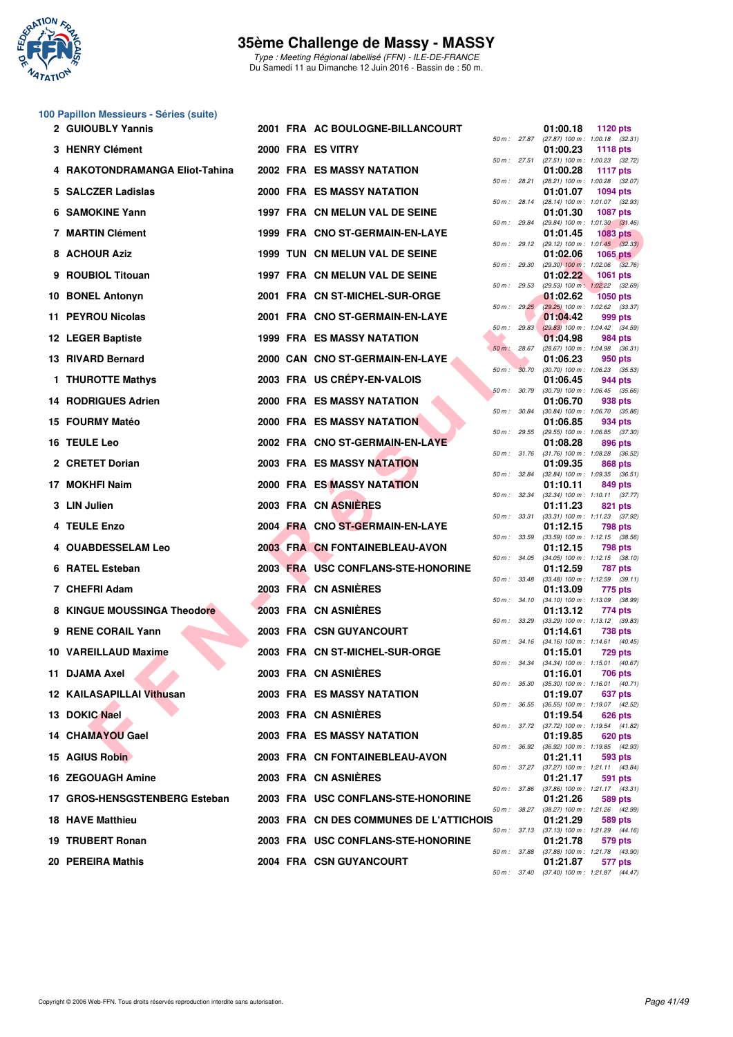

Type : Meeting Régional labellisé (FFN) - ILE-DE-FRANCE Du Samedi 11 au Dimanche 12 Juin 2016 - Bassin de : 50 m.

# **100 Papillon Messieurs - Séries (suite)**

| 50 m: 27.87 (27.87) 100 m: 1:00.18 (32.31)<br>3 HENRY Clément<br>2000 FRA ES VITRY<br>01:00.23<br>1118 $pts$<br>$(27.51)$ 100 m : 1:00.23 $(32.72)$<br>50 m : 27.51<br>4 RAKOTONDRAMANGA Eliot-Tahina<br>2002 FRA ES MASSY NATATION<br>01:00.28<br><b>1117 pts</b><br>50 m : 28.21<br>(28.21) 100 m: 1:00.28 (32.07)<br>5 SALCZER Ladislas<br>2000 FRA ES MASSY NATATION<br>01:01.07<br>1094 pts<br>50 m: 28.14 (28.14) 100 m: 1:01.07 (32.93)<br>6 SAMOKINE Yann<br>1997 FRA CN MELUN VAL DE SEINE<br>01:01.30<br><b>1087 pts</b><br>50 m : 29.84<br>$(29.84)$ 100 m : 1:01.30 $(31.46)$<br><b>7 MARTIN Clément</b><br>1999 FRA CNO ST-GERMAIN-EN-LAYE<br>01:01.45<br><b>1083 pts</b><br>50 m: 29.12 (29.12) 100 m: 1:01.45 (32.33)<br>8 ACHOUR Aziz<br>1999 TUN CN MELUN VAL DE SEINE<br>01:02.06<br>1065 $pts$<br>$(29.30)$ 100 m : 1:02.06 $(32.76)$<br>50 m : 29.30<br>9 ROUBIOL Titouan<br>1997 FRA CN MELUN VAL DE SEINE<br>01:02.22<br><b>1061 pts</b><br>(29.53) 100 m: 1:02.22 (32.69)<br>50 m: 29.53<br>10 BONEL Antonyn<br>2001 FRA CN ST-MICHEL-SUR-ORGE<br>01:02.62<br><b>1050 pts</b><br>50 m : 29.25 (29.25) 100 m : 1:02.62 (33.37)<br>11 PEYROU Nicolas<br>2001 FRA CNO ST-GERMAIN-EN-LAYE<br>01:04.42<br>999 pts<br>$(29.83)$ 100 m : 1:04.42 $(34.59)$<br>50 m: 29.83<br><b>1999 FRA ES MASSY NATATION</b><br>12 LEGER Baptiste<br>01:04.98<br>984 pts<br>$(28.67)$ 100 m : 1:04.98 $(36.31)$<br>50 m: 28.67<br>13 RIVARD Bernard<br>2000 CAN CNO ST-GERMAIN-EN-LAYE<br>01:06.23<br>950 pts<br>50 m: 30.70<br>$(30.70)$ 100 m : 1:06.23 $(35.53)$<br>2003 FRA US CRÉPY-EN-VALOIS<br>1 THUROTTE Mathys<br>01:06.45<br>944 pts<br>$(30.79)$ 100 m : 1:06.45 $(35.66)$<br>50 m: 30.79<br>2000 FRA ES MASSY NATATION<br><b>14 RODRIGUES Adrien</b><br>01:06.70<br>938 pts<br>50 m : 30.84<br>$(30.84)$ 100 m : 1:06.70 $(35.86)$<br><b>2000 FRA ES MASSY NATATION</b><br>15 FOURMY Matéo<br>01:06.85<br>934 pts<br>$(29.55)$ 100 m : 1:06.85 $(37.30)$<br>50 m : 29.55<br>16 TEULE Leo<br>2002 FRA CNO ST-GERMAIN-EN-LAYE<br>01:08.28<br>896 pts<br>50 m: 31.76 (31.76) 100 m: 1:08.28 (36.52)<br>2 CRETET Dorian<br><b>2003 FRA ES MASSY NATATION</b><br>01:09.35<br>868 pts<br>50 m: 32.84 (32.84) 100 m: 1:09.35 (36.51)<br>2000 FRA ES MASSY NATATION<br>17 MOKHFI Naim<br>01:10.11<br>849 pts<br>50 m: 32.34 (32.34) 100 m: 1:10.11 (37.77)<br>2003 FRA CN ASNIERES<br>3 LIN Julien<br>01:11.23<br>821 pts<br>50 m : 33.31<br>(33.31) 100 m: 1:11.23 (37.92)<br>2004 FRA CNO ST-GERMAIN-EN-LAYE<br>4 TEULE Enzo<br>01:12.15<br>798 pts<br>$(33.59)$ 100 m : 1:12.15 $(38.56)$<br>50 m : 33.59<br>4 OUABDESSELAM Leo<br>2003 FRA CN FONTAINEBLEAU-AVON<br>01:12.15<br>798 pts<br>50 m: 34.05 (34.05) 100 m: 1:12.15 (38.10)<br>6 RATEL Esteban<br>2003 FRA USC CONFLANS-STE-HONORINE<br>01:12.59<br>787 pts<br>$(33.48)$ 100 m : 1:12.59 $(39.11)$<br>50 m : 33.48<br>2003 FRA CN ASNIERES<br>7 CHEFRI Adam<br>01:13.09<br>775 pts<br>50 m: 34.10 (34.10) 100 m: 1:13.09 (38.99)<br>2003 FRA CN ASNIERES<br>8 KINGUE MOUSSINGA Theodore<br>01:13.12<br>774 pts<br>50 m: 33.29 (33.29) 100 m: 1:13.12 (39.83)<br>9 RENE CORAIL Yann<br>2003 FRA CSN GUYANCOURT<br>01:14.61<br>738 pts<br>50 m: 34.16 (34.16) 100 m: 1:14.61 (40.45)<br>10 VAREILLAUD Maxime<br>2003 FRA CN ST-MICHEL-SUR-ORGE<br>01:15.01<br>729 pts<br>50 m: 34.34 (34.34) 100 m: 1:15.01 (40.67)<br>2003 FRA CN ASNIÈRES<br>11 DJAMA Axel<br>01:16.01<br>706 pts<br>$(35.30)$ 100 m : 1:16.01 $(40.71)$<br>50 m : 35.30<br><b>12 KAILASAPILLAI Vithusan</b><br>2003 FRA ES MASSY NATATION<br>01:19.07<br>637 pts<br>(36.55) 100 m: 1:19.07 (42.52)<br>50 m : 36.55<br>13 DOKIC Nael<br>2003 FRA CN ASNIERES<br>01:19.54<br>626 pts<br>50 m: 37.72 (37.72) 100 m: 1:19.54 (41.82)<br><b>2003 FRA ES MASSY NATATION</b><br>14 CHAMAYOU Gael<br>01:19.85<br>620 pts<br>50 m : 36.92 (36.92) 100 m : 1:19.85 (42.93)<br>15 AGIUS Robin<br>2003 FRA CN FONTAINEBLEAU-AVON<br>01:21.11<br>593 pts<br>50 m: 37.27 (37.27) 100 m: 1:21.11 (43.84)<br>2003 FRA CN ASNIERES<br><b>16 ZEGOUAGH Amine</b><br>01:21.17<br>591 pts<br>50 m: 37.86 (37.86) 100 m: 1:21.17 (43.31)<br>17 GROS-HENSGSTENBERG Esteban<br>2003 FRA USC CONFLANS-STE-HONORINE<br>01:21.26<br>589 pts<br>50 m : 38.27 (38.27) 100 m : 1:21.26 (42.99)<br><b>18 HAVE Matthieu</b><br>2003 FRA CN DES COMMUNES DE L'ATTICHOIS<br>01:21.29<br>589 pts<br>50 m : 37.13 (37.13) 100 m : 1:21.29 (44.16) | 2 GUIOUBLY Yannis |  | 2001 FRA AC BOULOGNE-BILLANCOURT   |  | 01:00.18 | 1120 pts |
|----------------------------------------------------------------------------------------------------------------------------------------------------------------------------------------------------------------------------------------------------------------------------------------------------------------------------------------------------------------------------------------------------------------------------------------------------------------------------------------------------------------------------------------------------------------------------------------------------------------------------------------------------------------------------------------------------------------------------------------------------------------------------------------------------------------------------------------------------------------------------------------------------------------------------------------------------------------------------------------------------------------------------------------------------------------------------------------------------------------------------------------------------------------------------------------------------------------------------------------------------------------------------------------------------------------------------------------------------------------------------------------------------------------------------------------------------------------------------------------------------------------------------------------------------------------------------------------------------------------------------------------------------------------------------------------------------------------------------------------------------------------------------------------------------------------------------------------------------------------------------------------------------------------------------------------------------------------------------------------------------------------------------------------------------------------------------------------------------------------------------------------------------------------------------------------------------------------------------------------------------------------------------------------------------------------------------------------------------------------------------------------------------------------------------------------------------------------------------------------------------------------------------------------------------------------------------------------------------------------------------------------------------------------------------------------------------------------------------------------------------------------------------------------------------------------------------------------------------------------------------------------------------------------------------------------------------------------------------------------------------------------------------------------------------------------------------------------------------------------------------------------------------------------------------------------------------------------------------------------------------------------------------------------------------------------------------------------------------------------------------------------------------------------------------------------------------------------------------------------------------------------------------------------------------------------------------------------------------------------------------------------------------------------------------------------------------------------------------------------------------------------------------------------------------------------------------------------------------------------------------------------------------------------------------------------------------------------------------------------------------------------------------------------------------------------------------------------------------------------------------------------------------------------------------------------------------------------------------------------------------------------------------------------------------------------------------------------------------------------------------------------------------------------------------------------------------|-------------------|--|------------------------------------|--|----------|----------|
|                                                                                                                                                                                                                                                                                                                                                                                                                                                                                                                                                                                                                                                                                                                                                                                                                                                                                                                                                                                                                                                                                                                                                                                                                                                                                                                                                                                                                                                                                                                                                                                                                                                                                                                                                                                                                                                                                                                                                                                                                                                                                                                                                                                                                                                                                                                                                                                                                                                                                                                                                                                                                                                                                                                                                                                                                                                                                                                                                                                                                                                                                                                                                                                                                                                                                                                                                                                                                                                                                                                                                                                                                                                                                                                                                                                                                                                                                                                                                                                                                                                                                                                                                                                                                                                                                                                                                                                                                                                    |                   |  |                                    |  |          |          |
|                                                                                                                                                                                                                                                                                                                                                                                                                                                                                                                                                                                                                                                                                                                                                                                                                                                                                                                                                                                                                                                                                                                                                                                                                                                                                                                                                                                                                                                                                                                                                                                                                                                                                                                                                                                                                                                                                                                                                                                                                                                                                                                                                                                                                                                                                                                                                                                                                                                                                                                                                                                                                                                                                                                                                                                                                                                                                                                                                                                                                                                                                                                                                                                                                                                                                                                                                                                                                                                                                                                                                                                                                                                                                                                                                                                                                                                                                                                                                                                                                                                                                                                                                                                                                                                                                                                                                                                                                                                    |                   |  |                                    |  |          |          |
|                                                                                                                                                                                                                                                                                                                                                                                                                                                                                                                                                                                                                                                                                                                                                                                                                                                                                                                                                                                                                                                                                                                                                                                                                                                                                                                                                                                                                                                                                                                                                                                                                                                                                                                                                                                                                                                                                                                                                                                                                                                                                                                                                                                                                                                                                                                                                                                                                                                                                                                                                                                                                                                                                                                                                                                                                                                                                                                                                                                                                                                                                                                                                                                                                                                                                                                                                                                                                                                                                                                                                                                                                                                                                                                                                                                                                                                                                                                                                                                                                                                                                                                                                                                                                                                                                                                                                                                                                                                    |                   |  |                                    |  |          |          |
|                                                                                                                                                                                                                                                                                                                                                                                                                                                                                                                                                                                                                                                                                                                                                                                                                                                                                                                                                                                                                                                                                                                                                                                                                                                                                                                                                                                                                                                                                                                                                                                                                                                                                                                                                                                                                                                                                                                                                                                                                                                                                                                                                                                                                                                                                                                                                                                                                                                                                                                                                                                                                                                                                                                                                                                                                                                                                                                                                                                                                                                                                                                                                                                                                                                                                                                                                                                                                                                                                                                                                                                                                                                                                                                                                                                                                                                                                                                                                                                                                                                                                                                                                                                                                                                                                                                                                                                                                                                    |                   |  |                                    |  |          |          |
|                                                                                                                                                                                                                                                                                                                                                                                                                                                                                                                                                                                                                                                                                                                                                                                                                                                                                                                                                                                                                                                                                                                                                                                                                                                                                                                                                                                                                                                                                                                                                                                                                                                                                                                                                                                                                                                                                                                                                                                                                                                                                                                                                                                                                                                                                                                                                                                                                                                                                                                                                                                                                                                                                                                                                                                                                                                                                                                                                                                                                                                                                                                                                                                                                                                                                                                                                                                                                                                                                                                                                                                                                                                                                                                                                                                                                                                                                                                                                                                                                                                                                                                                                                                                                                                                                                                                                                                                                                                    |                   |  |                                    |  |          |          |
|                                                                                                                                                                                                                                                                                                                                                                                                                                                                                                                                                                                                                                                                                                                                                                                                                                                                                                                                                                                                                                                                                                                                                                                                                                                                                                                                                                                                                                                                                                                                                                                                                                                                                                                                                                                                                                                                                                                                                                                                                                                                                                                                                                                                                                                                                                                                                                                                                                                                                                                                                                                                                                                                                                                                                                                                                                                                                                                                                                                                                                                                                                                                                                                                                                                                                                                                                                                                                                                                                                                                                                                                                                                                                                                                                                                                                                                                                                                                                                                                                                                                                                                                                                                                                                                                                                                                                                                                                                                    |                   |  |                                    |  |          |          |
|                                                                                                                                                                                                                                                                                                                                                                                                                                                                                                                                                                                                                                                                                                                                                                                                                                                                                                                                                                                                                                                                                                                                                                                                                                                                                                                                                                                                                                                                                                                                                                                                                                                                                                                                                                                                                                                                                                                                                                                                                                                                                                                                                                                                                                                                                                                                                                                                                                                                                                                                                                                                                                                                                                                                                                                                                                                                                                                                                                                                                                                                                                                                                                                                                                                                                                                                                                                                                                                                                                                                                                                                                                                                                                                                                                                                                                                                                                                                                                                                                                                                                                                                                                                                                                                                                                                                                                                                                                                    |                   |  |                                    |  |          |          |
|                                                                                                                                                                                                                                                                                                                                                                                                                                                                                                                                                                                                                                                                                                                                                                                                                                                                                                                                                                                                                                                                                                                                                                                                                                                                                                                                                                                                                                                                                                                                                                                                                                                                                                                                                                                                                                                                                                                                                                                                                                                                                                                                                                                                                                                                                                                                                                                                                                                                                                                                                                                                                                                                                                                                                                                                                                                                                                                                                                                                                                                                                                                                                                                                                                                                                                                                                                                                                                                                                                                                                                                                                                                                                                                                                                                                                                                                                                                                                                                                                                                                                                                                                                                                                                                                                                                                                                                                                                                    |                   |  |                                    |  |          |          |
|                                                                                                                                                                                                                                                                                                                                                                                                                                                                                                                                                                                                                                                                                                                                                                                                                                                                                                                                                                                                                                                                                                                                                                                                                                                                                                                                                                                                                                                                                                                                                                                                                                                                                                                                                                                                                                                                                                                                                                                                                                                                                                                                                                                                                                                                                                                                                                                                                                                                                                                                                                                                                                                                                                                                                                                                                                                                                                                                                                                                                                                                                                                                                                                                                                                                                                                                                                                                                                                                                                                                                                                                                                                                                                                                                                                                                                                                                                                                                                                                                                                                                                                                                                                                                                                                                                                                                                                                                                                    |                   |  |                                    |  |          |          |
|                                                                                                                                                                                                                                                                                                                                                                                                                                                                                                                                                                                                                                                                                                                                                                                                                                                                                                                                                                                                                                                                                                                                                                                                                                                                                                                                                                                                                                                                                                                                                                                                                                                                                                                                                                                                                                                                                                                                                                                                                                                                                                                                                                                                                                                                                                                                                                                                                                                                                                                                                                                                                                                                                                                                                                                                                                                                                                                                                                                                                                                                                                                                                                                                                                                                                                                                                                                                                                                                                                                                                                                                                                                                                                                                                                                                                                                                                                                                                                                                                                                                                                                                                                                                                                                                                                                                                                                                                                                    |                   |  |                                    |  |          |          |
|                                                                                                                                                                                                                                                                                                                                                                                                                                                                                                                                                                                                                                                                                                                                                                                                                                                                                                                                                                                                                                                                                                                                                                                                                                                                                                                                                                                                                                                                                                                                                                                                                                                                                                                                                                                                                                                                                                                                                                                                                                                                                                                                                                                                                                                                                                                                                                                                                                                                                                                                                                                                                                                                                                                                                                                                                                                                                                                                                                                                                                                                                                                                                                                                                                                                                                                                                                                                                                                                                                                                                                                                                                                                                                                                                                                                                                                                                                                                                                                                                                                                                                                                                                                                                                                                                                                                                                                                                                                    |                   |  |                                    |  |          |          |
|                                                                                                                                                                                                                                                                                                                                                                                                                                                                                                                                                                                                                                                                                                                                                                                                                                                                                                                                                                                                                                                                                                                                                                                                                                                                                                                                                                                                                                                                                                                                                                                                                                                                                                                                                                                                                                                                                                                                                                                                                                                                                                                                                                                                                                                                                                                                                                                                                                                                                                                                                                                                                                                                                                                                                                                                                                                                                                                                                                                                                                                                                                                                                                                                                                                                                                                                                                                                                                                                                                                                                                                                                                                                                                                                                                                                                                                                                                                                                                                                                                                                                                                                                                                                                                                                                                                                                                                                                                                    |                   |  |                                    |  |          |          |
|                                                                                                                                                                                                                                                                                                                                                                                                                                                                                                                                                                                                                                                                                                                                                                                                                                                                                                                                                                                                                                                                                                                                                                                                                                                                                                                                                                                                                                                                                                                                                                                                                                                                                                                                                                                                                                                                                                                                                                                                                                                                                                                                                                                                                                                                                                                                                                                                                                                                                                                                                                                                                                                                                                                                                                                                                                                                                                                                                                                                                                                                                                                                                                                                                                                                                                                                                                                                                                                                                                                                                                                                                                                                                                                                                                                                                                                                                                                                                                                                                                                                                                                                                                                                                                                                                                                                                                                                                                                    |                   |  |                                    |  |          |          |
|                                                                                                                                                                                                                                                                                                                                                                                                                                                                                                                                                                                                                                                                                                                                                                                                                                                                                                                                                                                                                                                                                                                                                                                                                                                                                                                                                                                                                                                                                                                                                                                                                                                                                                                                                                                                                                                                                                                                                                                                                                                                                                                                                                                                                                                                                                                                                                                                                                                                                                                                                                                                                                                                                                                                                                                                                                                                                                                                                                                                                                                                                                                                                                                                                                                                                                                                                                                                                                                                                                                                                                                                                                                                                                                                                                                                                                                                                                                                                                                                                                                                                                                                                                                                                                                                                                                                                                                                                                                    |                   |  |                                    |  |          |          |
|                                                                                                                                                                                                                                                                                                                                                                                                                                                                                                                                                                                                                                                                                                                                                                                                                                                                                                                                                                                                                                                                                                                                                                                                                                                                                                                                                                                                                                                                                                                                                                                                                                                                                                                                                                                                                                                                                                                                                                                                                                                                                                                                                                                                                                                                                                                                                                                                                                                                                                                                                                                                                                                                                                                                                                                                                                                                                                                                                                                                                                                                                                                                                                                                                                                                                                                                                                                                                                                                                                                                                                                                                                                                                                                                                                                                                                                                                                                                                                                                                                                                                                                                                                                                                                                                                                                                                                                                                                                    |                   |  |                                    |  |          |          |
|                                                                                                                                                                                                                                                                                                                                                                                                                                                                                                                                                                                                                                                                                                                                                                                                                                                                                                                                                                                                                                                                                                                                                                                                                                                                                                                                                                                                                                                                                                                                                                                                                                                                                                                                                                                                                                                                                                                                                                                                                                                                                                                                                                                                                                                                                                                                                                                                                                                                                                                                                                                                                                                                                                                                                                                                                                                                                                                                                                                                                                                                                                                                                                                                                                                                                                                                                                                                                                                                                                                                                                                                                                                                                                                                                                                                                                                                                                                                                                                                                                                                                                                                                                                                                                                                                                                                                                                                                                                    |                   |  |                                    |  |          |          |
|                                                                                                                                                                                                                                                                                                                                                                                                                                                                                                                                                                                                                                                                                                                                                                                                                                                                                                                                                                                                                                                                                                                                                                                                                                                                                                                                                                                                                                                                                                                                                                                                                                                                                                                                                                                                                                                                                                                                                                                                                                                                                                                                                                                                                                                                                                                                                                                                                                                                                                                                                                                                                                                                                                                                                                                                                                                                                                                                                                                                                                                                                                                                                                                                                                                                                                                                                                                                                                                                                                                                                                                                                                                                                                                                                                                                                                                                                                                                                                                                                                                                                                                                                                                                                                                                                                                                                                                                                                                    |                   |  |                                    |  |          |          |
|                                                                                                                                                                                                                                                                                                                                                                                                                                                                                                                                                                                                                                                                                                                                                                                                                                                                                                                                                                                                                                                                                                                                                                                                                                                                                                                                                                                                                                                                                                                                                                                                                                                                                                                                                                                                                                                                                                                                                                                                                                                                                                                                                                                                                                                                                                                                                                                                                                                                                                                                                                                                                                                                                                                                                                                                                                                                                                                                                                                                                                                                                                                                                                                                                                                                                                                                                                                                                                                                                                                                                                                                                                                                                                                                                                                                                                                                                                                                                                                                                                                                                                                                                                                                                                                                                                                                                                                                                                                    |                   |  |                                    |  |          |          |
|                                                                                                                                                                                                                                                                                                                                                                                                                                                                                                                                                                                                                                                                                                                                                                                                                                                                                                                                                                                                                                                                                                                                                                                                                                                                                                                                                                                                                                                                                                                                                                                                                                                                                                                                                                                                                                                                                                                                                                                                                                                                                                                                                                                                                                                                                                                                                                                                                                                                                                                                                                                                                                                                                                                                                                                                                                                                                                                                                                                                                                                                                                                                                                                                                                                                                                                                                                                                                                                                                                                                                                                                                                                                                                                                                                                                                                                                                                                                                                                                                                                                                                                                                                                                                                                                                                                                                                                                                                                    |                   |  |                                    |  |          |          |
|                                                                                                                                                                                                                                                                                                                                                                                                                                                                                                                                                                                                                                                                                                                                                                                                                                                                                                                                                                                                                                                                                                                                                                                                                                                                                                                                                                                                                                                                                                                                                                                                                                                                                                                                                                                                                                                                                                                                                                                                                                                                                                                                                                                                                                                                                                                                                                                                                                                                                                                                                                                                                                                                                                                                                                                                                                                                                                                                                                                                                                                                                                                                                                                                                                                                                                                                                                                                                                                                                                                                                                                                                                                                                                                                                                                                                                                                                                                                                                                                                                                                                                                                                                                                                                                                                                                                                                                                                                                    |                   |  |                                    |  |          |          |
|                                                                                                                                                                                                                                                                                                                                                                                                                                                                                                                                                                                                                                                                                                                                                                                                                                                                                                                                                                                                                                                                                                                                                                                                                                                                                                                                                                                                                                                                                                                                                                                                                                                                                                                                                                                                                                                                                                                                                                                                                                                                                                                                                                                                                                                                                                                                                                                                                                                                                                                                                                                                                                                                                                                                                                                                                                                                                                                                                                                                                                                                                                                                                                                                                                                                                                                                                                                                                                                                                                                                                                                                                                                                                                                                                                                                                                                                                                                                                                                                                                                                                                                                                                                                                                                                                                                                                                                                                                                    |                   |  |                                    |  |          |          |
|                                                                                                                                                                                                                                                                                                                                                                                                                                                                                                                                                                                                                                                                                                                                                                                                                                                                                                                                                                                                                                                                                                                                                                                                                                                                                                                                                                                                                                                                                                                                                                                                                                                                                                                                                                                                                                                                                                                                                                                                                                                                                                                                                                                                                                                                                                                                                                                                                                                                                                                                                                                                                                                                                                                                                                                                                                                                                                                                                                                                                                                                                                                                                                                                                                                                                                                                                                                                                                                                                                                                                                                                                                                                                                                                                                                                                                                                                                                                                                                                                                                                                                                                                                                                                                                                                                                                                                                                                                                    |                   |  |                                    |  |          |          |
|                                                                                                                                                                                                                                                                                                                                                                                                                                                                                                                                                                                                                                                                                                                                                                                                                                                                                                                                                                                                                                                                                                                                                                                                                                                                                                                                                                                                                                                                                                                                                                                                                                                                                                                                                                                                                                                                                                                                                                                                                                                                                                                                                                                                                                                                                                                                                                                                                                                                                                                                                                                                                                                                                                                                                                                                                                                                                                                                                                                                                                                                                                                                                                                                                                                                                                                                                                                                                                                                                                                                                                                                                                                                                                                                                                                                                                                                                                                                                                                                                                                                                                                                                                                                                                                                                                                                                                                                                                                    |                   |  |                                    |  |          |          |
|                                                                                                                                                                                                                                                                                                                                                                                                                                                                                                                                                                                                                                                                                                                                                                                                                                                                                                                                                                                                                                                                                                                                                                                                                                                                                                                                                                                                                                                                                                                                                                                                                                                                                                                                                                                                                                                                                                                                                                                                                                                                                                                                                                                                                                                                                                                                                                                                                                                                                                                                                                                                                                                                                                                                                                                                                                                                                                                                                                                                                                                                                                                                                                                                                                                                                                                                                                                                                                                                                                                                                                                                                                                                                                                                                                                                                                                                                                                                                                                                                                                                                                                                                                                                                                                                                                                                                                                                                                                    |                   |  |                                    |  |          |          |
|                                                                                                                                                                                                                                                                                                                                                                                                                                                                                                                                                                                                                                                                                                                                                                                                                                                                                                                                                                                                                                                                                                                                                                                                                                                                                                                                                                                                                                                                                                                                                                                                                                                                                                                                                                                                                                                                                                                                                                                                                                                                                                                                                                                                                                                                                                                                                                                                                                                                                                                                                                                                                                                                                                                                                                                                                                                                                                                                                                                                                                                                                                                                                                                                                                                                                                                                                                                                                                                                                                                                                                                                                                                                                                                                                                                                                                                                                                                                                                                                                                                                                                                                                                                                                                                                                                                                                                                                                                                    |                   |  |                                    |  |          |          |
|                                                                                                                                                                                                                                                                                                                                                                                                                                                                                                                                                                                                                                                                                                                                                                                                                                                                                                                                                                                                                                                                                                                                                                                                                                                                                                                                                                                                                                                                                                                                                                                                                                                                                                                                                                                                                                                                                                                                                                                                                                                                                                                                                                                                                                                                                                                                                                                                                                                                                                                                                                                                                                                                                                                                                                                                                                                                                                                                                                                                                                                                                                                                                                                                                                                                                                                                                                                                                                                                                                                                                                                                                                                                                                                                                                                                                                                                                                                                                                                                                                                                                                                                                                                                                                                                                                                                                                                                                                                    |                   |  |                                    |  |          |          |
|                                                                                                                                                                                                                                                                                                                                                                                                                                                                                                                                                                                                                                                                                                                                                                                                                                                                                                                                                                                                                                                                                                                                                                                                                                                                                                                                                                                                                                                                                                                                                                                                                                                                                                                                                                                                                                                                                                                                                                                                                                                                                                                                                                                                                                                                                                                                                                                                                                                                                                                                                                                                                                                                                                                                                                                                                                                                                                                                                                                                                                                                                                                                                                                                                                                                                                                                                                                                                                                                                                                                                                                                                                                                                                                                                                                                                                                                                                                                                                                                                                                                                                                                                                                                                                                                                                                                                                                                                                                    |                   |  |                                    |  |          |          |
|                                                                                                                                                                                                                                                                                                                                                                                                                                                                                                                                                                                                                                                                                                                                                                                                                                                                                                                                                                                                                                                                                                                                                                                                                                                                                                                                                                                                                                                                                                                                                                                                                                                                                                                                                                                                                                                                                                                                                                                                                                                                                                                                                                                                                                                                                                                                                                                                                                                                                                                                                                                                                                                                                                                                                                                                                                                                                                                                                                                                                                                                                                                                                                                                                                                                                                                                                                                                                                                                                                                                                                                                                                                                                                                                                                                                                                                                                                                                                                                                                                                                                                                                                                                                                                                                                                                                                                                                                                                    |                   |  |                                    |  |          |          |
|                                                                                                                                                                                                                                                                                                                                                                                                                                                                                                                                                                                                                                                                                                                                                                                                                                                                                                                                                                                                                                                                                                                                                                                                                                                                                                                                                                                                                                                                                                                                                                                                                                                                                                                                                                                                                                                                                                                                                                                                                                                                                                                                                                                                                                                                                                                                                                                                                                                                                                                                                                                                                                                                                                                                                                                                                                                                                                                                                                                                                                                                                                                                                                                                                                                                                                                                                                                                                                                                                                                                                                                                                                                                                                                                                                                                                                                                                                                                                                                                                                                                                                                                                                                                                                                                                                                                                                                                                                                    |                   |  |                                    |  |          |          |
|                                                                                                                                                                                                                                                                                                                                                                                                                                                                                                                                                                                                                                                                                                                                                                                                                                                                                                                                                                                                                                                                                                                                                                                                                                                                                                                                                                                                                                                                                                                                                                                                                                                                                                                                                                                                                                                                                                                                                                                                                                                                                                                                                                                                                                                                                                                                                                                                                                                                                                                                                                                                                                                                                                                                                                                                                                                                                                                                                                                                                                                                                                                                                                                                                                                                                                                                                                                                                                                                                                                                                                                                                                                                                                                                                                                                                                                                                                                                                                                                                                                                                                                                                                                                                                                                                                                                                                                                                                                    |                   |  |                                    |  |          |          |
|                                                                                                                                                                                                                                                                                                                                                                                                                                                                                                                                                                                                                                                                                                                                                                                                                                                                                                                                                                                                                                                                                                                                                                                                                                                                                                                                                                                                                                                                                                                                                                                                                                                                                                                                                                                                                                                                                                                                                                                                                                                                                                                                                                                                                                                                                                                                                                                                                                                                                                                                                                                                                                                                                                                                                                                                                                                                                                                                                                                                                                                                                                                                                                                                                                                                                                                                                                                                                                                                                                                                                                                                                                                                                                                                                                                                                                                                                                                                                                                                                                                                                                                                                                                                                                                                                                                                                                                                                                                    |                   |  |                                    |  |          |          |
|                                                                                                                                                                                                                                                                                                                                                                                                                                                                                                                                                                                                                                                                                                                                                                                                                                                                                                                                                                                                                                                                                                                                                                                                                                                                                                                                                                                                                                                                                                                                                                                                                                                                                                                                                                                                                                                                                                                                                                                                                                                                                                                                                                                                                                                                                                                                                                                                                                                                                                                                                                                                                                                                                                                                                                                                                                                                                                                                                                                                                                                                                                                                                                                                                                                                                                                                                                                                                                                                                                                                                                                                                                                                                                                                                                                                                                                                                                                                                                                                                                                                                                                                                                                                                                                                                                                                                                                                                                                    |                   |  |                                    |  |          |          |
|                                                                                                                                                                                                                                                                                                                                                                                                                                                                                                                                                                                                                                                                                                                                                                                                                                                                                                                                                                                                                                                                                                                                                                                                                                                                                                                                                                                                                                                                                                                                                                                                                                                                                                                                                                                                                                                                                                                                                                                                                                                                                                                                                                                                                                                                                                                                                                                                                                                                                                                                                                                                                                                                                                                                                                                                                                                                                                                                                                                                                                                                                                                                                                                                                                                                                                                                                                                                                                                                                                                                                                                                                                                                                                                                                                                                                                                                                                                                                                                                                                                                                                                                                                                                                                                                                                                                                                                                                                                    |                   |  |                                    |  |          |          |
|                                                                                                                                                                                                                                                                                                                                                                                                                                                                                                                                                                                                                                                                                                                                                                                                                                                                                                                                                                                                                                                                                                                                                                                                                                                                                                                                                                                                                                                                                                                                                                                                                                                                                                                                                                                                                                                                                                                                                                                                                                                                                                                                                                                                                                                                                                                                                                                                                                                                                                                                                                                                                                                                                                                                                                                                                                                                                                                                                                                                                                                                                                                                                                                                                                                                                                                                                                                                                                                                                                                                                                                                                                                                                                                                                                                                                                                                                                                                                                                                                                                                                                                                                                                                                                                                                                                                                                                                                                                    |                   |  |                                    |  |          |          |
|                                                                                                                                                                                                                                                                                                                                                                                                                                                                                                                                                                                                                                                                                                                                                                                                                                                                                                                                                                                                                                                                                                                                                                                                                                                                                                                                                                                                                                                                                                                                                                                                                                                                                                                                                                                                                                                                                                                                                                                                                                                                                                                                                                                                                                                                                                                                                                                                                                                                                                                                                                                                                                                                                                                                                                                                                                                                                                                                                                                                                                                                                                                                                                                                                                                                                                                                                                                                                                                                                                                                                                                                                                                                                                                                                                                                                                                                                                                                                                                                                                                                                                                                                                                                                                                                                                                                                                                                                                                    | 19 TRUBERT Ronan  |  | 2003 FRA USC CONFLANS-STE-HONORINE |  | 01:21.78 | 579 pts  |
| 50 m: 37.88 (37.88) 100 m: 1:21.78 (43.90)<br>20 PEREIRA Mathis<br><b>2004 FRA CSN GUYANCOURT</b><br>01:21.87<br>577 pts                                                                                                                                                                                                                                                                                                                                                                                                                                                                                                                                                                                                                                                                                                                                                                                                                                                                                                                                                                                                                                                                                                                                                                                                                                                                                                                                                                                                                                                                                                                                                                                                                                                                                                                                                                                                                                                                                                                                                                                                                                                                                                                                                                                                                                                                                                                                                                                                                                                                                                                                                                                                                                                                                                                                                                                                                                                                                                                                                                                                                                                                                                                                                                                                                                                                                                                                                                                                                                                                                                                                                                                                                                                                                                                                                                                                                                                                                                                                                                                                                                                                                                                                                                                                                                                                                                                           |                   |  |                                    |  |          |          |

| 50 m :   | 29.84 | (29.84) 100 m :   | 1:01.30         | (31.46) |
|----------|-------|-------------------|-----------------|---------|
|          |       | 01:01.45          | 1083 pts        |         |
| 50 m :   | 29.12 | (29.12) 100 m :   | 1:01.45         | (32.33) |
|          |       | 01:02.06          | 1065            | pts     |
| $50 m$ : | 29.30 | $(29.30)$ 100 m : | 1:02.06         | (32.76) |
|          |       | 01:02.22          | 1061            | pts     |
| $50 m$ : | 29.53 | $(29.53)$ 100 m : | 1:02.22         | (32.69) |
|          |       | 01:02.62          | <b>1050 pts</b> |         |
| $50 m$ : | 29.25 | $(29.25)$ 100 m : | 1:02.62         | (33.37) |
|          |       | 01:04.42          | 999 pts         |         |
| $50 m$ : | 29.83 | $(29.83) 100 m$ : | 1:04.42         | (34.59) |
|          |       | 01:04.98          | 984 pts         |         |
| $50 m$ : | 28.67 | $(28.67) 100 m$ : | 1:04.98         | (36.31) |
|          |       | 01:06.23          | 950 pts         |         |
| $50 m$ : | 30.70 | $(30.70)$ 100 m : | 1:06.23         | (35.53) |
|          |       | 01:06.45          | 944 pts         |         |
|          | 30.79 |                   |                 |         |
| $50 m$ : |       | $(30.79)$ 100 m : | 1:06.45         | (35.66) |
|          |       | 01:06.70          | 938 pts         |         |
| 50 m :   | 30.84 | $(30.84) 100 m$ : | 1:06.70         | (35.86) |
|          |       | 01:06.85          | 934 pts         |         |
| 50 m :   | 29.55 | (29.55) 100 m :   | 1:06.85         | (37.30) |
|          |       | 01:08.28          | 896 pts         |         |
| $50 m$ : | 31.76 | $(31.76) 100 m$ : | 1:08.28         | (36.52) |
|          |       | 01:09.35          | <b>868 pts</b>  |         |
| $50 m$ : | 32.84 | $(32.84) 100 m$ : | 1:09.35         | (36.51) |
|          |       | 01:10.11          | 849 pts         |         |
| 50 m :   | 32.34 | $(32.34)$ 100 m : | 1:10.11         | (37.77) |
|          |       | 01:11.23          | 821             | pts     |
| $50 m$ : | 33.31 | $(33.31) 100 m$ : | 1:11.23         | (37.92) |
|          |       | 01:12.15          | <b>798 pts</b>  |         |
| 50 m :   | 33.59 | $(33.59)$ 100 m : | 1:12.15         | (38.56) |
|          |       | 01:12.15          | 798 pts         |         |
| $50 m$ : | 34.05 | $(34.05)$ 100 m : | 1:12.15         | (38.10) |
|          |       | 01:12.59          | <b>787 pts</b>  |         |
| $50 m$ : | 33.48 | $(33.48) 100 m$ : | 1:12.59         | (39.11) |
|          |       | 01:13.09          | 775 pts         |         |
| 50 m :   | 34.10 | $(34.10) 100 m$ : | 1:13.09         | (38.99) |
|          |       | 01:13.12          | 774 pts         |         |
| 50 m :   | 33.29 | $(33.29)$ 100 m : | 1:13.12         | (39.83) |
|          |       | 01:14.61          | <b>738 pts</b>  |         |
| 50 m :   | 34.16 | $(34.16) 100 m$ : | 1:14.61         | (40.45) |
|          |       | 01:15.01          | <b>729 pts</b>  |         |
| 50 m :   | 34.34 | $(34.34) 100 m$ : | 1:15.01         | (40.67) |
|          |       | 01:16.01          | 706 pts         |         |
| 50 m :   | 35.30 | $(35.30)$ 100 m : | 1:16.01         | (40.71) |
|          |       | 01:19.07          | <b>637 pts</b>  |         |
| 50 m :   | 36.55 | $(36.55)$ 100 m : | 1:19.07         | (42.52) |
|          |       | 01:19.54          | 626 pts         |         |
| 50 m :   | 37.72 | $(37.72) 100 m$ : | 1:19.54         | (41.82) |
|          |       | 01:19.85          | <b>620 pts</b>  |         |
| $50 m$ : | 36.92 | $(36.92)$ 100 m : | 1:19.85         | (42.93) |
|          |       |                   |                 |         |
|          |       | 01:21.11          | 593 pts         |         |
| $50 m$ : | 37.27 | (37.27) 100 m :   | 1:21.11         | (43.84) |
|          |       | 01:21.17          | 591 pts         |         |
| $50 m$ : | 37.86 | $(37.86) 100 m$ : | 1:21.17         | (43.31) |
|          |       | 01:21.26          | <b>589 pts</b>  |         |
| 50 m :   | 38.27 | $(38.27)$ 100 m : | 1:21.26         | (42.99) |
|          |       | 01:21.29          | <b>589 pts</b>  |         |
| 50 m :   | 37.13 | $(37.13) 100 m$ : | 1:21.29         | (44.16) |
|          |       | 01:21.78          | 579 pts         |         |
| $50 m$ : | 37.88 | $(37.88) 100 m$ : | 1:21.78         | (43.90) |
|          |       | 01:21.87          | 577 pts         |         |
| $50 m$ : | 37.40 | $(37.40) 100 m$ : | 1:21.87         | (44.47) |
|          |       |                   |                 |         |
|          |       |                   |                 |         |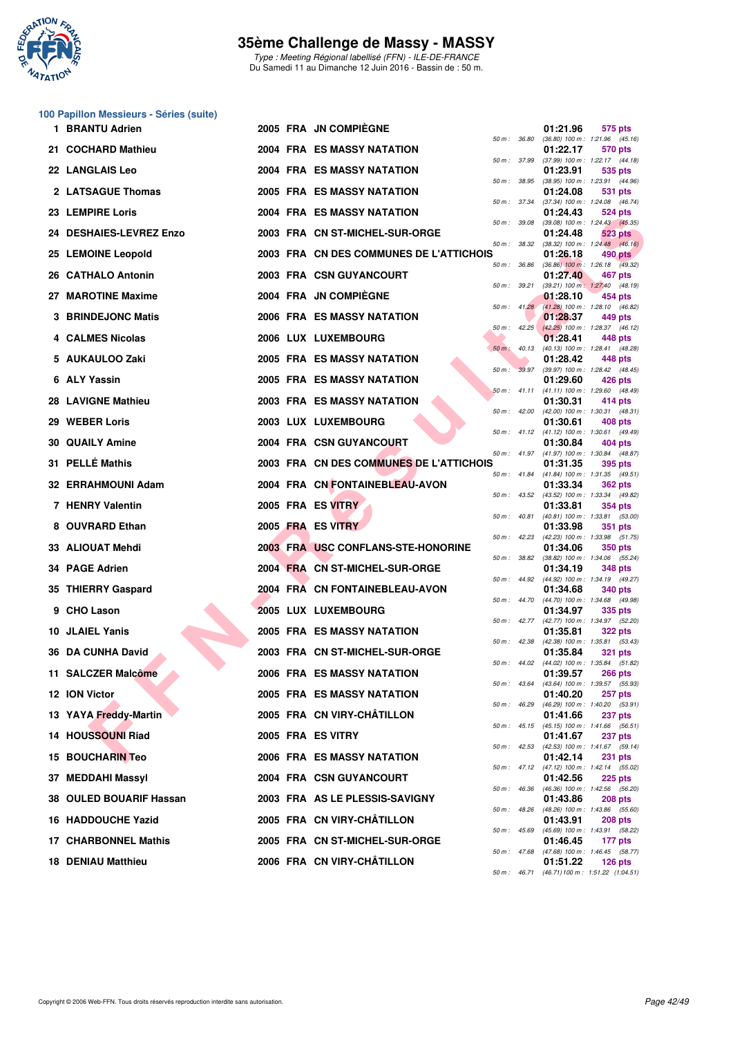

Type : Meeting Régional labellisé (FFN) - ILE-DE-FRANCE Du Samedi 11 au Dimanche 12 Juin 2016 - Bassin de : 50 m.

### **100 Papillon Messieurs - Séries (suite)**

|   | 1 BRANTU Adrien           |  | 2005 FRA JN COMPIEGNE                   |                  |                  | 01:21.96 | 575 pts                                                                 |  |
|---|---------------------------|--|-----------------------------------------|------------------|------------------|----------|-------------------------------------------------------------------------|--|
|   | 21 COCHARD Mathieu        |  | 2004 FRA ES MASSY NATATION              | 50 m : 36.80     |                  | 01:22.17 | $(36.80)$ 100 m : 1:21.96 $(45.16)$<br>570 pts                          |  |
|   | <b>22 LANGLAIS Leo</b>    |  | <b>2004 FRA ES MASSY NATATION</b>       | 50 m : 37.99     |                  | 01:23.91 | $(37.99)$ 100 m : 1:22.17 $(44.18)$<br>535 pts                          |  |
|   | 2 LATSAGUE Thomas         |  | <b>2005 FRA ES MASSY NATATION</b>       | 50 m: 38.95      |                  | 01:24.08 | (38.95) 100 m: 1:23.91 (44.96)<br>531 pts                               |  |
|   | 23 LEMPIRE Loris          |  | 2004 FRA ES MASSY NATATION              | 50 m : 37.34     |                  | 01:24.43 | (37.34) 100 m: 1:24.08 (46.74)<br>524 pts                               |  |
|   | 24 DESHAIES-LEVREZ Enzo   |  | 2003 FRA CN ST-MICHEL-SUR-ORGE          | 50 m: 39.08      |                  | 01:24.48 | (39.08) 100 m: 1:24.43 (45.35)<br>523 pts                               |  |
|   | 25 LEMOINE Leopold        |  | 2003 FRA CN DES COMMUNES DE L'ATTICHOIS | 50 m: 38.32      |                  | 01:26.18 | $(38.32)$ 100 m : 1:24.48 $(46.16)$<br>490 pts                          |  |
|   | 26 CATHALO Antonin        |  | 2003 FRA CSN GUYANCOURT                 | 50 m: 36.86      |                  | 01:27.40 | $(36.86)$ 100 m : 1:26.18 $(49.32)$<br>467 pts                          |  |
|   | 27 MAROTINE Maxime        |  | 2004 FRA JN COMPIEGNE                   | 50 m: 39.21      |                  | 01:28.10 | (39.21) 100 m: 1:27.40 (48.19)<br>454 pts                               |  |
|   | <b>BRINDEJONC Matis</b>   |  | 2006 FRA ES MASSY NATATION              |                  | 50 m: 41.28      | 01:28.37 | (41.28) 100 m: 1:28.10 (46.82)<br>449 pts                               |  |
|   | 4 CALMES Nicolas          |  | 2006 LUX LUXEMBOURG                     |                  | 50 m: 42.25      | 01:28.41 | $(42.25)$ 100 m : 1:28.37 $(46.12)$<br>448 pts                          |  |
|   | 5 AUKAULOO Zaki           |  | 2005 FRA ES MASSY NATATION              | $50 m$ : $40.13$ |                  | 01:28.42 | (40.13) 100 m: 1:28.41 (48.28)<br>448 pts                               |  |
|   | 6 ALY Yassin              |  | <b>2005 FRA ES MASSY NATATION</b>       |                  | 50 m: 39.97      | 01:29.60 | (39.97) 100 m: 1:28.42 (48.45)<br>426 pts                               |  |
|   | 28 LAVIGNE Mathieu        |  | <b>2003 FRA ES MASSY NATATION</b>       |                  |                  | 01:30.31 | 50 m: 41.11 (41.11) 100 m: 1:29.60 (48.49)<br>414 pts                   |  |
|   | 29 WEBER Loris            |  | 2003 LUX LUXEMBOURG                     |                  | $50 m$ : $42.00$ | 01:30.61 | $(42.00)$ 100 m : 1:30.31 $(48.31)$<br>408 pts                          |  |
|   | <b>30 QUAILY Amine</b>    |  | 2004 FRA CSN GUYANCOURT                 |                  |                  | 01:30.84 | 50 m: 41.12 (41.12) 100 m: 1:30.61 (49.49)<br>404 pts                   |  |
|   | 31 PELLÉ Mathis           |  | 2003 FRA CN DES COMMUNES DE L'ATTICHOIS |                  |                  | 01:31.35 | 50 m: 41.97 (41.97) 100 m: 1:30.84 (48.87)<br>395 pts                   |  |
|   | 32 ERRAHMOUNI Adam        |  | 2004 FRA CN FONTAINEBLEAU-AVON          |                  | 50 m : 41.84     | 01:33.34 | $(41.84)$ 100 m : 1:31.35 $(49.51)$<br>362 pts                          |  |
|   | 7 HENRY Valentin          |  | 2005 FRA ES VITRY                       | $50 m$ : 43.52   |                  | 01:33.81 | (43.52) 100 m: 1:33.34 (49.82)<br>354 pts                               |  |
|   | 8 OUVRARD Ethan           |  | 2005 FRA ES VITRY                       |                  | 50 m : 40.81     | 01:33.98 | $(40.81)$ 100 m : 1:33.81 $(53.00)$<br><b>351 pts</b>                   |  |
|   | 33 ALIOUAT Mehdi          |  | 2003 FRA USC CONFLANS-STE-HONORINE      | 50 m: 42.23      |                  | 01:34.06 | $(42.23)$ 100 m : 1:33.98 $(51.75)$<br>350 pts                          |  |
|   | 34 PAGE Adrien            |  | 2004 FRA CN ST-MICHEL-SUR-ORGE          | 50 m : 38.82     |                  | 01:34.19 | (38.82) 100 m: 1:34.06 (55.24)<br>348 pts                               |  |
|   | 35 THIERRY Gaspard        |  | 2004 FRA CN FONTAINEBLEAU-AVON          |                  |                  | 01:34.68 | 50 m: 44.92 (44.92) 100 m: 1:34.19 (49.27)<br>340 pts                   |  |
| 9 | <b>CHO Lason</b>          |  | 2005 LUX LUXEMBOURG                     |                  | 50 m : 44.70     | 01:34.97 | (44.70) 100 m: 1:34.68 (49.98)<br>335 pts                               |  |
|   | 10 JLAIEL Yanis           |  | <b>2005 FRA ES MASSY NATATION</b>       |                  |                  | 01:35.81 | 50 m: 42.77 (42.77) 100 m: 1:34.97 (52.20)<br><b>322 pts</b>            |  |
|   | 36 DA CUNHA David         |  | 2003 FRA CN ST-MICHEL-SUR-ORGE          | 50 m: 42.38      |                  | 01:35.84 | (42.38) 100 m : 1:35.81 (53.43)                                         |  |
|   | 11 SALCZER Malcôme        |  | 2006 FRA ES MASSY NATATION              |                  |                  | 01:39.57 | 321 pts<br>50 m: 44.02 (44.02) 100 m: 1:35.84 (51.82)<br><b>266 pts</b> |  |
|   |                           |  |                                         | 50 m : 43.64     |                  | 01:40.20 | (43.64) 100 m : 1:39.57 (55.93)                                         |  |
|   | 12 ION Victor             |  | <b>2005 FRA ES MASSY NATATION</b>       | 50 m: 46.29      |                  |          | 257 pts<br>(46.29) 100 m: 1:40.20 (53.91)                               |  |
|   | 13 YAYA Freddy-Martin     |  | 2005 FRA CN VIRY-CHATILLON              |                  |                  | 01:41.66 | 237 pts<br>50 m: 45.15 (45.15) 100 m: 1:41.66 (56.51)                   |  |
|   | 14 HOUSSOUNI Riad         |  | 2005 FRA ES VITRY                       | 50 m: 42.53      |                  | 01:41.67 | 237 pts<br>$(42.53)$ 100 m : 1:41.67 $(59.14)$                          |  |
|   | <b>15 BOUCHARIN Teo</b>   |  | 2006 FRA ES MASSY NATATION              |                  |                  | 01:42.14 | 231 pts<br>50 m : 47.12 (47.12) 100 m : 1:42.14 (55.02)                 |  |
|   | 37 MEDDAHI Massyl         |  | <b>2004 FRA CSN GUYANCOURT</b>          | 50 m: 46.36      |                  | 01:42.56 | <b>225 pts</b><br>(46.36) 100 m: 1:42.56 (56.20)                        |  |
|   | 38 OULED BOUARIF Hassan   |  | 2003 FRA AS LE PLESSIS-SAVIGNY          | 50 m: 48.26      |                  | 01:43.86 | <b>208 pts</b><br>(48.26) 100 m: 1:43.86 (55.60)                        |  |
|   | 16 HADDOUCHE Yazid        |  | 2005 FRA CN VIRY-CHÂTILLON              | $50 m$ : 45.69   |                  | 01:43.91 | 208 pts<br>(45.69) 100 m: 1:43.91 (58.22)                               |  |
|   | 17 CHARBONNEL Mathis      |  | 2005 FRA CN ST-MICHEL-SUR-ORGE          |                  | 50 m : 47.68     | 01:46.45 | 177 pts<br>$(47.68)$ 100 m : 1:46.45 (58.77)                            |  |
|   | <b>18 DENIAU Matthieu</b> |  | 2006 FRA CN VIRY-CHÂTILLON              |                  |                  | 01:51.22 | <b>126 pts</b><br>50 m: 46.71 (46.71) 100 m: 1:51.22 (1:04.51)          |  |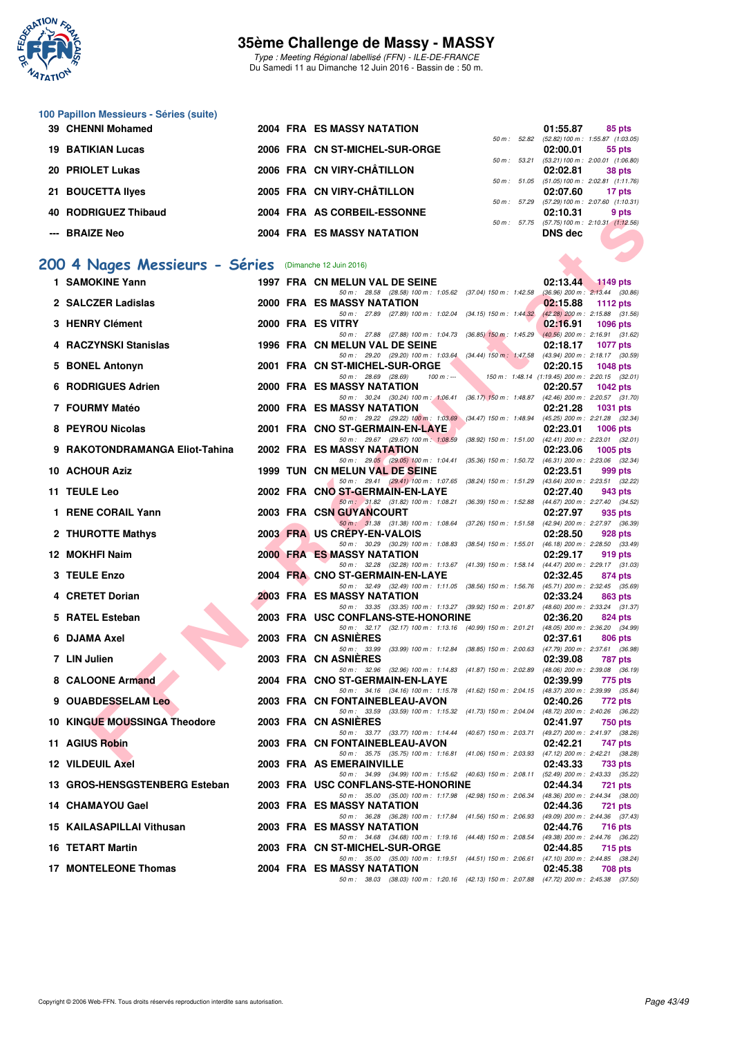

Type : Meeting Régional labellisé (FFN) - ILE-DE-FRANCE Du Samedi 11 au Dimanche 12 Juin 2016 - Bassin de : 50 m.

#### **100 Papillon Messieurs - Séries (suite)**

| 39 CHENNI Mohamed                                      | <b>2004 FRA ES MASSY NATATION</b> |                          | 01:55.87       | 85 pts                                        |  |
|--------------------------------------------------------|-----------------------------------|--------------------------|----------------|-----------------------------------------------|--|
|                                                        |                                   | 50 m: 52.82              |                | $(52.82)$ 100 m : 1:55.87 $(1:03.05)$         |  |
| <b>19 BATIKIAN Lucas</b>                               | 2006 FRA CN ST-MICHEL-SUR-ORGE    |                          | 02:00.01       | 55 pts                                        |  |
|                                                        |                                   | 50 m: 53.21              |                | $(53.21)$ 100 m : 2:00.01 $(1.06.80)$         |  |
| 20 PRIOLET Lukas                                       | 2006 FRA CN VIRY-CHÂTILLON        |                          | 02:02.81       | 38 pts                                        |  |
|                                                        |                                   | 50 m: 51.05              |                | $(51.05) 100 \text{ m}$ : 2:02.81 $(1:11.76)$ |  |
| 21 BOUCETTA Ilyes                                      | 2005 FRA CN VIRY-CHÂTILLON        |                          | 02:07.60       | 17 pts                                        |  |
|                                                        |                                   | $50 \text{ m}$ : $57.29$ |                | $(57.29)$ 100 m : 2:07.60 $(1:10.31)$         |  |
| 40 RODRIGUEZ Thibaud                                   | 2004 FRA AS CORBEIL-ESSONNE       |                          | 02:10.31       | 9 pts                                         |  |
|                                                        |                                   | $50 m$ : $57.75$         |                | $(57.75) 100 \text{ m}$ : 2:10.31 $(1.12.56)$ |  |
| --- BRAIZE Neo                                         | <b>2004 FRA ES MASSY NATATION</b> |                          | <b>DNS</b> dec |                                               |  |
|                                                        |                                   |                          |                |                                               |  |
|                                                        |                                   |                          |                |                                               |  |
| 200 4 Nages Messieurs - Séries (Dimanche 12 Juin 2016) |                                   |                          |                |                                               |  |
| 1 SAMOKINE Yann                                        | 1997 FRA CN MELUN VAL DE SEINE    |                          | 02:13.44       | 1149 pts                                      |  |
|                                                        |                                   |                          |                |                                               |  |

# **[200 4 Nages Messieurs - Séries](http://www.ffnatation.fr/webffn/resultats.php?idact=nat&go=epr&idcpt=38069&idepr=91)** (Dimanche 12 Juin 2016)

| 4v | <b>NUPRIGULL IIIIDAUU</b>                             |  | ZUVT FRA AJ CURDEIL-EJJUNNE                                                                                                    |  | 04.10.31       | <b>J</b> pis                                                          |
|----|-------------------------------------------------------|--|--------------------------------------------------------------------------------------------------------------------------------|--|----------------|-----------------------------------------------------------------------|
|    | ---   BRAIZE Neo                                      |  | <b>2004 FRA ES MASSY NATATION</b>                                                                                              |  | <b>DNS</b> dec | 50 m: 57.75 (57.75) 100 m: 2:10.31 (1:12.56)                          |
|    | 00 4 Nages Messieurs - Séries (Dimanche 12 Juin 2016) |  |                                                                                                                                |  |                |                                                                       |
|    | 1 SAMOKINE Yann                                       |  | 1997 FRA CN MELUN VAL DE SEINE                                                                                                 |  | 02:13.44       | $\triangle$ 1149 pts                                                  |
|    | 2 SALCZER Ladislas                                    |  | 50 m: 28.58 (28.58) 100 m: 1:05.62 (37.04) 150 m: 1:42.58 (36.96) 200 m: 2:13.44 (30.86)<br><b>2000 FRA ES MASSY NATATION</b>  |  | 02:15.88       | 1112 $pts$                                                            |
|    |                                                       |  | 50 m: 27.89 (27.89) 100 m: 1:02.04 (34.15) 150 m: 1:44.32                                                                      |  |                | $(42.28)$ 200 m : 2:15.88 (31.56)                                     |
|    | 3 HENRY Clément                                       |  | 2000 FRA ES VITRY                                                                                                              |  | 02:16.91       | <b>1096 pts</b>                                                       |
|    | 4 RACZYNSKI Stanislas                                 |  | 50 m: 27.88 (27.88) 100 m: 1:04.73 (36.85) 150 m: 1:45.29 (40.56) 200 m: 2:16.91 (31.62)<br>1996 FRA CN MELUN VAL DE SEINE     |  | 02:18.17       | <b>1077 pts</b>                                                       |
|    |                                                       |  | 50 m: 29.20 (29.20) 100 m: 1:03.64 (34.44) 150 m: 1:47.58 (43.94) 200 m: 2:18.17 (30.59)                                       |  |                |                                                                       |
|    | 5 BONEL Antonyn                                       |  | 2001 FRA CN ST-MICHEL-SUR-ORGE<br>50 m: 28.69 (28.69)<br>$100 m: -$                                                            |  | 02:20.15       | <b>1048 pts</b><br>150 m: 1:48.14 (1:19.45) 200 m: 2:20.15 (32.01)    |
|    | 6 RODRIGUES Adrien                                    |  | 2000 FRA ES MASSY NATATION                                                                                                     |  | 02:20.57       | $1042$ pts                                                            |
|    | 7 FOURMY Matéo                                        |  | 50 m: 30.24 (30.24) 100 m: 1:06.41 (36.17) 150 m: 1:48.87 (42.46) 200 m: 2:20.57 (31.70)<br><b>2000 FRA ES MASSY NATATION</b>  |  | 02:21.28       | <b>1031 pts</b>                                                       |
|    |                                                       |  | 50 m: 29.22 (29.22) 100 m: 1:03.69 (34.47) 150 m: 1:48.94 (45.25) 200 m: 2:21.28 (32.34)                                       |  |                |                                                                       |
|    | 8 PEYROU Nicolas                                      |  | 2001 FRA CNO ST-GERMAIN-EN-LAYE                                                                                                |  | 02:23.01       | <b>1006 pts</b>                                                       |
|    | 9 RAKOTONDRAMANGA Eliot-Tahina                        |  | 50 m: 29.67 (29.67) 100 m: 1:08.59<br>2002 FRA ES MASSY NATATION                                                               |  | 02:23.06       | (38.92) 150 m : 1:51.00 (42.41) 200 m : 2:23.01 (32.01)<br>1005 $pts$ |
|    |                                                       |  | 50 m: 29.05 (29.05) 100 m: 1:04.41 (35.36) 150 m: 1:50.72 (46.31) 200 m: 2:23.06 (32.34)                                       |  |                |                                                                       |
|    | 10 ACHOUR Aziz                                        |  | 1999 TUN CN MELUN VAL DE SEINE<br>50 m: 29.41 (29.41) 100 m: 1:07.65 (38.24) 150 m: 1:51.29 (43.64) 200 m: 2:23.51 (32.22)     |  | 02:23.51       | 999 pts                                                               |
|    | 11 TEULE Leo                                          |  | 2002 FRA CNO ST-GERMAIN-EN-LAYE                                                                                                |  | 02:27.40       | 943 pts                                                               |
|    |                                                       |  | 50 m: 31.82 (31.82) 100 m: 1:08.21 (36.39) 150 m: 1:52.88 (44.67) 200 m: 2:27.40 (34.52)                                       |  |                |                                                                       |
|    | 1 RENE CORAIL Yann                                    |  | 2003 FRA CSN GUYANCOURT<br>50 m: 31.38 (31.38) 100 m: 1.08.64 (37.26) 150 m: 1.51.58 (42.94) 200 m: 2:27.97 (36.39)            |  | 02:27.97       | 935 pts                                                               |
|    | 2 THUROTTE Mathys                                     |  | 2003 FRA US CREPY-EN-VALOIS                                                                                                    |  | 02:28.50       | 928 pts                                                               |
|    | 12 MOKHFI Naim                                        |  | 50 m: 30.29 (30.29) 100 m: 1:08.83 (38.54) 150 m: 1:55.01 (46.18) 200 m: 2:28.50 (33.49)<br><b>2000 FRA ES MASSY NATATION</b>  |  | 02:29.17       | 919 pts                                                               |
|    |                                                       |  | 50 m: 32.28 (32.28) 100 m: 1:13.67 (41.39) 150 m: 1:58.14 (44.47) 200 m: 2:29.17 (31.03)                                       |  |                |                                                                       |
|    | 3 TEULE Enzo                                          |  | 2004 FRA CNO ST-GERMAIN-EN-LAYE                                                                                                |  | 02:32.45       | 874 pts                                                               |
|    | 4 CRETET Dorian                                       |  | 50 m: 32.49 (32.49) 100 m: 1:11.05 (38.56) 150 m: 1:56.76 (45.71) 200 m: 2:32.45 (35.69)<br>2003 FRA ES MASSY NATATION         |  | 02:33.24       | 863 pts                                                               |
|    |                                                       |  | 50 m: 33.35 (33.35) 100 m: 1:13.27 (39.92) 150 m: 2:01.87 (48.60) 200 m: 2:33.24 (31.37)                                       |  |                |                                                                       |
|    | 5 RATEL Esteban                                       |  | 2003 FRA USC CONFLANS-STE-HONORINE<br>50 m: 32.17 (32.17) 100 m: 1:13.16 (40.99) 150 m: 2:01.21 (48.05) 200 m: 2:36.20 (34.99) |  | 02:36.20       | 824 pts                                                               |
|    | 6 DJAMA Axel                                          |  | 2003 FRA CN ASNIERES                                                                                                           |  | 02:37.61       | 806 pts                                                               |
|    | 7 LIN Julien                                          |  | 50 m: 33.99 (33.99) 100 m: 1:12.84 (38.85) 150 m: 2:00.63 (47.79) 200 m: 2:37.61 (36.98)<br>2003 FRA CN ASNIÈRES               |  | 02:39.08       | 787 pts                                                               |
|    |                                                       |  | 50 m: 32.96 (32.96) 100 m: 1:14.83 (41.87) 150 m: 2:02.89 (48.06) 200 m: 2:39.08 (36.19)                                       |  |                |                                                                       |
|    | 8 CALOONE Armand                                      |  | 2004 FRA CNO ST-GERMAIN-EN-LAYE                                                                                                |  | 02:39.99       | 775 pts                                                               |
|    | 9 OUABDESSELAM Leo                                    |  | 50 m: 34.16 (34.16) 100 m: 1:15.78 (41.62) 150 m: 2:04.15 (48.37) 200 m: 2:39.99 (35.84)<br>2003 FRA CN FONTAINEBLEAU-AVON     |  | 02:40.26       | 772 pts                                                               |
|    |                                                       |  | 50 m: 33.59 (33.59) 100 m: 1:15.32 (41.73) 150 m: 2:04.04 (48.72) 200 m: 2:40.26 (36.22)                                       |  |                |                                                                       |
|    | <b>10 KINGUE MOUSSINGA Theodore</b>                   |  | 2003 FRA CN ASNIERES<br>50 m: 33.77 (33.77) 100 m: 1:14.44 (40.67) 150 m: 2:03.71 (49.27) 200 m: 2:41.97 (38.26)               |  | 02:41.97       | 750 pts                                                               |
|    | 11 AGIUS Robin                                        |  | 2003 FRA CN FONTAINEBLEAU-AVON                                                                                                 |  | 02:42.21       | 747 pts                                                               |
|    |                                                       |  | 50 m: 35.75 (35.75) 100 m: 1:16.81 (41.06) 150 m: 2:03.93 (47.12) 200 m: 2:42.21 (38.28)<br>2003 FRA AS EMERAINVILLE           |  | 02:43.33       |                                                                       |
|    | 12 VILDEUIL Axel                                      |  | 50 m: 34.99 (34.99) 100 m: 1:15.62 (40.63) 150 m: 2:08.11 (52.49) 200 m: 2:43.33 (35.22)                                       |  |                | <b>733 pts</b>                                                        |
|    | 13 GROS-HENSGSTENBERG Esteban                         |  | 2003 FRA USC CONFLANS-STE-HONORINE                                                                                             |  | 02:44.34       | <b>721 pts</b>                                                        |
|    | 14 CHAMAYOU Gael                                      |  | 50 m: 35.00 (35.00) 100 m: 1:17.98 (42.98) 150 m: 2:06.34 (48.36) 200 m: 2:44.34 (38.00)<br><b>2003 FRA ES MASSY NATATION</b>  |  | 02:44.36       | 721 pts                                                               |
|    |                                                       |  | 50 m: 36.28 (36.28) 100 m: 1:17.84 (41.56) 150 m: 2:06.93 (49.09) 200 m: 2:44.36 (37.43)                                       |  |                |                                                                       |
|    | 15 KAILASAPILLAI Vithusan                             |  | <b>2003 FRA ES MASSY NATATION</b><br>50 m: 34.68 (34.68) 100 m: 1:19.16 (44.48) 150 m: 2:08.54 (49.38) 200 m: 2:44.76 (36.22)  |  | 02:44.76       | 716 pts                                                               |
|    | 16 TETART Martin                                      |  | 2003 FRA CN ST-MICHEL-SUR-ORGE                                                                                                 |  | 02:44.85       | 715 pts                                                               |
|    |                                                       |  | 50 m: 35.00 (35.00) 100 m: 1:19.51 (44.51) 150 m: 2:06.61 (47.10) 200 m: 2:44.85 (38.24)                                       |  |                |                                                                       |
|    | 17 MONTELEONE Thomas                                  |  | <b>2004 FRA ES MASSY NATATION</b><br>50 m: 38.03 (38.03) 100 m: 1:20.16 (42.13) 150 m: 2:07.88 (47.72) 200 m: 2:45.38 (37.50)  |  | 02:45.38       | <b>708 pts</b>                                                        |
|    |                                                       |  |                                                                                                                                |  |                |                                                                       |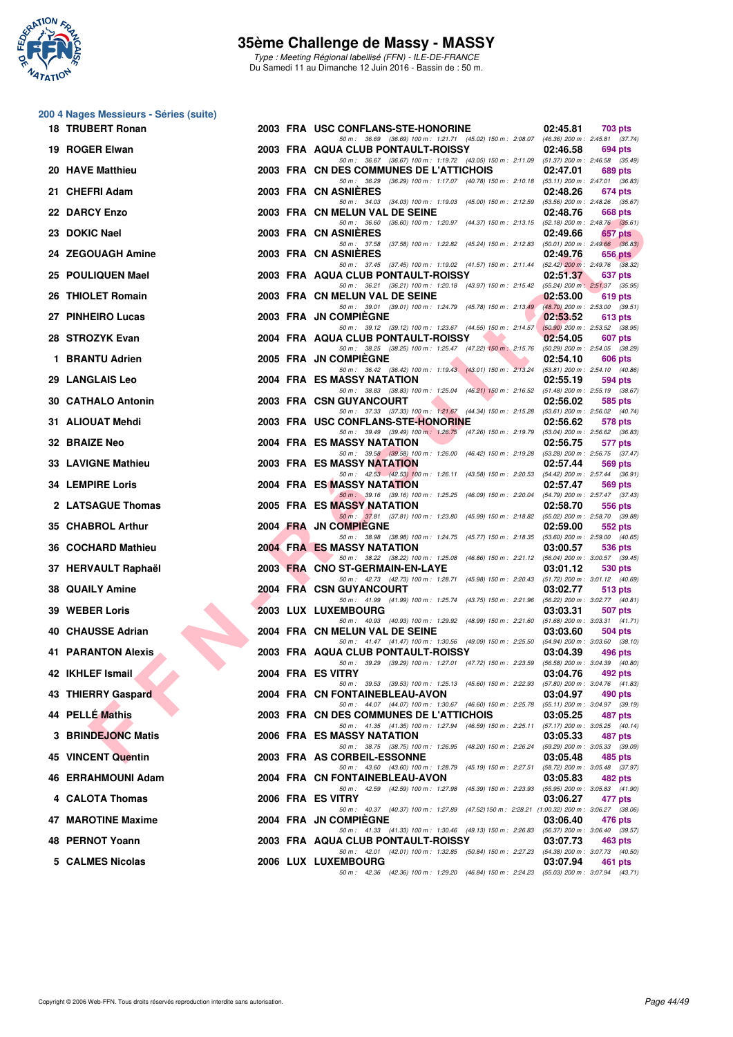

**200 4 Nages Messieurs - Séries (suite)**

## **35ème Challenge de Massy - MASSY**

Type : Meeting Régional labellisé (FFN) - ILE-DE-FRANCE Du Samedi 11 au Dimanche 12 Juin 2016 - Bassin de : 50 m.

| 18 TRUBERT Ronan          |  | 2003 FRA USC CONFLANS-STE-HONORINE                                                                                                      | 02:45.81 | 703 pts                                        |
|---------------------------|--|-----------------------------------------------------------------------------------------------------------------------------------------|----------|------------------------------------------------|
| 19 ROGER Elwan            |  | 50 m: 36.69 (36.69) 100 m: 1:21.71 (45.02) 150 m: 2:08.07 (46.36) 200 m: 2:45.81 (37.74)<br>2003 FRA AQUA CLUB PONTAULT-ROISSY          | 02:46.58 | 694 pts                                        |
| 20 HAVE Matthieu          |  | 50 m: 36.67 (36.67) 100 m: 1:19.72 (43.05) 150 m: 2:11.09 (51.37) 200 m: 2:46.58 (35.49)<br>2003 FRA CN DES COMMUNES DE L'ATTICHOIS     | 02:47.01 | 689 pts                                        |
| 21 CHEFRI Adam            |  | 50 m: 36.29 (36.29) 100 m: 1:17.07 (40.78) 150 m: 2:10.18 (53.11) 200 m: 2:47.01 (36.83)<br>2003 FRA CN ASNIERES                        | 02:48.26 | 674 pts                                        |
| 22 DARCY Enzo             |  | 50 m: 34.03 (34.03) 100 m: 1:19.03 (45.00) 150 m: 2:12.59 (53.56) 200 m: 2:48.26 (35.67)<br>2003 FRA CN MELUN VAL DE SEINE              | 02:48.76 | 668 pts                                        |
| 23 DOKIC Nael             |  | 50 m: 36.60 (36.60) 100 m: 1:20.97 (44.37) 150 m: 2:13.15 (52.18) 200 m: 2:48.76 (35.61)<br>2003 FRA CN ASNIERES                        | 02:49.66 | 657 pts                                        |
| 24 ZEGOUAGH Amine         |  | 50 m: 37.58 (37.58) 100 m: 1:22.82 (45.24) 150 m: 2:12.83 (50.01) 200 m: 2:49.66 (36.83)<br>2003 FRA CN ASNIERES                        | 02:49.76 | $656$ pts                                      |
| 25 POULIQUEN Mael         |  | 50 m: 37.45 (37.45) 100 m: 1:19.02 (41.57) 150 m: 2:11.44 (52.42) 200 m: 2:49.76 (38.32)<br>2003 FRA AQUA CLUB PONTAULT-ROISSY          | 02:51.37 | 637 pts                                        |
| 26 THIOLET Romain         |  | 50 m: 36.21 (36.21) 100 m: 1:20.18 (43.97) 150 m: 2:15.42 (55.24) 200 m: 2:51.37 (35.95)<br>2003 FRA CN MELUN VAL DE SEINE              | 02:53.00 | 619 pts                                        |
| 27 PINHEIRO Lucas         |  | 50 m: 39.01 (39.01) 100 m: 1:24.79 (45.78) 150 m: 2:13.49 (48.70) 200 m: 2:53.00 (39.51)<br>2003 FRA JN COMPIEGNE                       | 02:53.52 | 613 pts                                        |
| 28 STROZYK Evan           |  | 50 m: 39.12 (39.12) 100 m: 1:23.67 (44.55) 150 m: 2:14.57 (50.90) 200 m: 2:53.52 (38.95)<br>2004 FRA AQUA CLUB PONTAULT-ROISSY          | 02:54.05 | 607 pts                                        |
| 1 BRANTU Adrien           |  | 50 m: 38.25 (38.25) 100 m: 1:25.47 (47.22) 150 m: 2:15.76 (50.29) 200 m: 2:54.05 (38.29)<br>2005 FRA JN COMPIEGNE                       | 02:54.10 | <b>606 pts</b>                                 |
| 29 LANGLAIS Leo           |  | 50 m: 36.42 (36.42) 100 m: 1:19.43 (43.01) 150 m: 2:13.24 (53.81) 200 m: 2:54.10 (40.86)<br>2004 FRA ES MASSY NATATION                  | 02:55.19 | 594 pts                                        |
| <b>30 CATHALO Antonin</b> |  | 50 m: 38.83 (38.83) 100 m: 1:25.04 (46.21) 150 m: 2:16.52 (51.48) 200 m: 2:55.19 (38.67)<br>2003 FRA CSN GUYANCOURT                     | 02:56.02 | 585 pts                                        |
| 31 ALIOUAT Mehdi          |  | 50 m: 37.33 (37.33) 100 m: 1:21.67 (44.34) 150 m: 2:15.28 (53.61) 200 m: 2:56.02 (40.74)<br>2003 FRA USC CONFLANS-STE-HONORINE          | 02:56.62 | 578 pts                                        |
| 32 BRAIZE Neo             |  | 50 m : 39.49 (39.49) 100 m : 1:26.75 (47.26) 150 m : 2:19.79 (53.04) 200 m : 2:56.62 (36.83)<br>2004 FRA ES MASSY NATATION              | 02:56.75 | 577 pts                                        |
| 33 LAVIGNE Mathieu        |  | 50 m: 39.58 (39.58) 100 m: 1:26.00 (46.42) 150 m: 2:19.28 (53.28) 200 m: 2:56.75 (37.47)<br><b>2003 FRA ES MASSY NATATION</b>           | 02:57.44 | 569 pts                                        |
| <b>34 LEMPIRE Loris</b>   |  | 50 m: 42.53 (42.53) 100 m: 1:26.11 (43.58) 150 m: 2:20.53 (54.42) 200 m: 2:57.44 (36.91)<br>2004 FRA ES MASSY NATATION                  | 02:57.47 | 569 pts                                        |
| 2 LATSAGUE Thomas         |  | 50 m: 39.16 (39.16) 100 m: 1:25.25 (46.09) 150 m: 2:20.04 (54.79) 200 m: 2:57.47 (37.43)<br>2005 FRA ES MASSY NATATION                  | 02:58.70 | 556 pts                                        |
| 35 CHABROL Arthur         |  | 50 m: 37.81 (37.81) 100 m: 1:23.80 (45.99) 150 m: 2:18.82 (55.02) 200 m: 2:58.70 (39.88)<br>2004 FRA JN COMPIEGNE                       | 02:59.00 | 552 pts                                        |
| 36 COCHARD Mathieu        |  | 50 m: 38.98 (38.98) 100 m: 1:24.75 (45.77) 150 m: 2:18.35 (53.60) 200 m: 2:59.00 (40.65)<br><b>2004 FRA ES MASSY NATATION</b>           | 03:00.57 | 536 pts                                        |
| 37 HERVAULT Raphaël       |  | 50 m: 38.22 (38.22) 100 m: 1:25.08 (46.86) 150 m: 2:21.12 (56.04) 200 m: 3:00.57 (39.45)<br>2003 FRA CNO ST-GERMAIN-EN-LAYE             | 03:01.12 | 530 pts                                        |
| 38 QUAILY Amine           |  | 50 m: 42.73 (42.73) 100 m: 1:28.71 (45.98) 150 m: 2:20.43 (51.72) 200 m: 3:01.12 (40.69)<br><b>2004 FRA CSN GUYANCOURT</b>              | 03:02.77 | 513 pts                                        |
| 39 WEBER Loris            |  | 50 m: 41.99 (41.99) 100 m: 1:25.74 (43.75) 150 m: 2:21.96 (56.22) 200 m: 3:02.77 (40.81)<br>2003 LUX LUXEMBOURG                         | 03:03.31 | 507 pts                                        |
| 40 CHAUSSE Adrian         |  | 50 m: 40.93 (40.93) 100 m: 1:29.92 (48.99) 150 m: 2:21.60 (51.68) 200 m: 3:03.31 (41.71)<br>2004 FRA CN MELUN VAL DE SEINE              | 03:03.60 | 504 pts                                        |
| <b>41 PARANTON Alexis</b> |  | 50 m: 41.47 (41.47) 100 m: 1:30.56 (49.09) 150 m: 2:25.50 (54.94) 200 m: 3:03.60 (38.10)<br>2003 FRA AQUA CLUB PONTAULT-ROISSY          |          |                                                |
| 42 IKHLEF Ismail          |  | 50 m: 39.29 (39.29) 100 m: 1:27.01 (47.72) 150 m: 2:23.59 (56.58) 200 m: 3:04.39 (40.80)<br>2004 FRA ES VITRY                           | 03:04.39 | 496 pts<br>492 pts                             |
|                           |  | 50 m: 39.53 (39.53) 100 m: 1:25.13 (45.60) 150 m: 2:22.93 (57.80) 200 m: 3:04.76 (41.83)                                                | 03:04.76 |                                                |
| 43 THIERRY Gaspard        |  | 2004 FRA CN FONTAINEBLEAU-AVON<br>50 m: 44.07 (44.07) 100 m: 1:30.67 (46.60) 150 m: 2:25.78 (55.11) 200 m: 3:04.97 (39.19)              | 03:04.97 | 490 pts                                        |
| 44 PELLÉ Mathis           |  | 2003 FRA CN DES COMMUNES DE L'ATTICHOIS<br>50 m : 41.35 (41.35) 100 m : 1:27.94 (46.59) 150 m : 2:25.11 (57.17) 200 m : 3:05.25 (40.14) | 03:05.25 | 487 pts                                        |
| <b>3 BRINDEJONC Matis</b> |  | 2006 FRA ES MASSY NATATION<br>50 m : 38.75 (38.75) 100 m : 1:26.95 (48.20) 150 m : 2:26.24                                              | 03:05.33 | 487 pts<br>(59.29) 200 m : 3:05.33 (39.09)     |
| 45 VINCENT Quentin        |  | 2003 FRA AS CORBEIL-ESSONNE<br>50 m : 43.60 (43.60) 100 m : 1:28.79 (45.19) 150 m : 2:27.51                                             | 03:05.48 | 485 pts<br>(58.72) 200 m : 3:05.48 (37.97)     |
| 46 ERRAHMOUNI Adam        |  | 2004 FRA CN FONTAINEBLEAU-AVON<br>50 m: 42.59 (42.59) 100 m: 1:27.98 (45.39) 150 m: 2:23.93                                             | 03:05.83 | 482 pts<br>$(55.95)$ 200 m : 3:05.83 $(41.90)$ |
| 4 CALOTA Thomas           |  | 2006 FRA ES VITRY<br>50 m: 40.37 (40.37) 100 m: 1:27.89 (47.52) 150 m: 2:28.21 (1:00.32) 200 m: 3:06.27 (38.06)                         | 03:06.27 | 477 pts                                        |
| 47 MAROTINE Maxime        |  | 2004 FRA JN COMPIEGNE<br>50 m: 41.33 (41.33) 100 m: 1:30.46 (49.13) 150 m: 2:26.83                                                      | 03:06.40 | 476 pts<br>$(56.37)$ 200 m : 3:06.40 $(39.57)$ |
| 48 PERNOT Yoann           |  | 2003 FRA AQUA CLUB PONTAULT-ROISSY<br>50 m: 42.01 (42.01) 100 m: 1:32.85 (50.84) 150 m: 2:27.23 (54.38) 200 m: 3:07.73 (40.50)          | 03:07.73 | 463 pts                                        |
| 5 CALMES Nicolas          |  | 2006 LUX LUXEMBOURG<br>50 m: 42.36 (42.36) 100 m: 1:29.20 (46.84) 150 m: 2:24.23 (55.03) 200 m: 3:07.94 (43.71)                         | 03:07.94 | 461 pts                                        |
|                           |  |                                                                                                                                         |          |                                                |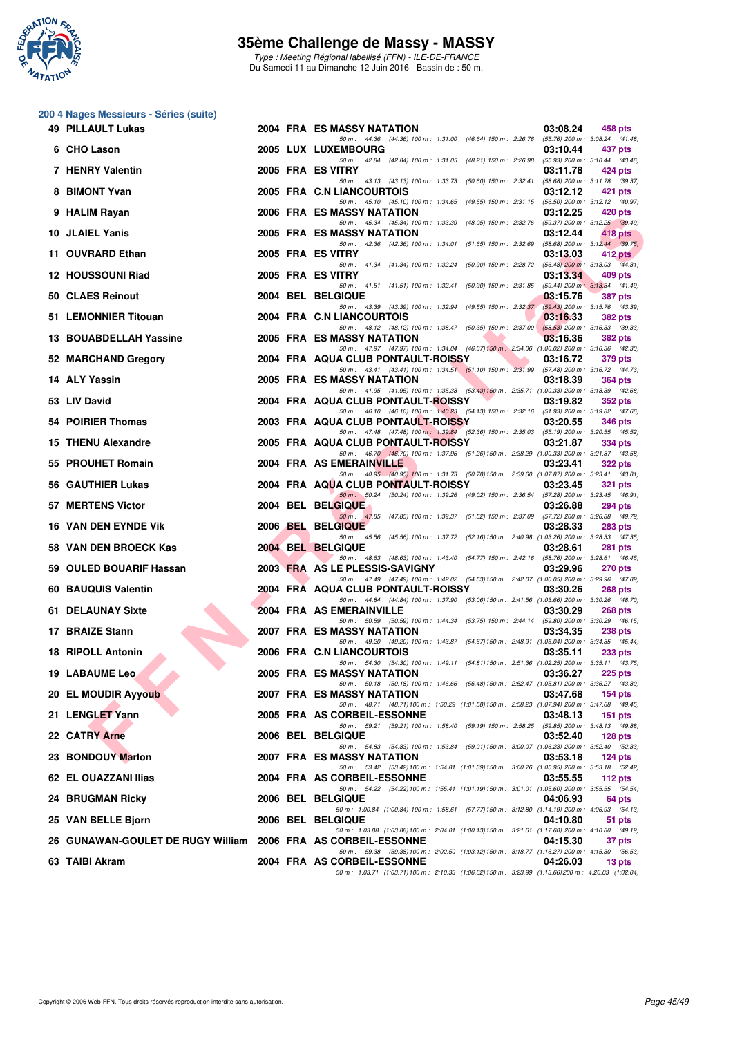

**200 4 Nages Messieurs - Séries (suite)**

# **35ème Challenge de Massy - MASSY**

Type : Meeting Régional labellisé (FFN) - ILE-DE-FRANCE Du Samedi 11 au Dimanche 12 Juin 2016 - Bassin de : 50 m.

|     | 49 PILLAULT Lukas                                             |  | 2004 FRA ES MASSY NATATION<br>03:08.24<br>458 pts                                                                                                              |
|-----|---------------------------------------------------------------|--|----------------------------------------------------------------------------------------------------------------------------------------------------------------|
|     | 6 CHO Lason                                                   |  | 50 m: 44.36 (44.36) 100 m: 1:31.00 (46.64) 150 m: 2:26.76<br>$(55.76)$ 200 m : 3:08.24 $(41.48)$<br><b>2005 LUX LUXEMBOURG</b><br>03:10.44<br>437 pts          |
|     | 7 HENRY Valentin                                              |  | 50 m: 42.84 (42.84) 100 m: 1:31.05 (48.21) 150 m: 2:26.98<br>$(55.93)$ 200 m : 3:10.44 $(43.46)$<br>2005 FRA ES VITRY<br>03:11.78<br>424 pts                   |
| 8   | <b>BIMONT Yvan</b>                                            |  | 50 m: 43.13 (43.13) 100 m: 1:33.73 (50.60) 150 m: 2:32.41<br>(58.68) 200 m : 3:11.78 (39.37)<br>2005 FRA C.N LIANCOURTOIS<br>03:12.12<br>421 pts               |
|     | 9 HALIM Rayan                                                 |  | 50 m: 45.10 (45.10) 100 m: 1:34.65 (49.55) 150 m: 2:31.15 (56.50) 200 m: 3:12.12 (40.97)<br>2006 FRA ES MASSY NATATION<br>03:12.25<br>420 pts                  |
|     | 10 JLAIEL Yanis                                               |  | 50 m: 45.34 (45.34) 100 m: 1:33.39 (48.05) 150 m: 2:32.76 (59.37) 200 m: 3:12.25 (39.49)<br>2005 FRA ES MASSY NATATION<br>03:12.44<br>418 pts                  |
| 11  | <b>OUVRARD Ethan</b>                                          |  | 50 m: 42.36 (42.36) 100 m: 1:34.01 (51.65) 150 m: 2:32.69<br>$(58.68)$ 200 m : 3:12.44 $(39.75)$<br>2005 FRA ES VITRY<br>03:13.03<br>$412$ pts                 |
|     | 12 HOUSSOUNI Riad                                             |  | 50 m: 41.34 (41.34) 100 m: 1:32.24 (50.90) 150 m: 2:28.72 (56.48) 200 m: 3:13.03 (44.31)<br>2005 FRA ES VITRY<br>03:13.34<br>409 pts                           |
|     | 50 CLAES Reinout                                              |  | 50 m: 41.51 (41.51) 100 m: 1:32.41 (50.90) 150 m: 2:31.85<br>$(59.44)$ 200 m : 3:13.34 $(41.49)$<br>2004 BEL BELGIQUE<br>03:15.76<br><b>387 pts</b>            |
|     | 51 LEMONNIER Titouan                                          |  | 50 m: 43.39 (43.39) 100 m: 1:32.94 (49.55) 150 m: 2:32.37<br>(59.43) 200 m : 3:15.76 (43.39)<br>2004 FRA C.N LIANCOURTOIS<br>03:16.33<br><b>382 pts</b>        |
|     | 13 BOUABDELLAH Yassine                                        |  | 50 m: 48.12 (48.12) 100 m: 1:38.47 (50.35) 150 m: 2:37.00<br>$(58.53)$ 200 m : 3:16.33 (39.33)<br>2005 FRA ES MASSY NATATION<br>03:16.36<br><b>382 pts</b>     |
|     | 52 MARCHAND Gregory                                           |  | 50 m: 47.97 (47.97) 100 m: 1:34.04 (46.07) 150 m: 2:34.06 (1:00.02) 200 m: 3:16.36 (42.30)<br>2004 FRA AQUA CLUB PONTAULT-ROISSY<br>03:16.72<br>379 pts        |
|     | 14 ALY Yassin                                                 |  | 50 m: 43.41 (43.41) 100 m: 1:34.51 (51.10) 150 m: 2:31.99 (57.48) 200 m: 3:16.72 (44.73)<br>2005 FRA ES MASSY NATATION<br>03:18.39<br><b>364 pts</b>           |
|     | 53 LIV David                                                  |  | 50 m: 41.95 (41.95) 100 m: 1.35.38 (53.43) 150 m: 2.35.71 (1.00.33) 200 m: 3.18.39 (42.68)<br>2004 FRA AQUA CLUB PONTAULT-ROISSY<br>03:19.82<br><b>352 pts</b> |
|     | 54 POIRIER Thomas                                             |  | 50 m: 46.10 (46.10) 100 m: 1:40.23 (54.13) 150 m: 2:32.16 (51.93) 200 m: 3:19.82 (47.66)<br>2003 FRA AQUA CLUB PONTAULT-ROISSY<br>03:20.55<br><b>346 pts</b>   |
|     | 15 THENU Alexandre                                            |  | 50 m: 47.48 (47.48) 100 m: 1:39.84 (52.36) 150 m: 2:35.03 (55.19) 200 m: 3:20.55 (45.52)<br>2005 FRA AQUA CLUB PONTAULT-ROISSY<br>03:21.87<br>334 pts          |
|     | 55 PROUHET Romain                                             |  | 50 m: 46.70 (46.70) 100 m: 1:37.96 (51.26) 150 m: 2:38.29 (1:00.33) 200 m: 3:21.87 (43.58)<br>2004 FRA AS EMERAINVILLE<br>03:23.41<br><b>322 pts</b>           |
|     | 56 GAUTHIER Lukas                                             |  | 50 m: 40.95 (40.95) 100 m: 1:31.73 (50.78) 150 m: 2:39.60 (1:07.87) 200 m: 3:23.41 (43.81)<br>2004 FRA AQUA CLUB PONTAULT-ROISSY<br>03:23.45<br><b>321 pts</b> |
|     | 57 MERTENS Victor                                             |  | 50 m : 50.24 (50.24) 100 m : 1:39.26 (49.02) 150 m : 2:36.54 (57.28) 200 m : 3:23.45 (46.91)<br>2004 BEL BELGIQUE<br>03:26.88<br><b>294 pts</b>                |
|     | <b>16 VAN DEN EYNDE VIK</b>                                   |  | 50 m: 47.85 (47.85) 100 m: 1:39.37 (51.52) 150 m: 2:37.09 (57.72) 200 m: 3:26.88 (49.79)<br>2006 BEL BELGIQUE<br>03:28.33<br><b>283 pts</b>                    |
|     | 58 VAN DEN BROECK Kas                                         |  | 50 m: 45.56 (45.56) 100 m: 1:37.72 (52.16) 150 m: 2:40.98 (1:03.26) 200 m: 3:28.33 (47.35)<br>2004 BEL BELGIQUE<br>03:28.61<br>281 pts                         |
|     | 59 OULED BOUARIF Hassan                                       |  | 50 m: 48.63 (48.63) 100 m: 1:43.40 (54.77) 150 m: 2:42.16 (58.76) 200 m: 3:28.61 (46.45)<br>2003 FRA AS LE PLESSIS-SAVIGNY<br>03:29.96<br><b>270 pts</b>       |
|     | 60 BAUQUIS Valentin                                           |  | 50 m: 47.49 (47.49) 100 m: 1:42.02 (54.53) 150 m: 2:42.07 (1:00.05) 200 m: 3:29.96 (47.89)<br>2004 FRA AQUA CLUB PONTAULT-ROISSY<br>03:30.26<br><b>268 pts</b> |
| 61. | <b>DELAUNAY Sixte</b>                                         |  | 50 m: 44.84 (44.84) 100 m: 1:37.90 (53.06) 150 m: 2:41.56 (1:03.66) 200 m: 3:30.26 (48.70)<br>2004 FRA AS EMERAINVILLE                                         |
|     | 17 BRAIZE Stann                                               |  | 03:30.29<br><b>268 pts</b><br>50 m: 50.59 (50.59) 100 m: 1:44.34 (53.75) 150 m: 2:44.14 (59.80) 200 m: 3:30.29 (46.15)                                         |
|     |                                                               |  | <b>2007 FRA ES MASSY NATATION</b><br>03:34.35<br><b>238 pts</b><br>50 m: 49.20 (49.20) 100 m: 1:43.87 (54.67) 150 m: 2:48.91 (1:05.04) 200 m: 3:34.35 (45.44)  |
|     | <b>18 RIPOLL Antonin</b>                                      |  | 2006 FRA C.N LIANCOURTOIS<br>03:35.11<br><b>233 pts</b><br>50 m: 54.30 (54.30) 100 m: 1:49.11 (54.81) 150 m: 2:51.36 (1:02.25) 200 m: 3:35.11 (43.75)          |
|     | <b>19 LABAUME Leo</b>                                         |  | <b>2005 FRA ES MASSY NATATION</b><br>03:36.27<br>$225$ pts<br>50 m: 50.18 (50.18) 100 m: 1:46.66 (56.48) 150 m: 2:52.47 (1:05.81) 200 m: 3:36.27 (43.80)       |
|     | 20 EL MOUDIR Ayyoub                                           |  | <b>2007 FRA ES MASSY NATATION</b><br>03:47.68<br>$154$ pts<br>50 m: 48.71 (48.71) 100 m: 1:50.29 (1:01.58) 150 m: 2:58.23 (1:07.94) 200 m: 3:47.68 (49.45)     |
|     | 21 LENGLET Yann                                               |  | 2005 FRA AS CORBEIL-ESSONNE<br>03:48.13<br>$151$ pts<br>50 m: 59.21 (59.21) 100 m: 1:58.40 (59.19) 150 m: 2:58.25 (59.85) 200 m: 3:48.13 (49.88)               |
|     | 22 CATRY Arne                                                 |  | <b>2006 BEL BELGIQUE</b><br>03:52.40<br>$128$ pts<br>50 m: 54.83 (54.83) 100 m: 1:53.84 (59.01) 150 m: 3:00.07 (1:06.23) 200 m: 3:52.40 (52.33)                |
|     | 23 BONDOUY Marlon                                             |  | 2007 FRA ES MASSY NATATION<br>03:53.18<br>$124$ pts<br>50 m: 53.42 (53.42) 100 m: 1:54.81 (1:01.39) 150 m: 3:00.76 (1:05.95) 200 m: 3:53.18 (52.42)            |
|     | 62 EL OUAZZANI Ilias                                          |  | 2004 FRA AS CORBEIL-ESSONNE<br>03:55.55<br>112 $pts$<br>50 m: 54.22 (54.22) 100 m: 1:55.41 (1:01.19) 150 m: 3:01.01 (1:05.60) 200 m: 3:55.55 (54.54)           |
|     | 24 BRUGMAN Ricky                                              |  | <b>2006 BEL BELGIQUE</b><br>04:06.93<br>64 pts<br>50 m: 1:00.84 (1:00.84) 100 m: 1:58.61 (57.77) 150 m: 3:12.80 (1:14.19) 200 m: 4:06.93 (54.13)               |
|     | 25 VAN BELLE Bjorn                                            |  | <b>2006 BEL BELGIQUE</b><br>04:10.80<br>51 pts<br>50 m: 1:03.88 (1:03.88) 100 m: 2:04.01 (1:00.13) 150 m: 3:21.61 (1:17.60) 200 m: 4:10.80 (49.19)             |
|     | 26 GUNAWAN-GOULET DE RUGY William 2006 FRA AS CORBEIL-ESSONNE |  | 04:15.30<br>37 pts<br>50 m: 59.38 (59.38) 100 m: 2:02.50 (1:03.12) 150 m: 3:18.77 (1:16.27) 200 m: 4:15.30 (56.53)                                             |
|     | 63 TAIBI Akram                                                |  | 2004 FRA AS CORBEIL-ESSONNE<br>04:26.03<br>13 pts<br>50 m: 1:03.71 (1:03.71) 100 m: 2:10.33 (1:06.62) 150 m: 3:23.99 (1:13.66) 200 m: 4:26.03 (1:02.04)        |
|     |                                                               |  |                                                                                                                                                                |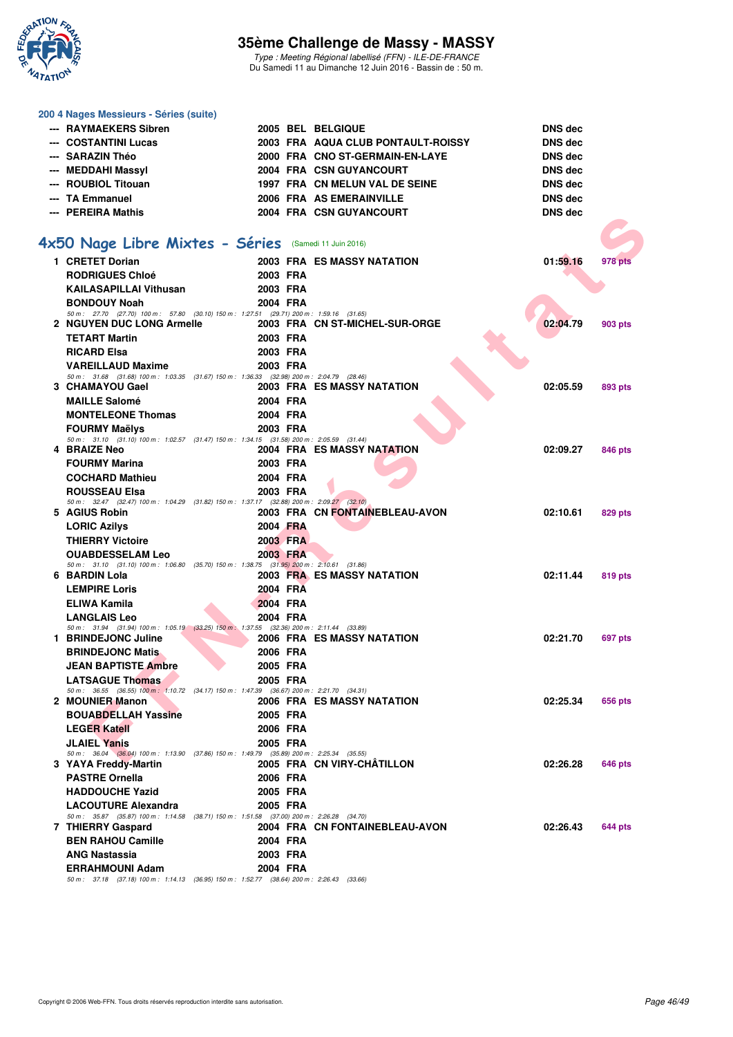

Type : Meeting Régional labellisé (FFN) - ILE-DE-FRANCE Du Samedi 11 au Dimanche 12 Juin 2016 - Bassin de : 50 m.

#### **200 4 Nages Messieurs - Séries (suite)**

| --- RAYMAEKERS Sibren |  | 2005 BEL BELGIQUE                  | DNS dec        |
|-----------------------|--|------------------------------------|----------------|
| --- COSTANTINI Lucas  |  | 2003 FRA AQUA CLUB PONTAULT-ROISSY | <b>DNS</b> dec |
| --- SARAZIN Théo      |  | 2000 FRA CNO ST-GERMAIN-EN-LAYE    | DNS dec        |
| --- MEDDAHI Massyl    |  | 2004 FRA CSN GUYANCOURT            | DNS dec        |
| --- ROUBIOL Titouan   |  | 1997 FRA CN MELUN VAL DE SEINE     | DNS dec        |
| --- TA Emmanuel       |  | 2006 FRA AS EMERAINVILLE           | <b>DNS</b> dec |
| --- PEREIRA Mathis    |  | 2004 FRA CSN GUYANCOURT            | DNS dec        |

# **[4x50 Nage Libre Mixtes - Séries](http://www.ffnatation.fr/webffn/resultats.php?idact=nat&go=epr&idcpt=38069&idepr=87)** (Samedi 11 Juin 2016)

|                                                                                                                     |          |                                   | טשט טוע  |         |
|---------------------------------------------------------------------------------------------------------------------|----------|-----------------------------------|----------|---------|
|                                                                                                                     |          |                                   |          |         |
| <b>x50 Nage Libre Mixtes - Séries</b> (Samedi 11 Juin 2016)                                                         |          |                                   |          |         |
| 1 CRETET Dorian                                                                                                     |          | <b>2003 FRA ES MASSY NATATION</b> | 01:59.16 | 978 pts |
| <b>RODRIGUES Chloé</b>                                                                                              | 2003 FRA |                                   |          |         |
| <b>KAILASAPILLAI Vithusan</b>                                                                                       | 2003 FRA |                                   |          |         |
| <b>BONDOUY Noah</b>                                                                                                 | 2004 FRA |                                   |          |         |
| 50 m: 27.70 (27.70) 100 m: 57.80 (30.10) 150 m: 1:27.51 (29.71) 200 m: 1:59.16 (31.65)<br>2 NGUYEN DUC LONG Armelle |          | 2003 FRA CN ST-MICHEL-SUR-ORGE    | 02:04.79 | 903 pts |
| <b>TETART Martin</b>                                                                                                | 2003 FRA |                                   |          |         |
| <b>RICARD Elsa</b>                                                                                                  | 2003 FRA |                                   |          |         |
| <b>VAREILLAUD Maxime</b>                                                                                            | 2003 FRA |                                   |          |         |
| 50 m: 31.68 (31.68) 100 m: 1:03.35 (31.67) 150 m: 1:36.33 (32.98) 200 m: 2:04.79 (28.46)                            |          |                                   |          |         |
| 3 CHAMAYOU Gael                                                                                                     |          | 2003 FRA ES MASSY NATATION        | 02:05.59 | 893 pts |
| <b>MAILLE Salomé</b>                                                                                                | 2004 FRA |                                   |          |         |
| <b>MONTELEONE Thomas</b>                                                                                            | 2004 FRA |                                   |          |         |
| <b>FOURMY Maëlys</b>                                                                                                | 2003 FRA |                                   |          |         |
| 50 m: 31.10 (31.10) 100 m: 1:02.57 (31.47) 150 m: 1:34.15 (31.58) 200 m: 2:05.59 (31.44)                            |          |                                   |          |         |
| 4 BRAIZE Neo                                                                                                        |          | 2004 FRA ES MASSY NATATION        | 02:09.27 | 846 pts |
| <b>FOURMY Marina</b>                                                                                                | 2003 FRA |                                   |          |         |
| <b>COCHARD Mathieu</b>                                                                                              | 2004 FRA |                                   |          |         |
| <b>ROUSSEAU Elsa</b><br>50 m: 32.47 (32.47) 100 m: 1:04.29 (31.82) 150 m: 1:37.17 (32.88) 200 m: 2:09.27 (32.10)    | 2003 FRA |                                   |          |         |
| 5 AGIUS Robin                                                                                                       |          | 2003 FRA CN FONTAINEBLEAU-AVON    | 02:10.61 | 829 pts |
| <b>LORIC Azilys</b>                                                                                                 | 2004 FRA |                                   |          |         |
| <b>THIERRY Victoire</b>                                                                                             | 2003 FRA |                                   |          |         |
| <b>OUABDESSELAM Leo</b>                                                                                             | 2003 FRA |                                   |          |         |
| 50 m: 31.10 (31.10) 100 m: 1:06.80 (35.70) 150 m: 1:38.75 (31.95) 200 m: 2:10.61 (31.86)                            |          |                                   |          |         |
| 6 BARDIN Lola                                                                                                       |          | 2003 FRA ES MASSY NATATION        | 02:11.44 | 819 pts |
| <b>LEMPIRE Loris</b>                                                                                                | 2004 FRA |                                   |          |         |
| <b>ELIWA Kamila</b>                                                                                                 | 2004 FRA |                                   |          |         |
| <b>LANGLAIS Leo</b><br>50 m: 31.94 (31.94) 100 m: 1:05.19 (33.25) 150 m: 1:37.55 (32.36) 200 m: 2:11.44 (33.89)     | 2004 FRA |                                   |          |         |
| 1 BRINDEJONC Juline                                                                                                 |          | <b>2006 FRA ES MASSY NATATION</b> | 02:21.70 | 697 pts |
| <b>BRINDEJONC Matis</b>                                                                                             | 2006 FRA |                                   |          |         |
| <b>JEAN BAPTISTE Ambre</b>                                                                                          | 2005 FRA |                                   |          |         |
| <b>LATSAGUE Thomas</b>                                                                                              | 2005 FRA |                                   |          |         |
| 50 m: 36.55 (36.55) 100 m: 1:10.72 (34.17) 150 m: 1:47.39 (36.67) 200 m: 2:21.70 (34.31)                            |          |                                   |          |         |
| 2 MOUNIER Manon                                                                                                     |          | <b>2006 FRA ES MASSY NATATION</b> | 02:25.34 | 656 pts |
| <b>BOUABDELLAH Yassine</b>                                                                                          | 2005 FRA |                                   |          |         |
| <b>LEGER Katell</b>                                                                                                 | 2006 FRA |                                   |          |         |
| <b>JLAIEL Yanis</b><br>50 m: 36.04 (36.04) 100 m: 1:13.90 (37.86) 150 m: 1:49.79 (35.89) 200 m: 2:25.34 (35.55)     | 2005 FRA |                                   |          |         |
| 3 YAYA Freddy-Martin                                                                                                |          | 2005 FRA CN VIRY-CHÂTILLON        | 02:26.28 | 646 pts |
| <b>PASTRE Ornella</b>                                                                                               | 2006 FRA |                                   |          |         |
| <b>HADDOUCHE Yazid</b>                                                                                              | 2005 FRA |                                   |          |         |
| <b>LACOUTURE Alexandra</b>                                                                                          | 2005 FRA |                                   |          |         |
| 50 m: 35.87 (35.87) 100 m: 1:14.58 (38.71) 150 m: 1:51.58 (37.00) 200 m: 2:26.28 (34.70)                            |          |                                   |          |         |
| 7 THIERRY Gaspard                                                                                                   |          | 2004 FRA CN FONTAINEBLEAU-AVON    | 02:26.43 | 644 pts |
| <b>BEN RAHOU Camille</b>                                                                                            | 2004 FRA |                                   |          |         |
| <b>ANG Nastassia</b>                                                                                                | 2003 FRA |                                   |          |         |
| <b>ERRAHMOUNI Adam</b>                                                                                              | 2004 FRA |                                   |          |         |

50 m : 37.18 (37.18) 100 m : 1:14.13 (36.95) 150 m : 1:52.77 (38.64) 200 m : 2:26.43 (33.66)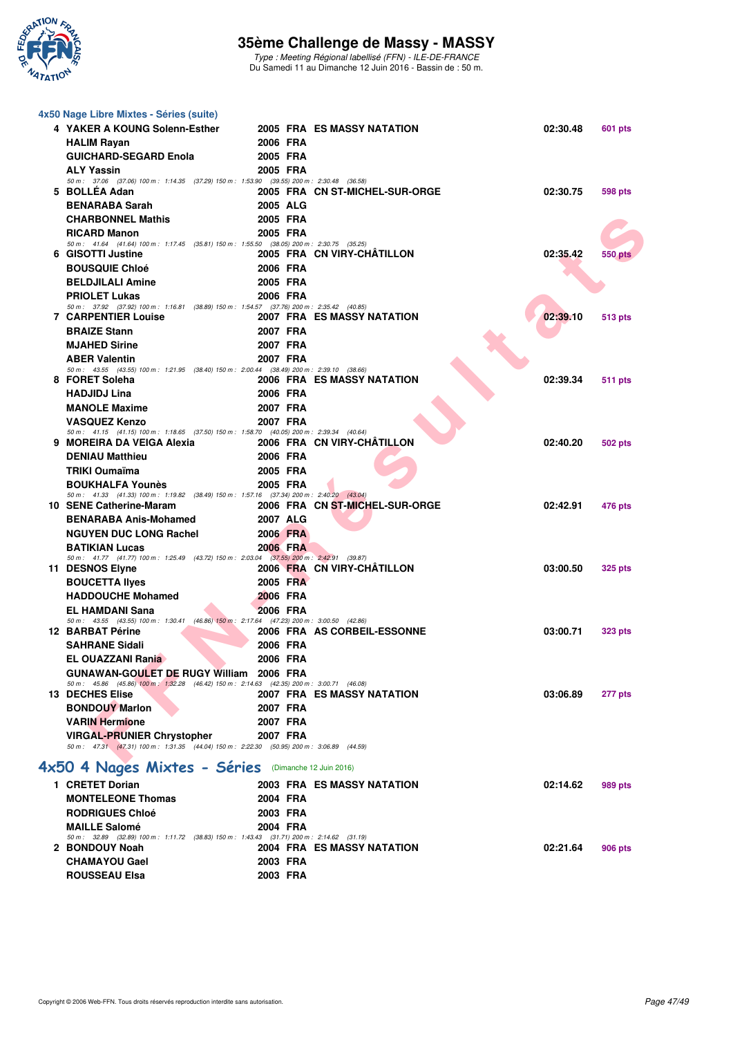

Type : Meeting Régional labellisé (FFN) - ILE-DE-FRANCE Du Samedi 11 au Dimanche 12 Juin 2016 - Bassin de : 50 m.

| 4x50 Nage Libre Mixtes - Séries (suite)                                                                                       |          |          |                                   |          |                |
|-------------------------------------------------------------------------------------------------------------------------------|----------|----------|-----------------------------------|----------|----------------|
| 4 YAKER A KOUNG Solenn-Esther                                                                                                 |          |          | 2005 FRA ES MASSY NATATION        | 02:30.48 | 601 pts        |
| <b>HALIM Rayan</b>                                                                                                            | 2006 FRA |          |                                   |          |                |
| <b>GUICHARD-SEGARD Enola</b>                                                                                                  | 2005 FRA |          |                                   |          |                |
| <b>ALY Yassin</b>                                                                                                             | 2005 FRA |          |                                   |          |                |
| 50 m : 37.06 (37.06) 100 m : 1:14.35 (37.29) 150 m : 1:53.90 (39.55) 200 m : 2:30.48 (36.58)                                  |          |          |                                   |          |                |
| 5 BOLLEA Adan                                                                                                                 |          |          | 2005 FRA CN ST-MICHEL-SUR-ORGE    | 02:30.75 | <b>598 pts</b> |
| <b>BENARABA Sarah</b>                                                                                                         | 2005 ALG |          |                                   |          |                |
| <b>CHARBONNEL Mathis</b>                                                                                                      | 2005 FRA |          |                                   |          |                |
| <b>RICARD Manon</b><br>50 m: 41.64 (41.64) 100 m: 1:17.45 (35.81) 150 m: 1:55.50 (38.05) 200 m: 2:30.75 (35.25)               | 2005 FRA |          |                                   |          |                |
| 6 GISOTTI Justine                                                                                                             |          |          | 2005 FRA CN VIRY-CHATILLON        | 02:35.42 | 550 pts        |
| <b>BOUSQUIE Chloé</b>                                                                                                         | 2006 FRA |          |                                   |          |                |
| <b>BELDJILALI Amine</b>                                                                                                       | 2005 FRA |          |                                   |          |                |
| <b>PRIOLET Lukas</b>                                                                                                          | 2006 FRA |          |                                   |          |                |
| 50 m: 37.92 (37.92) 100 m: 1:16.81 (38.89) 150 m: 1:54.57 (37.76) 200 m: 2:35.42 (40.85)                                      |          |          |                                   |          |                |
| <b>7 CARPENTIER Louise</b>                                                                                                    |          |          | 2007 FRA ES MASSY NATATION        | 02:39.10 | <b>513 pts</b> |
| <b>BRAIZE Stann</b>                                                                                                           | 2007 FRA |          |                                   |          |                |
| <b>MJAHED Sirine</b>                                                                                                          | 2007 FRA |          |                                   |          |                |
| <b>ABER Valentin</b><br>50 m: 43.55 (43.55) 100 m: 1:21.95 (38.40) 150 m: 2:00.44 (38.49) 200 m: 2:39.10 (38.66)              | 2007 FRA |          |                                   |          |                |
| 8 FORET Soleha                                                                                                                |          |          | 2006 FRA ES MASSY NATATION        | 02:39.34 | 511 pts        |
| <b>HADJIDJ Lina</b>                                                                                                           | 2006 FRA |          |                                   |          |                |
| <b>MANOLE Maxime</b>                                                                                                          | 2007 FRA |          |                                   |          |                |
| <b>VASQUEZ Kenzo</b>                                                                                                          | 2007 FRA |          |                                   |          |                |
| 50 m: 41.15 (41.15) 100 m: 1:18.65 (37.50) 150 m: 1:58.70 (40.05) 200 m: 2:39.34 (40.64)                                      |          |          |                                   |          |                |
| 9 MOREIRA DA VEIGA Alexia                                                                                                     |          |          | 2006 FRA CN VIRY-CHATILLON        | 02:40.20 | <b>502 pts</b> |
| <b>DENIAU Matthieu</b>                                                                                                        | 2006 FRA |          |                                   |          |                |
| TRIKI Oumaïma                                                                                                                 | 2005 FRA |          |                                   |          |                |
| <b>BOUKHALFA Younès</b><br>50 m: 41.33 (41.33) 100 m: 1:19.82 (38.49) 150 m: 1:57.16 (37.34) 200 m: 2:40.20 (43.04)           | 2005 FRA |          |                                   |          |                |
| 10 SENE Catherine-Maram                                                                                                       |          |          | 2006 FRA CN ST-MICHEL-SUR-ORGE    | 02:42.91 | 476 pts        |
| <b>BENARABA Anis-Mohamed</b>                                                                                                  | 2007 ALG |          |                                   |          |                |
| <b>NGUYEN DUC LONG Rachel</b>                                                                                                 | 2006 FRA |          |                                   |          |                |
| <b>BATIKIAN Lucas</b>                                                                                                         | 2006 FRA |          |                                   |          |                |
| 50 m: 41.77 (41.77) 100 m: 1:25.49 (43.72) 150 m: 2:03.04 (37.55) 200 m: 2:42.91 (39.87)                                      |          |          |                                   |          |                |
| 11 DESNOS Elyne                                                                                                               |          |          | 2006 FRA CN VIRY-CHÂTILLON        | 03:00.50 | <b>325 pts</b> |
| <b>BOUCETTA Ilyes</b>                                                                                                         |          | 2005 FRA |                                   |          |                |
| <b>HADDOUCHE Mohamed</b>                                                                                                      | 2006 FRA |          |                                   |          |                |
| <b>EL HAMDANI Sana</b><br>50 m: 43.55 (43.55) 100 m: 1:30.41 (46.86) 150 m: 2:17.64 (47.23) 200 m: 3:00.50 (42.86)            | 2006 FRA |          |                                   |          |                |
| 12 BARBAT Périne                                                                                                              |          |          | 2006 FRA AS CORBEIL-ESSONNE       | 03:00.71 | <b>323 pts</b> |
| <b>SAHRANE Sidali</b>                                                                                                         |          | 2006 FRA |                                   |          |                |
| EL OUAZZANI Rania                                                                                                             | 2006 FRA |          |                                   |          |                |
| GUNAWAN-GOULET DE RUGY William 2006 FRA                                                                                       |          |          |                                   |          |                |
| 50 m: 45.86 (45.86) 100 m: 1:32.28 (46.42) 150 m: 2:14.63 (42.35) 200 m: 3:00.71 (46.08)                                      |          |          |                                   |          |                |
| <b>13 DECHES Elise</b>                                                                                                        |          |          | 2007 FRA ES MASSY NATATION        | 03:06.89 | 277 pts        |
| <b>BONDOUY Marlon</b>                                                                                                         | 2007 FRA |          |                                   |          |                |
| <b>VARIN Hermione</b>                                                                                                         | 2007 FRA |          |                                   |          |                |
| <b>VIRGAL-PRUNIER Chrystopher</b><br>50 m: 47.31 (47.31) 100 m: 1:31.35 (44.04) 150 m: 2:22.30 (50.95) 200 m: 3:06.89 (44.59) | 2007 FRA |          |                                   |          |                |
|                                                                                                                               |          |          |                                   |          |                |
| 4x50 4 Nages Mixtes - Séries (Dimanche 12 Juin 2016)                                                                          |          |          |                                   |          |                |
| 1 CRETET Dorian                                                                                                               |          |          | <b>2003 FRA ES MASSY NATATION</b> | 02:14.62 | 989 pts        |
| <b>MONTELEONE Thomas</b>                                                                                                      | 2004 FRA |          |                                   |          |                |
| <b>RODRIGUES Chloé</b>                                                                                                        | 2003 FRA |          |                                   |          |                |
| <b>MAILLE Salomé</b>                                                                                                          | 2004 FRA |          |                                   |          |                |
| 50 m: 32.89 (32.89) 100 m: 1:11.72 (38.83) 150 m: 1:43.43 (31.71) 200 m: 2:14.62 (31.19)                                      |          |          |                                   |          |                |
| 2 BONDOUY Noah                                                                                                                |          |          | 2004 FRA ES MASSY NATATION        | 02:21.64 | 906 pts        |

**CHAMAYOU Gael 2003 FRA ROUSSEAU Elsa 2003 FRA**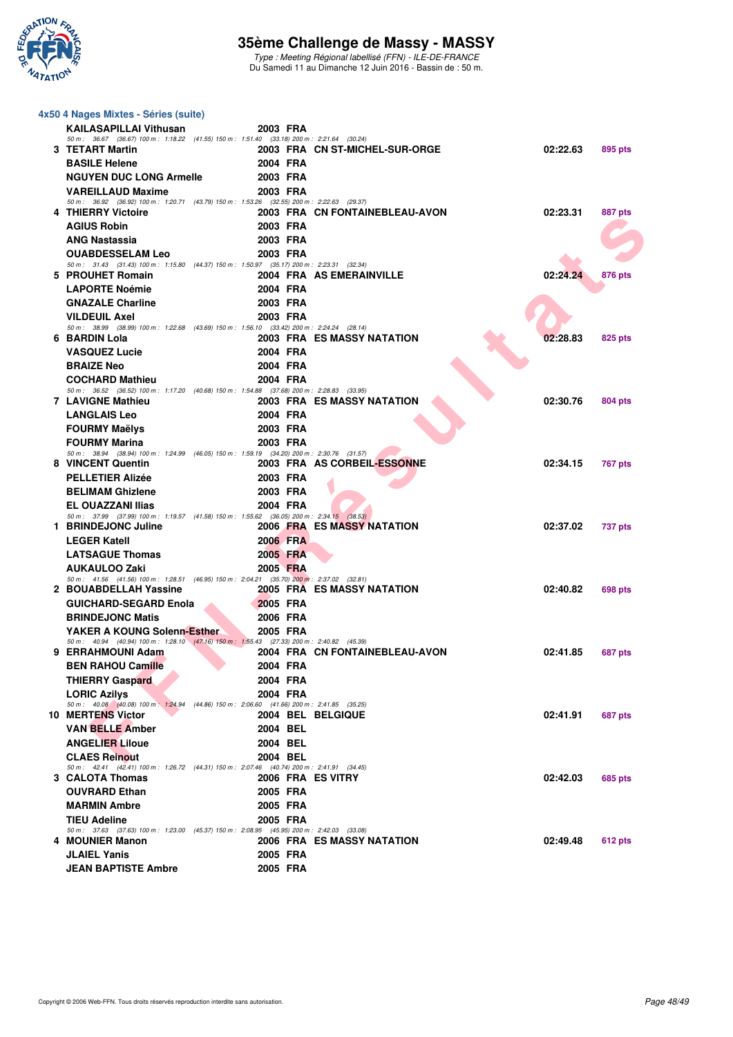

Type : Meeting Régional labellisé (FFN) - ILE-DE-FRANCE Du Samedi 11 au Dimanche 12 Juin 2016 - Bassin de : 50 m.

| 4x50 4 Nages Mixtes - Séries (suite)                                                                                    |          |                                |          |                |
|-------------------------------------------------------------------------------------------------------------------------|----------|--------------------------------|----------|----------------|
| <b>KAILASAPILLAI Vithusan</b>                                                                                           | 2003 FRA |                                |          |                |
| 50 m: 36.67 (36.67) 100 m: 1:18.22 (41.55) 150 m: 1:51.40 (33.18) 200 m: 2:21.64 (30.24)<br>3 TETART Martin             |          |                                | 02:22.63 |                |
| <b>BASILE Helene</b>                                                                                                    | 2004 FRA | 2003 FRA CN ST-MICHEL-SUR-ORGE |          | 895 pts        |
| <b>NGUYEN DUC LONG Armelle</b>                                                                                          | 2003 FRA |                                |          |                |
| <b>VAREILLAUD Maxime</b>                                                                                                | 2003 FRA |                                |          |                |
| 50 m: 36.92 (36.92) 100 m: 1:20.71 (43.79) 150 m: 1:53.26 (32.55) 200 m: 2:22.63 (29.37)                                |          |                                |          |                |
| 4 THIERRY Victoire                                                                                                      |          | 2003 FRA CN FONTAINEBLEAU-AVON | 02:23.31 | 887 pts        |
| <b>AGIUS Robin</b>                                                                                                      | 2003 FRA |                                |          |                |
| <b>ANG Nastassia</b>                                                                                                    | 2003 FRA |                                |          |                |
| <b>OUABDESSELAM Leo</b><br>50 m: 31.43 (31.43) 100 m: 1:15.80 (44.37) 150 m: 1:50.97 (35.17) 200 m: 2:23.31 (32.34)     | 2003 FRA |                                |          |                |
| 5 PROUHET Romain                                                                                                        |          | 2004 FRA AS EMERAINVILLE       | 02:24.24 | <b>876 pts</b> |
| <b>LAPORTE Noémie</b>                                                                                                   | 2004 FRA |                                |          |                |
| <b>GNAZALE Charline</b>                                                                                                 | 2003 FRA |                                |          |                |
| <b>VILDEUIL Axel</b>                                                                                                    | 2003 FRA |                                |          |                |
| 50 m: 38.99 (38.99) 100 m: 1:22.68 (43.69) 150 m: 1:56.10 (33.42) 200 m: 2:24.24 (28.14)<br>6 BARDIN Lola               |          | 2003 FRA ES MASSY NATATION     | 02:28.83 | 825 pts        |
| <b>VASQUEZ Lucie</b>                                                                                                    | 2004 FRA |                                |          |                |
| <b>BRAIZE Neo</b>                                                                                                       | 2004 FRA |                                |          |                |
| <b>COCHARD Mathieu</b>                                                                                                  | 2004 FRA |                                |          |                |
| 50 m: 36.52 (36.52) 100 m: 1:17.20 (40.68) 150 m: 1:54.88 (37.68) 200 m: 2:28.83 (33.95)                                |          |                                |          |                |
| <b>7 LAVIGNE Mathieu</b>                                                                                                |          | 2003 FRA ES MASSY NATATION     | 02:30.76 | 804 pts        |
| <b>LANGLAIS Leo</b>                                                                                                     | 2004 FRA |                                |          |                |
| <b>FOURMY Maëlys</b>                                                                                                    | 2003 FRA |                                |          |                |
| <b>FOURMY Marina</b><br>50 m: 38.94 (38.94) 100 m: 1:24.99 (46.05) 150 m: 1:59.19 (34.20) 200 m: 2:30.76 (31.57)        | 2003 FRA |                                |          |                |
| 8 VINCENT Quentin                                                                                                       |          | 2003 FRA AS CORBEIL-ESSONNE    | 02:34.15 | 767 pts        |
| <b>PELLETIER Alizée</b>                                                                                                 | 2003 FRA |                                |          |                |
| <b>BELIMAM Ghizlene</b>                                                                                                 | 2003 FRA |                                |          |                |
| <b>EL OUAZZANI Ilias</b>                                                                                                | 2004 FRA |                                |          |                |
| 50 m: 37.99 (37.99) 100 m: 1:19.57 (41.58) 150 m: 1:55.62 (36.05) 200 m: 2:34.15 (38.53)<br>1 BRINDEJONC Juline         |          | 2006 FRA ES MASSY NATATION     | 02:37.02 |                |
| <b>LEGER Katell</b>                                                                                                     | 2006 FRA |                                |          | <b>737 pts</b> |
| <b>LATSAGUE Thomas</b>                                                                                                  | 2005 FRA |                                |          |                |
| <b>AUKAULOO Zaki</b>                                                                                                    | 2005 FRA |                                |          |                |
| 50 m: 41.56 (41.56) 100 m: 1:28.51 (46.95) 150 m: 2:04.21 (35.70) 200 m: 2:37.02 (32.81)                                |          |                                |          |                |
| 2 BOUABDELLAH Yassine                                                                                                   |          | 2005 FRA ES MASSY NATATION     | 02:40.82 | 698 pts        |
| <b>GUICHARD-SEGARD Enola</b>                                                                                            | 2005 FRA |                                |          |                |
| <b>BRINDEJONC Matis</b>                                                                                                 | 2006 FRA |                                |          |                |
| YAKER A KOUNG Solenn-Esther<br>50 m: 40.94 (40.94) 100 m: 1:28.10 (47.16) 150 m: 1:55.43 (27.33) 200 m: 2:40.82 (45.39) | 2005 FRA |                                |          |                |
| 9 ERRAHMOUNI Adam                                                                                                       |          | 2004 FRA CN FONTAINEBLEAU-AVON | 02:41.85 | <b>687 pts</b> |
| <b>BEN RAHOU Camille</b>                                                                                                | 2004 FRA |                                |          |                |
| <b>THIERRY Gaspard</b>                                                                                                  | 2004 FRA |                                |          |                |
| <b>LORIC Azilys</b>                                                                                                     | 2004 FRA |                                |          |                |
| 50 m: 40.08 (40.08) 100 m: 1:24.94 (44.86) 150 m: 2:06.60 (41.66) 200 m: 2:41.85 (35.25)<br><b>10 MERTENS Victor</b>    |          | 2004 BEL BELGIQUE              | 02:41.91 | 687 pts        |
| <b>VAN BELLE Amber</b>                                                                                                  | 2004 BEL |                                |          |                |
| <b>ANGELIER Liloue</b>                                                                                                  | 2004 BEL |                                |          |                |
| <b>CLAES Reinout</b>                                                                                                    | 2004 BEL |                                |          |                |
| 50 m: 42.41 (42.41) 100 m: 1:26.72 (44.31) 150 m: 2:07.46 (40.74) 200 m: 2:41.91 (34.45)                                |          |                                |          |                |
| 3 CALOTA Thomas                                                                                                         |          | 2006 FRA ES VITRY              | 02:42.03 | <b>685 pts</b> |
| <b>OUVRARD Ethan</b>                                                                                                    | 2005 FRA |                                |          |                |
| <b>MARMIN Ambre</b>                                                                                                     | 2005 FRA |                                |          |                |
| <b>TIEU Adeline</b><br>50 m: 37.63 (37.63) 100 m: 1:23.00 (45.37) 150 m: 2:08.95 (45.95) 200 m: 2:42.03 (33.08)         | 2005 FRA |                                |          |                |
| 4 MOUNIER Manon                                                                                                         |          | 2006 FRA ES MASSY NATATION     | 02:49.48 | 612 pts        |
| <b>JLAIEL Yanis</b>                                                                                                     | 2005 FRA |                                |          |                |
| <b>JEAN BAPTISTE Ambre</b>                                                                                              | 2005 FRA |                                |          |                |